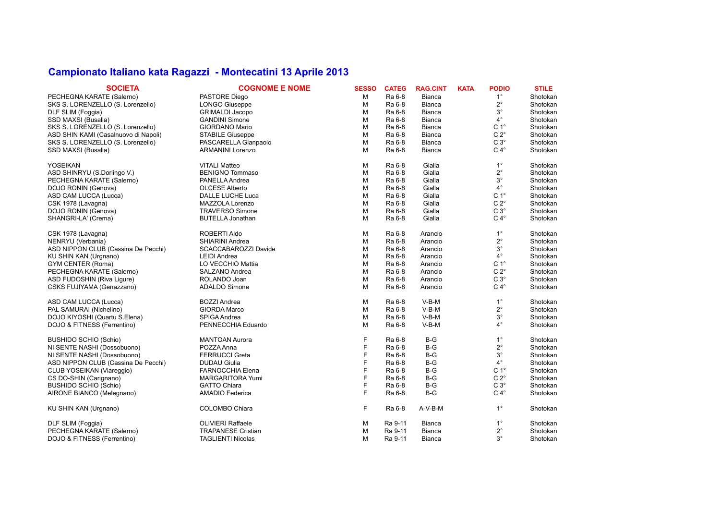## **Campionato Italiano kata Ragazzi - Montecatini 13 Aprile 2013**

| <b>SOCIETA</b>                       | <b>COGNOME E NOME</b>       | <b>SESSO</b> | <b>CATEG</b> | <b>RAG.CINT</b> | <b>KATA</b> | <b>PODIO</b>     | <b>STILE</b> |
|--------------------------------------|-----------------------------|--------------|--------------|-----------------|-------------|------------------|--------------|
| PECHEGNA KARATE (Salerno)            | PASTORE Diego               | M            | Ra 6-8       | <b>Bianca</b>   |             | $1^{\circ}$      | Shotokan     |
| SKS S. LORENZELLO (S. Lorenzello)    | <b>LONGO Giuseppe</b>       | M            | Ra 6-8       | <b>Bianca</b>   |             | $2^{\circ}$      | Shotokan     |
| DLF SLIM (Foggia)                    | <b>GRIMALDI Jacopo</b>      | M            | Ra 6-8       | <b>Bianca</b>   |             | $3^{\circ}$      | Shotokan     |
| SSD MAXSI (Busalla)                  | <b>GANDINI Simone</b>       | M            | Ra 6-8       | <b>Bianca</b>   |             | $4^{\circ}$      | Shotokan     |
| SKS S. LORENZELLO (S. Lorenzello)    | <b>GIORDANO Mario</b>       | M            | Ra 6-8       | <b>Bianca</b>   |             | C <sub>1</sub> ° | Shotokan     |
| ASD SHIN KAMI (Casalnuovo di Napoli) | <b>STABILE Giuseppe</b>     | M            | Ra 6-8       | <b>Bianca</b>   |             | $C 2^\circ$      | Shotokan     |
| SKS S. LORENZELLO (S. Lorenzello)    | PASCARELLA Gianpaolo        | M            | Ra 6-8       | <b>Bianca</b>   |             | $C3^\circ$       | Shotokan     |
| SSD MAXSI (Busalla)                  | <b>ARMANINI Lorenzo</b>     | M            | Ra 6-8       | <b>Bianca</b>   |             | $C 4^\circ$      | Shotokan     |
| <b>YOSEIKAN</b>                      | <b>VITALI Matteo</b>        | M            | Ra 6-8       | Gialla          |             | $1^{\circ}$      | Shotokan     |
| ASD SHINRYU (S.Dorlingo V.)          | <b>BENIGNO Tommaso</b>      | M            | Ra 6-8       | Gialla          |             | $2^{\circ}$      | Shotokan     |
| PECHEGNA KARATE (Salerno)            | PANELLA Andrea              | M            | Ra 6-8       | Gialla          |             | $3^{\circ}$      | Shotokan     |
| DOJO RONIN (Genova)                  | <b>OLCESE Alberto</b>       | M            | Ra 6-8       | Gialla          |             | $4^{\circ}$      | Shotokan     |
| ASD CAM LUCCA (Lucca)                | DALLE LUCHE Luca            | M            | Ra 6-8       | Gialla          |             | $C 1^\circ$      | Shotokan     |
| CSK 1978 (Lavagna)                   | MAZZOLA Lorenzo             | M            | Ra 6-8       | Gialla          |             | $C 2^\circ$      | Shotokan     |
| DOJO RONIN (Genova)                  | <b>TRAVERSO Simone</b>      | M            | Ra 6-8       | Gialla          |             | $C3^\circ$       | Shotokan     |
| SHANGRI-LA' (Crema)                  | <b>BUTELLA Jonathan</b>     | M            | Ra 6-8       | Gialla          |             | $C 4^\circ$      | Shotokan     |
| CSK 1978 (Lavagna)                   | <b>ROBERTI Aldo</b>         | M            | Ra 6-8       | Arancio         |             | $1^{\circ}$      | Shotokan     |
| NENRYU (Verbania)                    | <b>SHIARINI Andrea</b>      | M            | Ra 6-8       | Arancio         |             | $2^{\circ}$      | Shotokan     |
| ASD NIPPON CLUB (Cassina De Pecchi)  | <b>SCACCABAROZZI Davide</b> | M            | Ra 6-8       | Arancio         |             | $3^\circ$        | Shotokan     |
| KU SHIN KAN (Urgnano)                | <b>LEIDI</b> Andrea         | м            | Ra 6-8       | Arancio         |             | $4^{\circ}$      | Shotokan     |
| GYM CENTER (Roma)                    | LO VECCHIO Mattia           | M            | Ra 6-8       | Arancio         |             | C <sub>1</sub> ° | Shotokan     |
| PECHEGNA KARATE (Salerno)            | SALZANO Andrea              | M            | Ra 6-8       | Arancio         |             | $C 2^\circ$      | Shotokan     |
| ASD FUDOSHIN (Riva Ligure)           | ROLANDO Joan                | M            | Ra 6-8       | Arancio         |             | $C3^\circ$       | Shotokan     |
| CSKS FUJIYAMA (Genazzano)            | <b>ADALDO Simone</b>        | M            | Ra 6-8       | Arancio         |             | $C 4^\circ$      | Shotokan     |
| ASD CAM LUCCA (Lucca)                | <b>BOZZI Andrea</b>         | M            | Ra 6-8       | $V-B-M$         |             | $1^{\circ}$      | Shotokan     |
| PAL SAMURAI (Nichelino)              | <b>GIORDA Marco</b>         | M            | Ra 6-8       | $V-B-M$         |             | $2^{\circ}$      | Shotokan     |
| DOJO KIYOSHI (Quartu S.Elena)        | SPIGA Andrea                | M            | Ra 6-8       | $V-B-M$         |             | $3^{\circ}$      | Shotokan     |
| DOJO & FITNESS (Ferrentino)          | PENNECCHIA Eduardo          | M            | Ra 6-8       | $V-B-M$         |             | $4^{\circ}$      | Shotokan     |
| <b>BUSHIDO SCHIO (Schio)</b>         | <b>MANTOAN Aurora</b>       | F            | Ra 6-8       | $B-G$           |             | $1^{\circ}$      | Shotokan     |
| NI SENTE NASHI (Dossobuono)          | POZZA Anna                  | F            | Ra 6-8       | $B-G$           |             | $2^{\circ}$      | Shotokan     |
| NI SENTE NASHI (Dossobuono)          | FERRUCCI Greta              | F            | Ra 6-8       | $B-G$           |             | $3^{\circ}$      | Shotokan     |
| ASD NIPPON CLUB (Cassina De Pecchi)  | <b>DUDAU Giulia</b>         | F            | Ra 6-8       | $B-G$           |             | $4^{\circ}$      | Shotokan     |
| CLUB YOSEIKAN (Viareggio)            | <b>FARNOCCHIA Elena</b>     | F            | Ra 6-8       | $B-G$           |             | C <sub>1</sub> ° | Shotokan     |
| CS DO-SHIN (Carignano)               | MARGARITORA Yumi            | F            | Ra 6-8       | $B-G$           |             | $C 2^\circ$      | Shotokan     |
| <b>BUSHIDO SCHIO (Schio)</b>         | <b>GATTO Chiara</b>         | F            | Ra 6-8       | $B-G$           |             | $C3^\circ$       | Shotokan     |
| AIRONE BIANCO (Melegnano)            | AMADIO Federica             | F            | Ra 6-8       | $B-G$           |             | $C 4^\circ$      | Shotokan     |
| KU SHIN KAN (Urgnano)                | COLOMBO Chiara              | F            | Ra 6-8       | A-V-B-M         |             | $1^{\circ}$      | Shotokan     |
| DLF SLIM (Foggia)                    | <b>OLIVIERI Raffaele</b>    | M            | Ra 9-11      | <b>Bianca</b>   |             | $1^{\circ}$      | Shotokan     |
| PECHEGNA KARATE (Salerno)            | <b>TRAPANESE Cristian</b>   | M            | Ra 9-11      | <b>Bianca</b>   |             | $2^{\circ}$      | Shotokan     |
| DOJO & FITNESS (Ferrentino)          | <b>TAGLIENTI Nicolas</b>    | м            | Ra 9-11      | <b>Bianca</b>   |             | $3^{\circ}$      | Shotokan     |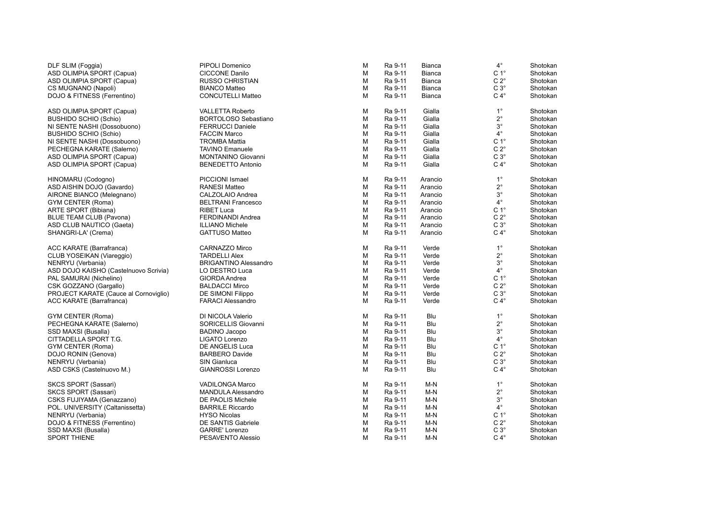| DLF SLIM (Foggia)                     | PIPOLI Domenico              | M | Ra 9-11 | Bianca  | $4^{\circ}$      | Shotokan |
|---------------------------------------|------------------------------|---|---------|---------|------------------|----------|
| ASD OLIMPIA SPORT (Capua)             | <b>CICCONE Danilo</b>        | M | Ra 9-11 | Bianca  | C <sub>1</sub> ° | Shotokan |
| ASD OLIMPIA SPORT (Capua)             | <b>RUSSO CHRISTIAN</b>       | M | Ra 9-11 | Bianca  | $C 2^\circ$      | Shotokan |
| CS MUGNANO (Napoli)                   | <b>BIANCO Matteo</b>         | M | Ra 9-11 | Bianca  | $C3^\circ$       | Shotokan |
| DOJO & FITNESS (Ferrentino)           | <b>CONCUTELLI Matteo</b>     | M | Ra 9-11 | Bianca  | $C 4^\circ$      | Shotokan |
| ASD OLIMPIA SPORT (Capua)             | <b>VALLETTA Roberto</b>      | М | Ra 9-11 | Gialla  | $1^{\circ}$      | Shotokan |
| <b>BUSHIDO SCHIO (Schio)</b>          | BORTOLOSO Sebastiano         | M | Ra 9-11 | Gialla  | $2^{\circ}$      | Shotokan |
| NI SENTE NASHI (Dossobuono)           | <b>FERRUCCI Daniele</b>      | M | Ra 9-11 | Gialla  | $3^{\circ}$      | Shotokan |
| <b>BUSHIDO SCHIO (Schio)</b>          | <b>FACCIN Marco</b>          | M | Ra 9-11 | Gialla  | $4^{\circ}$      | Shotokan |
| NI SENTE NASHI (Dossobuono)           | <b>TROMBA Mattia</b>         | M | Ra 9-11 | Gialla  | C <sub>1</sub> ° | Shotokan |
| PECHEGNA KARATE (Salerno)             | <b>TAVINO Emanuele</b>       | M | Ra 9-11 | Gialla  | $C 2^{\circ}$    | Shotokan |
| ASD OLIMPIA SPORT (Capua)             | MONTANINO Giovanni           | M | Ra 9-11 | Gialla  | $C3^\circ$       | Shotokan |
| ASD OLIMPIA SPORT (Capua)             | <b>BENEDETTO Antonio</b>     | М | Ra 9-11 | Gialla  | $C 4^\circ$      | Shotokan |
| HINOMARU (Codogno)                    | PICCIONI Ismael              | М | Ra 9-11 | Arancio | $1^{\circ}$      | Shotokan |
| ASD AISHIN DOJO (Gavardo)             | <b>RANESI Matteo</b>         | M | Ra 9-11 | Arancio | $2^{\circ}$      | Shotokan |
| AIRONE BIANCO (Melegnano)             | CALZOLAIO Andrea             | M | Ra 9-11 | Arancio | $3^{\circ}$      | Shotokan |
| GYM CENTER (Roma)                     | <b>BELTRANI Francesco</b>    | M | Ra 9-11 | Arancio | $4^{\circ}$      | Shotokan |
| <b>ARTE SPORT (Bibiana)</b>           | <b>RIBET Luca</b>            | M | Ra 9-11 | Arancio | C <sub>1</sub> ° | Shotokan |
| BLUE TEAM CLUB (Pavona)               | FERDINANDI Andrea            | M | Ra 9-11 | Arancio | $C 2^{\circ}$    | Shotokan |
| ASD CLUB NAUTICO (Gaeta)              | <b>ILLIANO Michele</b>       | M | Ra 9-11 | Arancio | $C 3^\circ$      | Shotokan |
| SHANGRI-LA' (Crema)                   | <b>GATTUSO Matteo</b>        | M | Ra 9-11 | Arancio | $C 4^\circ$      | Shotokan |
| ACC KARATE (Barrafranca)              | CARNAZZO Mirco               | М | Ra 9-11 | Verde   | $1^{\circ}$      | Shotokan |
| CLUB YOSEIKAN (Viareggio)             | <b>TARDELLI Alex</b>         | M | Ra 9-11 | Verde   | $2^{\circ}$      | Shotokan |
| NENRYU (Verbania)                     | <b>BRIGANTINO Alessandro</b> | M | Ra 9-11 | Verde   | $3^{\circ}$      | Shotokan |
| ASD DOJO KAISHO (Castelnuovo Scrivia) | LO DESTRO Luca               | M | Ra 9-11 | Verde   | $4^{\circ}$      | Shotokan |
| PAL SAMURAI (Nichelino)               | GIORDA Andrea                | M | Ra 9-11 | Verde   | C <sub>1</sub> ° | Shotokan |
| CSK GOZZANO (Gargallo)                | <b>BALDACCI Mirco</b>        | M | Ra 9-11 | Verde   | $C 2^{\circ}$    | Shotokan |
| PROJECT KARATE (Cauce al Cornoviglio) | DE SIMONI Filippo            | M | Ra 9-11 | Verde   | $C3^\circ$       | Shotokan |
| ACC KARATE (Barrafranca)              | <b>FARACI Alessandro</b>     | M | Ra 9-11 | Verde   | $C 4^\circ$      | Shotokan |
| <b>GYM CENTER (Roma)</b>              | DI NICOLA Valerio            | М | Ra 9-11 | Blu     | $1^{\circ}$      | Shotokan |
| PECHEGNA KARATE (Salerno)             | SORICELLIS Giovanni          | M | Ra 9-11 | Blu     | $2^{\circ}$      | Shotokan |
| SSD MAXSI (Busalla)                   | <b>BADINO Jacopo</b>         | M | Ra 9-11 | Blu     | $3^{\circ}$      | Shotokan |
| CITTADELLA SPORT T.G.                 | LIGATO Lorenzo               | M | Ra 9-11 | Blu     | $4^{\circ}$      | Shotokan |
| <b>GYM CENTER (Roma)</b>              | DE ANGELIS Luca              | M | Ra 9-11 | Blu     | C <sub>1</sub> ° | Shotokan |
| DOJO RONIN (Genova)                   | <b>BARBERO Davide</b>        | M | Ra 9-11 | Blu     | $C 2^{\circ}$    | Shotokan |
| NENRYU (Verbania)                     | <b>SIN Gianluca</b>          | M | Ra 9-11 | Blu     | $C3^\circ$       | Shotokan |
| ASD CSKS (Castelnuovo M.)             | <b>GIANROSSI Lorenzo</b>     | M | Ra 9-11 | Blu     | $C 4^\circ$      | Shotokan |
| SKCS SPORT (Sassari)                  | <b>VADILONGA Marco</b>       | М | Ra 9-11 | M-N     | $1^{\circ}$      | Shotokan |
| SKCS SPORT (Sassari)                  | <b>MANDULA Alessandro</b>    | M | Ra 9-11 | $M-N$   | $2^{\circ}$      | Shotokan |
| CSKS FUJIYAMA (Genazzano)             | <b>DE PAOLIS Michele</b>     | M | Ra 9-11 | $M-N$   | $3^\circ$        | Shotokan |
| POL. UNIVERSITY (Caltanissetta)       | <b>BARRILE Riccardo</b>      | M | Ra 9-11 | M-N     | $4^{\circ}$      | Shotokan |
| NENRYU (Verbania)                     | <b>HYSO Nicolas</b>          | M | Ra 9-11 | $M-N$   | C <sub>1</sub> ° | Shotokan |
| DOJO & FITNESS (Ferrentino)           | DE SANTIS Gabriele           | M | Ra 9-11 | $M-N$   | $C 2^{\circ}$    | Shotokan |
| SSD MAXSI (Busalla)                   | GARRE' Lorenzo               | M | Ra 9-11 | M-N     | $C3^\circ$       | Shotokan |
| <b>SPORT THIENE</b>                   | PESAVENTO Alessio            | M | Ra 9-11 | M-N     | $C 4^\circ$      | Shotokan |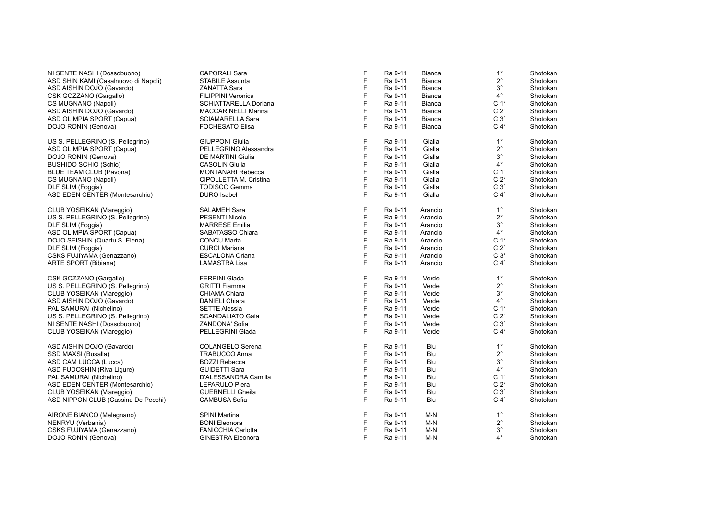| NI SENTE NASHI (Dossobuono)          | <b>CAPORALI Sara</b>       |
|--------------------------------------|----------------------------|
| ASD SHIN KAMI (Casalnuovo di Napoli) | <b>STABILE Assunta</b>     |
| ASD AISHIN DOJO (Gavardo)            | <b>ZANATTA Sara</b>        |
| CSK GOZZANO (Gargallo)               | <b>FILIPPINI Veronica</b>  |
| CS MUGNANO (Napoli)                  | SCHIATTARELLA Doriana      |
| ASD AISHIN DOJO (Gavardo)            | <b>MACCARINELLI Marina</b> |
| ASD OLIMPIA SPORT (Capua)            | <b>SCIAMARELLA Sara</b>    |
| DOJO RONIN (Genova)                  | <b>FOCHESATO Elisa</b>     |
| US S. PELLEGRINO (S. Pellegrino)     | <b>GIUPPONI Giulia</b>     |
| ASD OLIMPIA SPORT (Capua)            | PELLEGRINO Alessandra      |
| DOJO RONIN (Genova)                  | <b>DE MARTINI Giulia</b>   |
| <b>BUSHIDO SCHIO (Schio)</b>         | <b>CASOLIN Giulia</b>      |
| <b>BLUE TEAM CLUB (Pavona)</b>       | <b>MONTANARI Rebecca</b>   |
| CS MUGNANO (Napoli)                  | CIPOLLETTA M. Cristina     |
| DLF SLIM (Foggia)                    | <b>TODISCO Gemma</b>       |
| ASD EDEN CENTER (Montesarchio)       | <b>DURO</b> Isabel         |
| CLUB YOSEIKAN (Viareggio)            | <b>SALAMEH Sara</b>        |
| US S. PELLEGRINO (S. Pellegrino)     | <b>PESENTI Nicole</b>      |
| DLF SLIM (Foggia)                    | <b>MARRESE Emilia</b>      |
| ASD OLIMPIA SPORT (Capua)            | SABATASSO Chiara           |
| DOJO SEISHIN (Quartu S. Elena)       | <b>CONCU Marta</b>         |
| DLF SLIM (Foggia)                    | <b>CURCI Mariana</b>       |
| CSKS FUJIYAMA (Genazzano)            | <b>ESCALONA Oriana</b>     |
| <b>ARTE SPORT (Bibiana)</b>          | <b>LAMASTRA Lisa</b>       |
| CSK GOZZANO (Gargallo)               | <b>FERRINI Giada</b>       |
| US S. PELLEGRINO (S. Pellegrino)     | <b>GRITTI Fiamma</b>       |
| CLUB YOSEIKAN (Viareggio)            | CHIAMA Chiara              |
| ASD AISHIN DOJO (Gavardo)            | <b>DANIELI Chiara</b>      |
| PAL SAMURAI (Nichelino)              | <b>SETTE Alessia</b>       |
| US S. PELLEGRINO (S. Pellegrino)     | <b>SCANDALIATO Gaia</b>    |
| NI SENTE NASHI (Dossobuono)          | ZANDONA' Sofia             |
| CLUB YOSEIKAN (Viareggio)            | PELLEGRINI Giada           |
| ASD AISHIN DOJO (Gavardo)            | <b>COLANGELO Serena</b>    |
| SSD MAXSI (Busalla)                  | <b>TRABUCCO Anna</b>       |
| ASD CAM LUCCA (Lucca)                | <b>BOZZI Rebecca</b>       |
| ASD FUDOSHIN (Riva Ligure)           | <b>GUIDETTI Sara</b>       |
| PAL SAMURAI (Nichelino)              | D'ALESSANDRA Camilla       |
| ASD EDEN CENTER (Montesarchio)       | <b>LEPARULO Piera</b>      |
| CLUB YOSEIKAN (Viareggio)            | <b>GUERNELLI Gheila</b>    |
| ASD NIPPON CLUB (Cassina De Pecchi)  | <b>CAMBUSA Sofia</b>       |
| AIRONE BIANCO (Melegnano)            | <b>SPINI Martina</b>       |
| NENRYU (Verbania)                    | <b>BONI Eleonora</b>       |
| CSKS FUJIYAMA (Genazzano)            | <b>FANICCHIA Carlotta</b>  |

| NI SENTE NASHI (Dossobuono)           | <b>CAPORALI Sara</b>      | F | Ra 9-11 | <b>Bianca</b> | $1^{\circ}$      | Shotokan |
|---------------------------------------|---------------------------|---|---------|---------------|------------------|----------|
| ASD SHIN KAMI (Casalnuovo di Napoli)  | <b>STABILE Assunta</b>    | F | Ra 9-11 | <b>Bianca</b> | $2^{\circ}$      | Shotokan |
| ASD AISHIN DOJO (Gavardo)             | <b>ZANATTA Sara</b>       | F | Ra 9-11 | <b>Bianca</b> | $3^{\circ}$      | Shotokan |
| CSK GOZZANO (Gargallo)                | FILIPPINI Veronica        | F | Ra 9-11 | Bianca        | $4^\circ$        | Shotokan |
| CS MUGNANO (Napoli)                   | SCHIATTARELLA Doriana     | F | Ra 9-11 | Bianca        | C <sub>1</sub> ° | Shotokan |
| ASD AISHIN DOJO (Gavardo)             | MACCARINELLI Marina       | F | Ra 9-11 | Bianca        | $C 2^\circ$      | Shotokan |
| ASD OLIMPIA SPORT (Capua)             | <b>SCIAMARELLA Sara</b>   | F | Ra 9-11 | <b>Bianca</b> | $C 3^\circ$      | Shotokan |
| DOJO RONIN (Genova)                   | <b>FOCHESATO Elisa</b>    | F | Ra 9-11 | Bianca        | $C 4^\circ$      | Shotokan |
| US S. PELLEGRINO (S. Pellegrino)      | <b>GIUPPONI Giulia</b>    | F | Ra 9-11 | Gialla        | $1^{\circ}$      | Shotokan |
| ASD OLIMPIA SPORT (Capua)             | PELLEGRINO Alessandra     | F | Ra 9-11 | Gialla        | $2^{\circ}$      | Shotokan |
| DOJO RONIN (Genova)                   | DE MARTINI Giulia         | F | Ra 9-11 | Gialla        | $3^{\circ}$      | Shotokan |
| BUSHIDO SCHIO (Schio)                 | <b>CASOLIN Giulia</b>     | F | Ra 9-11 | Gialla        | $4^{\circ}$      | Shotokan |
| <b>BLUE TEAM CLUB (Pavona)</b>        | <b>MONTANARI Rebecca</b>  | F | Ra 9-11 | Gialla        | C <sub>1</sub> ° | Shotokan |
| CS MUGNANO (Napoli)                   | CIPOLLETTA M. Cristina    | F | Ra 9-11 | Gialla        | $C 2^{\circ}$    | Shotokan |
| DLF SLIM (Foggia)                     | <b>TODISCO Gemma</b>      | F | Ra 9-11 | Gialla        | $C3^\circ$       | Shotokan |
| <b>ASD EDEN CENTER (Montesarchio)</b> | <b>DURO</b> Isabel        | F | Ra 9-11 | Gialla        | $C 4^\circ$      | Shotokan |
| CLUB YOSEIKAN (Viareggio)             | <b>SALAMEH Sara</b>       | F | Ra 9-11 | Arancio       | $1^{\circ}$      | Shotokan |
| US S. PELLEGRINO (S. Pellegrino)      | <b>PESENTI Nicole</b>     | F | Ra 9-11 | Arancio       | $2^{\circ}$      | Shotokan |
| DLF SLIM (Foggia)                     | <b>MARRESE Emilia</b>     | F | Ra 9-11 | Arancio       | $3^{\circ}$      | Shotokan |
| ASD OLIMPIA SPORT (Capua)             | SABATASSO Chiara          | F | Ra 9-11 | Arancio       | $4^{\circ}$      | Shotokan |
| DOJO SEISHIN (Quartu S. Elena)        | <b>CONCU Marta</b>        | F | Ra 9-11 | Arancio       | C <sub>1</sub> ° | Shotokan |
| DLF SLIM (Foggia)                     | <b>CURCI Mariana</b>      | F | Ra 9-11 | Arancio       | $C 2^{\circ}$    | Shotokan |
| CSKS FUJIYAMA (Genazzano)             | <b>ESCALONA Oriana</b>    | F | Ra 9-11 | Arancio       | $C3^\circ$       | Shotokan |
| ARTE SPORT (Bibiana)                  | <b>LAMASTRA Lisa</b>      | F | Ra 9-11 | Arancio       | $C 4^\circ$      | Shotokan |
| CSK GOZZANO (Gargallo)                | <b>FERRINI Giada</b>      | F | Ra 9-11 | Verde         | $1^{\circ}$      | Shotokan |
| US S. PELLEGRINO (S. Pellegrino)      | <b>GRITTI Fiamma</b>      | F | Ra 9-11 | Verde         | $2^{\circ}$      | Shotokan |
| CLUB YOSEIKAN (Viareggio)             | CHIAMA Chiara             | F | Ra 9-11 | Verde         | $3^{\circ}$      | Shotokan |
| ASD AISHIN DOJO (Gavardo)             | DANIELI Chiara            | F | Ra 9-11 | Verde         | $4^{\circ}$      | Shotokan |
| PAL SAMURAI (Nichelino)               | <b>SETTE Alessia</b>      | F | Ra 9-11 | Verde         | $C 1^{\circ}$    | Shotokan |
| US S. PELLEGRINO (S. Pellegrino)      | <b>SCANDALIATO Gaia</b>   | F | Ra 9-11 | Verde         | $C 2^\circ$      | Shotokan |
| NI SENTE NASHI (Dossobuono)           | <b>ZANDONA' Sofia</b>     | F | Ra 9-11 | Verde         | $C 3^\circ$      | Shotokan |
| CLUB YOSEIKAN (Viareggio)             | PELLEGRINI Giada          | F | Ra 9-11 | Verde         | $C 4^\circ$      | Shotokan |
| ASD AISHIN DOJO (Gavardo)             | COLANGELO Serena          | F | Ra 9-11 | Blu           | $1^{\circ}$      | Shotokan |
| SSD MAXSI (Busalla)                   | <b>TRABUCCO Anna</b>      | F | Ra 9-11 | Blu           | $2^{\circ}$      | Shotokan |
| ASD CAM LUCCA (Lucca)                 | <b>BOZZI Rebecca</b>      | F | Ra 9-11 | Blu           | $3^{\circ}$      | Shotokan |
| ASD FUDOSHIN (Riva Ligure)            | <b>GUIDETTI Sara</b>      | F | Ra 9-11 | Blu           | $4^{\circ}$      | Shotokan |
| PAL SAMURAI (Nichelino)               | D'ALESSANDRA Camilla      | F | Ra 9-11 | Blu           | C <sub>1</sub> ° | Shotokan |
| ASD EDEN CENTER (Montesarchio)        | LEPARULO Piera            | F | Ra 9-11 | Blu           | $C 2^\circ$      | Shotokan |
| CLUB YOSEIKAN (Viareggio)             | <b>GUERNELLI Gheila</b>   | F | Ra 9-11 | Blu           | $C 3^\circ$      | Shotokan |
| ASD NIPPON CLUB (Cassina De Pecchi)   | <b>CAMBUSA Sofia</b>      | F | Ra 9-11 | Blu           | $C 4^\circ$      | Shotokan |
| AIRONE BIANCO (Melegnano)             | <b>SPINI Martina</b>      | F | Ra 9-11 | M-N           | $1^{\circ}$      | Shotokan |
| NENRYU (Verbania)                     | <b>BONI Eleonora</b>      | F | Ra 9-11 | $M-N$         | $2^{\circ}$      | Shotokan |
| CSKS FUJIYAMA (Genazzano)             | <b>FANICCHIA Carlotta</b> | F | Ra 9-11 | $M-N$         | $3^{\circ}$      | Shotokan |
| DOJO RONIN (Genova)                   | <b>GINESTRA Eleonora</b>  | F | Ra 9-11 | $M-N$         | $4^{\circ}$      | Shotokan |
|                                       |                           |   |         |               |                  |          |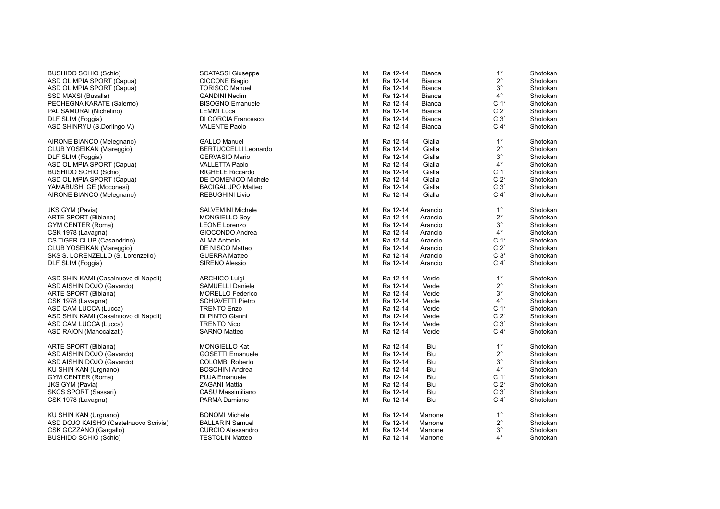BUSHIDO SCHIO (Schio) ASD OLIMPIA SPORT (Capua) ASD OLIMPIA SPORT (Capua) SSD MAXSI (Busalla) PECHEGNA KARATE (Salerno) PAL SAMURAI (Nichelino) DLF SLIM (Foggia) ASD SHINRYU (S.Dorlingo V.) AIRONE BIANCO (Melegnano)

CLUB YOSEIKAN (Viareggio) DLF SLIM (Foggia) ASD OLIMPIA SPORT (Capua) BUSHIDO SCHIO (Schio) ASD OLIMPIA SPORT (Capua) YAMABUSHI GE (Moconesi) AIRONE BIANCO (Melegnano)

JKS GYM (Pavia) ARTE SPORT (Bibiana) GYM CENTER (Roma) CSK 1978 (Lavagna) CS TIGER CLUB (Casandrino) CLUB YOSEIKAN (Viareggio) SKS S. LORENZELLO (S. Lorenzello) DLF SLIM (Foggia)

ASD SHIN KAMI (Casalnuovo di Napoli) ASD AISHIN DOJO (Gavardo) ARTE SPORT (Bibiana) CSK 1978 (Lavagna) ASD CAM LUCCA (Lucca) ASD SHIN KAMI (Casalnuovo di Napoli) ASD CAM LUCCA (Lucca) ASD RAION (Manocalzati)

ARTE SPORT (Bibiana) ASD AISHIN DOJO (Gavardo) ASD AISHIN DOJO (Gavardo) KU SHIN KAN (Urgnano) GYM CENTER (Roma) JKS GYM (Pavia) SKCS SPORT (Sassari) CSK 1978 (Lavagna)

KU SHIN KAN (Urgnano) ASD DOJO KAISHO (Castelnuovo Scrivia) CSK GOZZANO (Gargallo) BUSHIDO SCHIO (Schio) TESTOLIN Matteo

| <b>SCATASSI Giuseppe</b>    | M | Ra 12-14 | <b>Bianca</b> | $1^{\circ}$      | Shotokan |
|-----------------------------|---|----------|---------------|------------------|----------|
| <b>CICCONE Biagio</b>       | M | Ra 12-14 | <b>Bianca</b> | $2^{\circ}$      | Shotokan |
| <b>TORISCO Manuel</b>       | М | Ra 12-14 | <b>Bianca</b> | $3^\circ$        | Shotokan |
| <b>GANDINI Nedim</b>        | М | Ra 12-14 | <b>Bianca</b> | $4^{\circ}$      | Shotokan |
| <b>BISOGNO Emanuele</b>     | М | Ra 12-14 | Bianca        | C <sub>1</sub> ° | Shotokan |
| <b>LEMMI</b> Luca           | М | Ra 12-14 | <b>Bianca</b> | $C 2^{\circ}$    | Shotokan |
| DI CORCIA Francesco         | M | Ra 12-14 | <b>Bianca</b> | $C3^\circ$       | Shotokan |
| <b>VALENTE Paolo</b>        | М | Ra 12-14 | <b>Bianca</b> | $C 4^\circ$      | Shotokan |
| <b>GALLO Manuel</b>         | Μ | Ra 12-14 | Gialla        | $1^{\circ}$      | Shotokan |
| <b>BERTUCCELLI Leonardo</b> | M | Ra 12-14 | Gialla        | $2^{\circ}$      | Shotokan |
| <b>GERVASIO Mario</b>       | М | Ra 12-14 | Gialla        | $3^\circ$        | Shotokan |
| <b>VALLETTA Paolo</b>       | М | Ra 12-14 | Gialla        | $4^{\circ}$      | Shotokan |
| <b>RIGHELE Riccardo</b>     | М | Ra 12-14 | Gialla        | C <sub>1</sub> ° | Shotokan |
| DE DOMENICO Michele         | М | Ra 12-14 | Gialla        | $C 2^{\circ}$    | Shotokan |
| <b>BACIGALUPO Matteo</b>    | М | Ra 12-14 | Gialla        | $C 3^\circ$      | Shotokan |
| <b>REBUGHINI Livio</b>      | М | Ra 12-14 | Gialla        | $C 4^\circ$      | Shotokan |
| <b>SALVEMINI Michele</b>    | Μ | Ra 12-14 | Arancio       | $1^{\circ}$      | Shotokan |
| <b>MONGIELLO Soy</b>        | М | Ra 12-14 | Arancio       | $2^{\circ}$      | Shotokan |
| <b>LEONE Lorenzo</b>        | м | Ra 12-14 | Arancio       | $3^\circ$        | Shotokan |
| GIOCONDO Andrea             | М | Ra 12-14 | Arancio       | $4^{\circ}$      | Shotokan |
| <b>ALMA Antonio</b>         | М | Ra 12-14 | Arancio       | C <sub>1</sub> ° | Shotokan |
| DE NISCO Matteo             | М | Ra 12-14 | Arancio       | $C 2^{\circ}$    | Shotokan |
| <b>GUERRA Matteo</b>        | М | Ra 12-14 | Arancio       | $C3^\circ$       | Shotokan |
| <b>SIRENO Alessio</b>       | M | Ra 12-14 | Arancio       | $C 4^\circ$      | Shotokan |
| <b>ARCHICO Luigi</b>        | M | Ra 12-14 | Verde         | $1^{\circ}$      | Shotokan |
| <b>SAMUELLI Daniele</b>     | м | Ra 12-14 | Verde         | $2^{\circ}$      | Shotokan |
| <b>MORELLO Federico</b>     | м | Ra 12-14 | Verde         | $3^{\circ}$      | Shotokan |
| <b>SCHIAVETTI Pietro</b>    | М | Ra 12-14 | Verde         | $4^{\circ}$      | Shotokan |
| <b>TRENTO Enzo</b>          | М | Ra 12-14 | Verde         | C <sub>1</sub> ° | Shotokan |
| DI PINTO Gianni             | М | Ra 12-14 | Verde         | $C 2^{\circ}$    | Shotokan |
| <b>TRENTO Nico</b>          | М | Ra 12-14 | Verde         | $C3^\circ$       | Shotokan |
| <b>SARNO Matteo</b>         | М | Ra 12-14 | Verde         | $C 4^\circ$      | Shotokan |
| <b>MONGIELLO Kat</b>        | Μ | Ra 12-14 | Blu           | $1^{\circ}$      | Shotokan |
| <b>GOSETTI Emanuele</b>     | м | Ra 12-14 | Blu           | $2^{\circ}$      | Shotokan |
| <b>COLOMBI Roberto</b>      | М | Ra 12-14 | Blu           | $3^\circ$        | Shotokan |
| <b>BOSCHINI Andrea</b>      | М | Ra 12-14 | Blu           | $4^{\circ}$      | Shotokan |
| <b>PUJA Emanuele</b>        | M | Ra 12-14 | Blu           | C <sub>1</sub> ° | Shotokan |
| <b>ZAGANI Mattia</b>        | M | Ra 12-14 | Blu           | $C 2^{\circ}$    | Shotokan |
| CASU Massimiliano           | М | Ra 12-14 | Blu           | $C3^\circ$       | Shotokan |
| PARMA Damiano               | М | Ra 12-14 | Blu           | $C 4^\circ$      | Shotokan |
| <b>BONOMI</b> Michele       | М | Ra 12-14 | Marrone       | $1^{\circ}$      | Shotokan |
| <b>BALLARIN Samuel</b>      | м | Ra 12-14 | Marrone       | $2^{\circ}$      | Shotokan |
| <b>CURCIO Alessandro</b>    | М | Ra 12-14 | Marrone       | $3^\circ$        | Shotokan |
| <b>TESTOLIN Matteo</b>      | М | Ra 12-14 | Marrone       | $4^{\circ}$      | Shotokan |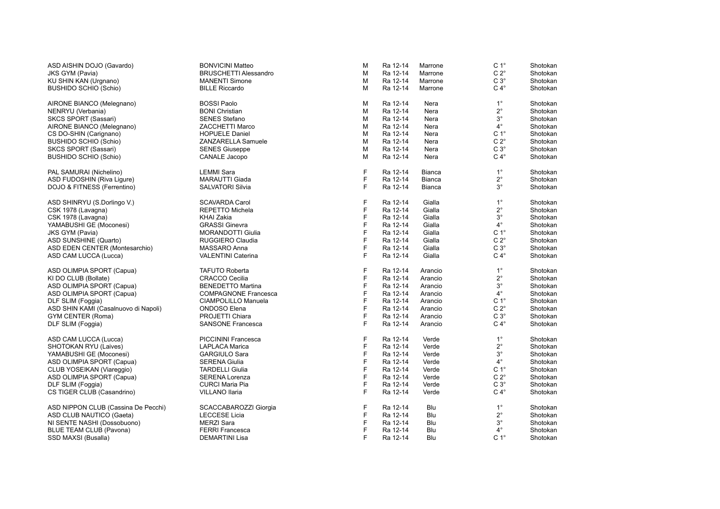| ASD AISHIN DOJO (Gavardo)            | <b>BONVICINI Matteo</b>      | M | Ra 12-14 | Marrone       | C <sub>1</sub> ° | Shotokan |
|--------------------------------------|------------------------------|---|----------|---------------|------------------|----------|
| JKS GYM (Pavia)                      | <b>BRUSCHETTI Alessandro</b> | M | Ra 12-14 | Marrone       | $C 2^{\circ}$    | Shotokan |
| KU SHIN KAN (Urgnano)                | <b>MANENTI Simone</b>        | M | Ra 12-14 | Marrone       | $C 3^\circ$      | Shotokan |
| <b>BUSHIDO SCHIO (Schio)</b>         | <b>BILLE Riccardo</b>        | М | Ra 12-14 | Marrone       | $C 4^\circ$      | Shotokan |
| AIRONE BIANCO (Melegnano)            | <b>BOSSI Paolo</b>           | M | Ra 12-14 | Nera          | $1^{\circ}$      | Shotokan |
| NENRYU (Verbania)                    | <b>BONI Christian</b>        | M | Ra 12-14 | Nera          | $2^{\circ}$      | Shotokan |
| SKCS SPORT (Sassari)                 | <b>SENES Stefano</b>         | М | Ra 12-14 | Nera          | $3^{\circ}$      | Shotokan |
| AIRONE BIANCO (Melegnano)            | <b>ZACCHETTI Marco</b>       | M | Ra 12-14 | Nera          | $4^{\circ}$      | Shotokan |
| CS DO-SHIN (Carignano)               | <b>HOPUELE Daniel</b>        | M | Ra 12-14 | Nera          | $C 1^\circ$      | Shotokan |
| <b>BUSHIDO SCHIO (Schio)</b>         | ZANZARELLA Samuele           | M | Ra 12-14 | Nera          | $C 2^{\circ}$    | Shotokan |
| SKCS SPORT (Sassari)                 | <b>SENES Giuseppe</b>        | M | Ra 12-14 | Nera          | $C 3^\circ$      | Shotokan |
| <b>BUSHIDO SCHIO (Schio)</b>         | CANALE Jacopo                | M | Ra 12-14 | Nera          | $C 4^\circ$      | Shotokan |
| PAL SAMURAI (Nichelino)              | <b>LEMMI Sara</b>            | F | Ra 12-14 | Bianca        | $1^{\circ}$      | Shotokan |
| ASD FUDOSHIN (Riva Liqure)           | <b>MARAUTTI Giada</b>        | F | Ra 12-14 | <b>Bianca</b> | $2^{\circ}$      | Shotokan |
| DOJO & FITNESS (Ferrentino)          | <b>SALVATORI Silvia</b>      | F | Ra 12-14 | Bianca        | $3^{\circ}$      | Shotokan |
| ASD SHINRYU (S.Dorlingo V.)          | <b>SCAVARDA Carol</b>        | F | Ra 12-14 | Gialla        | $1^{\circ}$      | Shotokan |
| CSK 1978 (Lavagna)                   | <b>REPETTO Michela</b>       | F | Ra 12-14 | Gialla        | $2^{\circ}$      | Shotokan |
| CSK 1978 (Lavagna)                   | <b>KHAI Zakia</b>            | F | Ra 12-14 | Gialla        | $3^{\circ}$      | Shotokan |
| YAMABUSHI GE (Moconesi)              | <b>GRASSI Ginevra</b>        | F | Ra 12-14 | Gialla        | $4^{\circ}$      | Shotokan |
| <b>JKS GYM (Pavia)</b>               | <b>MORANDOTTI Giulia</b>     | F | Ra 12-14 | Gialla        | C <sub>1</sub> ° | Shotokan |
| ASD SUNSHINE (Quarto)                | RUGGIERO Claudia             | F | Ra 12-14 | Gialla        | $C 2^{\circ}$    | Shotokan |
| ASD EDEN CENTER (Montesarchio)       | MASSARO Anna                 | F | Ra 12-14 | Gialla        | $C3^\circ$       | Shotokan |
| ASD CAM LUCCA (Lucca)                | <b>VALENTINI Caterina</b>    | F | Ra 12-14 | Gialla        | $C 4^\circ$      | Shotokan |
| ASD OLIMPIA SPORT (Capua)            | <b>TAFUTO Roberta</b>        | F | Ra 12-14 | Arancio       | $1^{\circ}$      | Shotokan |
| KI DO CLUB (Bollate)                 | <b>CRACCO Cecilia</b>        | F | Ra 12-14 | Arancio       | $2^{\circ}$      | Shotokan |
| ASD OLIMPIA SPORT (Capua)            | <b>BENEDETTO Martina</b>     | F | Ra 12-14 | Arancio       | $3^{\circ}$      | Shotokan |
| ASD OLIMPIA SPORT (Capua)            | <b>COMPAGNONE Francesca</b>  | F | Ra 12-14 | Arancio       | $4^{\circ}$      | Shotokan |
| DLF SLIM (Foggia)                    | CIAMPOLILLO Manuela          | F | Ra 12-14 | Arancio       | C <sub>1</sub> ° | Shotokan |
| ASD SHIN KAMI (Casalnuovo di Napoli) | <b>ONDOSO</b> Elena          | F | Ra 12-14 | Arancio       | $C 2^{\circ}$    | Shotokan |
| GYM CENTER (Roma)                    | PROJETTI Chiara              | F | Ra 12-14 | Arancio       | $C3^\circ$       | Shotokan |
| DLF SLIM (Foggia)                    | <b>SANSONE Francesca</b>     | F | Ra 12-14 | Arancio       | $C 4^\circ$      | Shotokan |
| ASD CAM LUCCA (Lucca)                | PICCININI Francesca          | F | Ra 12-14 | Verde         | $1^{\circ}$      | Shotokan |
| SHOTOKAN RYU (Laives)                | <b>LAPLACA Marica</b>        | F | Ra 12-14 | Verde         | $2^{\circ}$      | Shotokan |
| YAMABUSHI GE (Moconesi)              | <b>GARGIULO Sara</b>         | F | Ra 12-14 | Verde         | $3^{\circ}$      | Shotokan |
| ASD OLIMPIA SPORT (Capua)            | <b>SERENA Giulia</b>         | F | Ra 12-14 | Verde         | $4^{\circ}$      | Shotokan |
| CLUB YOSEIKAN (Viareggio)            | <b>TARDELLI Giulia</b>       | F | Ra 12-14 | Verde         | $C 1^{\circ}$    | Shotokan |
| ASD OLIMPIA SPORT (Capua)            | <b>SERENA Lorenza</b>        | F | Ra 12-14 | Verde         | $C 2^{\circ}$    | Shotokan |
| DLF SLIM (Foggia)                    | <b>CURCI Maria Pia</b>       | F | Ra 12-14 | Verde         | $C3^\circ$       | Shotokan |
| CS TIGER CLUB (Casandrino)           | <b>VILLANO Ilaria</b>        | F | Ra 12-14 | Verde         | $C 4^\circ$      | Shotokan |
| ASD NIPPON CLUB (Cassina De Pecchi)  | SCACCABAROZZI Giorgia        | F | Ra 12-14 | Blu           | $1^{\circ}$      | Shotokan |
| ASD CLUB NAUTICO (Gaeta)             | <b>LECCESE Licia</b>         | F | Ra 12-14 | Blu           | $2^{\circ}$      | Shotokan |
| NI SENTE NASHI (Dossobuono)          | <b>MERZI Sara</b>            | F | Ra 12-14 | Blu           | $3^{\circ}$      | Shotokan |
| BLUE TEAM CLUB (Pavona)              | <b>FERRI Francesca</b>       | F | Ra 12-14 | Blu           | $4^\circ$        | Shotokan |
| SSD MAXSI (Busalla)                  | <b>DEMARTINI Lisa</b>        | F | Ra 12-14 | Blu           | C <sub>1</sub> ° | Shotokan |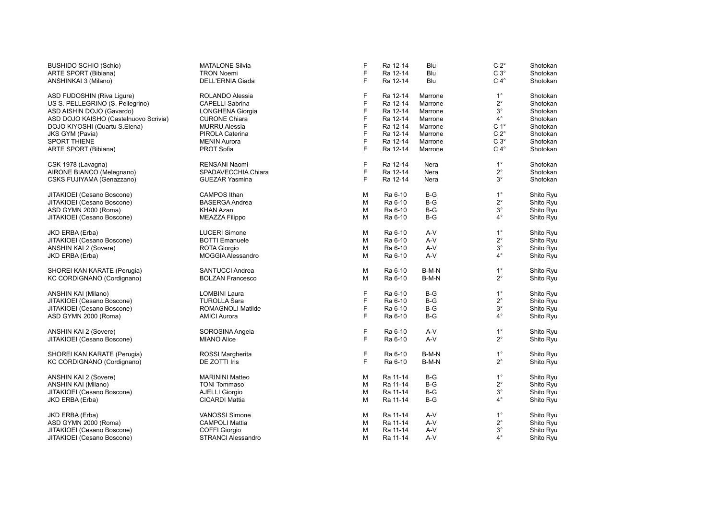| <b>BUSHIDO SCHIO (Schio)</b>          | <b>MATALONE Silvia</b>    | F | Ra 12-14 | Blu     | $C 2^{\circ}$    | Shotokan  |
|---------------------------------------|---------------------------|---|----------|---------|------------------|-----------|
| ARTE SPORT (Bibiana)                  | <b>TRON Noemi</b>         | F | Ra 12-14 | Blu     | $C3^\circ$       | Shotokan  |
| ANSHINKAI 3 (Milano)                  | DELL'ERNIA Giada          | F | Ra 12-14 | Blu     | $C 4^\circ$      | Shotokan  |
|                                       |                           |   |          |         |                  |           |
| ASD FUDOSHIN (Riva Ligure)            | ROLANDO Alessia           | F | Ra 12-14 | Marrone | $1^{\circ}$      | Shotokan  |
| US S. PELLEGRINO (S. Pellegrino)      | <b>CAPELLI Sabrina</b>    | F | Ra 12-14 | Marrone | $2^{\circ}$      | Shotokan  |
| ASD AISHIN DOJO (Gavardo)             | LONGHENA Giorgia          | F | Ra 12-14 | Marrone | $3^\circ$        | Shotokan  |
| ASD DOJO KAISHO (Castelnuovo Scrivia) | <b>CURONE Chiara</b>      | F | Ra 12-14 | Marrone | $4^{\circ}$      | Shotokan  |
| DOJO KIYOSHI (Quartu S.Elena)         | <b>MURRU Alessia</b>      | F | Ra 12-14 | Marrone | C <sub>1</sub> ° | Shotokan  |
| <b>JKS GYM (Pavia)</b>                | PIROLA Caterina           | F | Ra 12-14 | Marrone | $C 2^{\circ}$    | Shotokan  |
| <b>SPORT THIENE</b>                   | <b>MENIN Aurora</b>       | F | Ra 12-14 | Marrone | $C3^\circ$       | Shotokan  |
| ARTE SPORT (Bibiana)                  | <b>PROT Sofia</b>         | F | Ra 12-14 | Marrone | $C 4^\circ$      | Shotokan  |
|                                       |                           |   |          |         |                  |           |
| CSK 1978 (Lavagna)                    | RENSANI Naomi             | F | Ra 12-14 | Nera    | $1^{\circ}$      | Shotokan  |
| AIRONE BIANCO (Melegnano)             | SPADAVECCHIA Chiara       | F | Ra 12-14 | Nera    | $2^{\circ}$      | Shotokan  |
| CSKS FUJIYAMA (Genazzano)             | <b>GUEZAR Yasmina</b>     | F | Ra 12-14 | Nera    | $3^{\circ}$      | Shotokan  |
|                                       |                           |   |          |         |                  |           |
| JITAKIOEI (Cesano Boscone)            | <b>CAMPOS Ithan</b>       | Μ | Ra 6-10  | $B-G$   | $1^{\circ}$      | Shito Ryu |
| JITAKIOEI (Cesano Boscone)            | <b>BASERGA Andrea</b>     | М | Ra 6-10  | $B-G$   | $2^{\circ}$      | Shito Ryu |
| ASD GYMN 2000 (Roma)                  | <b>KHAN Azan</b>          | М | Ra 6-10  | $B-G$   | $3^\circ$        | Shito Ryu |
| JITAKIOEI (Cesano Boscone)            | <b>MEAZZA Filippo</b>     | M | Ra 6-10  | $B-G$   | $4^{\circ}$      | Shito Ryu |
|                                       |                           |   |          |         |                  |           |
| JKD ERBA (Erba)                       | <b>LUCERI Simone</b>      | М | Ra 6-10  | A-V     | $1^{\circ}$      | Shito Ryu |
| JITAKIOEI (Cesano Boscone)            | <b>BOTTI Emanuele</b>     | M | Ra 6-10  | A-V     | $2^{\circ}$      | Shito Ryu |
| ANSHIN KAI 2 (Sovere)                 | ROTA Giorgio              | М | Ra 6-10  | A-V     | $3^\circ$        | Shito Ryu |
| JKD ERBA (Erba)                       | MOGGIA Alessandro         | M | Ra 6-10  | $A-V$   | $4^{\circ}$      | Shito Ryu |
|                                       |                           |   |          |         |                  |           |
| SHOREI KAN KARATE (Perugia)           | SANTUCCI Andrea           | М | Ra 6-10  | B-M-N   | $1^{\circ}$      | Shito Ryu |
| KC CORDIGNANO (Cordignano)            | <b>BOLZAN Francesco</b>   | М | Ra 6-10  | B-M-N   | $2^{\circ}$      | Shito Ryu |
|                                       |                           |   |          |         |                  |           |
| ANSHIN KAI (Milano)                   | <b>LOMBINI Laura</b>      | F | Ra 6-10  | $B-G$   | $1^{\circ}$      | Shito Ryu |
| JITAKIOEI (Cesano Boscone)            | <b>TUROLLA Sara</b>       | F | Ra 6-10  | $B-G$   | $2^{\circ}$      | Shito Ryu |
| JITAKIOEI (Cesano Boscone)            | ROMAGNOLI Matilde         | F | Ra 6-10  | $B-G$   | $3^\circ$        | Shito Ryu |
| ASD GYMN 2000 (Roma)                  | <b>AMICI Aurora</b>       | F | Ra 6-10  | $B-G$   | $4^{\circ}$      | Shito Ryu |
|                                       |                           |   |          |         |                  |           |
| ANSHIN KAI 2 (Sovere)                 | SOROSINA Angela           | F | Ra 6-10  | A-V     | $1^{\circ}$      | Shito Ryu |
| JITAKIOEI (Cesano Boscone)            | <b>MIANO Alice</b>        | F | Ra 6-10  | $A-V$   | $2^{\circ}$      | Shito Ryu |
|                                       |                           |   |          |         |                  |           |
| SHOREI KAN KARATE (Perugia)           | ROSSI Margherita          | F | Ra 6-10  | B-M-N   | $1^{\circ}$      | Shito Ryu |
| KC CORDIGNANO (Cordignano)            | DE ZOTTI Iris             | E | Ra 6-10  | B-M-N   | $2^{\circ}$      | Shito Ryu |
| ANSHIN KAI 2 (Sovere)                 | <b>MARININI Matteo</b>    | М | Ra 11-14 | $B-G$   | $1^{\circ}$      | Shito Ryu |
| ANSHIN KAI (Milano)                   | <b>TONI Tommaso</b>       | М | Ra 11-14 | $B-G$   | $2^{\circ}$      | Shito Ryu |
| JITAKIOEI (Cesano Boscone)            | AJELLI Giorgio            | М | Ra 11-14 | $B-G$   | $3^\circ$        | Shito Ryu |
| JKD ERBA (Erba)                       | <b>CICARDI Mattia</b>     | M | Ra 11-14 | $B-G$   | $4^{\circ}$      | Shito Ryu |
|                                       |                           |   |          |         |                  |           |
| JKD ERBA (Erba)                       | <b>VANOSSI Simone</b>     | М | Ra 11-14 | $A-V$   | $1^{\circ}$      | Shito Ryu |
| ASD GYMN 2000 (Roma)                  | <b>CAMPOLI Mattia</b>     | M | Ra 11-14 | A-V     | $2^{\circ}$      | Shito Ryu |
| JITAKIOEI (Cesano Boscone)            | <b>COFFI Giorgio</b>      | M | Ra 11-14 | $A-V$   | $3^\circ$        | Shito Ryu |
| JITAKIOEI (Cesano Boscone)            | <b>STRANCI Alessandro</b> | M | Ra 11-14 | $A-V$   | 4°               | Shito Ryu |
|                                       |                           |   |          |         |                  |           |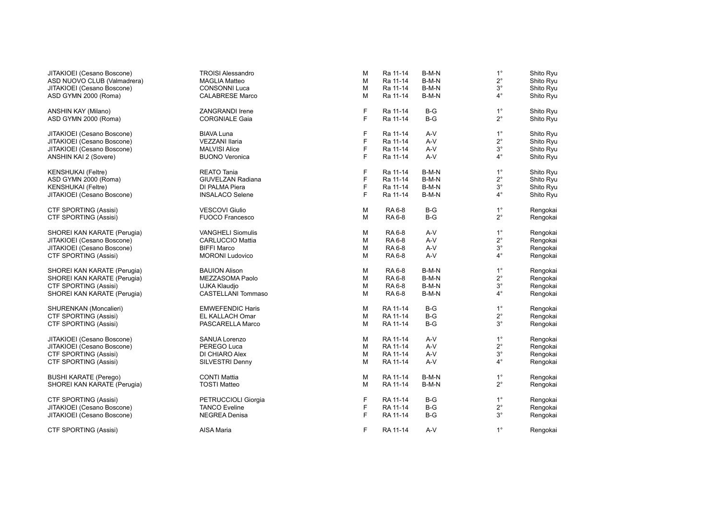| JITAKIOEI (Cesano Boscone)   | <b>TROISI Alessandro</b>  | M           | Ra 11-14 | B-M-N | $1^{\circ}$ | Shito Ryu |
|------------------------------|---------------------------|-------------|----------|-------|-------------|-----------|
| ASD NUOVO CLUB (Valmadrera)  | <b>MAGLIA Matteo</b>      | M           | Ra 11-14 | B-M-N | $2^{\circ}$ | Shito Ryu |
| JITAKIOEI (Cesano Boscone)   | <b>CONSONNI Luca</b>      | М           | Ra 11-14 | B-M-N | $3^{\circ}$ | Shito Ryu |
| ASD GYMN 2000 (Roma)         | <b>CALABRESE Marco</b>    | М           | Ra 11-14 | B-M-N | $4^{\circ}$ | Shito Ryu |
| ANSHIN KAY (Milano)          | ZANGRANDI Irene           | $\mathsf F$ | Ra 11-14 | $B-G$ | $1^{\circ}$ | Shito Ryu |
| ASD GYMN 2000 (Roma)         | <b>CORGNIALE Gaia</b>     | F           | Ra 11-14 | $B-G$ | $2^{\circ}$ | Shito Ryu |
|                              |                           |             |          |       |             |           |
| JITAKIOEI (Cesano Boscone)   | <b>BIAVA Luna</b>         | $\mathsf F$ | Ra 11-14 | $A-V$ | $1^{\circ}$ | Shito Ryu |
| JITAKIOEI (Cesano Boscone)   | <b>VEZZANI Ilaria</b>     | F           | Ra 11-14 | $A-V$ | $2^{\circ}$ | Shito Ryu |
| JITAKIOEI (Cesano Boscone)   | <b>MALVISI Alice</b>      | F           | Ra 11-14 | A-V   | $3^{\circ}$ | Shito Ryu |
| ANSHIN KAI 2 (Sovere)        | <b>BUONO Veronica</b>     | F           | Ra 11-14 | A-V   | $4^{\circ}$ | Shito Ryu |
| <b>KENSHUKAI</b> (Feltre)    | <b>REATO Tania</b>        | F           | Ra 11-14 | B-M-N | $1^{\circ}$ | Shito Ryu |
| ASD GYMN 2000 (Roma)         | <b>GIUVELZAN Radiana</b>  | F           | Ra 11-14 | B-M-N | $2^{\circ}$ | Shito Ryu |
| <b>KENSHUKAI</b> (Feltre)    | DI PALMA Piera            | F           | Ra 11-14 | B-M-N | $3^{\circ}$ | Shito Ryu |
| JITAKIOEI (Cesano Boscone)   | <b>INSALACO Selene</b>    | F           | Ra 11-14 | B-M-N | $4^{\circ}$ | Shito Ryu |
|                              |                           |             |          |       |             |           |
| <b>CTF SPORTING (Assisi)</b> | <b>VESCOVI Giulio</b>     | М           | RA 6-8   | $B-G$ | $1^{\circ}$ | Rengokai  |
| CTF SPORTING (Assisi)        | <b>FUOCO Francesco</b>    | M           | RA 6-8   | $B-G$ | $2^{\circ}$ | Rengokai  |
| SHOREI KAN KARATE (Perugia)  | <b>VANGHELI Siomulis</b>  | М           | RA 6-8   | A-V   | $1^{\circ}$ | Rengokai  |
| JITAKIOEI (Cesano Boscone)   | <b>CARLUCCIO Mattia</b>   | M           | RA 6-8   | A-V   | $2^{\circ}$ | Rengokai  |
| JITAKIOEI (Cesano Boscone)   | <b>BIFFI Marco</b>        | М           | RA 6-8   | A-V   | $3^{\circ}$ | Rengokai  |
| <b>CTF SPORTING (Assisi)</b> | <b>MORONI Ludovico</b>    | M           | RA 6-8   | A-V   | $4^{\circ}$ | Rengokai  |
| SHOREI KAN KARATE (Perugia)  | <b>BAUION Alison</b>      | M           | RA 6-8   | B-M-N | $1^{\circ}$ | Rengokai  |
| SHOREI KAN KARATE (Perugia)  | MEZZASOMA Paolo           | M           | RA 6-8   | B-M-N | $2^{\circ}$ | Rengokai  |
| <b>CTF SPORTING (Assisi)</b> | UJKA Klaudjo              | М           | RA 6-8   | B-M-N | $3^{\circ}$ | Rengokai  |
| SHOREI KAN KARATE (Perugia)  | <b>CASTELLANI Tommaso</b> | М           | RA 6-8   | B-M-N | $4^{\circ}$ | Rengokai  |
|                              |                           |             |          |       |             |           |
| SHURENKAN (Moncalieri)       | <b>EMWEFENDIC Haris</b>   | М           | RA 11-14 | $B-G$ | $1^{\circ}$ | Rengokai  |
| <b>CTF SPORTING (Assisi)</b> | EL KALLACH Omar           | M           | RA 11-14 | $B-G$ | $2^{\circ}$ | Rengokai  |
| <b>CTF SPORTING (Assisi)</b> | PASCARELLA Marco          | M           | RA 11-14 | $B-G$ | $3^{\circ}$ | Rengokai  |
| JITAKIOEI (Cesano Boscone)   | <b>SANUA Lorenzo</b>      | М           | RA 11-14 | A-V   | $1^{\circ}$ | Rengokai  |
| JITAKIOEI (Cesano Boscone)   | PEREGO Luca               | М           | RA 11-14 | A-V   | $2^{\circ}$ | Rengokai  |
| <b>CTF SPORTING (Assisi)</b> | DI CHIARO Alex            | М           | RA 11-14 | A-V   | $3^{\circ}$ | Rengokai  |
| <b>CTF SPORTING (Assisi)</b> | SILVESTRI Denny           | М           | RA 11-14 | A-V   | $4^{\circ}$ | Rengokai  |
|                              |                           |             |          |       |             |           |
| <b>BUSHI KARATE (Perego)</b> | <b>CONTI Mattia</b>       | М           | RA 11-14 | B-M-N | $1^{\circ}$ | Rengokai  |
| SHOREI KAN KARATE (Perugia)  | <b>TOSTI Matteo</b>       | М           | RA 11-14 | B-M-N | $2^{\circ}$ | Rengokai  |
| <b>CTF SPORTING (Assisi)</b> | PETRUCCIOLI Giorgia       | F           | RA 11-14 | B-G   | $1^{\circ}$ | Rengokai  |
| JITAKIOEI (Cesano Boscone)   | <b>TANCO Eveline</b>      | F           | RA 11-14 | $B-G$ | $2^{\circ}$ | Rengokai  |
| JITAKIOEI (Cesano Boscone)   | <b>NEGREA Denisa</b>      | F           | RA 11-14 | $B-G$ | $3^{\circ}$ | Rengokai  |
| <b>CTF SPORTING (Assisi)</b> | AISA Maria                | F           | RA 11-14 | A-V   | $1^{\circ}$ | Rengokai  |
|                              |                           |             |          |       |             |           |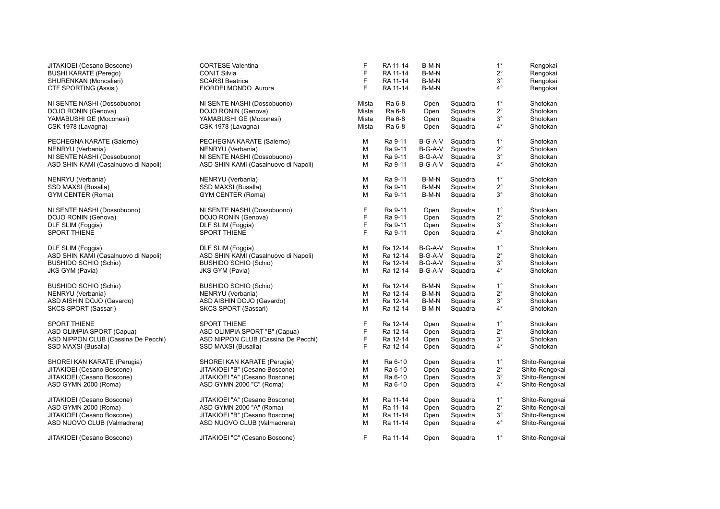| JITAKIOEI (Cesano Boscone)           | <b>CORTESE Valentina</b>             | F           | RA 11-14 | B-M-N   |         | $1^{\circ}$ | Rengokai       |
|--------------------------------------|--------------------------------------|-------------|----------|---------|---------|-------------|----------------|
| <b>BUSHI KARATE (Perego)</b>         | <b>CONIT Silvia</b>                  | F           | RA 11-14 | B-M-N   |         | $2^{\circ}$ | Rengokai       |
| SHURENKAN (Moncalieri)               | <b>SCARSI Beatrice</b>               | F           | RA 11-14 | B-M-N   |         | $3^{\circ}$ | Rengokai       |
| <b>CTF SPORTING (Assisi)</b>         | FIORDELMONDO Aurora                  | F           | RA 11-14 | B-M-N   |         | $4^{\circ}$ | Rengokai       |
| NI SENTE NASHI (Dossobuono)          | NI SENTE NASHI (Dossobuono)          | Mista       | Ra 6-8   | Open    | Squadra | $1^{\circ}$ | Shotokan       |
| DOJO RONIN (Genova)                  | DOJO RONIN (Genova)                  | Mista       | Ra 6-8   | Open    | Squadra | $2^{\circ}$ | Shotokan       |
| YAMABUSHI GE (Moconesi)              | YAMABUSHI GE (Moconesi)              | Mista       | Ra 6-8   | Open    | Squadra | $3^{\circ}$ | Shotokan       |
| CSK 1978 (Lavagna)                   | CSK 1978 (Lavagna)                   | Mista       | Ra 6-8   | Open    | Squadra | $4^{\circ}$ | Shotokan       |
| PECHEGNA KARATE (Salerno)            | PECHEGNA KARATE (Salerno)            | м           | Ra 9-11  | B-G-A-V | Squadra | $1^{\circ}$ | Shotokan       |
| NENRYU (Verbania)                    | NENRYU (Verbania)                    | M           | Ra 9-11  | B-G-A-V | Squadra | $2^{\circ}$ | Shotokan       |
| NI SENTE NASHI (Dossobuono)          | NI SENTE NASHI (Dossobuono)          | M           | Ra 9-11  | B-G-A-V | Squadra | $3^{\circ}$ | Shotokan       |
| ASD SHIN KAMI (Casalnuovo di Napoli) | ASD SHIN KAMI (Casalnuovo di Napoli) | M           | Ra 9-11  | B-G-A-V | Squadra | $4^\circ$   | Shotokan       |
| NENRYU (Verbania)                    | NENRYU (Verbania)                    | м           | Ra 9-11  | B-M-N   | Squadra | $1^{\circ}$ | Shotokan       |
| SSD MAXSI (Busalla)                  | SSD MAXSI (Busalla)                  | М           | Ra 9-11  | B-M-N   | Squadra | $2^{\circ}$ | Shotokan       |
| GYM CENTER (Roma)                    | GYM CENTER (Roma)                    | M           | Ra 9-11  | B-M-N   | Squadra | $3^{\circ}$ | Shotokan       |
| NI SENTE NASHI (Dossobuono)          | NI SENTE NASHI (Dossobuono)          | F           | Ra 9-11  | Open    | Squadra | $1^{\circ}$ | Shotokan       |
| DOJO RONIN (Genova)                  | DOJO RONIN (Genova)                  | F           | Ra 9-11  | Open    | Squadra | $2^{\circ}$ | Shotokan       |
| DLF SLIM (Foggia)                    | DLF SLIM (Foggia)                    | F           | Ra 9-11  | Open    | Squadra | $3^{\circ}$ | Shotokan       |
| <b>SPORT THIENE</b>                  | <b>SPORT THIENE</b>                  | F           | Ra 9-11  | Open    | Squadra | $4^\circ$   | Shotokan       |
| DLF SLIM (Foggia)                    | DLF SLIM (Foggia)                    | M           | Ra 12-14 | B-G-A-V | Squadra | $1^{\circ}$ | Shotokan       |
| ASD SHIN KAMI (Casalnuovo di Napoli) | ASD SHIN KAMI (Casalnuovo di Napoli) | M           | Ra 12-14 | B-G-A-V | Squadra | $2^{\circ}$ | Shotokan       |
| <b>BUSHIDO SCHIO (Schio)</b>         | <b>BUSHIDO SCHIO (Schio)</b>         | M           | Ra 12-14 | B-G-A-V | Squadra | $3^{\circ}$ | Shotokan       |
| JKS GYM (Pavia)                      | JKS GYM (Pavia)                      | M           | Ra 12-14 | B-G-A-V | Squadra | $4^\circ$   | Shotokan       |
| <b>BUSHIDO SCHIO (Schio)</b>         | <b>BUSHIDO SCHIO (Schio)</b>         | M           | Ra 12-14 | B-M-N   | Squadra | $1^{\circ}$ | Shotokan       |
| NENRYU (Verbania)                    | NENRYU (Verbania)                    | M           | Ra 12-14 | B-M-N   | Squadra | $2^{\circ}$ | Shotokan       |
| ASD AISHIN DOJO (Gavardo)            | ASD AISHIN DOJO (Gavardo)            | M           | Ra 12-14 | B-M-N   | Squadra | $3^{\circ}$ | Shotokan       |
| SKCS SPORT (Sassari)                 | SKCS SPORT (Sassari)                 | M           | Ra 12-14 | B-M-N   | Squadra | $4^\circ$   | Shotokan       |
| <b>SPORT THIENE</b>                  | <b>SPORT THIENE</b>                  | F           | Ra 12-14 | Open    | Squadra | $1^{\circ}$ | Shotokan       |
| ASD OLIMPIA SPORT (Capua)            | ASD OLIMPIA SPORT "B" (Capua)        | F           | Ra 12-14 | Open    | Squadra | $2^{\circ}$ | Shotokan       |
| ASD NIPPON CLUB (Cassina De Pecchi)  | ASD NIPPON CLUB (Cassina De Pecchi)  | $\mathsf F$ | Ra 12-14 | Open    | Squadra | $3^{\circ}$ | Shotokan       |
| SSD MAXSI (Busalla)                  | SSD MAXSI (Busalla)                  | F           | Ra 12-14 | Open    | Squadra | $4^\circ$   | Shotokan       |
| SHOREI KAN KARATE (Perugia)          | SHOREI KAN KARATE (Perugia)          | м           | Ra 6-10  | Open    | Squadra | $1^{\circ}$ | Shito-Rengokai |
| JITAKIOEI (Cesano Boscone)           | JITAKIOEI "B" (Cesano Boscone)       | м           | Ra 6-10  | Open    | Squadra | $2^{\circ}$ | Shito-Rengokai |
| JITAKIOEI (Cesano Boscone)           | JITAKIOEI "A" (Cesano Boscone)       | м           | Ra 6-10  | Open    | Squadra | $3^{\circ}$ | Shito-Rengokai |
| ASD GYMN 2000 (Roma)                 | ASD GYMN 2000 "C" (Roma)             | M           | Ra 6-10  | Open    | Squadra | $4^{\circ}$ | Shito-Rengokai |
| JITAKIOEI (Cesano Boscone)           | JITAKIOEI "A" (Cesano Boscone)       | м           | Ra 11-14 | Open    | Squadra | $1^{\circ}$ | Shito-Rengokai |
| ASD GYMN 2000 (Roma)                 | ASD GYMN 2000 "A" (Roma)             | M           | Ra 11-14 | Open    | Squadra | $2^{\circ}$ | Shito-Rengokai |
| JITAKIOEI (Cesano Boscone)           | JITAKIOEI "B" (Cesano Boscone)       | м           | Ra 11-14 | Open    | Squadra | $3^{\circ}$ | Shito-Rengokai |
| ASD NUOVO CLUB (Valmadrera)          | ASD NUOVO CLUB (Valmadrera)          | M           | Ra 11-14 | Open    | Squadra | $4^{\circ}$ | Shito-Rengokai |
| JITAKIOEI (Cesano Boscone)           | JITAKIOEI "C" (Cesano Boscone)       | F.          | Ra 11-14 | Open    | Squadra | $1^{\circ}$ | Shito-Rengokai |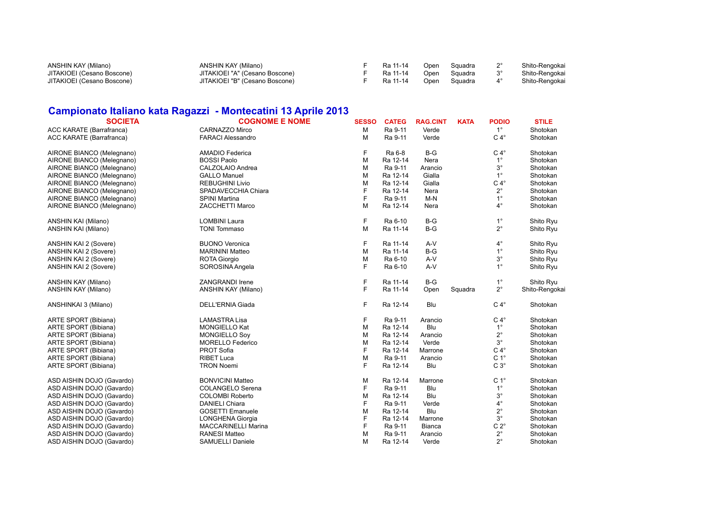| ANSHIN KAY (Milano)        | ANSHIN KAY (Milano)            | Ra 11-14 |      | Open Squadra | Shito-Rengokai |
|----------------------------|--------------------------------|----------|------|--------------|----------------|
| JITAKIOEI (Cesano Boscone) | JITAKIOEI "A" (Cesano Boscone) | Ra 11-14 |      | Open Squadra | Shito-Rengokai |
| JITAKIOEI (Cesano Boscone) | JITAKIOEI "B" (Cesano Boscone) | Ra 11-14 | Open | Squadra      | Shito-Rengokai |

### **Campionato Italiano kata Ragazzi - Montecatini 13 Aprile 2013**

| <b>SOCIETA</b>            | <b>COGNOME E NOME</b>    | <b>SESSO</b> | <b>CATEG</b> | <b>RAG.CINT</b> | <b>KATA</b> | <b>PODIO</b>     | <b>STILE</b>   |
|---------------------------|--------------------------|--------------|--------------|-----------------|-------------|------------------|----------------|
| ACC KARATE (Barrafranca)  | CARNAZZO Mirco           | M            | Ra 9-11      | Verde           |             | $1^{\circ}$      | Shotokan       |
| ACC KARATE (Barrafranca)  | <b>FARACI Alessandro</b> | м            | Ra 9-11      | Verde           |             | $C 4^\circ$      | Shotokan       |
| AIRONE BIANCO (Melegnano) | AMADIO Federica          | F            | Ra 6-8       | $B-G$           |             | $C 4^\circ$      | Shotokan       |
| AIRONE BIANCO (Melegnano) | <b>BOSSI Paolo</b>       | M            | Ra 12-14     | Nera            |             | $1^{\circ}$      | Shotokan       |
| AIRONE BIANCO (Melegnano) | CALZOLAIO Andrea         | M            | Ra 9-11      | Arancio         |             | $3^{\circ}$      | Shotokan       |
| AIRONE BIANCO (Melegnano) | <b>GALLO Manuel</b>      | M            | Ra 12-14     | Gialla          |             | $1^{\circ}$      | Shotokan       |
| AIRONE BIANCO (Melegnano) | <b>REBUGHINI Livio</b>   | M            | Ra 12-14     | Gialla          |             | $C 4^\circ$      | Shotokan       |
| AIRONE BIANCO (Melegnano) | SPADAVECCHIA Chiara      | F            | Ra 12-14     | Nera            |             | $2^{\circ}$      | Shotokan       |
| AIRONE BIANCO (Melegnano) | SPINI Martina            | F            | Ra 9-11      | $M-N$           |             | $1^{\circ}$      | Shotokan       |
| AIRONE BIANCO (Melegnano) | <b>ZACCHETTI Marco</b>   | M            | Ra 12-14     | Nera            |             | $4^{\circ}$      | Shotokan       |
| ANSHIN KAI (Milano)       | <b>LOMBINI Laura</b>     | F            | Ra 6-10      | $B-G$           |             | $1^{\circ}$      | Shito Ryu      |
| ANSHIN KAI (Milano)       | <b>TONI Tommaso</b>      | M            | Ra 11-14     | $B-G$           |             | $2^{\circ}$      | Shito Ryu      |
| ANSHIN KAI 2 (Sovere)     | <b>BUONO Veronica</b>    | F            | Ra 11-14     | A-V             |             | $4^\circ$        | Shito Ryu      |
| ANSHIN KAI 2 (Sovere)     | <b>MARININI Matteo</b>   | M            | Ra 11-14     | $B-G$           |             | $1^{\circ}$      | Shito Ryu      |
| ANSHIN KAI 2 (Sovere)     | <b>ROTA Giorgio</b>      | M            | Ra 6-10      | A-V             |             | $3^\circ$        | Shito Ryu      |
| ANSHIN KAI 2 (Sovere)     | SOROSINA Angela          | F.           | Ra 6-10      | A-V             |             | $1^{\circ}$      | Shito Ryu      |
| ANSHIN KAY (Milano)       | <b>ZANGRANDI Irene</b>   | F            | Ra 11-14     | $B-G$           |             | $1^{\circ}$      | Shito Ryu      |
| ANSHIN KAY (Milano)       | ANSHIN KAY (Milano)      | F.           | Ra 11-14     | Open            | Squadra     | $2^{\circ}$      | Shito-Rengokai |
| ANSHINKAI 3 (Milano)      | DELL'ERNIA Giada         | F.           | Ra 12-14     | Blu             |             | $C 4^\circ$      | Shotokan       |
| ARTE SPORT (Bibiana)      | <b>LAMASTRA Lisa</b>     | F            | Ra 9-11      | Arancio         |             | $C 4^\circ$      | Shotokan       |
| ARTE SPORT (Bibiana)      | <b>MONGIELLO Kat</b>     | M            | Ra 12-14     | Blu             |             | $1^{\circ}$      | Shotokan       |
| ARTE SPORT (Bibiana)      | <b>MONGIELLO Sov</b>     | M            | Ra 12-14     | Arancio         |             | $2^{\circ}$      | Shotokan       |
| ARTE SPORT (Bibiana)      | MORELLO Federico         | M            | Ra 12-14     | Verde           |             | $3^{\circ}$      | Shotokan       |
| ARTE SPORT (Bibiana)      | PROT Sofia               | F            | Ra 12-14     | Marrone         |             | $C 4^\circ$      | Shotokan       |
| ARTE SPORT (Bibiana)      | <b>RIBET Luca</b>        | M            | Ra 9-11      | Arancio         |             | C <sub>1</sub> ° | Shotokan       |
| ARTE SPORT (Bibiana)      | <b>TRON Noemi</b>        | F            | Ra 12-14     | Blu             |             | $C3^\circ$       | Shotokan       |
| ASD AISHIN DOJO (Gavardo) | <b>BONVICINI Matteo</b>  | M            | Ra 12-14     | Marrone         |             | C <sub>1</sub> ° | Shotokan       |
| ASD AISHIN DOJO (Gavardo) | COLANGELO Serena         | F            | Ra 9-11      | Blu             |             | $1^{\circ}$      | Shotokan       |
| ASD AISHIN DOJO (Gavardo) | <b>COLOMBI Roberto</b>   | M            | Ra 12-14     | Blu             |             | $3^{\circ}$      | Shotokan       |
| ASD AISHIN DOJO (Gavardo) | <b>DANIELI Chiara</b>    | F            | Ra 9-11      | Verde           |             | $4^\circ$        | Shotokan       |
| ASD AISHIN DOJO (Gavardo) | <b>GOSETTI Emanuele</b>  | M            | Ra 12-14     | Blu             |             | $2^{\circ}$      | Shotokan       |
| ASD AISHIN DOJO (Gavardo) | LONGHENA Giorgia         | F            | Ra 12-14     | Marrone         |             | $3^{\circ}$      | Shotokan       |
| ASD AISHIN DOJO (Gavardo) | MACCARINELLI Marina      | F            | Ra 9-11      | <b>Bianca</b>   |             | $C 2^\circ$      | Shotokan       |
| ASD AISHIN DOJO (Gavardo) | <b>RANESI Matteo</b>     | M            | Ra 9-11      | Arancio         |             | $2^{\circ}$      | Shotokan       |
| ASD AISHIN DOJO (Gavardo) | SAMUELLI Daniele         | м            | Ra 12-14     | Verde           |             | $2^{\circ}$      | Shotokan       |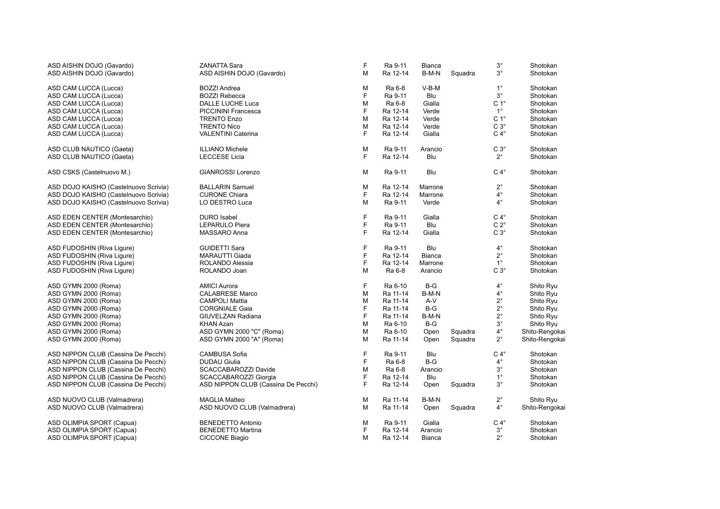| ASD AISHIN DOJO (Gavardo)             | <b>ZANATTA Sara</b>                 | F | Ra 9-11  | <b>Bianca</b> |         | $3^{\circ}$      | Shotokan       |
|---------------------------------------|-------------------------------------|---|----------|---------------|---------|------------------|----------------|
| ASD AISHIN DOJO (Gavardo)             | ASD AISHIN DOJO (Gavardo)           | M | Ra 12-14 | B-M-N         | Squadra | $3^{\circ}$      | Shotokan       |
| ASD CAM LUCCA (Lucca)                 | <b>BOZZI Andrea</b>                 | М | Ra 6-8   | V-B-M         |         | $1^{\circ}$      | Shotokan       |
| ASD CAM LUCCA (Lucca)                 | <b>BOZZI Rebecca</b>                | F | Ra 9-11  | Blu           |         | $3^{\circ}$      | Shotokan       |
| ASD CAM LUCCA (Lucca)                 | DALLE LUCHE Luca                    | М | Ra 6-8   | Gialla        |         | C <sub>1</sub> ° | Shotokan       |
| ASD CAM LUCCA (Lucca)                 | <b>PICCININI Francesca</b>          | F | Ra 12-14 | Verde         |         | $1^{\circ}$      | Shotokan       |
| ASD CAM LUCCA (Lucca)                 | <b>TRENTO Enzo</b>                  | M | Ra 12-14 | Verde         |         | C <sub>1</sub> ° | Shotokan       |
| ASD CAM LUCCA (Lucca)                 | <b>TRENTO Nico</b>                  | М | Ra 12-14 | Verde         |         | $C3^\circ$       | Shotokan       |
| ASD CAM LUCCA (Lucca)                 | <b>VALENTINI Caterina</b>           | F | Ra 12-14 | Gialla        |         | $C 4^\circ$      | Shotokan       |
| ASD CLUB NAUTICO (Gaeta)              | <b>ILLIANO Michele</b>              | M | Ra 9-11  | Arancio       |         | $C3^\circ$       | Shotokan       |
| ASD CLUB NAUTICO (Gaeta)              | <b>LECCESE Licia</b>                | F | Ra 12-14 | Blu           |         | $2^{\circ}$      | Shotokan       |
| ASD CSKS (Castelnuovo M.)             | <b>GIANROSSI Lorenzo</b>            | M | Ra 9-11  | Blu           |         | $C 4^\circ$      | Shotokan       |
| ASD DOJO KAISHO (Castelnuovo Scrivia) | <b>BALLARIN Samuel</b>              | M | Ra 12-14 | Marrone       |         | $2^{\circ}$      | Shotokan       |
| ASD DOJO KAISHO (Castelnuovo Scrivia) | <b>CURONE Chiara</b>                | F | Ra 12-14 | Marrone       |         | $4^\circ$        | Shotokan       |
| ASD DOJO KAISHO (Castelnuovo Scrivia) | LO DESTRO Luca                      | м | Ra 9-11  | Verde         |         | $4^{\circ}$      | Shotokan       |
| ASD EDEN CENTER (Montesarchio)        | <b>DURO</b> Isabel                  | F | Ra 9-11  | Gialla        |         | $C 4^\circ$      | Shotokan       |
| ASD EDEN CENTER (Montesarchio)        | LEPARULO Piera                      | F | Ra 9-11  | Blu           |         | $C 2^{\circ}$    | Shotokan       |
| ASD EDEN CENTER (Montesarchio)        | MASSARO Anna                        | F | Ra 12-14 | Gialla        |         | $C3^\circ$       | Shotokan       |
| ASD FUDOSHIN (Riva Liqure)            | <b>GUIDETTI Sara</b>                | F | Ra 9-11  | Blu           |         | $4^{\circ}$      | Shotokan       |
| ASD FUDOSHIN (Riva Ligure)            | <b>MARAUTTI Giada</b>               | F | Ra 12-14 | <b>Bianca</b> |         | $2^{\circ}$      | Shotokan       |
| ASD FUDOSHIN (Riva Liqure)            | ROLANDO Alessia                     | F | Ra 12-14 | Marrone       |         | $1^{\circ}$      | Shotokan       |
| ASD FUDOSHIN (Riva Ligure)            | ROLANDO Joan                        | M | Ra 6-8   | Arancio       |         | $C3^\circ$       | Shotokan       |
| ASD GYMN 2000 (Roma)                  | <b>AMICI Aurora</b>                 | F | Ra 6-10  | $B-G$         |         | $4^{\circ}$      | Shito Ryu      |
| ASD GYMN 2000 (Roma)                  | <b>CALABRESE Marco</b>              | M | Ra 11-14 | B-M-N         |         | $4^\circ$        | Shito Ryu      |
| ASD GYMN 2000 (Roma)                  | <b>CAMPOLI Mattia</b>               | M | Ra 11-14 | A-V           |         | $2^{\circ}$      | Shito Ryu      |
| ASD GYMN 2000 (Roma)                  | <b>CORGNIALE Gaia</b>               | F | Ra 11-14 | $B-G$         |         | $2^{\circ}$      | Shito Ryu      |
| ASD GYMN 2000 (Roma)                  | GIUVELZAN Radiana                   | F | Ra 11-14 | B-M-N         |         | $2^{\circ}$      | Shito Ryu      |
| ASD GYMN 2000 (Roma)                  | <b>KHAN Azan</b>                    | M | Ra 6-10  | $B-G$         |         | $3^{\circ}$      | Shito Ryu      |
| ASD GYMN 2000 (Roma)                  | ASD GYMN 2000 "C" (Roma)            | М | Ra 6-10  | Open          | Squadra | $4^{\circ}$      | Shito-Rengokai |
| ASD GYMN 2000 (Roma)                  | ASD GYMN 2000 "A" (Roma)            | M | Ra 11-14 | Open          | Squadra | $2^{\circ}$      | Shito-Rengokai |
| ASD NIPPON CLUB (Cassina De Pecchi)   | <b>CAMBUSA Sofia</b>                | F | Ra 9-11  | Blu           |         | $C 4^\circ$      | Shotokan       |
| ASD NIPPON CLUB (Cassina De Pecchi)   | <b>DUDAU Giulia</b>                 | F | Ra 6-8   | $B-G$         |         | $4^{\circ}$      | Shotokan       |
| ASD NIPPON CLUB (Cassina De Pecchi)   | SCACCABAROZZI Davide                | M | Ra 6-8   | Arancio       |         | $3^{\circ}$      | Shotokan       |
| ASD NIPPON CLUB (Cassina De Pecchi)   | SCACCABAROZZI Giorgia               | F | Ra 12-14 | Blu           |         | $1^{\circ}$      | Shotokan       |
| ASD NIPPON CLUB (Cassina De Pecchi)   | ASD NIPPON CLUB (Cassina De Pecchi) | F | Ra 12-14 | Open          | Squadra | $3^{\circ}$      | Shotokan       |
| ASD NUOVO CLUB (Valmadrera)           | <b>MAGLIA Matteo</b>                | М | Ra 11-14 | B-M-N         |         | $2^{\circ}$      | Shito Ryu      |
| ASD NUOVO CLUB (Valmadrera)           | ASD NUOVO CLUB (Valmadrera)         | M | Ra 11-14 | Open          | Squadra | $4^\circ$        | Shito-Rengokai |
| ASD OLIMPIA SPORT (Capua)             | <b>BENEDETTO Antonio</b>            | М | Ra 9-11  | Gialla        |         | $C 4^\circ$      | Shotokan       |
| ASD OLIMPIA SPORT (Capua)             | <b>BENEDETTO Martina</b>            | F | Ra 12-14 | Arancio       |         | $3^\circ$        | Shotokan       |
| ASD OLIMPIA SPORT (Capua)             | <b>CICCONE Biagio</b>               | м | Ra 12-14 | Bianca        |         | $2^{\circ}$      | Shotokan       |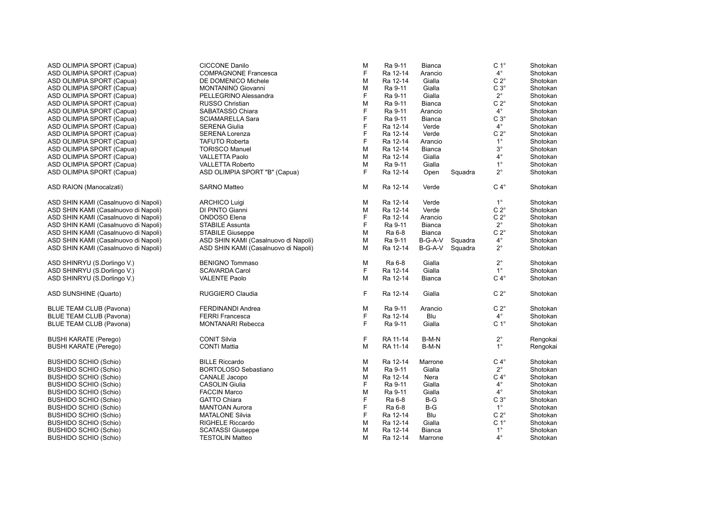| ASD OLIMPIA SPORT (Capua)            | <b>CICCONE Danilo</b>                | M | Ra 9-11  | <b>Bianca</b> |         | C <sub>1</sub> ° | Shotokan |
|--------------------------------------|--------------------------------------|---|----------|---------------|---------|------------------|----------|
| ASD OLIMPIA SPORT (Capua)            | <b>COMPAGNONE Francesca</b>          | F | Ra 12-14 | Arancio       |         | $4^{\circ}$      | Shotokan |
| ASD OLIMPIA SPORT (Capua)            | DE DOMENICO Michele                  | М | Ra 12-14 | Gialla        |         | $C 2^{\circ}$    | Shotokan |
| ASD OLIMPIA SPORT (Capua)            | <b>MONTANINO Giovanni</b>            | М | Ra 9-11  | Gialla        |         | $C3^\circ$       | Shotokan |
| ASD OLIMPIA SPORT (Capua)            | PELLEGRINO Alessandra                | F | Ra 9-11  | Gialla        |         | $2^{\circ}$      | Shotokan |
| ASD OLIMPIA SPORT (Capua)            | RUSSO Christian                      | М | Ra 9-11  | Bianca        |         | $C 2^{\circ}$    | Shotokan |
| ASD OLIMPIA SPORT (Capua)            | SABATASSO Chiara                     | F | Ra 9-11  | Arancio       |         | $4^{\circ}$      | Shotokan |
| ASD OLIMPIA SPORT (Capua)            | <b>SCIAMARELLA Sara</b>              | F | Ra 9-11  | Bianca        |         | $C3^\circ$       | Shotokan |
| ASD OLIMPIA SPORT (Capua)            | <b>SERENA Giulia</b>                 | F | Ra 12-14 | Verde         |         | $4^{\circ}$      | Shotokan |
| ASD OLIMPIA SPORT (Capua)            | <b>SERENA Lorenza</b>                | F | Ra 12-14 | Verde         |         | $C 2^{\circ}$    | Shotokan |
| ASD OLIMPIA SPORT (Capua)            | <b>TAFUTO Roberta</b>                | F | Ra 12-14 | Arancio       |         | $1^{\circ}$      | Shotokan |
| ASD OLIMPIA SPORT (Capua)            | <b>TORISCO Manuel</b>                | М | Ra 12-14 | Bianca        |         | $3^{\circ}$      | Shotokan |
| ASD OLIMPIA SPORT (Capua)            | <b>VALLETTA Paolo</b>                | M | Ra 12-14 | Gialla        |         | $4^{\circ}$      | Shotokan |
| ASD OLIMPIA SPORT (Capua)            | <b>VALLETTA Roberto</b>              | М | Ra 9-11  | Gialla        |         | $1^{\circ}$      | Shotokan |
| ASD OLIMPIA SPORT (Capua)            | ASD OLIMPIA SPORT "B" (Capua)        | F | Ra 12-14 |               | Squadra | $2^{\circ}$      | Shotokan |
|                                      |                                      |   |          | Open          |         |                  |          |
| ASD RAION (Manocalzati)              | <b>SARNO Matteo</b>                  | M | Ra 12-14 | Verde         |         | $C 4^\circ$      | Shotokan |
| ASD SHIN KAMI (Casalnuovo di Napoli) | <b>ARCHICO Luigi</b>                 | M | Ra 12-14 | Verde         |         | $1^{\circ}$      | Shotokan |
| ASD SHIN KAMI (Casalnuovo di Napoli) | DI PINTO Gianni                      | М | Ra 12-14 | Verde         |         | $C 2^{\circ}$    | Shotokan |
| ASD SHIN KAMI (Casalnuovo di Napoli) | <b>ONDOSO</b> Elena                  | F | Ra 12-14 | Arancio       |         | $C 2^{\circ}$    | Shotokan |
| ASD SHIN KAMI (Casalnuovo di Napoli) | <b>STABILE Assunta</b>               | F | Ra 9-11  | Bianca        |         | $2^{\circ}$      | Shotokan |
| ASD SHIN KAMI (Casalnuovo di Napoli) | <b>STABILE Giuseppe</b>              | М | Ra 6-8   | Bianca        |         | $C 2^{\circ}$    | Shotokan |
| ASD SHIN KAMI (Casalnuovo di Napoli) | ASD SHIN KAMI (Casalnuovo di Napoli) | М | Ra 9-11  | B-G-A-V       | Squadra | $4^{\circ}$      | Shotokan |
| ASD SHIN KAMI (Casalnuovo di Napoli) | ASD SHIN KAMI (Casalnuovo di Napoli) | М | Ra 12-14 | B-G-A-V       | Squadra | $2^{\circ}$      | Shotokan |
| ASD SHINRYU (S.Dorlingo V.)          | <b>BENIGNO Tommaso</b>               | M | Ra 6-8   | Gialla        |         | $2^{\circ}$      | Shotokan |
| ASD SHINRYU (S.Dorlingo V.)          | <b>SCAVARDA Carol</b>                | F | Ra 12-14 | Gialla        |         | $1^{\circ}$      | Shotokan |
| ASD SHINRYU (S.Dorlingo V.)          | <b>VALENTE Paolo</b>                 | М | Ra 12-14 | Bianca        |         | $C 4^\circ$      | Shotokan |
| ASD SUNSHINE (Quarto)                | RUGGIERO Claudia                     | F | Ra 12-14 | Gialla        |         | $C 2^{\circ}$    | Shotokan |
| <b>BLUE TEAM CLUB (Pavona)</b>       | <b>FERDINANDI Andrea</b>             | M | Ra 9-11  | Arancio       |         | $C 2^{\circ}$    | Shotokan |
| <b>BLUE TEAM CLUB (Pavona)</b>       | <b>FERRI Francesca</b>               | F | Ra 12-14 | Blu           |         | $4^{\circ}$      | Shotokan |
| <b>BLUE TEAM CLUB (Pavona)</b>       | <b>MONTANARI Rebecca</b>             | F | Ra 9-11  | Gialla        |         | C <sub>1</sub> ° | Shotokan |
| <b>BUSHI KARATE (Perego)</b>         | <b>CONIT Silvia</b>                  | F | RA 11-14 | B-M-N         |         | $2^{\circ}$      | Rengokai |
| <b>BUSHI KARATE (Perego)</b>         | <b>CONTI Mattia</b>                  | М | RA 11-14 | B-M-N         |         | $1^{\circ}$      | Rengokai |
| <b>BUSHIDO SCHIO (Schio)</b>         | <b>BILLE Riccardo</b>                | M | Ra 12-14 | Marrone       |         | $C 4^\circ$      | Shotokan |
| <b>BUSHIDO SCHIO (Schio)</b>         | BORTOLOSO Sebastiano                 | M | Ra 9-11  | Gialla        |         | $2^{\circ}$      | Shotokan |
| <b>BUSHIDO SCHIO (Schio)</b>         | <b>CANALE Jacopo</b>                 | М | Ra 12-14 | Nera          |         | $C 4^\circ$      | Shotokan |
| <b>BUSHIDO SCHIO (Schio)</b>         | <b>CASOLIN Giulia</b>                | F | Ra 9-11  | Gialla        |         | $4^{\circ}$      | Shotokan |
| <b>BUSHIDO SCHIO (Schio)</b>         | <b>FACCIN Marco</b>                  | М | Ra 9-11  | Gialla        |         | $4^{\circ}$      | Shotokan |
| <b>BUSHIDO SCHIO (Schio)</b>         | <b>GATTO Chiara</b>                  | F | Ra 6-8   | $B-G$         |         | $C3^\circ$       | Shotokan |
| <b>BUSHIDO SCHIO (Schio)</b>         | <b>MANTOAN Aurora</b>                | F | Ra 6-8   | $B-G$         |         | $1^{\circ}$      | Shotokan |
| <b>BUSHIDO SCHIO (Schio)</b>         | <b>MATALONE Silvia</b>               | F | Ra 12-14 | Blu           |         | $C 2^{\circ}$    | Shotokan |
| <b>BUSHIDO SCHIO (Schio)</b>         | <b>RIGHELE Riccardo</b>              | М | Ra 12-14 | Gialla        |         | C <sub>1</sub> ° | Shotokan |
| <b>BUSHIDO SCHIO (Schio)</b>         | <b>SCATASSI Giuseppe</b>             | M | Ra 12-14 | Bianca        |         | $1^{\circ}$      | Shotokan |
| <b>BUSHIDO SCHIO (Schio)</b>         | <b>TESTOLIN Matteo</b>               | М | Ra 12-14 | Marrone       |         | $4^{\circ}$      | Shotokan |
|                                      |                                      |   |          |               |         |                  |          |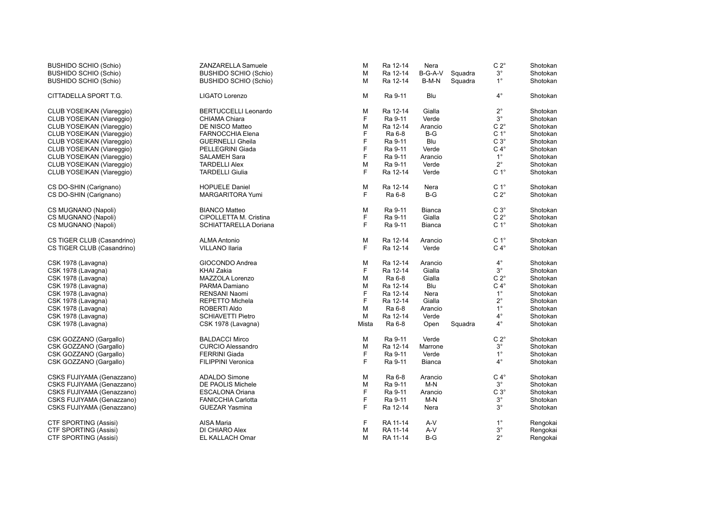| <b>BUSHIDO SCHIO (Schio)</b> | ZANZARELLA Samuele           | M     | Ra 12-14 | Nera          |         | $C 2^{\circ}$    | Shotokan |
|------------------------------|------------------------------|-------|----------|---------------|---------|------------------|----------|
| <b>BUSHIDO SCHIO (Schio)</b> | <b>BUSHIDO SCHIO (Schio)</b> | M     | Ra 12-14 | B-G-A-V       | Squadra | $3^{\circ}$      | Shotokan |
| <b>BUSHIDO SCHIO (Schio)</b> | <b>BUSHIDO SCHIO (Schio)</b> | М     | Ra 12-14 | B-M-N         | Squadra | $1^{\circ}$      | Shotokan |
| CITTADELLA SPORT T.G.        | LIGATO Lorenzo               | M     | Ra 9-11  | Blu           |         | $4^{\circ}$      | Shotokan |
| CLUB YOSEIKAN (Viareggio)    | <b>BERTUCCELLI Leonardo</b>  | M     | Ra 12-14 | Gialla        |         | $2^{\circ}$      | Shotokan |
| CLUB YOSEIKAN (Viareggio)    | CHIAMA Chiara                | F     | Ra 9-11  | Verde         |         | $3^{\circ}$      | Shotokan |
| CLUB YOSEIKAN (Viareggio)    | DE NISCO Matteo              | M     | Ra 12-14 | Arancio       |         | $C 2^{\circ}$    | Shotokan |
| CLUB YOSEIKAN (Viareggio)    | <b>FARNOCCHIA Elena</b>      | F     | Ra 6-8   | $B-G$         |         | C <sub>1</sub> ° | Shotokan |
| CLUB YOSEIKAN (Viareggio)    | <b>GUERNELLI Gheila</b>      | F     | Ra 9-11  | Blu           |         | $C3^\circ$       | Shotokan |
| CLUB YOSEIKAN (Viareggio)    | <b>PELLEGRINI Giada</b>      | F     | Ra 9-11  | Verde         |         | $C 4^\circ$      | Shotokan |
| CLUB YOSEIKAN (Viareggio)    | <b>SALAMEH Sara</b>          | F     | Ra 9-11  | Arancio       |         | $1^{\circ}$      | Shotokan |
| CLUB YOSEIKAN (Viareggio)    | <b>TARDELLI Alex</b>         | M     | Ra 9-11  | Verde         |         | $2^{\circ}$      | Shotokan |
| CLUB YOSEIKAN (Viareggio)    | <b>TARDELLI Giulia</b>       | F     | Ra 12-14 | Verde         |         | C <sub>1</sub> ° | Shotokan |
| CS DO-SHIN (Carignano)       | <b>HOPUELE Daniel</b>        | M     | Ra 12-14 | Nera          |         | C <sub>1</sub> ° | Shotokan |
| CS DO-SHIN (Carignano)       | <b>MARGARITORA Yumi</b>      | F     | Ra 6-8   | $B-G$         |         | $C 2^{\circ}$    | Shotokan |
| CS MUGNANO (Napoli)          | <b>BIANCO Matteo</b>         | M     | Ra 9-11  | <b>Bianca</b> |         | $C3^\circ$       | Shotokan |
| CS MUGNANO (Napoli)          | CIPOLLETTA M. Cristina       | F     | Ra 9-11  | Gialla        |         | $C 2^{\circ}$    | Shotokan |
| CS MUGNANO (Napoli)          | SCHIATTARELLA Doriana        | F     | Ra 9-11  | <b>Bianca</b> |         | C <sub>1</sub> ° | Shotokan |
| CS TIGER CLUB (Casandrino)   | <b>ALMA Antonio</b>          | M     | Ra 12-14 | Arancio       |         | C <sub>1</sub> ° | Shotokan |
| CS TIGER CLUB (Casandrino)   | <b>VILLANO Ilaria</b>        | F     | Ra 12-14 | Verde         |         | $C 4^\circ$      | Shotokan |
| CSK 1978 (Lavagna)           | GIOCONDO Andrea              | М     | Ra 12-14 | Arancio       |         | $4^{\circ}$      | Shotokan |
| CSK 1978 (Lavagna)           | KHAI Zakia                   | F     | Ra 12-14 | Gialla        |         | $3^{\circ}$      | Shotokan |
| CSK 1978 (Lavagna)           | MAZZOLA Lorenzo              | М     | Ra 6-8   | Gialla        |         | $C 2^\circ$      | Shotokan |
| CSK 1978 (Lavagna)           | PARMA Damiano                | М     | Ra 12-14 | Blu           |         | $C 4^\circ$      | Shotokan |
| CSK 1978 (Lavagna)           | RENSANI Naomi                | F     | Ra 12-14 | Nera          |         | $1^{\circ}$      | Shotokan |
| CSK 1978 (Lavagna)           | <b>REPETTO Michela</b>       | F     | Ra 12-14 | Gialla        |         | $2^{\circ}$      | Shotokan |
| CSK 1978 (Lavagna)           | ROBERTI Aldo                 | M     | Ra 6-8   | Arancio       |         | $1^{\circ}$      | Shotokan |
| CSK 1978 (Lavagna)           | <b>SCHIAVETTI Pietro</b>     | M     | Ra 12-14 | Verde         |         | $4^{\circ}$      | Shotokan |
| CSK 1978 (Lavagna)           | CSK 1978 (Lavagna)           | Mista | Ra 6-8   | Open          | Squadra | $4^{\circ}$      | Shotokan |
| CSK GOZZANO (Gargallo)       | <b>BALDACCI Mirco</b>        | M     | Ra 9-11  | Verde         |         | $C 2^{\circ}$    | Shotokan |
| CSK GOZZANO (Gargallo)       | <b>CURCIO Alessandro</b>     | М     | Ra 12-14 | Marrone       |         | $3^{\circ}$      | Shotokan |
| CSK GOZZANO (Gargallo)       | <b>FERRINI Giada</b>         | F     | Ra 9-11  | Verde         |         | $1^{\circ}$      | Shotokan |
| CSK GOZZANO (Gargallo)       | <b>FILIPPINI Veronica</b>    | F     | Ra 9-11  | Bianca        |         | $4^{\circ}$      | Shotokan |
| CSKS FUJIYAMA (Genazzano)    | <b>ADALDO Simone</b>         | M     | Ra 6-8   | Arancio       |         | $C 4^\circ$      | Shotokan |
| CSKS FUJIYAMA (Genazzano)    | DE PAOLIS Michele            | M     | Ra 9-11  | $M-N$         |         | $3^{\circ}$      | Shotokan |
| CSKS FUJIYAMA (Genazzano)    | <b>ESCALONA Oriana</b>       | F     | Ra 9-11  | Arancio       |         | $C3^\circ$       | Shotokan |
| CSKS FUJIYAMA (Genazzano)    | <b>FANICCHIA Carlotta</b>    | F     | Ra 9-11  | $M-N$         |         | $3^{\circ}$      | Shotokan |
| CSKS FUJIYAMA (Genazzano)    | <b>GUEZAR Yasmina</b>        | F     | Ra 12-14 | Nera          |         | $3^{\circ}$      | Shotokan |
| <b>CTF SPORTING (Assisi)</b> | AISA Maria                   | F     | RA 11-14 | A-V           |         | $1^{\circ}$      | Rengokai |
| CTF SPORTING (Assisi)        | DI CHIARO Alex               | М     | RA 11-14 | A-V           |         | $3^{\circ}$      | Rengokai |
| CTF SPORTING (Assisi)        | EL KALLACH Omar              | М     | RA 11-14 | B-G           |         | $2^{\circ}$      | Rengokai |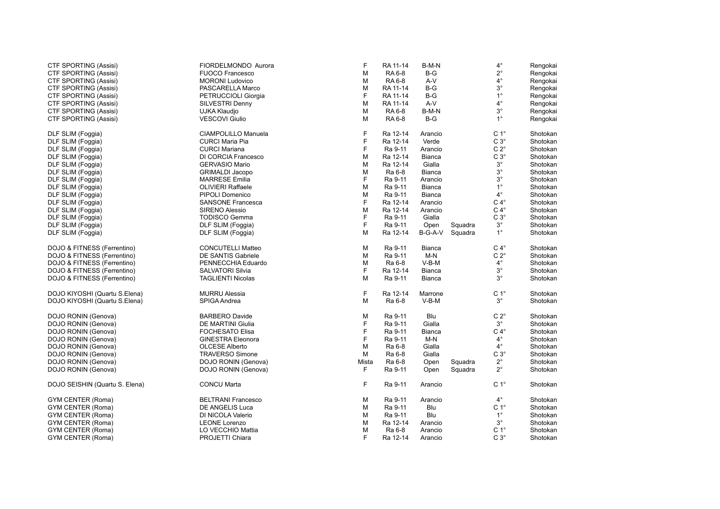| $2^{\circ}$<br><b>CTF SPORTING (Assisi)</b><br><b>FUOCO Francesco</b><br>M<br>RA 6-8<br>$B-G$<br>Rengokai<br>$4^\circ$<br>RA 6-8<br>A-V<br>CTF SPORTING (Assisi)<br><b>MORONI Ludovico</b><br>M<br>Rengokai<br>$3^\circ$<br>CTF SPORTING (Assisi)<br>PASCARELLA Marco<br>M<br>RA 11-14<br>$B-G$<br>Rengokai<br>$1^{\circ}$<br>F<br>$B-G$<br><b>CTF SPORTING (Assisi)</b><br>PETRUCCIOLI Giorgia<br>RA 11-14<br>Rengokai<br>$4^{\circ}$<br>M<br>A-V<br>Rengokai<br>CTF SPORTING (Assisi)<br>SILVESTRI Denny<br>RA 11-14<br>$3^{\circ}$<br>RA 6-8<br>B-M-N<br>CTF SPORTING (Assisi)<br>UJKA Klaudjo<br>M<br>Rengokai<br>$1^{\circ}$<br>RA 6-8<br>CTF SPORTING (Assisi)<br><b>VESCOVI Giulio</b><br>M<br>$B-G$<br>Rengokai<br>F<br>C <sub>1</sub> °<br>CIAMPOLILLO Manuela<br>Ra 12-14<br>DLF SLIM (Foggia)<br>Arancio<br>Shotokan<br>F<br>$C3^\circ$<br>Ra 12-14<br>DLF SLIM (Foggia)<br><b>CURCI Maria Pia</b><br>Verde<br>Shotokan<br>F<br>$C 2^{\circ}$<br>Ra 9-11<br>Shotokan<br>DLF SLIM (Foggia)<br><b>CURCI Mariana</b><br>Arancio<br>$C3^\circ$<br>M<br>Ra 12-14<br>Shotokan<br>DLF SLIM (Foggia)<br>DI CORCIA Francesco<br>Bianca<br>$3^{\circ}$<br>M<br>Ra 12-14<br>Shotokan<br>DLF SLIM (Foggia)<br><b>GERVASIO Mario</b><br>Gialla<br>$3^{\circ}$<br>M<br>Ra 6-8<br>Shotokan<br>DLF SLIM (Foggia)<br><b>GRIMALDI Jacopo</b><br>Bianca<br>F<br>$3^{\circ}$<br>Ra 9-11<br>Shotokan<br>DLF SLIM (Foggia)<br><b>MARRESE Emilia</b><br>Arancio<br>$1^{\circ}$<br><b>OLIVIERI Raffaele</b><br>M<br>Ra 9-11<br>Shotokan<br>DLF SLIM (Foggia)<br>Bianca<br>$4^{\circ}$<br>M<br>Ra 9-11<br>Shotokan<br>DLF SLIM (Foggia)<br>PIPOLI Domenico<br><b>Bianca</b><br>F<br>$C 4^\circ$<br>Ra 12-14<br>Arancio<br>Shotokan<br>DLF SLIM (Foggia)<br><b>SANSONE Francesca</b><br>$C 4^\circ$<br>M<br>Shotokan<br>DLF SLIM (Foggia)<br><b>SIRENO Alessio</b><br>Ra 12-14<br>Arancio<br>F<br><b>TODISCO Gemma</b><br>Ra 9-11<br>Gialla<br>$C 3^\circ$<br>Shotokan<br>DLF SLIM (Foggia)<br>F<br>Shotokan<br>Ra 9-11<br>Open<br>Squadra<br>$3^{\circ}$<br>DLF SLIM (Foggia)<br>DLF SLIM (Foggia)<br>$1^{\circ}$<br>M<br>Ra 12-14<br>B-G-A-V<br>Squadra<br>Shotokan<br>DLF SLIM (Foggia)<br>DLF SLIM (Foggia)<br><b>CONCUTELLI Matteo</b><br>M<br>$C 4^\circ$<br>DOJO & FITNESS (Ferrentino)<br>Ra 9-11<br>Shotokan<br><b>Bianca</b><br>Ra 9-11<br>$C 2^{\circ}$<br>DOJO & FITNESS (Ferrentino)<br>DE SANTIS Gabriele<br>M<br>$M-N$<br>Shotokan<br>$4^{\circ}$<br>DOJO & FITNESS (Ferrentino)<br>M<br>Ra 6-8<br>$V-B-M$<br>Shotokan<br>PENNECCHIA Eduardo<br>F<br>$3^{\circ}$<br>Shotokan<br>DOJO & FITNESS (Ferrentino)<br>SALVATORI Silvia<br>Ra 12-14<br>Bianca<br>$3^{\circ}$<br>DOJO & FITNESS (Ferrentino)<br><b>TAGLIENTI Nicolas</b><br>M<br>Ra 9-11<br><b>Bianca</b><br>Shotokan<br>F<br>C <sub>1</sub> °<br>DOJO KIYOSHI (Quartu S.Elena)<br><b>MURRU Alessia</b><br>Ra 12-14<br>Shotokan<br>Marrone<br>DOJO KIYOSHI (Quartu S.Elena)<br>M<br>Ra 6-8<br>$3^\circ$<br>Shotokan<br>SPIGA Andrea<br>V-B-M<br>$C 2^{\circ}$<br>DOJO RONIN (Genova)<br>M<br>Ra 9-11<br>Shotokan<br><b>BARBERO Davide</b><br>Blu<br>F<br>$3^{\circ}$<br>Ra 9-11<br>Shotokan<br>DOJO RONIN (Genova)<br>DE MARTINI Giulia<br>Gialla<br>F<br>$C 4^\circ$<br>Ra 9-11<br>Shotokan<br>DOJO RONIN (Genova)<br><b>FOCHESATO Elisa</b><br>Bianca<br>F<br>$4^{\circ}$<br>DOJO RONIN (Genova)<br><b>GINESTRA Eleonora</b><br>Ra 9-11<br>$M-N$<br>Shotokan<br>$4^{\circ}$<br>M<br>Ra 6-8<br>Shotokan<br>DOJO RONIN (Genova)<br><b>OLCESE Alberto</b><br>Gialla<br>$C3^\circ$<br>Ra 6-8<br>DOJO RONIN (Genova)<br><b>TRAVERSO Simone</b><br>M<br>Gialla<br>Shotokan<br>$2^{\circ}$<br>Shotokan<br>DOJO RONIN (Genova)<br>DOJO RONIN (Genova)<br>Ra 6-8<br>Squadra<br>Mista<br>Open<br>F.<br>$2^{\circ}$<br>Ra 9-11<br>Shotokan<br>DOJO RONIN (Genova)<br>DOJO RONIN (Genova)<br>Squadra<br>Open<br>F<br>C <sub>1</sub> °<br>DOJO SEISHIN (Quartu S. Elena)<br><b>CONCU Marta</b><br>Ra 9-11<br>Shotokan<br>Arancio<br>$4^{\circ}$<br><b>GYM CENTER (Roma)</b><br><b>BELTRANI Francesco</b><br>M<br>Ra 9-11<br>Shotokan<br>Arancio<br>C <sub>1</sub> °<br>Ra 9-11<br>Shotokan<br>GYM CENTER (Roma)<br><b>DE ANGELIS Luca</b><br>м<br>Blu<br>$1^{\circ}$<br>GYM CENTER (Roma)<br>DI NICOLA Valerio<br>M<br>Ra 9-11<br>Blu<br>Shotokan<br>$3^{\circ}$<br><b>GYM CENTER (Roma)</b><br><b>LEONE Lorenzo</b><br>M<br>Ra 12-14<br>Shotokan<br>Arancio<br>$C 1^{\circ}$<br>LO VECCHIO Mattia<br>M<br>Ra 6-8<br>Shotokan<br>GYM CENTER (Roma)<br>Arancio<br>F<br>$C3^\circ$<br><b>GYM CENTER (Roma)</b><br>PROJETTI Chiara<br>Ra 12-14<br>Shotokan<br>Arancio | CTF SPORTING (Assisi) | FIORDELMONDO Aurora | F | RA 11-14 | B-M-N | $4^{\circ}$ | Rengokai |
|----------------------------------------------------------------------------------------------------------------------------------------------------------------------------------------------------------------------------------------------------------------------------------------------------------------------------------------------------------------------------------------------------------------------------------------------------------------------------------------------------------------------------------------------------------------------------------------------------------------------------------------------------------------------------------------------------------------------------------------------------------------------------------------------------------------------------------------------------------------------------------------------------------------------------------------------------------------------------------------------------------------------------------------------------------------------------------------------------------------------------------------------------------------------------------------------------------------------------------------------------------------------------------------------------------------------------------------------------------------------------------------------------------------------------------------------------------------------------------------------------------------------------------------------------------------------------------------------------------------------------------------------------------------------------------------------------------------------------------------------------------------------------------------------------------------------------------------------------------------------------------------------------------------------------------------------------------------------------------------------------------------------------------------------------------------------------------------------------------------------------------------------------------------------------------------------------------------------------------------------------------------------------------------------------------------------------------------------------------------------------------------------------------------------------------------------------------------------------------------------------------------------------------------------------------------------------------------------------------------------------------------------------------------------------------------------------------------------------------------------------------------------------------------------------------------------------------------------------------------------------------------------------------------------------------------------------------------------------------------------------------------------------------------------------------------------------------------------------------------------------------------------------------------------------------------------------------------------------------------------------------------------------------------------------------------------------------------------------------------------------------------------------------------------------------------------------------------------------------------------------------------------------------------------------------------------------------------------------------------------------------------------------------------------------------------------------------------------------------------------------------------------------------------------------------------------------------------------------------------------------------------------------------------------------------------------------------------------------------------------------------------------------------------------------------------------------------------------------------------------------------------------------------------------------------------------------------------------------------------------------------------------------------------------------------------------------------------------------------------------------------------------------------------------------------------------------------------------------------------------------------------------------------------------------------------------------------------------------------------|-----------------------|---------------------|---|----------|-------|-------------|----------|
|                                                                                                                                                                                                                                                                                                                                                                                                                                                                                                                                                                                                                                                                                                                                                                                                                                                                                                                                                                                                                                                                                                                                                                                                                                                                                                                                                                                                                                                                                                                                                                                                                                                                                                                                                                                                                                                                                                                                                                                                                                                                                                                                                                                                                                                                                                                                                                                                                                                                                                                                                                                                                                                                                                                                                                                                                                                                                                                                                                                                                                                                                                                                                                                                                                                                                                                                                                                                                                                                                                                                                                                                                                                                                                                                                                                                                                                                                                                                                                                                                                                                                                                                                                                                                                                                                                                                                                                                                                                                                                                                                                                                                |                       |                     |   |          |       |             |          |
|                                                                                                                                                                                                                                                                                                                                                                                                                                                                                                                                                                                                                                                                                                                                                                                                                                                                                                                                                                                                                                                                                                                                                                                                                                                                                                                                                                                                                                                                                                                                                                                                                                                                                                                                                                                                                                                                                                                                                                                                                                                                                                                                                                                                                                                                                                                                                                                                                                                                                                                                                                                                                                                                                                                                                                                                                                                                                                                                                                                                                                                                                                                                                                                                                                                                                                                                                                                                                                                                                                                                                                                                                                                                                                                                                                                                                                                                                                                                                                                                                                                                                                                                                                                                                                                                                                                                                                                                                                                                                                                                                                                                                |                       |                     |   |          |       |             |          |
|                                                                                                                                                                                                                                                                                                                                                                                                                                                                                                                                                                                                                                                                                                                                                                                                                                                                                                                                                                                                                                                                                                                                                                                                                                                                                                                                                                                                                                                                                                                                                                                                                                                                                                                                                                                                                                                                                                                                                                                                                                                                                                                                                                                                                                                                                                                                                                                                                                                                                                                                                                                                                                                                                                                                                                                                                                                                                                                                                                                                                                                                                                                                                                                                                                                                                                                                                                                                                                                                                                                                                                                                                                                                                                                                                                                                                                                                                                                                                                                                                                                                                                                                                                                                                                                                                                                                                                                                                                                                                                                                                                                                                |                       |                     |   |          |       |             |          |
|                                                                                                                                                                                                                                                                                                                                                                                                                                                                                                                                                                                                                                                                                                                                                                                                                                                                                                                                                                                                                                                                                                                                                                                                                                                                                                                                                                                                                                                                                                                                                                                                                                                                                                                                                                                                                                                                                                                                                                                                                                                                                                                                                                                                                                                                                                                                                                                                                                                                                                                                                                                                                                                                                                                                                                                                                                                                                                                                                                                                                                                                                                                                                                                                                                                                                                                                                                                                                                                                                                                                                                                                                                                                                                                                                                                                                                                                                                                                                                                                                                                                                                                                                                                                                                                                                                                                                                                                                                                                                                                                                                                                                |                       |                     |   |          |       |             |          |
|                                                                                                                                                                                                                                                                                                                                                                                                                                                                                                                                                                                                                                                                                                                                                                                                                                                                                                                                                                                                                                                                                                                                                                                                                                                                                                                                                                                                                                                                                                                                                                                                                                                                                                                                                                                                                                                                                                                                                                                                                                                                                                                                                                                                                                                                                                                                                                                                                                                                                                                                                                                                                                                                                                                                                                                                                                                                                                                                                                                                                                                                                                                                                                                                                                                                                                                                                                                                                                                                                                                                                                                                                                                                                                                                                                                                                                                                                                                                                                                                                                                                                                                                                                                                                                                                                                                                                                                                                                                                                                                                                                                                                |                       |                     |   |          |       |             |          |
|                                                                                                                                                                                                                                                                                                                                                                                                                                                                                                                                                                                                                                                                                                                                                                                                                                                                                                                                                                                                                                                                                                                                                                                                                                                                                                                                                                                                                                                                                                                                                                                                                                                                                                                                                                                                                                                                                                                                                                                                                                                                                                                                                                                                                                                                                                                                                                                                                                                                                                                                                                                                                                                                                                                                                                                                                                                                                                                                                                                                                                                                                                                                                                                                                                                                                                                                                                                                                                                                                                                                                                                                                                                                                                                                                                                                                                                                                                                                                                                                                                                                                                                                                                                                                                                                                                                                                                                                                                                                                                                                                                                                                |                       |                     |   |          |       |             |          |
|                                                                                                                                                                                                                                                                                                                                                                                                                                                                                                                                                                                                                                                                                                                                                                                                                                                                                                                                                                                                                                                                                                                                                                                                                                                                                                                                                                                                                                                                                                                                                                                                                                                                                                                                                                                                                                                                                                                                                                                                                                                                                                                                                                                                                                                                                                                                                                                                                                                                                                                                                                                                                                                                                                                                                                                                                                                                                                                                                                                                                                                                                                                                                                                                                                                                                                                                                                                                                                                                                                                                                                                                                                                                                                                                                                                                                                                                                                                                                                                                                                                                                                                                                                                                                                                                                                                                                                                                                                                                                                                                                                                                                |                       |                     |   |          |       |             |          |
|                                                                                                                                                                                                                                                                                                                                                                                                                                                                                                                                                                                                                                                                                                                                                                                                                                                                                                                                                                                                                                                                                                                                                                                                                                                                                                                                                                                                                                                                                                                                                                                                                                                                                                                                                                                                                                                                                                                                                                                                                                                                                                                                                                                                                                                                                                                                                                                                                                                                                                                                                                                                                                                                                                                                                                                                                                                                                                                                                                                                                                                                                                                                                                                                                                                                                                                                                                                                                                                                                                                                                                                                                                                                                                                                                                                                                                                                                                                                                                                                                                                                                                                                                                                                                                                                                                                                                                                                                                                                                                                                                                                                                |                       |                     |   |          |       |             |          |
|                                                                                                                                                                                                                                                                                                                                                                                                                                                                                                                                                                                                                                                                                                                                                                                                                                                                                                                                                                                                                                                                                                                                                                                                                                                                                                                                                                                                                                                                                                                                                                                                                                                                                                                                                                                                                                                                                                                                                                                                                                                                                                                                                                                                                                                                                                                                                                                                                                                                                                                                                                                                                                                                                                                                                                                                                                                                                                                                                                                                                                                                                                                                                                                                                                                                                                                                                                                                                                                                                                                                                                                                                                                                                                                                                                                                                                                                                                                                                                                                                                                                                                                                                                                                                                                                                                                                                                                                                                                                                                                                                                                                                |                       |                     |   |          |       |             |          |
|                                                                                                                                                                                                                                                                                                                                                                                                                                                                                                                                                                                                                                                                                                                                                                                                                                                                                                                                                                                                                                                                                                                                                                                                                                                                                                                                                                                                                                                                                                                                                                                                                                                                                                                                                                                                                                                                                                                                                                                                                                                                                                                                                                                                                                                                                                                                                                                                                                                                                                                                                                                                                                                                                                                                                                                                                                                                                                                                                                                                                                                                                                                                                                                                                                                                                                                                                                                                                                                                                                                                                                                                                                                                                                                                                                                                                                                                                                                                                                                                                                                                                                                                                                                                                                                                                                                                                                                                                                                                                                                                                                                                                |                       |                     |   |          |       |             |          |
|                                                                                                                                                                                                                                                                                                                                                                                                                                                                                                                                                                                                                                                                                                                                                                                                                                                                                                                                                                                                                                                                                                                                                                                                                                                                                                                                                                                                                                                                                                                                                                                                                                                                                                                                                                                                                                                                                                                                                                                                                                                                                                                                                                                                                                                                                                                                                                                                                                                                                                                                                                                                                                                                                                                                                                                                                                                                                                                                                                                                                                                                                                                                                                                                                                                                                                                                                                                                                                                                                                                                                                                                                                                                                                                                                                                                                                                                                                                                                                                                                                                                                                                                                                                                                                                                                                                                                                                                                                                                                                                                                                                                                |                       |                     |   |          |       |             |          |
|                                                                                                                                                                                                                                                                                                                                                                                                                                                                                                                                                                                                                                                                                                                                                                                                                                                                                                                                                                                                                                                                                                                                                                                                                                                                                                                                                                                                                                                                                                                                                                                                                                                                                                                                                                                                                                                                                                                                                                                                                                                                                                                                                                                                                                                                                                                                                                                                                                                                                                                                                                                                                                                                                                                                                                                                                                                                                                                                                                                                                                                                                                                                                                                                                                                                                                                                                                                                                                                                                                                                                                                                                                                                                                                                                                                                                                                                                                                                                                                                                                                                                                                                                                                                                                                                                                                                                                                                                                                                                                                                                                                                                |                       |                     |   |          |       |             |          |
|                                                                                                                                                                                                                                                                                                                                                                                                                                                                                                                                                                                                                                                                                                                                                                                                                                                                                                                                                                                                                                                                                                                                                                                                                                                                                                                                                                                                                                                                                                                                                                                                                                                                                                                                                                                                                                                                                                                                                                                                                                                                                                                                                                                                                                                                                                                                                                                                                                                                                                                                                                                                                                                                                                                                                                                                                                                                                                                                                                                                                                                                                                                                                                                                                                                                                                                                                                                                                                                                                                                                                                                                                                                                                                                                                                                                                                                                                                                                                                                                                                                                                                                                                                                                                                                                                                                                                                                                                                                                                                                                                                                                                |                       |                     |   |          |       |             |          |
|                                                                                                                                                                                                                                                                                                                                                                                                                                                                                                                                                                                                                                                                                                                                                                                                                                                                                                                                                                                                                                                                                                                                                                                                                                                                                                                                                                                                                                                                                                                                                                                                                                                                                                                                                                                                                                                                                                                                                                                                                                                                                                                                                                                                                                                                                                                                                                                                                                                                                                                                                                                                                                                                                                                                                                                                                                                                                                                                                                                                                                                                                                                                                                                                                                                                                                                                                                                                                                                                                                                                                                                                                                                                                                                                                                                                                                                                                                                                                                                                                                                                                                                                                                                                                                                                                                                                                                                                                                                                                                                                                                                                                |                       |                     |   |          |       |             |          |
|                                                                                                                                                                                                                                                                                                                                                                                                                                                                                                                                                                                                                                                                                                                                                                                                                                                                                                                                                                                                                                                                                                                                                                                                                                                                                                                                                                                                                                                                                                                                                                                                                                                                                                                                                                                                                                                                                                                                                                                                                                                                                                                                                                                                                                                                                                                                                                                                                                                                                                                                                                                                                                                                                                                                                                                                                                                                                                                                                                                                                                                                                                                                                                                                                                                                                                                                                                                                                                                                                                                                                                                                                                                                                                                                                                                                                                                                                                                                                                                                                                                                                                                                                                                                                                                                                                                                                                                                                                                                                                                                                                                                                |                       |                     |   |          |       |             |          |
|                                                                                                                                                                                                                                                                                                                                                                                                                                                                                                                                                                                                                                                                                                                                                                                                                                                                                                                                                                                                                                                                                                                                                                                                                                                                                                                                                                                                                                                                                                                                                                                                                                                                                                                                                                                                                                                                                                                                                                                                                                                                                                                                                                                                                                                                                                                                                                                                                                                                                                                                                                                                                                                                                                                                                                                                                                                                                                                                                                                                                                                                                                                                                                                                                                                                                                                                                                                                                                                                                                                                                                                                                                                                                                                                                                                                                                                                                                                                                                                                                                                                                                                                                                                                                                                                                                                                                                                                                                                                                                                                                                                                                |                       |                     |   |          |       |             |          |
|                                                                                                                                                                                                                                                                                                                                                                                                                                                                                                                                                                                                                                                                                                                                                                                                                                                                                                                                                                                                                                                                                                                                                                                                                                                                                                                                                                                                                                                                                                                                                                                                                                                                                                                                                                                                                                                                                                                                                                                                                                                                                                                                                                                                                                                                                                                                                                                                                                                                                                                                                                                                                                                                                                                                                                                                                                                                                                                                                                                                                                                                                                                                                                                                                                                                                                                                                                                                                                                                                                                                                                                                                                                                                                                                                                                                                                                                                                                                                                                                                                                                                                                                                                                                                                                                                                                                                                                                                                                                                                                                                                                                                |                       |                     |   |          |       |             |          |
|                                                                                                                                                                                                                                                                                                                                                                                                                                                                                                                                                                                                                                                                                                                                                                                                                                                                                                                                                                                                                                                                                                                                                                                                                                                                                                                                                                                                                                                                                                                                                                                                                                                                                                                                                                                                                                                                                                                                                                                                                                                                                                                                                                                                                                                                                                                                                                                                                                                                                                                                                                                                                                                                                                                                                                                                                                                                                                                                                                                                                                                                                                                                                                                                                                                                                                                                                                                                                                                                                                                                                                                                                                                                                                                                                                                                                                                                                                                                                                                                                                                                                                                                                                                                                                                                                                                                                                                                                                                                                                                                                                                                                |                       |                     |   |          |       |             |          |
|                                                                                                                                                                                                                                                                                                                                                                                                                                                                                                                                                                                                                                                                                                                                                                                                                                                                                                                                                                                                                                                                                                                                                                                                                                                                                                                                                                                                                                                                                                                                                                                                                                                                                                                                                                                                                                                                                                                                                                                                                                                                                                                                                                                                                                                                                                                                                                                                                                                                                                                                                                                                                                                                                                                                                                                                                                                                                                                                                                                                                                                                                                                                                                                                                                                                                                                                                                                                                                                                                                                                                                                                                                                                                                                                                                                                                                                                                                                                                                                                                                                                                                                                                                                                                                                                                                                                                                                                                                                                                                                                                                                                                |                       |                     |   |          |       |             |          |
|                                                                                                                                                                                                                                                                                                                                                                                                                                                                                                                                                                                                                                                                                                                                                                                                                                                                                                                                                                                                                                                                                                                                                                                                                                                                                                                                                                                                                                                                                                                                                                                                                                                                                                                                                                                                                                                                                                                                                                                                                                                                                                                                                                                                                                                                                                                                                                                                                                                                                                                                                                                                                                                                                                                                                                                                                                                                                                                                                                                                                                                                                                                                                                                                                                                                                                                                                                                                                                                                                                                                                                                                                                                                                                                                                                                                                                                                                                                                                                                                                                                                                                                                                                                                                                                                                                                                                                                                                                                                                                                                                                                                                |                       |                     |   |          |       |             |          |
|                                                                                                                                                                                                                                                                                                                                                                                                                                                                                                                                                                                                                                                                                                                                                                                                                                                                                                                                                                                                                                                                                                                                                                                                                                                                                                                                                                                                                                                                                                                                                                                                                                                                                                                                                                                                                                                                                                                                                                                                                                                                                                                                                                                                                                                                                                                                                                                                                                                                                                                                                                                                                                                                                                                                                                                                                                                                                                                                                                                                                                                                                                                                                                                                                                                                                                                                                                                                                                                                                                                                                                                                                                                                                                                                                                                                                                                                                                                                                                                                                                                                                                                                                                                                                                                                                                                                                                                                                                                                                                                                                                                                                |                       |                     |   |          |       |             |          |
|                                                                                                                                                                                                                                                                                                                                                                                                                                                                                                                                                                                                                                                                                                                                                                                                                                                                                                                                                                                                                                                                                                                                                                                                                                                                                                                                                                                                                                                                                                                                                                                                                                                                                                                                                                                                                                                                                                                                                                                                                                                                                                                                                                                                                                                                                                                                                                                                                                                                                                                                                                                                                                                                                                                                                                                                                                                                                                                                                                                                                                                                                                                                                                                                                                                                                                                                                                                                                                                                                                                                                                                                                                                                                                                                                                                                                                                                                                                                                                                                                                                                                                                                                                                                                                                                                                                                                                                                                                                                                                                                                                                                                |                       |                     |   |          |       |             |          |
|                                                                                                                                                                                                                                                                                                                                                                                                                                                                                                                                                                                                                                                                                                                                                                                                                                                                                                                                                                                                                                                                                                                                                                                                                                                                                                                                                                                                                                                                                                                                                                                                                                                                                                                                                                                                                                                                                                                                                                                                                                                                                                                                                                                                                                                                                                                                                                                                                                                                                                                                                                                                                                                                                                                                                                                                                                                                                                                                                                                                                                                                                                                                                                                                                                                                                                                                                                                                                                                                                                                                                                                                                                                                                                                                                                                                                                                                                                                                                                                                                                                                                                                                                                                                                                                                                                                                                                                                                                                                                                                                                                                                                |                       |                     |   |          |       |             |          |
|                                                                                                                                                                                                                                                                                                                                                                                                                                                                                                                                                                                                                                                                                                                                                                                                                                                                                                                                                                                                                                                                                                                                                                                                                                                                                                                                                                                                                                                                                                                                                                                                                                                                                                                                                                                                                                                                                                                                                                                                                                                                                                                                                                                                                                                                                                                                                                                                                                                                                                                                                                                                                                                                                                                                                                                                                                                                                                                                                                                                                                                                                                                                                                                                                                                                                                                                                                                                                                                                                                                                                                                                                                                                                                                                                                                                                                                                                                                                                                                                                                                                                                                                                                                                                                                                                                                                                                                                                                                                                                                                                                                                                |                       |                     |   |          |       |             |          |
|                                                                                                                                                                                                                                                                                                                                                                                                                                                                                                                                                                                                                                                                                                                                                                                                                                                                                                                                                                                                                                                                                                                                                                                                                                                                                                                                                                                                                                                                                                                                                                                                                                                                                                                                                                                                                                                                                                                                                                                                                                                                                                                                                                                                                                                                                                                                                                                                                                                                                                                                                                                                                                                                                                                                                                                                                                                                                                                                                                                                                                                                                                                                                                                                                                                                                                                                                                                                                                                                                                                                                                                                                                                                                                                                                                                                                                                                                                                                                                                                                                                                                                                                                                                                                                                                                                                                                                                                                                                                                                                                                                                                                |                       |                     |   |          |       |             |          |
|                                                                                                                                                                                                                                                                                                                                                                                                                                                                                                                                                                                                                                                                                                                                                                                                                                                                                                                                                                                                                                                                                                                                                                                                                                                                                                                                                                                                                                                                                                                                                                                                                                                                                                                                                                                                                                                                                                                                                                                                                                                                                                                                                                                                                                                                                                                                                                                                                                                                                                                                                                                                                                                                                                                                                                                                                                                                                                                                                                                                                                                                                                                                                                                                                                                                                                                                                                                                                                                                                                                                                                                                                                                                                                                                                                                                                                                                                                                                                                                                                                                                                                                                                                                                                                                                                                                                                                                                                                                                                                                                                                                                                |                       |                     |   |          |       |             |          |
|                                                                                                                                                                                                                                                                                                                                                                                                                                                                                                                                                                                                                                                                                                                                                                                                                                                                                                                                                                                                                                                                                                                                                                                                                                                                                                                                                                                                                                                                                                                                                                                                                                                                                                                                                                                                                                                                                                                                                                                                                                                                                                                                                                                                                                                                                                                                                                                                                                                                                                                                                                                                                                                                                                                                                                                                                                                                                                                                                                                                                                                                                                                                                                                                                                                                                                                                                                                                                                                                                                                                                                                                                                                                                                                                                                                                                                                                                                                                                                                                                                                                                                                                                                                                                                                                                                                                                                                                                                                                                                                                                                                                                |                       |                     |   |          |       |             |          |
|                                                                                                                                                                                                                                                                                                                                                                                                                                                                                                                                                                                                                                                                                                                                                                                                                                                                                                                                                                                                                                                                                                                                                                                                                                                                                                                                                                                                                                                                                                                                                                                                                                                                                                                                                                                                                                                                                                                                                                                                                                                                                                                                                                                                                                                                                                                                                                                                                                                                                                                                                                                                                                                                                                                                                                                                                                                                                                                                                                                                                                                                                                                                                                                                                                                                                                                                                                                                                                                                                                                                                                                                                                                                                                                                                                                                                                                                                                                                                                                                                                                                                                                                                                                                                                                                                                                                                                                                                                                                                                                                                                                                                |                       |                     |   |          |       |             |          |
|                                                                                                                                                                                                                                                                                                                                                                                                                                                                                                                                                                                                                                                                                                                                                                                                                                                                                                                                                                                                                                                                                                                                                                                                                                                                                                                                                                                                                                                                                                                                                                                                                                                                                                                                                                                                                                                                                                                                                                                                                                                                                                                                                                                                                                                                                                                                                                                                                                                                                                                                                                                                                                                                                                                                                                                                                                                                                                                                                                                                                                                                                                                                                                                                                                                                                                                                                                                                                                                                                                                                                                                                                                                                                                                                                                                                                                                                                                                                                                                                                                                                                                                                                                                                                                                                                                                                                                                                                                                                                                                                                                                                                |                       |                     |   |          |       |             |          |
|                                                                                                                                                                                                                                                                                                                                                                                                                                                                                                                                                                                                                                                                                                                                                                                                                                                                                                                                                                                                                                                                                                                                                                                                                                                                                                                                                                                                                                                                                                                                                                                                                                                                                                                                                                                                                                                                                                                                                                                                                                                                                                                                                                                                                                                                                                                                                                                                                                                                                                                                                                                                                                                                                                                                                                                                                                                                                                                                                                                                                                                                                                                                                                                                                                                                                                                                                                                                                                                                                                                                                                                                                                                                                                                                                                                                                                                                                                                                                                                                                                                                                                                                                                                                                                                                                                                                                                                                                                                                                                                                                                                                                |                       |                     |   |          |       |             |          |
|                                                                                                                                                                                                                                                                                                                                                                                                                                                                                                                                                                                                                                                                                                                                                                                                                                                                                                                                                                                                                                                                                                                                                                                                                                                                                                                                                                                                                                                                                                                                                                                                                                                                                                                                                                                                                                                                                                                                                                                                                                                                                                                                                                                                                                                                                                                                                                                                                                                                                                                                                                                                                                                                                                                                                                                                                                                                                                                                                                                                                                                                                                                                                                                                                                                                                                                                                                                                                                                                                                                                                                                                                                                                                                                                                                                                                                                                                                                                                                                                                                                                                                                                                                                                                                                                                                                                                                                                                                                                                                                                                                                                                |                       |                     |   |          |       |             |          |
|                                                                                                                                                                                                                                                                                                                                                                                                                                                                                                                                                                                                                                                                                                                                                                                                                                                                                                                                                                                                                                                                                                                                                                                                                                                                                                                                                                                                                                                                                                                                                                                                                                                                                                                                                                                                                                                                                                                                                                                                                                                                                                                                                                                                                                                                                                                                                                                                                                                                                                                                                                                                                                                                                                                                                                                                                                                                                                                                                                                                                                                                                                                                                                                                                                                                                                                                                                                                                                                                                                                                                                                                                                                                                                                                                                                                                                                                                                                                                                                                                                                                                                                                                                                                                                                                                                                                                                                                                                                                                                                                                                                                                |                       |                     |   |          |       |             |          |
|                                                                                                                                                                                                                                                                                                                                                                                                                                                                                                                                                                                                                                                                                                                                                                                                                                                                                                                                                                                                                                                                                                                                                                                                                                                                                                                                                                                                                                                                                                                                                                                                                                                                                                                                                                                                                                                                                                                                                                                                                                                                                                                                                                                                                                                                                                                                                                                                                                                                                                                                                                                                                                                                                                                                                                                                                                                                                                                                                                                                                                                                                                                                                                                                                                                                                                                                                                                                                                                                                                                                                                                                                                                                                                                                                                                                                                                                                                                                                                                                                                                                                                                                                                                                                                                                                                                                                                                                                                                                                                                                                                                                                |                       |                     |   |          |       |             |          |
|                                                                                                                                                                                                                                                                                                                                                                                                                                                                                                                                                                                                                                                                                                                                                                                                                                                                                                                                                                                                                                                                                                                                                                                                                                                                                                                                                                                                                                                                                                                                                                                                                                                                                                                                                                                                                                                                                                                                                                                                                                                                                                                                                                                                                                                                                                                                                                                                                                                                                                                                                                                                                                                                                                                                                                                                                                                                                                                                                                                                                                                                                                                                                                                                                                                                                                                                                                                                                                                                                                                                                                                                                                                                                                                                                                                                                                                                                                                                                                                                                                                                                                                                                                                                                                                                                                                                                                                                                                                                                                                                                                                                                |                       |                     |   |          |       |             |          |
|                                                                                                                                                                                                                                                                                                                                                                                                                                                                                                                                                                                                                                                                                                                                                                                                                                                                                                                                                                                                                                                                                                                                                                                                                                                                                                                                                                                                                                                                                                                                                                                                                                                                                                                                                                                                                                                                                                                                                                                                                                                                                                                                                                                                                                                                                                                                                                                                                                                                                                                                                                                                                                                                                                                                                                                                                                                                                                                                                                                                                                                                                                                                                                                                                                                                                                                                                                                                                                                                                                                                                                                                                                                                                                                                                                                                                                                                                                                                                                                                                                                                                                                                                                                                                                                                                                                                                                                                                                                                                                                                                                                                                |                       |                     |   |          |       |             |          |
|                                                                                                                                                                                                                                                                                                                                                                                                                                                                                                                                                                                                                                                                                                                                                                                                                                                                                                                                                                                                                                                                                                                                                                                                                                                                                                                                                                                                                                                                                                                                                                                                                                                                                                                                                                                                                                                                                                                                                                                                                                                                                                                                                                                                                                                                                                                                                                                                                                                                                                                                                                                                                                                                                                                                                                                                                                                                                                                                                                                                                                                                                                                                                                                                                                                                                                                                                                                                                                                                                                                                                                                                                                                                                                                                                                                                                                                                                                                                                                                                                                                                                                                                                                                                                                                                                                                                                                                                                                                                                                                                                                                                                |                       |                     |   |          |       |             |          |
|                                                                                                                                                                                                                                                                                                                                                                                                                                                                                                                                                                                                                                                                                                                                                                                                                                                                                                                                                                                                                                                                                                                                                                                                                                                                                                                                                                                                                                                                                                                                                                                                                                                                                                                                                                                                                                                                                                                                                                                                                                                                                                                                                                                                                                                                                                                                                                                                                                                                                                                                                                                                                                                                                                                                                                                                                                                                                                                                                                                                                                                                                                                                                                                                                                                                                                                                                                                                                                                                                                                                                                                                                                                                                                                                                                                                                                                                                                                                                                                                                                                                                                                                                                                                                                                                                                                                                                                                                                                                                                                                                                                                                |                       |                     |   |          |       |             |          |
|                                                                                                                                                                                                                                                                                                                                                                                                                                                                                                                                                                                                                                                                                                                                                                                                                                                                                                                                                                                                                                                                                                                                                                                                                                                                                                                                                                                                                                                                                                                                                                                                                                                                                                                                                                                                                                                                                                                                                                                                                                                                                                                                                                                                                                                                                                                                                                                                                                                                                                                                                                                                                                                                                                                                                                                                                                                                                                                                                                                                                                                                                                                                                                                                                                                                                                                                                                                                                                                                                                                                                                                                                                                                                                                                                                                                                                                                                                                                                                                                                                                                                                                                                                                                                                                                                                                                                                                                                                                                                                                                                                                                                |                       |                     |   |          |       |             |          |
|                                                                                                                                                                                                                                                                                                                                                                                                                                                                                                                                                                                                                                                                                                                                                                                                                                                                                                                                                                                                                                                                                                                                                                                                                                                                                                                                                                                                                                                                                                                                                                                                                                                                                                                                                                                                                                                                                                                                                                                                                                                                                                                                                                                                                                                                                                                                                                                                                                                                                                                                                                                                                                                                                                                                                                                                                                                                                                                                                                                                                                                                                                                                                                                                                                                                                                                                                                                                                                                                                                                                                                                                                                                                                                                                                                                                                                                                                                                                                                                                                                                                                                                                                                                                                                                                                                                                                                                                                                                                                                                                                                                                                |                       |                     |   |          |       |             |          |
|                                                                                                                                                                                                                                                                                                                                                                                                                                                                                                                                                                                                                                                                                                                                                                                                                                                                                                                                                                                                                                                                                                                                                                                                                                                                                                                                                                                                                                                                                                                                                                                                                                                                                                                                                                                                                                                                                                                                                                                                                                                                                                                                                                                                                                                                                                                                                                                                                                                                                                                                                                                                                                                                                                                                                                                                                                                                                                                                                                                                                                                                                                                                                                                                                                                                                                                                                                                                                                                                                                                                                                                                                                                                                                                                                                                                                                                                                                                                                                                                                                                                                                                                                                                                                                                                                                                                                                                                                                                                                                                                                                                                                |                       |                     |   |          |       |             |          |
|                                                                                                                                                                                                                                                                                                                                                                                                                                                                                                                                                                                                                                                                                                                                                                                                                                                                                                                                                                                                                                                                                                                                                                                                                                                                                                                                                                                                                                                                                                                                                                                                                                                                                                                                                                                                                                                                                                                                                                                                                                                                                                                                                                                                                                                                                                                                                                                                                                                                                                                                                                                                                                                                                                                                                                                                                                                                                                                                                                                                                                                                                                                                                                                                                                                                                                                                                                                                                                                                                                                                                                                                                                                                                                                                                                                                                                                                                                                                                                                                                                                                                                                                                                                                                                                                                                                                                                                                                                                                                                                                                                                                                |                       |                     |   |          |       |             |          |
|                                                                                                                                                                                                                                                                                                                                                                                                                                                                                                                                                                                                                                                                                                                                                                                                                                                                                                                                                                                                                                                                                                                                                                                                                                                                                                                                                                                                                                                                                                                                                                                                                                                                                                                                                                                                                                                                                                                                                                                                                                                                                                                                                                                                                                                                                                                                                                                                                                                                                                                                                                                                                                                                                                                                                                                                                                                                                                                                                                                                                                                                                                                                                                                                                                                                                                                                                                                                                                                                                                                                                                                                                                                                                                                                                                                                                                                                                                                                                                                                                                                                                                                                                                                                                                                                                                                                                                                                                                                                                                                                                                                                                |                       |                     |   |          |       |             |          |
|                                                                                                                                                                                                                                                                                                                                                                                                                                                                                                                                                                                                                                                                                                                                                                                                                                                                                                                                                                                                                                                                                                                                                                                                                                                                                                                                                                                                                                                                                                                                                                                                                                                                                                                                                                                                                                                                                                                                                                                                                                                                                                                                                                                                                                                                                                                                                                                                                                                                                                                                                                                                                                                                                                                                                                                                                                                                                                                                                                                                                                                                                                                                                                                                                                                                                                                                                                                                                                                                                                                                                                                                                                                                                                                                                                                                                                                                                                                                                                                                                                                                                                                                                                                                                                                                                                                                                                                                                                                                                                                                                                                                                |                       |                     |   |          |       |             |          |
|                                                                                                                                                                                                                                                                                                                                                                                                                                                                                                                                                                                                                                                                                                                                                                                                                                                                                                                                                                                                                                                                                                                                                                                                                                                                                                                                                                                                                                                                                                                                                                                                                                                                                                                                                                                                                                                                                                                                                                                                                                                                                                                                                                                                                                                                                                                                                                                                                                                                                                                                                                                                                                                                                                                                                                                                                                                                                                                                                                                                                                                                                                                                                                                                                                                                                                                                                                                                                                                                                                                                                                                                                                                                                                                                                                                                                                                                                                                                                                                                                                                                                                                                                                                                                                                                                                                                                                                                                                                                                                                                                                                                                |                       |                     |   |          |       |             |          |
|                                                                                                                                                                                                                                                                                                                                                                                                                                                                                                                                                                                                                                                                                                                                                                                                                                                                                                                                                                                                                                                                                                                                                                                                                                                                                                                                                                                                                                                                                                                                                                                                                                                                                                                                                                                                                                                                                                                                                                                                                                                                                                                                                                                                                                                                                                                                                                                                                                                                                                                                                                                                                                                                                                                                                                                                                                                                                                                                                                                                                                                                                                                                                                                                                                                                                                                                                                                                                                                                                                                                                                                                                                                                                                                                                                                                                                                                                                                                                                                                                                                                                                                                                                                                                                                                                                                                                                                                                                                                                                                                                                                                                |                       |                     |   |          |       |             |          |
|                                                                                                                                                                                                                                                                                                                                                                                                                                                                                                                                                                                                                                                                                                                                                                                                                                                                                                                                                                                                                                                                                                                                                                                                                                                                                                                                                                                                                                                                                                                                                                                                                                                                                                                                                                                                                                                                                                                                                                                                                                                                                                                                                                                                                                                                                                                                                                                                                                                                                                                                                                                                                                                                                                                                                                                                                                                                                                                                                                                                                                                                                                                                                                                                                                                                                                                                                                                                                                                                                                                                                                                                                                                                                                                                                                                                                                                                                                                                                                                                                                                                                                                                                                                                                                                                                                                                                                                                                                                                                                                                                                                                                |                       |                     |   |          |       |             |          |
|                                                                                                                                                                                                                                                                                                                                                                                                                                                                                                                                                                                                                                                                                                                                                                                                                                                                                                                                                                                                                                                                                                                                                                                                                                                                                                                                                                                                                                                                                                                                                                                                                                                                                                                                                                                                                                                                                                                                                                                                                                                                                                                                                                                                                                                                                                                                                                                                                                                                                                                                                                                                                                                                                                                                                                                                                                                                                                                                                                                                                                                                                                                                                                                                                                                                                                                                                                                                                                                                                                                                                                                                                                                                                                                                                                                                                                                                                                                                                                                                                                                                                                                                                                                                                                                                                                                                                                                                                                                                                                                                                                                                                |                       |                     |   |          |       |             |          |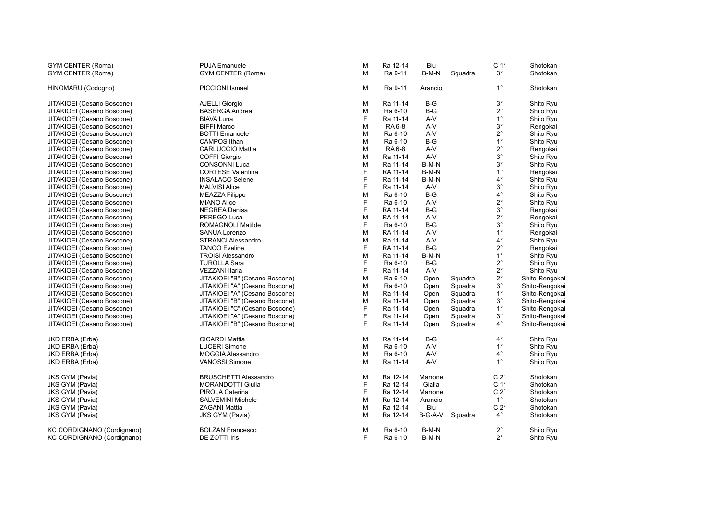| <b>GYM CENTER (Roma)</b>   | <b>PUJA Emanuele</b>           | M | Ra 12-14 | Blu     |         | C <sub>1</sub> °<br>$3^{\circ}$ | Shotokan       |
|----------------------------|--------------------------------|---|----------|---------|---------|---------------------------------|----------------|
| GYM CENTER (Roma)          | <b>GYM CENTER (Roma)</b>       | M | Ra 9-11  | B-M-N   | Squadra |                                 | Shotokan       |
| HINOMARU (Codogno)         | PICCIONI Ismael                | М | Ra 9-11  | Arancio |         | $1^{\circ}$                     | Shotokan       |
| JITAKIOEI (Cesano Boscone) | <b>AJELLI Giorgio</b>          | M | Ra 11-14 | $B-G$   |         | $3^{\circ}$                     | Shito Ryu      |
| JITAKIOEI (Cesano Boscone) | <b>BASERGA Andrea</b>          | M | Ra 6-10  | $B-G$   |         | $2^{\circ}$                     | Shito Ryu      |
| JITAKIOEI (Cesano Boscone) | <b>BIAVA Luna</b>              | F | Ra 11-14 | A-V     |         | $1^{\circ}$                     | Shito Ryu      |
| JITAKIOEI (Cesano Boscone) | <b>BIFFI Marco</b>             | M | RA 6-8   | $A-V$   |         | $3^{\circ}$                     | Rengokai       |
| JITAKIOEI (Cesano Boscone) | <b>BOTTI Emanuele</b>          | M | Ra 6-10  | A-V     |         | $2^{\circ}$                     | Shito Ryu      |
| JITAKIOEI (Cesano Boscone) | <b>CAMPOS Ithan</b>            | M | Ra 6-10  | $B-G$   |         | $1^{\circ}$                     | Shito Ryu      |
| JITAKIOEI (Cesano Boscone) | <b>CARLUCCIO Mattia</b>        | M | RA 6-8   | A-V     |         | $2^{\circ}$                     | Rengokai       |
| JITAKIOEI (Cesano Boscone) | <b>COFFI Giorgio</b>           | M | Ra 11-14 | $A-V$   |         | $3^{\circ}$                     | Shito Ryu      |
| JITAKIOEI (Cesano Boscone) | <b>CONSONNI Luca</b>           | M | Ra 11-14 | B-M-N   |         | $3^{\circ}$                     | Shito Ryu      |
| JITAKIOEI (Cesano Boscone) | <b>CORTESE Valentina</b>       | F | RA 11-14 | B-M-N   |         | $1^{\circ}$                     | Rengokai       |
| JITAKIOEI (Cesano Boscone) | <b>INSALACO Selene</b>         | F | Ra 11-14 | B-M-N   |         | $4^{\circ}$                     | Shito Ryu      |
| JITAKIOEI (Cesano Boscone) | <b>MALVISI Alice</b>           | F | Ra 11-14 | $A-V$   |         | $3^{\circ}$                     | Shito Ryu      |
| JITAKIOEI (Cesano Boscone) | <b>MEAZZA Filippo</b>          | M | Ra 6-10  | $B-G$   |         | $4^\circ$                       | Shito Ryu      |
| JITAKIOEI (Cesano Boscone) | <b>MIANO Alice</b>             | F | Ra 6-10  | A-V     |         | $2^{\circ}$                     | Shito Ryu      |
| JITAKIOEI (Cesano Boscone) | <b>NEGREA Denisa</b>           | F | RA 11-14 | $B-G$   |         | $3^{\circ}$                     | Rengokai       |
| JITAKIOEI (Cesano Boscone) | PEREGO Luca                    | M | RA 11-14 | A-V     |         | $2^{\circ}$                     | Rengokai       |
| JITAKIOEI (Cesano Boscone) | ROMAGNOLI Matilde              | F | Ra 6-10  | $B-G$   |         | $3^{\circ}$                     | Shito Ryu      |
| JITAKIOEI (Cesano Boscone) | <b>SANUA Lorenzo</b>           | M | RA 11-14 | A-V     |         | $1^{\circ}$                     | Rengokai       |
| JITAKIOEI (Cesano Boscone) | <b>STRANCI Alessandro</b>      | M | Ra 11-14 | A-V     |         | $4^{\circ}$                     | Shito Ryu      |
| JITAKIOEI (Cesano Boscone) | <b>TANCO Eveline</b>           | F | RA 11-14 | $B-G$   |         | $2^{\circ}$                     | Rengokai       |
| JITAKIOEI (Cesano Boscone) | <b>TROISI Alessandro</b>       | M | Ra 11-14 | B-M-N   |         | $1^{\circ}$                     | Shito Ryu      |
| JITAKIOEI (Cesano Boscone) | <b>TUROLLA Sara</b>            | F | Ra 6-10  | $B-G$   |         | $2^{\circ}$                     | Shito Ryu      |
| JITAKIOEI (Cesano Boscone) | <b>VEZZANI Ilaria</b>          | F | Ra 11-14 | A-V     |         | $2^{\circ}$                     | Shito Ryu      |
| JITAKIOEI (Cesano Boscone) | JITAKIOEI "B" (Cesano Boscone) | М | Ra 6-10  | Open    | Squadra | $2^{\circ}$                     | Shito-Rengokai |
| JITAKIOEI (Cesano Boscone) | JITAKIOEI "A" (Cesano Boscone) | м | Ra 6-10  | Open    | Squadra | $3^\circ$                       | Shito-Rengokai |
| JITAKIOEI (Cesano Boscone) | JITAKIOEI "A" (Cesano Boscone) | M | Ra 11-14 | Open    | Squadra | $1^{\circ}$                     | Shito-Rengokai |
| JITAKIOEI (Cesano Boscone) | JITAKIOEI "B" (Cesano Boscone) | M | Ra 11-14 | Open    | Squadra | $3^{\circ}$                     | Shito-Rengokai |
| JITAKIOEI (Cesano Boscone) | JITAKIOEI "C" (Cesano Boscone) | F | Ra 11-14 | Open    | Squadra | $1^{\circ}$                     | Shito-Rengokai |
| JITAKIOEI (Cesano Boscone) | JITAKIOEI "A" (Cesano Boscone) | F | Ra 11-14 | Open    | Squadra | $3^{\circ}$                     | Shito-Rengokai |
| JITAKIOEI (Cesano Boscone) | JITAKIOEI "B" (Cesano Boscone) | F | Ra 11-14 | Open    | Squadra | $4^\circ$                       | Shito-Rengokai |
| JKD ERBA (Erba)            | <b>CICARDI Mattia</b>          | М | Ra 11-14 | $B-G$   |         | $4^\circ$                       | Shito Ryu      |
| JKD ERBA (Erba)            | <b>LUCERI Simone</b>           | м | Ra 6-10  | $A-V$   |         | $1^{\circ}$                     | Shito Ryu      |
| JKD ERBA (Erba)            | MOGGIA Alessandro              | M | Ra 6-10  | $A-V$   |         | $4^\circ$                       | Shito Ryu      |
| JKD ERBA (Erba)            | <b>VANOSSI Simone</b>          | M | Ra 11-14 | A-V     |         | $1^{\circ}$                     | Shito Ryu      |
| <b>JKS GYM (Pavia)</b>     | <b>BRUSCHETTI Alessandro</b>   | М | Ra 12-14 | Marrone |         | $C 2^{\circ}$                   | Shotokan       |
| <b>JKS GYM (Pavia)</b>     | <b>MORANDOTTI Giulia</b>       | F | Ra 12-14 | Gialla  |         | C <sub>1</sub> °                | Shotokan       |
| <b>JKS GYM (Pavia)</b>     | PIROLA Caterina                | F | Ra 12-14 | Marrone |         | $C 2^{\circ}$                   | Shotokan       |
| <b>JKS GYM (Pavia)</b>     | <b>SALVEMINI Michele</b>       | M | Ra 12-14 | Arancio |         | $1^{\circ}$                     | Shotokan       |
| <b>JKS GYM (Pavia)</b>     | <b>ZAGANI Mattia</b>           | M | Ra 12-14 | Blu     |         | $C 2^{\circ}$                   | Shotokan       |
| <b>JKS GYM (Pavia)</b>     | <b>JKS GYM (Pavia)</b>         | M | Ra 12-14 | B-G-A-V | Squadra | $4^\circ$                       | Shotokan       |
| KC CORDIGNANO (Cordignano) | <b>BOLZAN Francesco</b>        | M | Ra 6-10  | B-M-N   |         | $2^{\circ}$                     | Shito Ryu      |
| KC CORDIGNANO (Cordignano) | DE ZOTTI Iris                  | F | Ra 6-10  | B-M-N   |         | $2^{\circ}$                     | Shito Ryu      |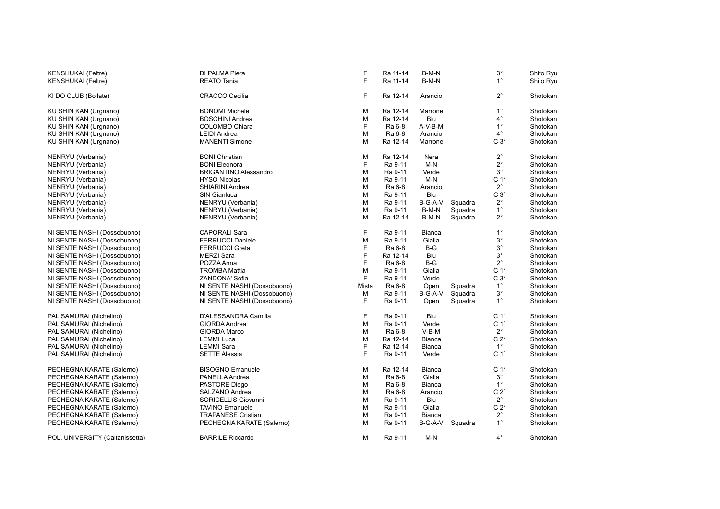| <b>KENSHUKAI</b> (Feltre)       | DI PALMA Piera               | F     | Ra 11-14 | B-M-N         |         | $3^{\circ}$      | Shito Ryu |
|---------------------------------|------------------------------|-------|----------|---------------|---------|------------------|-----------|
| <b>KENSHUKAI</b> (Feltre)       | <b>REATO Tania</b>           | F     | Ra 11-14 | B-M-N         |         | $1^{\circ}$      | Shito Ryu |
| KI DO CLUB (Bollate)            | <b>CRACCO Cecilia</b>        | F     | Ra 12-14 | Arancio       |         | $2^{\circ}$      | Shotokan  |
| KU SHIN KAN (Urgnano)           | <b>BONOMI Michele</b>        | M     | Ra 12-14 | Marrone       |         | $1^{\circ}$      | Shotokan  |
| KU SHIN KAN (Urgnano)           | <b>BOSCHINI Andrea</b>       | M     | Ra 12-14 | Blu           |         | $4^{\circ}$      | Shotokan  |
| KU SHIN KAN (Urgnano)           | COLOMBO Chiara               | F     | Ra 6-8   | A-V-B-M       |         | $1^{\circ}$      | Shotokan  |
| KU SHIN KAN (Urgnano)           | <b>LEIDI Andrea</b>          | M     | Ra 6-8   | Arancio       |         | $4^{\circ}$      | Shotokan  |
| KU SHIN KAN (Urgnano)           | <b>MANENTI Simone</b>        | M     | Ra 12-14 | Marrone       |         | $C3^\circ$       | Shotokan  |
| NENRYU (Verbania)               | <b>BONI Christian</b>        | M     | Ra 12-14 | Nera          |         | $2^{\circ}$      | Shotokan  |
| NENRYU (Verbania)               | <b>BONI Eleonora</b>         | F     | Ra 9-11  | $M-N$         |         | $2^{\circ}$      | Shotokan  |
| NENRYU (Verbania)               | <b>BRIGANTINO Alessandro</b> | M     | Ra 9-11  | Verde         |         | $3^{\circ}$      | Shotokan  |
| NENRYU (Verbania)               | <b>HYSO Nicolas</b>          | M     | Ra 9-11  | $M-N$         |         | C <sub>1</sub> ° | Shotokan  |
| NENRYU (Verbania)               | SHIARINI Andrea              | M     | Ra 6-8   | Arancio       |         | $2^{\circ}$      | Shotokan  |
| NENRYU (Verbania)               | <b>SIN Gianluca</b>          | M     | Ra 9-11  | Blu           |         | $C3^\circ$       | Shotokan  |
| NENRYU (Verbania)               | NENRYU (Verbania)            | M     | Ra 9-11  | B-G-A-V       | Squadra | $2^{\circ}$      | Shotokan  |
| NENRYU (Verbania)               | NENRYU (Verbania)            | M     | Ra 9-11  | B-M-N         | Squadra | $1^{\circ}$      | Shotokan  |
| NENRYU (Verbania)               | NENRYU (Verbania)            | M     | Ra 12-14 | B-M-N         | Squadra | $2^{\circ}$      | Shotokan  |
| NI SENTE NASHI (Dossobuono)     | <b>CAPORALI Sara</b>         | F     | Ra 9-11  | <b>Bianca</b> |         | $1^{\circ}$      | Shotokan  |
| NI SENTE NASHI (Dossobuono)     | <b>FERRUCCI Daniele</b>      | M     | Ra 9-11  | Gialla        |         | $3^{\circ}$      | Shotokan  |
| NI SENTE NASHI (Dossobuono)     | <b>FERRUCCI Greta</b>        | F     | Ra 6-8   | $B-G$         |         | $3^{\circ}$      | Shotokan  |
| NI SENTE NASHI (Dossobuono)     | <b>MERZI Sara</b>            | F     | Ra 12-14 | Blu           |         | $3^{\circ}$      | Shotokan  |
| NI SENTE NASHI (Dossobuono)     | POZZA Anna                   | F     | Ra 6-8   | $B-G$         |         | $2^{\circ}$      | Shotokan  |
| NI SENTE NASHI (Dossobuono)     | <b>TROMBA Mattia</b>         | M     | Ra 9-11  | Gialla        |         | $C 1^\circ$      | Shotokan  |
| NI SENTE NASHI (Dossobuono)     | ZANDONA' Sofia               | F     | Ra 9-11  | Verde         |         | $C3^\circ$       | Shotokan  |
| NI SENTE NASHI (Dossobuono)     | NI SENTE NASHI (Dossobuono)  | Mista | Ra 6-8   | Open          | Squadra | $1^{\circ}$      | Shotokan  |
| NI SENTE NASHI (Dossobuono)     | NI SENTE NASHI (Dossobuono)  | М     | Ra 9-11  | B-G-A-V       | Squadra | $3^\circ$        | Shotokan  |
| NI SENTE NASHI (Dossobuono)     | NI SENTE NASHI (Dossobuono)  | F     | Ra 9-11  | Open          | Squadra | $1^{\circ}$      | Shotokan  |
| PAL SAMURAI (Nichelino)         | D'ALESSANDRA Camilla         | F     | Ra 9-11  | Blu           |         | C <sub>1</sub> ° | Shotokan  |
| PAL SAMURAI (Nichelino)         | <b>GIORDA Andrea</b>         | M     | Ra 9-11  | Verde         |         | C <sub>1</sub> ° | Shotokan  |
| PAL SAMURAI (Nichelino)         | GIORDA Marco                 | M     | Ra 6-8   | $V-B-M$       |         | $2^{\circ}$      | Shotokan  |
| PAL SAMURAI (Nichelino)         | <b>LEMMI</b> Luca            | M     | Ra 12-14 | <b>Bianca</b> |         | $C 2^{\circ}$    | Shotokan  |
| PAL SAMURAI (Nichelino)         | <b>LEMMI Sara</b>            | F     | Ra 12-14 | <b>Bianca</b> |         | $1^{\circ}$      | Shotokan  |
| PAL SAMURAI (Nichelino)         | <b>SETTE Alessia</b>         | F     | Ra 9-11  | Verde         |         | C <sub>1</sub> ° | Shotokan  |
| PECHEGNA KARATE (Salerno)       | <b>BISOGNO Emanuele</b>      | M     | Ra 12-14 | <b>Bianca</b> |         | C <sub>1</sub> ° | Shotokan  |
| PECHEGNA KARATE (Salerno)       | PANELLA Andrea               | M     | Ra 6-8   | Gialla        |         | $3^{\circ}$      | Shotokan  |
| PECHEGNA KARATE (Salerno)       | PASTORE Diego                | M     | Ra 6-8   | <b>Bianca</b> |         | $1^{\circ}$      | Shotokan  |
| PECHEGNA KARATE (Salerno)       | SALZANO Andrea               | М     | Ra 6-8   | Arancio       |         | $C 2^{\circ}$    | Shotokan  |
| PECHEGNA KARATE (Salerno)       | SORICELLIS Giovanni          | М     | Ra 9-11  | Blu           |         | $2^{\circ}$      | Shotokan  |
| PECHEGNA KARATE (Salerno)       | <b>TAVINO Emanuele</b>       | М     | Ra 9-11  | Gialla        |         | $C 2^{\circ}$    | Shotokan  |
| PECHEGNA KARATE (Salerno)       | <b>TRAPANESE Cristian</b>    | M     | Ra 9-11  | Bianca        |         | $2^{\circ}$      | Shotokan  |
| PECHEGNA KARATE (Salerno)       | PECHEGNA KARATE (Salerno)    | M     | Ra 9-11  | B-G-A-V       | Squadra | $1^{\circ}$      | Shotokan  |
| POL. UNIVERSITY (Caltanissetta) | <b>BARRILE Riccardo</b>      | M     | Ra 9-11  | M-N           |         | $4^{\circ}$      | Shotokan  |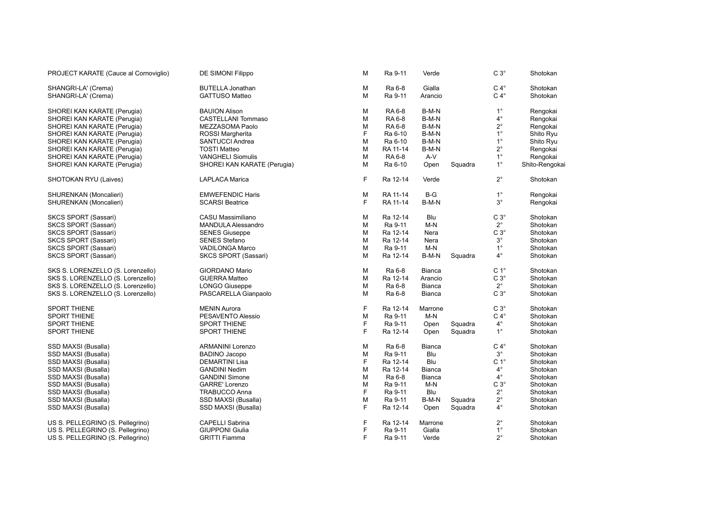| PROJECT KARATE (Cauce al Cornoviglio) | DE SIMONI Filippo           | M  | Ra 9-11       | Verde         |         | $C 3^\circ$      | Shotokan       |  |
|---------------------------------------|-----------------------------|----|---------------|---------------|---------|------------------|----------------|--|
| SHANGRI-LA' (Crema)                   | <b>BUTELLA Jonathan</b>     | M  | Ra 6-8        | Gialla        |         | $C 4^\circ$      | Shotokan       |  |
| SHANGRI-LA' (Crema)                   | <b>GATTUSO Matteo</b>       | M  | Ra 9-11       | Arancio       |         | $C 4^\circ$      | Shotokan       |  |
| SHOREI KAN KARATE (Perugia)           | <b>BAUION Alison</b>        | M  | RA 6-8        | B-M-N         |         | $1^{\circ}$      | Rengokai       |  |
| SHOREI KAN KARATE (Perugia)           | <b>CASTELLANI Tommaso</b>   | M  | RA 6-8        | B-M-N         |         | $4^{\circ}$      | Rengokai       |  |
| SHOREI KAN KARATE (Perugia)           | MEZZASOMA Paolo             | м  | <b>RA 6-8</b> | B-M-N         |         | $2^{\circ}$      | Rengokai       |  |
| SHOREI KAN KARATE (Perugia)           | ROSSI Margherita            | F  | Ra 6-10       | B-M-N         |         | $1^{\circ}$      | Shito Ryu      |  |
| SHOREI KAN KARATE (Perugia)           | SANTUCCI Andrea             | M  | Ra 6-10       | B-M-N         |         | $1^{\circ}$      | Shito Ryu      |  |
| SHOREI KAN KARATE (Perugia)           | <b>TOSTI Matteo</b>         | M  | RA 11-14      | B-M-N         |         | $2^{\circ}$      | Rengokai       |  |
| SHOREI KAN KARATE (Perugia)           | <b>VANGHELI Siomulis</b>    | M  | RA 6-8        | A-V           |         | $1^{\circ}$      | Rengokai       |  |
| SHOREI KAN KARATE (Perugia)           | SHOREI KAN KARATE (Perugia) | M  | Ra 6-10       | Open          | Squadra | $1^{\circ}$      | Shito-Rengokai |  |
| SHOTOKAN RYU (Laives)                 | <b>LAPLACA Marica</b>       | F  | Ra 12-14      | Verde         |         | $2^{\circ}$      | Shotokan       |  |
| SHURENKAN (Moncalieri)                | <b>EMWEFENDIC Haris</b>     | M  | RA 11-14      | $B-G$         |         | $1^{\circ}$      | Rengokai       |  |
| SHURENKAN (Moncalieri)                | <b>SCARSI Beatrice</b>      | F. | RA 11-14      | B-M-N         |         | $3^{\circ}$      | Rengokai       |  |
| SKCS SPORT (Sassari)                  | CASU Massimiliano           | M  | Ra 12-14      | Blu           |         | $C3^\circ$       | Shotokan       |  |
| <b>SKCS SPORT (Sassari)</b>           | <b>MANDULA Alessandro</b>   | M  | Ra 9-11       | $M-N$         |         | $2^{\circ}$      | Shotokan       |  |
| SKCS SPORT (Sassari)                  | <b>SENES Giuseppe</b>       | M  | Ra 12-14      | Nera          |         | $C3^\circ$       | Shotokan       |  |
| <b>SKCS SPORT (Sassari)</b>           | <b>SENES Stefano</b>        | M  | Ra 12-14      | Nera          |         | $3^{\circ}$      | Shotokan       |  |
| SKCS SPORT (Sassari)                  | VADILONGA Marco             | M  | Ra 9-11       | $M-N$         |         | $1^{\circ}$      | Shotokan       |  |
| SKCS SPORT (Sassari)                  | SKCS SPORT (Sassari)        | M  | Ra 12-14      | B-M-N         | Squadra | $4^{\circ}$      | Shotokan       |  |
| SKS S. LORENZELLO (S. Lorenzello)     | <b>GIORDANO Mario</b>       | M  | Ra 6-8        | Bianca        |         | C <sub>1</sub> ° | Shotokan       |  |
| SKS S. LORENZELLO (S. Lorenzello)     | <b>GUERRA Matteo</b>        | M  | Ra 12-14      | Arancio       |         | $C3^\circ$       | Shotokan       |  |
| SKS S. LORENZELLO (S. Lorenzello)     | <b>LONGO Giuseppe</b>       | M  | Ra 6-8        | <b>Bianca</b> |         | $2^{\circ}$      | Shotokan       |  |
| SKS S. LORENZELLO (S. Lorenzello)     | PASCARELLA Gianpaolo        | M  | Ra 6-8        | Bianca        |         | $C 3^\circ$      | Shotokan       |  |
| <b>SPORT THIENE</b>                   | <b>MENIN Aurora</b>         | F  | Ra 12-14      | Marrone       |         | $C3^\circ$       | Shotokan       |  |
| <b>SPORT THIENE</b>                   | PESAVENTO Alessio           | M  | Ra 9-11       | $M-N$         |         | $C 4^\circ$      | Shotokan       |  |
| <b>SPORT THIENE</b>                   | <b>SPORT THIENE</b>         | F  | Ra 9-11       | Open          | Squadra | $4^{\circ}$      | Shotokan       |  |
| <b>SPORT THIENE</b>                   | SPORT THIENE                | F. | Ra 12-14      | Open          | Squadra | $1^{\circ}$      | Shotokan       |  |
| SSD MAXSI (Busalla)                   | <b>ARMANINI Lorenzo</b>     | M  | Ra 6-8        | Bianca        |         | $C 4^\circ$      | Shotokan       |  |
| SSD MAXSI (Busalla)                   | <b>BADINO Jacopo</b>        | M  | Ra 9-11       | Blu           |         | $3^{\circ}$      | Shotokan       |  |
| SSD MAXSI (Busalla)                   | <b>DEMARTINI Lisa</b>       | F  | Ra 12-14      | Blu           |         | $C 1^{\circ}$    | Shotokan       |  |
| SSD MAXSI (Busalla)                   | <b>GANDINI Nedim</b>        | M  | Ra 12-14      | Bianca        |         | $4^{\circ}$      | Shotokan       |  |
| SSD MAXSI (Busalla)                   | <b>GANDINI Simone</b>       | M  | Ra 6-8        | Bianca        |         | $4^{\circ}$      | Shotokan       |  |
| SSD MAXSI (Busalla)                   | <b>GARRE' Lorenzo</b>       | M  | Ra 9-11       | M-N           |         | $C3^\circ$       | Shotokan       |  |
| SSD MAXSI (Busalla)                   | <b>TRABUCCO Anna</b>        | F  | Ra 9-11       | Blu           |         | $2^{\circ}$      | Shotokan       |  |
| SSD MAXSI (Busalla)                   | SSD MAXSI (Busalla)         | M  | Ra 9-11       | B-M-N         | Squadra | $2^{\circ}$      | Shotokan       |  |
| SSD MAXSI (Busalla)                   | SSD MAXSI (Busalla)         | F  | Ra 12-14      | Open          | Squadra | $4^{\circ}$      | Shotokan       |  |
| US S. PELLEGRINO (S. Pellegrino)      | CAPELLI Sabrina             | F  | Ra 12-14      | Marrone       |         | $2^{\circ}$      | Shotokan       |  |
| US S. PELLEGRINO (S. Pellegrino)      | <b>GIUPPONI Giulia</b>      | F  | Ra 9-11       | Gialla        |         | $1^{\circ}$      | Shotokan       |  |
| US S. PELLEGRINO (S. Pellegrino)      | <b>GRITTI Fiamma</b>        | F. | Ra 9-11       | Verde         |         | $2^{\circ}$      | Shotokan       |  |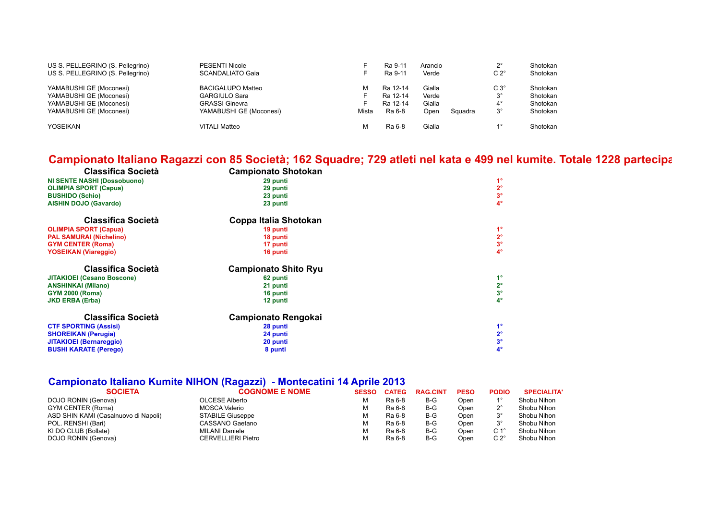| US S. PELLEGRINO (S. Pellegrino) | <b>PESENTI Nicole</b>    |       | Ra 9-11  | Arancio |         | າ∘            | Shotokan |
|----------------------------------|--------------------------|-------|----------|---------|---------|---------------|----------|
| US S. PELLEGRINO (S. Pellegrino) | <b>SCANDALIATO Gaia</b>  |       | Ra 9-11  | Verde   |         | $C 2^{\circ}$ | Shotokan |
| YAMABUSHI GE (Moconesi)          | <b>BACIGALUPO Matteo</b> | М     | Ra 12-14 | Gialla  |         | $C3^\circ$    | Shotokan |
| YAMABUSHI GE (Moconesi)          | <b>GARGIULO Sara</b>     |       | Ra 12-14 | Verde   |         | $3^\circ$     | Shotokan |
| YAMABUSHI GE (Moconesi)          | <b>GRASSI Ginevra</b>    |       | Ra 12-14 | Gialla  |         | $4^{\circ}$   | Shotokan |
| YAMABUSHI GE (Moconesi)          | YAMABUSHI GE (Moconesi)  | Mista | Ra 6-8   | Open    | Squadra | $3^{\circ}$   | Shotokan |
| <b>YOSEIKAN</b>                  | <b>VITALI Matteo</b>     | м     | Ra 6-8   | Gialla  |         | 10            | Shotokan |

### Campionato Italiano Ragazzi con 85 Società; 162 Squadre; 729 atleti nel kata e 499 nel kumite. Totale 1228 partecipa

| <b>Classifica Società</b>          | <b>Campionato Shotokan</b>  |                |
|------------------------------------|-----------------------------|----------------|
| <b>NI SENTE NASHI (Dossobuono)</b> | 29 punti                    | $1^{\circ}$    |
| <b>OLIMPIA SPORT (Capua)</b>       | 29 punti                    | $2^{\circ}$    |
| <b>BUSHIDO (Schio)</b>             | 23 punti                    | 3 <sup>o</sup> |
| <b>AISHIN DOJO (Gavardo)</b>       | 23 punti                    | $4^\circ$      |
| Classifica Società                 | Coppa Italia Shotokan       |                |
| <b>OLIMPIA SPORT (Capua)</b>       | 19 punti                    | $1^{\circ}$    |
| <b>PAL SAMURAI (Nichelino)</b>     | 18 punti                    | $2^{\circ}$    |
| <b>GYM CENTER (Roma)</b>           | 17 punti                    | $3^{\circ}$    |
| <b>YOSEIKAN (Viareggio)</b>        | 16 punti                    | $4^\circ$      |
| Classifica Società                 | <b>Campionato Shito Ryu</b> |                |
| <b>JITAKIOEI (Cesano Boscone)</b>  | 62 punti                    | $1^{\circ}$    |
| <b>ANSHINKAI (Milano)</b>          | 21 punti                    | $2^{\circ}$    |
| <b>GYM 2000 (Roma)</b>             | 16 punti                    | $3^{\circ}$    |
| <b>JKD ERBA (Erba)</b>             | 12 punti                    | $4^\circ$      |
| Classifica Società                 | <b>Campionato Rengokai</b>  |                |
| <b>CTF SPORTING (Assisi)</b>       | 28 punti                    | $1^{\circ}$    |
| <b>SHOREIKAN (Perugia)</b>         | 24 punti                    | $2^{\circ}$    |
|                                    |                             |                |
| <b>JITAKIOEI</b> (Bernareggio)     | 20 punti                    | 3 <sup>o</sup> |

### **Campionato Italiano Kumite NIHON (Ragazzi) - Montecatini 14 Aprile 2013**

| <b>SOCIETA</b>                       | <b>COGNOME E NOME</b>   | <b>SESSO</b> | <b>CATEG</b> | <b>RAG.CINT</b> | <b>PESO</b> | <b>PODIO</b>   | <b>SPECIALITA'</b> |
|--------------------------------------|-------------------------|--------------|--------------|-----------------|-------------|----------------|--------------------|
| DOJO RONIN (Genova)                  | <b>OLCESE Alberto</b>   |              | Ra 6-8       | B-G             | Open        |                | Shobu Nihon        |
| GYM CENTER (Roma)                    | MOSCA Valerio           |              | Ra 6-8       | $B-G$           | Open        | no             | Shobu Nihon        |
| ASD SHIN KAMI (Casalnuovo di Napoli) | <b>STABILE Giuseppe</b> |              | Ra 6-8       | $B-G$           | Open        |                | Shobu Nihon        |
| POL. RENSHI (Bari)                   | CASSANO Gaetano         |              | Ra 6-8       | $B-G$           | Open        |                | Shobu Nihon        |
| KI DO CLUB (Bollate)                 | MILANI Daniele          |              | Ra 6-8       | $B-G$           | Open        | C 1°           | Shobu Nihon        |
| DOJO RONIN (Genova)                  | CERVELLIERI Pietro      |              | Ra 6-8       | $B-G$           | Open        | C 2 $^{\circ}$ | Shobu Nihon        |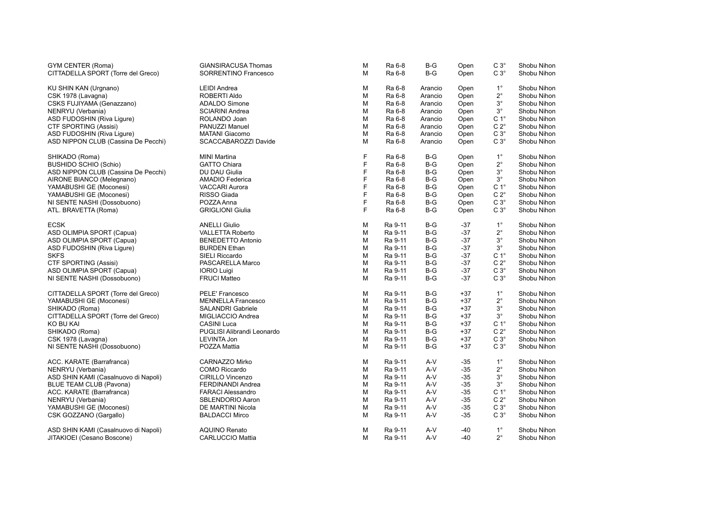| <b>GYM CENTER (Roma)</b>                                               | <b>GIANSIRACUSA Thomas</b> | M | Ra 6-8  | $B-G$      | Open  | $C3^\circ$       | Shobu Nihon |
|------------------------------------------------------------------------|----------------------------|---|---------|------------|-------|------------------|-------------|
| CITTADELLA SPORT (Torre del Greco)                                     | SORRENTINO Francesco       | M | Ra 6-8  | $B-G$      | Open  | $C3^\circ$       | Shobu Nihon |
|                                                                        | <b>LEIDI Andrea</b>        | М | Ra 6-8  |            |       | $1^{\circ}$      |             |
| KU SHIN KAN (Urgnano)                                                  | ROBERTI Aldo               |   | Ra 6-8  | Arancio    | Open  | $2^{\circ}$      | Shobu Nihon |
| CSK 1978 (Lavagna)                                                     |                            | M |         | Arancio    | Open  |                  | Shobu Nihon |
| CSKS FUJIYAMA (Genazzano)                                              | ADALDO Simone              | М | Ra 6-8  | Arancio    | Open  | $3^\circ$        | Shobu Nihon |
| NENRYU (Verbania)                                                      | <b>SCIARINI Andrea</b>     | М | Ra 6-8  | Arancio    | Open  | $3^{\circ}$      | Shobu Nihon |
| ASD FUDOSHIN (Riva Ligure)                                             | ROLANDO Joan               | M | Ra 6-8  | Arancio    | Open  | C <sub>1</sub> ° | Shobu Nihon |
| CTF SPORTING (Assisi)                                                  | PANUZZI Manuel             | М | Ra 6-8  | Arancio    | Open  | $C 2^{\circ}$    | Shobu Nihon |
| ASD FUDOSHIN (Riva Liqure)                                             | <b>MATANI</b> Giacomo      | М | Ra 6-8  | Arancio    | Open  | $C3^\circ$       | Shobu Nihon |
| ASD NIPPON CLUB (Cassina De Pecchi)                                    | SCACCABAROZZI Davide       | M | Ra 6-8  | Arancio    | Open  | $C3^\circ$       | Shobu Nihon |
| SHIKADO (Roma)                                                         | <b>MINI Martina</b>        | F | Ra 6-8  | $B-G$      | Open  | $1^{\circ}$      | Shobu Nihon |
| <b>BUSHIDO SCHIO (Schio)</b>                                           | <b>GATTO Chiara</b>        | F | Ra 6-8  | $B-G$      | Open  | $2^{\circ}$      | Shobu Nihon |
| ASD NIPPON CLUB (Cassina De Pecchi)                                    | DU DAU Giulia              | F | Ra 6-8  | $B-G$      | Open  | $3^\circ$        | Shobu Nihon |
| AIRONE BIANCO (Melegnano)                                              | <b>AMADIO Federica</b>     | F | Ra 6-8  | $B-G$      | Open  | $3^{\circ}$      | Shobu Nihon |
| YAMABUSHI GE (Moconesi)                                                | <b>VACCARI Aurora</b>      | F | Ra 6-8  | $B-G$      | Open  | C <sub>1</sub> ° | Shobu Nihon |
| YAMABUSHI GE (Moconesi)                                                | RISSO Giada                | F | Ra 6-8  | $B-G$      | Open  | $C 2^{\circ}$    | Shobu Nihon |
| NI SENTE NASHI (Dossobuono)                                            | POZZA Anna                 | F | Ra 6-8  | $B-G$      | Open  | $C3^\circ$       | Shobu Nihon |
| ATL. BRAVETTA (Roma)                                                   | <b>GRIGLIONI Giulia</b>    | F | Ra 6-8  | $B-G$      | Open  | $C3^\circ$       | Shobu Nihon |
|                                                                        |                            |   |         |            |       |                  |             |
| <b>ECSK</b>                                                            | <b>ANELLI Giulio</b>       | М | Ra 9-11 | $B-G$      | $-37$ | $1^{\circ}$      | Shobu Nihon |
| ASD OLIMPIA SPORT (Capua)                                              | <b>VALLETTA Roberto</b>    | М | Ra 9-11 | $B-G$      | $-37$ | $2^{\circ}$      | Shobu Nihon |
| ASD OLIMPIA SPORT (Capua)                                              | <b>BENEDETTO Antonio</b>   | М | Ra 9-11 | $B-G$      | $-37$ | $3^{\circ}$      | Shobu Nihon |
| ASD FUDOSHIN (Riva Ligure)                                             | <b>BURDEN Ethan</b>        | М | Ra 9-11 | B-G        | $-37$ | $3^\circ$        | Shobu Nihon |
| <b>SKFS</b>                                                            | <b>SIELI Riccardo</b>      | M | Ra 9-11 | $B-G$      | -37   | C <sub>1</sub> ° | Shobu Nihon |
| CTF SPORTING (Assisi)                                                  | PASCARELLA Marco           | M | Ra 9-11 | $B-G$      | $-37$ | $C 2^{\circ}$    | Shobu Nihon |
| ASD OLIMPIA SPORT (Capua)                                              | <b>IORIO Luigi</b>         | M | Ra 9-11 | $B-G$      | -37   | $C3^\circ$       | Shobu Nihon |
| NI SENTE NASHI (Dossobuono)                                            | <b>FRUCI Matteo</b>        | M | Ra 9-11 | $B-G$      | $-37$ | $C 3^\circ$      | Shobu Nihon |
| CITTADELLA SPORT (Torre del Greco)                                     | PELE' Francesco            | М | Ra 9-11 | B-G        | $+37$ | $1^{\circ}$      | Shobu Nihon |
| YAMABUSHI GE (Moconesi)                                                | <b>MENNELLA Francesco</b>  | М | Ra 9-11 | $B-G$      | $+37$ | $2^{\circ}$      | Shobu Nihon |
| SHIKADO (Roma)                                                         | <b>SALANDRI Gabriele</b>   | М | Ra 9-11 | $B-G$      | $+37$ | $3^{\circ}$      | Shobu Nihon |
| CITTADELLA SPORT (Torre del Greco)                                     | MIGLIACCIO Andrea          | M | Ra 9-11 | $B-G$      | $+37$ | $3^{\circ}$      | Shobu Nihon |
| KO BU KAI                                                              | <b>CASINI Luca</b>         | M | Ra 9-11 | $B-G$      | $+37$ | C <sub>1</sub> ° | Shobu Nihon |
| SHIKADO (Roma)                                                         | PUGLISI Alibrandi Leonardo | M | Ra 9-11 | $B-G$      | $+37$ | $C 2^{\circ}$    | Shobu Nihon |
| CSK 1978 (Lavagna)                                                     | LEVINTA Jon                | М | Ra 9-11 | $B-G$      | $+37$ | $C3^\circ$       | Shobu Nihon |
| NI SENTE NASHI (Dossobuono)                                            | POZZA Mattia               | М | Ra 9-11 | $B-G$      | $+37$ | $C3^\circ$       | Shobu Nihon |
| ACC. KARATE (Barrafranca)                                              | CARNAZZO Mirko             | М | Ra 9-11 | A-V        | -35   | $1^{\circ}$      | Shobu Nihon |
| NENRYU (Verbania)                                                      | COMO Riccardo              | М | Ra 9-11 | A-V        | $-35$ | $2^{\circ}$      | Shobu Nihon |
|                                                                        | CIRILLO Vincenzo           | M | Ra 9-11 |            | $-35$ | $3^{\circ}$      | Shobu Nihon |
| ASD SHIN KAMI (Casalnuovo di Napoli)<br><b>BLUE TEAM CLUB (Pavona)</b> | <b>FERDINANDI Andrea</b>   | M | Ra 9-11 | A-V<br>A-V | $-35$ | $3^{\circ}$      | Shobu Nihon |
| ACC. KARATE (Barrafranca)                                              | <b>FARACI Alessandro</b>   | M | Ra 9-11 | A-V        | $-35$ | C <sub>1</sub> ° | Shobu Nihon |
|                                                                        |                            |   | Ra 9-11 |            | $-35$ | $C 2^{\circ}$    |             |
| NENRYU (Verbania)                                                      | SBLENDORIO Aaron           | M |         | A-V        |       |                  | Shobu Nihon |
| YAMABUSHI GE (Moconesi)                                                | <b>DE MARTINI Nicola</b>   | M | Ra 9-11 | A-V        | $-35$ | $C3^\circ$       | Shobu Nihon |
| CSK GOZZANO (Gargallo)                                                 | <b>BALDACCI Mirco</b>      | M | Ra 9-11 | A-V        | $-35$ | $C 3^\circ$      | Shobu Nihon |
| ASD SHIN KAMI (Casalnuovo di Napoli)                                   | <b>AQUINO Renato</b>       | M | Ra 9-11 | A-V        | -40   | $1^{\circ}$      | Shobu Nihon |
| JITAKIOEI (Cesano Boscone)                                             | <b>CARLUCCIO Mattia</b>    | M | Ra 9-11 | A-V        | -40   | $2^{\circ}$      | Shobu Nihon |
|                                                                        |                            |   |         |            |       |                  |             |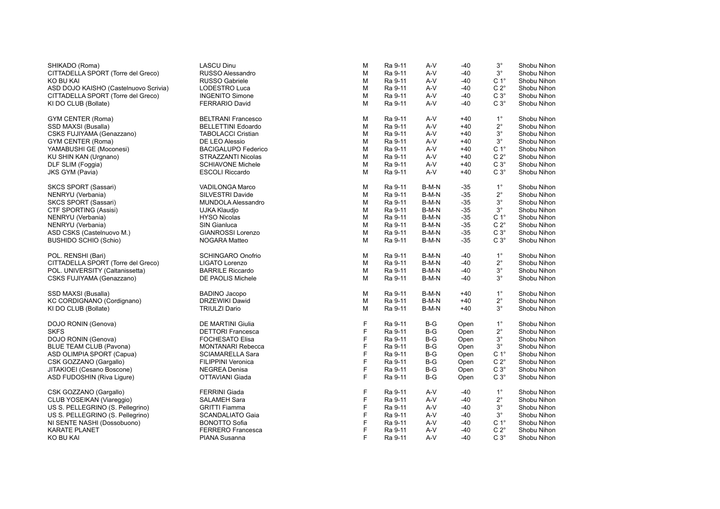| SHIKADO (Roma)                        | <b>LASCU Dinu</b>          | М | Ra 9-11 | A-V   | $-40$ | $3^{\circ}$      | Shobu Nihon |
|---------------------------------------|----------------------------|---|---------|-------|-------|------------------|-------------|
| CITTADELLA SPORT (Torre del Greco)    | RUSSO Alessandro           | М | Ra 9-11 | A-V   | $-40$ | $3^{\circ}$      | Shobu Nihon |
| KO BU KAI                             | <b>RUSSO Gabriele</b>      | м | Ra 9-11 | A-V   | $-40$ | C <sub>1</sub> ° | Shobu Nihon |
| ASD DOJO KAISHO (Castelnuovo Scrivia) | LODESTRO Luca              | M | Ra 9-11 | A-V   | $-40$ | $C 2^{\circ}$    | Shobu Nihon |
| CITTADELLA SPORT (Torre del Greco)    | <b>INGENITO Simone</b>     | М | Ra 9-11 | A-V   | $-40$ | $C3^\circ$       | Shobu Nihon |
| KI DO CLUB (Bollate)                  | <b>FERRARIO David</b>      | М | Ra 9-11 | A-V   | -40   | $C 3^\circ$      | Shobu Nihon |
| GYM CENTER (Roma)                     | <b>BELTRANI Francesco</b>  | М | Ra 9-11 | A-V   | $+40$ | $1^{\circ}$      | Shobu Nihon |
| SSD MAXSI (Busalla)                   | <b>BELLETTINI Edoardo</b>  | М | Ra 9-11 | A-V   | $+40$ | $2^{\circ}$      | Shobu Nihon |
| CSKS FUJIYAMA (Genazzano)             | <b>TABOLACCI Cristian</b>  | м | Ra 9-11 | A-V   | $+40$ | $3^{\circ}$      | Shobu Nihon |
| GYM CENTER (Roma)                     | DE LEO Alessio             | М | Ra 9-11 | A-V   | $+40$ | $3^{\circ}$      | Shobu Nihon |
| YAMABUSHI GE (Moconesi)               | <b>BACIGALUPO Federico</b> | М | Ra 9-11 | A-V   | $+40$ | C <sub>1</sub> ° | Shobu Nihon |
| KU SHIN KAN (Urgnano)                 | STRAZZANTI Nicolas         | М | Ra 9-11 | $A-V$ | $+40$ | $C 2^{\circ}$    | Shobu Nihon |
| DLF SLIM (Foggia)                     | <b>SCHIAVONE Michele</b>   | М | Ra 9-11 | A-V   | $+40$ | $C3^\circ$       | Shobu Nihon |
| JKS GYM (Pavia)                       | <b>ESCOLI Riccardo</b>     | М | Ra 9-11 | A-V   | $+40$ | $C3^\circ$       | Shobu Nihon |
| SKCS SPORT (Sassari)                  | VADILONGA Marco            | М | Ra 9-11 | B-M-N | $-35$ | $1^{\circ}$      | Shobu Nihon |
| NENRYU (Verbania)                     | SILVESTRI Davide           | М | Ra 9-11 | B-M-N | $-35$ | $2^{\circ}$      | Shobu Nihon |
| SKCS SPORT (Sassari)                  | MUNDOLA Alessandro         | м | Ra 9-11 | B-M-N | $-35$ | $3^{\circ}$      | Shobu Nihon |
| CTF SPORTING (Assisi)                 | UJKA Klaudio               | М | Ra 9-11 | B-M-N | $-35$ | $3^{\circ}$      | Shobu Nihon |
| NENRYU (Verbania)                     | <b>HYSO Nicolas</b>        | М | Ra 9-11 | B-M-N | $-35$ | C <sub>1</sub> ° | Shobu Nihon |
| NENRYU (Verbania)                     | SIN Gianluca               | М | Ra 9-11 | B-M-N | $-35$ | $C 2^{\circ}$    | Shobu Nihon |
| ASD CSKS (Castelnuovo M.)             | <b>GIANROSSI Lorenzo</b>   | М | Ra 9-11 | B-M-N | $-35$ | $C3^\circ$       | Shobu Nihon |
| BUSHIDO SCHIO (Schio)                 | NOGARA Matteo              | М | Ra 9-11 | B-M-N | $-35$ | $C 3^\circ$      | Shobu Nihon |
| POL. RENSHI (Bari)                    | <b>SCHINGARO Onofrio</b>   | М | Ra 9-11 | B-M-N | $-40$ | $1^{\circ}$      | Shobu Nihon |
| CITTADELLA SPORT (Torre del Greco)    | LIGATO Lorenzo             | М | Ra 9-11 | B-M-N | $-40$ | $2^{\circ}$      | Shobu Nihon |
| POL. UNIVERSITY (Caltanissetta)       | <b>BARRILE Riccardo</b>    | М | Ra 9-11 | B-M-N | -40   | $3^{\circ}$      | Shobu Nihon |
| CSKS FUJIYAMA (Genazzano)             | DE PAOLIS Michele          | м | Ra 9-11 | B-M-N | $-40$ | $3^{\circ}$      | Shobu Nihon |
| SSD MAXSI (Busalla)                   | <b>BADINO Jacopo</b>       | Μ | Ra 9-11 | B-M-N | $+40$ | $1^{\circ}$      | Shobu Nihon |
| KC CORDIGNANO (Cordignano)            | DRZEWIKI Dawid             | м | Ra 9-11 | B-M-N | $+40$ | $2^{\circ}$      | Shobu Nihon |
| KI DO CLUB (Bollate)                  | <b>TRIULZI Dario</b>       | М | Ra 9-11 | B-M-N | $+40$ | $3^{\circ}$      | Shobu Nihon |
| DOJO RONIN (Genova)                   | DE MARTINI Giulia          | F | Ra 9-11 | $B-G$ | Open  | $1^{\circ}$      | Shobu Nihon |
| SKFS                                  | <b>DETTORI Francesca</b>   | F | Ra 9-11 | B-G   | Open  | $2^{\circ}$      | Shobu Nihon |
| DOJO RONIN (Genova)                   | <b>FOCHESATO Elisa</b>     | F | Ra 9-11 | B-G   | Open  | $3^{\circ}$      | Shobu Nihon |
| BLUE TEAM CLUB (Pavona)               | <b>MONTANARI Rebecca</b>   | F | Ra 9-11 | B-G   | Open  | $3^{\circ}$      | Shobu Nihon |
| ASD OLIMPIA SPORT (Capua)             | <b>SCIAMARELLA Sara</b>    | F | Ra 9-11 | B-G   | Open  | C <sub>1</sub> ° | Shobu Nihon |
| CSK GOZZANO (Gargallo)                | <b>FILIPPINI Veronica</b>  | F | Ra 9-11 | B-G   | Open  | $C 2^{\circ}$    | Shobu Nihon |
| JITAKIOEI (Cesano Boscone)            | <b>NEGREA Denisa</b>       | F | Ra 9-11 | B-G   | Open  | $C 3^\circ$      | Shobu Nihon |
| ASD FUDOSHIN (Riva Ligure)            | OTTAVIANI Giada            | F | Ra 9-11 | B-G   | Open  | $C 3^\circ$      | Shobu Nihon |
| CSK GOZZANO (Gargallo)                | <b>FERRINI Giada</b>       | F | Ra 9-11 | $A-V$ | $-40$ | $1^{\circ}$      | Shobu Nihon |
| CLUB YOSEIKAN (Viareggio)             | <b>SALAMEH Sara</b>        | F | Ra 9-11 | A-V   | $-40$ | $2^{\circ}$      | Shobu Nihon |
| US S. PELLEGRINO (S. Pellegrino)      | <b>GRITTI Fiamma</b>       | F | Ra 9-11 | A-V   | -40   | $3^{\circ}$      | Shobu Nihon |
| US S. PELLEGRINO (S. Pellegrino)      | <b>SCANDALIATO Gaia</b>    | F | Ra 9-11 | A-V   | -40   | $3^{\circ}$      | Shobu Nihon |
| NI SENTE NASHI (Dossobuono)           | <b>BONOTTO Sofia</b>       | F | Ra 9-11 | A-V   | $-40$ | C <sub>1</sub> ° | Shobu Nihon |
| KARATE PLANET                         | <b>FERRERO Francesca</b>   | F | Ra 9-11 | A-V   | $-40$ | $C 2^{\circ}$    | Shobu Nihon |
| KO BU KAI                             | PIANA Susanna              | F | Ra 9-11 | A-V   | -40   | $C 3^\circ$      | Shobu Nihon |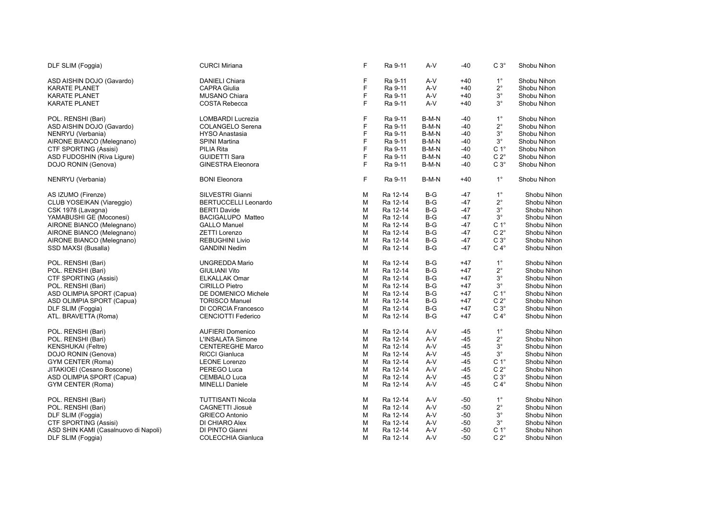| DLF SLIM (Foggia)                    | <b>CURCI Miriana</b>        | E | Ra 9-11  | A-V   | -40   | $C3^\circ$       | Shobu Nihon |
|--------------------------------------|-----------------------------|---|----------|-------|-------|------------------|-------------|
| ASD AISHIN DOJO (Gavardo)            | <b>DANIELI Chiara</b>       | F | Ra 9-11  | A-V   | $+40$ | $1^{\circ}$      | Shobu Nihon |
| <b>KARATE PLANET</b>                 | <b>CAPRA Giulia</b>         | F | Ra 9-11  | A-V   | $+40$ | $2^{\circ}$      | Shobu Nihon |
| <b>KARATE PLANET</b>                 | <b>MUSANO Chiara</b>        | F | Ra 9-11  | A-V   | $+40$ | $3^{\circ}$      | Shobu Nihon |
| <b>KARATE PLANET</b>                 | COSTA Rebecca               | F | Ra 9-11  | $A-V$ | $+40$ | $3^\circ$        | Shobu Nihon |
| POL. RENSHI (Bari)                   | <b>LOMBARDI Lucrezia</b>    | F | Ra 9-11  | B-M-N | -40   | $1^{\circ}$      | Shobu Nihon |
| ASD AISHIN DOJO (Gavardo)            | <b>COLANGELO Serena</b>     | F | Ra 9-11  | B-M-N | $-40$ | $2^{\circ}$      | Shobu Nihon |
| NENRYU (Verbania)                    | <b>HYSO Anastasia</b>       | F | Ra 9-11  | B-M-N | -40   | $3^{\circ}$      | Shobu Nihon |
| AIRONE BIANCO (Melegnano)            | <b>SPINI Martina</b>        | F | Ra 9-11  | B-M-N | $-40$ | $3^{\circ}$      | Shobu Nihon |
| CTF SPORTING (Assisi)                | PILIA Rita                  | F | Ra 9-11  | B-M-N | -40   | C <sub>1</sub> ° | Shobu Nihon |
| ASD FUDOSHIN (Riva Ligure)           | <b>GUIDETTI Sara</b>        | F | Ra 9-11  | B-M-N | -40   | $C 2^{\circ}$    | Shobu Nihon |
| DOJO RONIN (Genova)                  | <b>GINESTRA Eleonora</b>    | F | Ra 9-11  | B-M-N | -40   | $C3^\circ$       | Shobu Nihon |
| NENRYU (Verbania)                    | <b>BONI Eleonora</b>        | F | Ra 9-11  | B-M-N | $+40$ | $1^{\circ}$      | Shobu Nihon |
| AS IZUMO (Firenze)                   | SILVESTRI Gianni            | M | Ra 12-14 | $B-G$ | -47   | $1^{\circ}$      | Shobu Nihon |
| CLUB YOSEIKAN (Viareggio)            | <b>BERTUCCELLI Leonardo</b> | M | Ra 12-14 | $B-G$ | $-47$ | $2^{\circ}$      | Shobu Nihon |
| CSK 1978 (Lavagna)                   | <b>BERTI Davide</b>         | M | Ra 12-14 | $B-G$ | $-47$ | $3^{\circ}$      | Shobu Nihon |
| YAMABUSHI GE (Moconesi)              | BACIGALUPO Matteo           | M | Ra 12-14 | $B-G$ | $-47$ | $3^{\circ}$      | Shobu Nihon |
| AIRONE BIANCO (Melegnano)            | <b>GALLO Manuel</b>         | M | Ra 12-14 | $B-G$ | -47   | C <sub>1</sub> ° | Shobu Nihon |
| AIRONE BIANCO (Melegnano)            | ZETTI Lorenzo               | M | Ra 12-14 | B-G   | $-47$ | $C 2^{\circ}$    | Shobu Nihon |
| AIRONE BIANCO (Melegnano)            | <b>REBUGHINI Livio</b>      | M | Ra 12-14 | B-G   | -47   | $C3^\circ$       | Shobu Nihon |
| SSD MAXSI (Busalla)                  | <b>GANDINI Nedim</b>        | M | Ra 12-14 | $B-G$ | -47   | $C 4^\circ$      | Shobu Nihon |
| POL. RENSHI (Bari)                   | <b>UNGREDDA Mario</b>       | M | Ra 12-14 | $B-G$ | $+47$ | $1^{\circ}$      | Shobu Nihon |
| POL. RENSHI (Bari)                   | <b>GIULIANI Vito</b>        | M | Ra 12-14 | $B-G$ | $+47$ | $2^{\circ}$      | Shobu Nihon |
| CTF SPORTING (Assisi)                | <b>ELKALLAK Omar</b>        | M | Ra 12-14 | $B-G$ | $+47$ | $3^{\circ}$      | Shobu Nihon |
| POL. RENSHI (Bari)                   | CIRILLO Pietro              | M | Ra 12-14 | $B-G$ | $+47$ | $3^{\circ}$      | Shobu Nihon |
| ASD OLIMPIA SPORT (Capua)            | DE DOMENICO Michele         | M | Ra 12-14 | B-G   | +47   | C <sub>1</sub> ° | Shobu Nihon |
| ASD OLIMPIA SPORT (Capua)            | <b>TORISCO Manuel</b>       | M | Ra 12-14 | B-G   | +47   | $C 2^{\circ}$    | Shobu Nihon |
| DLF SLIM (Foggia)                    | DI CORCIA Francesco         | M | Ra 12-14 | B-G   | +47   | $C3^\circ$       | Shobu Nihon |
| ATL. BRAVETTA (Roma)                 | <b>CENCIOTTI Federico</b>   | M | Ra 12-14 | $B-G$ | $+47$ | $C 4^\circ$      | Shobu Nihon |
| POL. RENSHI (Bari)                   | <b>AUFIERI Domenico</b>     | M | Ra 12-14 | $A-V$ | $-45$ | $1^{\circ}$      | Shobu Nihon |
| POL. RENSHI (Bari)                   | L'INSALATA Simone           | M | Ra 12-14 | A-V   | $-45$ | $2^{\circ}$      | Shobu Nihon |
| <b>KENSHUKAI</b> (Feltre)            | <b>CENTEREGHE Marco</b>     | M | Ra 12-14 | A-V   | $-45$ | $3^{\circ}$      | Shobu Nihon |
| DOJO RONIN (Genova)                  | <b>RICCI Gianluca</b>       | M | Ra 12-14 | A-V   | $-45$ | $3^{\circ}$      | Shobu Nihon |
| GYM CENTER (Roma)                    | <b>LEONE Lorenzo</b>        | M | Ra 12-14 | A-V   | $-45$ | $C 1^{\circ}$    | Shobu Nihon |
| JITAKIOEI (Cesano Boscone)           | PEREGO Luca                 | M | Ra 12-14 | A-V   | $-45$ | $C 2^{\circ}$    | Shobu Nihon |
| ASD OLIMPIA SPORT (Capua)            | CEMBALO Luca                | M | Ra 12-14 | A-V   | -45   | $C3^\circ$       | Shobu Nihon |
| <b>GYM CENTER (Roma)</b>             | <b>MINELLI Daniele</b>      | M | Ra 12-14 | A-V   | $-45$ | $C 4^\circ$      | Shobu Nihon |
| POL. RENSHI (Bari)                   | <b>TUTTISANTI Nicola</b>    | M | Ra 12-14 | $A-V$ | -50   | $1^{\circ}$      | Shobu Nihon |
| POL. RENSHI (Bari)                   | CAGNETTI Jiosuè             | M | Ra 12-14 | $A-V$ | $-50$ | $2^{\circ}$      | Shobu Nihon |
| DLF SLIM (Foggia)                    | <b>GRIECO Antonio</b>       | M | Ra 12-14 | A-V   | -50   | $3^{\circ}$      | Shobu Nihon |
| CTF SPORTING (Assisi)                | DI CHIARO Alex              | M | Ra 12-14 | A-V   | -50   | $3^\circ$        | Shobu Nihon |
| ASD SHIN KAMI (Casalnuovo di Napoli) | DI PINTO Gianni             | M | Ra 12-14 | A-V   | -50   | $C 1^\circ$      | Shobu Nihon |
| DLF SLIM (Foggia)                    | <b>COLECCHIA Gianluca</b>   | M | Ra 12-14 | A-V   | -50   | $C 2^{\circ}$    | Shobu Nihon |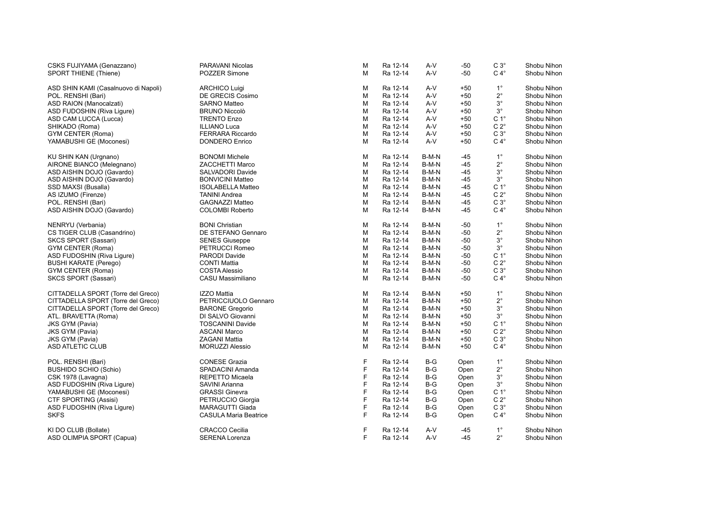| CSKS FUJIYAMA (Genazzano)            | PARAVANI Nicolas             | M  | Ra 12-14 | A-V   | $-50$ | $C3^\circ$       | Shobu Nihon |
|--------------------------------------|------------------------------|----|----------|-------|-------|------------------|-------------|
| <b>SPORT THIENE (Thiene)</b>         | POZZER Simone                | M  | Ra 12-14 | $A-V$ | $-50$ | $C 4^\circ$      | Shobu Nihon |
| ASD SHIN KAMI (Casalnuovo di Napoli) | <b>ARCHICO Luigi</b>         | м  | Ra 12-14 | $A-V$ | $+50$ | $1^{\circ}$      | Shobu Nihon |
| POL. RENSHI (Bari)                   | DE GRECIS Cosimo             | M  | Ra 12-14 | $A-V$ | $+50$ | $2^{\circ}$      | Shobu Nihon |
| ASD RAION (Manocalzati)              | <b>SARNO Matteo</b>          | M  | Ra 12-14 | A-V   | $+50$ | $3^{\circ}$      | Shobu Nihon |
|                                      | <b>BRUNO Niccolò</b>         | м  | Ra 12-14 | $A-V$ | $+50$ | $3^{\circ}$      | Shobu Nihon |
| ASD FUDOSHIN (Riva Ligure)           |                              |    |          |       |       |                  |             |
| ASD CAM LUCCA (Lucca)                | <b>TRENTO Enzo</b>           | M  | Ra 12-14 | $A-V$ | $+50$ | C <sub>1</sub> ° | Shobu Nihon |
| SHIKADO (Roma)                       | <b>ILLIANO Luca</b>          | M  | Ra 12-14 | A-V   | $+50$ | $C 2^{\circ}$    | Shobu Nihon |
| GYM CENTER (Roma)                    | <b>FERRARA Riccardo</b>      | M  | Ra 12-14 | A-V   | +50   | $C 3^\circ$      | Shobu Nihon |
| YAMABUSHI GE (Moconesi)              | <b>DONDERO Enrico</b>        | M  | Ra 12-14 | $A-V$ | $+50$ | $C 4^\circ$      | Shobu Nihon |
| KU SHIN KAN (Urgnano)                | <b>BONOMI Michele</b>        | м  | Ra 12-14 | B-M-N | -45   | $1^{\circ}$      | Shobu Nihon |
| AIRONE BIANCO (Melegnano)            | <b>ZACCHETTI Marco</b>       | м  | Ra 12-14 | B-M-N | $-45$ | $2^{\circ}$      | Shobu Nihon |
| ASD AISHIN DOJO (Gavardo)            | SALVADORI Davide             | м  | Ra 12-14 | B-M-N | -45   | $3^{\circ}$      | Shobu Nihon |
| ASD AISHIN DOJO (Gavardo)            | <b>BONVICINI Matteo</b>      | M  | Ra 12-14 | B-M-N | -45   | 3°               | Shobu Nihon |
| SSD MAXSI (Busalla)                  | <b>ISOLABELLA Matteo</b>     | м  | Ra 12-14 | B-M-N | $-45$ | C <sub>1</sub> ° | Shobu Nihon |
|                                      |                              |    |          |       |       |                  |             |
| AS IZUMO (Firenze)                   | <b>TANINI Andrea</b>         | M  | Ra 12-14 | B-M-N | -45   | $C 2^{\circ}$    | Shobu Nihon |
| POL. RENSHI (Bari)                   | <b>GAGNAZZI Matteo</b>       | M  | Ra 12-14 | B-M-N | -45   | $C3^\circ$       | Shobu Nihon |
| ASD AISHIN DOJO (Gavardo)            | <b>COLOMBI Roberto</b>       | M  | Ra 12-14 | B-M-N | -45   | $C 4^\circ$      | Shobu Nihon |
| NENRYU (Verbania)                    | <b>BONI Christian</b>        | м  | Ra 12-14 | B-M-N | -50   | $1^{\circ}$      | Shobu Nihon |
| CS TIGER CLUB (Casandrino)           | DE STEFANO Gennaro           | M  | Ra 12-14 | B-M-N | -50   | $2^{\circ}$      | Shobu Nihon |
| SKCS SPORT (Sassari)                 | <b>SENES Giuseppe</b>        | м  | Ra 12-14 | B-M-N | -50   | 3°               | Shobu Nihon |
| GYM CENTER (Roma)                    | PETRUCCI Romeo               | м  | Ra 12-14 | B-M-N | -50   | $3^{\circ}$      | Shobu Nihon |
| ASD FUDOSHIN (Riva Ligure)           | PARODI Davide                | M  | Ra 12-14 | B-M-N | -50   | C <sub>1</sub> ° | Shobu Nihon |
| BUSHI KARATE (Perego)                | <b>CONTI Mattia</b>          | м  | Ra 12-14 | B-M-N | -50   | $C 2^{\circ}$    | Shobu Nihon |
| GYM CENTER (Roma)                    | <b>COSTA Alessio</b>         | M  | Ra 12-14 | B-M-N | -50   | $C 3^\circ$      | Shobu Nihon |
| SKCS SPORT (Sassari)                 | CASU Massimiliano            | м  | Ra 12-14 | B-M-N | -50   | $C 4^\circ$      | Shobu Nihon |
|                                      |                              |    |          |       |       |                  |             |
| CITTADELLA SPORT (Torre del Greco)   | <b>IZZO Mattia</b>           | M  | Ra 12-14 | B-M-N | $+50$ | $1^{\circ}$      | Shobu Nihon |
| CITTADELLA SPORT (Torre del Greco)   | PETRICCIUOLO Gennaro         | M  | Ra 12-14 | B-M-N | $+50$ | $2^{\circ}$      | Shobu Nihon |
| CITTADELLA SPORT (Torre del Greco)   | <b>BARONE Gregorio</b>       | M  | Ra 12-14 | B-M-N | $+50$ | $3^{\circ}$      | Shobu Nihon |
| ATL. BRAVETTA (Roma)                 | DI SALVO Giovanni            | м  | Ra 12-14 | B-M-N | $+50$ | $3^{\circ}$      | Shobu Nihon |
| JKS GYM (Pavia)                      | <b>TOSCANINI Davide</b>      | м  | Ra 12-14 | B-M-N | $+50$ | $C 1^{\circ}$    | Shobu Nihon |
| JKS GYM (Pavia)                      | <b>ASCANI Marco</b>          | M  | Ra 12-14 | B-M-N | +50   | $C 2^{\circ}$    | Shobu Nihon |
| JKS GYM (Pavia)                      | <b>ZAGANI Mattia</b>         | м  | Ra 12-14 | B-M-N | $+50$ | $C3^\circ$       | Shobu Nihon |
| ASD ATLETIC CLUB                     | <b>MORUZZI Alessio</b>       | м  | Ra 12-14 | B-M-N | $+50$ | $C 4^\circ$      | Shobu Nihon |
|                                      |                              |    |          |       |       |                  |             |
| POL. RENSHI (Bari)                   | <b>CONESE Grazia</b>         | F  | Ra 12-14 | B-G   | Open  | $1^{\circ}$      | Shobu Nihon |
| BUSHIDO SCHIO (Schio)                | SPADACINI Amanda             | F  | Ra 12-14 | $B-G$ | Open  | $2^{\circ}$      | Shobu Nihon |
| CSK 1978 (Lavagna)                   | REPETTO Micaela              | F  | Ra 12-14 | $B-G$ | Open  | $3^{\circ}$      | Shobu Nihon |
| ASD FUDOSHIN (Riva Ligure)           | SAVINI Arianna               | F  | Ra 12-14 | $B-G$ | Open  | $3^{\circ}$      | Shobu Nihon |
| YAMABUSHI GE (Moconesi)              | <b>GRASSI Ginevra</b>        | F  | Ra 12-14 | B-G   | Open  | $C 1^{\circ}$    | Shobu Nihon |
| CTF SPORTING (Assisi)                | PETRUCCIO Giorgia            | F  | Ra 12-14 | $B-G$ | Open  | $C 2^\circ$      | Shobu Nihon |
| ASD FUDOSHIN (Riva Ligure)           | <b>MARAGUTTI Giada</b>       | F  | Ra 12-14 | $B-G$ | Open  | $C3^\circ$       | Shobu Nihon |
| SKFS                                 | <b>CASULA Maria Beatrice</b> | F  | Ra 12-14 | $B-G$ | Open  | $C 4^\circ$      | Shobu Nihon |
| KI DO CLUB (Bollate)                 | <b>CRACCO Cecilia</b>        | F  | Ra 12-14 | A-V   | -45   | $1^{\circ}$      | Shobu Nihon |
| ASD OLIMPIA SPORT (Capua)            | <b>SERENA Lorenza</b>        | F. | Ra 12-14 | A-V   | $-45$ | $2^{\circ}$      | Shobu Nihon |
|                                      |                              |    |          |       |       |                  |             |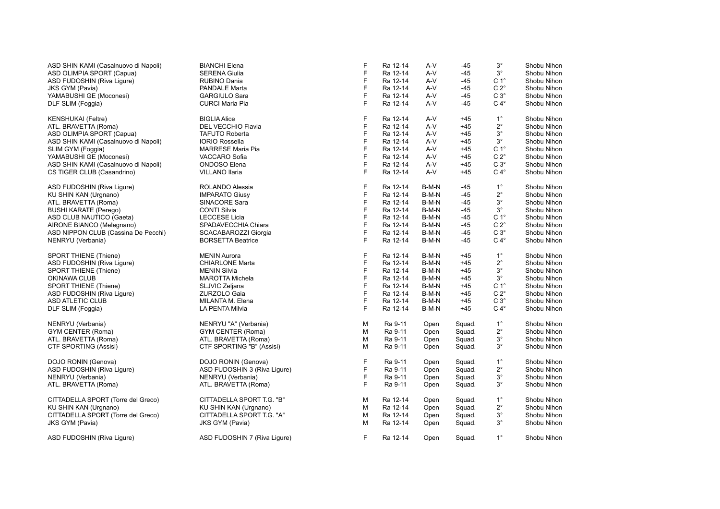| ASD SHIN KAMI (Casalnuovo di Napoli) | <b>BIANCHI Elena</b>         | F      | Ra 12-14 | $A-V$ | $-45$  | $3^{\circ}$      | Shobu Nihon |
|--------------------------------------|------------------------------|--------|----------|-------|--------|------------------|-------------|
| ASD OLIMPIA SPORT (Capua)            | <b>SERENA Giulia</b>         | F      | Ra 12-14 | $A-V$ | $-45$  | $3^{\circ}$      | Shobu Nihon |
| ASD FUDOSHIN (Riva Ligure)           | RUBINO Dania                 | F      | Ra 12-14 | A-V   | $-45$  | C <sub>1</sub> ° | Shobu Nihon |
| <b>JKS GYM (Pavia)</b>               | PANDALE Marta                | F      | Ra 12-14 | A-V   | $-45$  | $C 2^{\circ}$    | Shobu Nihon |
| YAMABUSHI GE (Moconesi)              | <b>GARGIULO Sara</b>         | F      | Ra 12-14 | A-V   | $-45$  | $C3^\circ$       | Shobu Nihon |
| DLF SLIM (Foggia)                    | <b>CURCI Maria Pia</b>       | F      | Ra 12-14 | $A-V$ | -45    | $C 4^\circ$      | Shobu Nihon |
| <b>KENSHUKAI</b> (Feltre)            | <b>BIGLIA Alice</b>          | F<br>F | Ra 12-14 | A-V   | $+45$  | $1^{\circ}$      | Shobu Nihon |
| ATL. BRAVETTA (Roma)                 | DEL VECCHIO Flavia           |        | Ra 12-14 | A-V   | $+45$  | $2^{\circ}$      | Shobu Nihon |
| ASD OLIMPIA SPORT (Capua)            | <b>TAFUTO Roberta</b>        | F      | Ra 12-14 | A-V   | $+45$  | $3^{\circ}$      | Shobu Nihon |
| ASD SHIN KAMI (Casalnuovo di Napoli) | <b>IORIO Rossella</b>        | F      | Ra 12-14 | A-V   | $+45$  | $3^{\circ}$      | Shobu Nihon |
| SLIM GYM (Foggia)                    | <b>MARRESE Maria Pia</b>     | F      | Ra 12-14 | A-V   | $+45$  | C <sub>1</sub> ° | Shobu Nihon |
| YAMABUSHI GE (Moconesi)              | VACCARO Sofia                | F      | Ra 12-14 | A-V   | $+45$  | $C 2^{\circ}$    | Shobu Nihon |
| ASD SHIN KAMI (Casalnuovo di Napoli) | <b>ONDOSO</b> Elena          | F      | Ra 12-14 | A-V   | $+45$  | $C3^\circ$       | Shobu Nihon |
| CS TIGER CLUB (Casandrino)           | VILLANO Ilaria               | F      | Ra 12-14 | A-V   | $+45$  | $C 4^\circ$      | Shobu Nihon |
| ASD FUDOSHIN (Riva Liqure)           | ROLANDO Alessia              | F      | Ra 12-14 | B-M-N | $-45$  | $1^{\circ}$      | Shobu Nihon |
| KU SHIN KAN (Urgnano)                | <b>IMPARATO Giusy</b>        | F      | Ra 12-14 | B-M-N | $-45$  | $2^{\circ}$      | Shobu Nihon |
| ATL. BRAVETTA (Roma)                 | SINACORE Sara                | F      | Ra 12-14 | B-M-N | $-45$  | $3^{\circ}$      | Shobu Nihon |
| <b>BUSHI KARATE (Perego)</b>         | <b>CONTI Silvia</b>          | F      | Ra 12-14 | B-M-N | $-45$  | $3^{\circ}$      | Shobu Nihon |
| ASD CLUB NAUTICO (Gaeta)             | <b>LECCESE Licia</b>         | F      | Ra 12-14 | B-M-N | $-45$  | C <sub>1</sub> ° | Shobu Nihon |
| AIRONE BIANCO (Melegnano)            | SPADAVECCHIA Chiara          | F      | Ra 12-14 | B-M-N | $-45$  | $C 2^{\circ}$    | Shobu Nihon |
| ASD NIPPON CLUB (Cassina De Pecchi)  | SCACABAROZZI Giorgia         | F      | Ra 12-14 | B-M-N | $-45$  | $C3^\circ$       | Shobu Nihon |
| NENRYU (Verbania)                    | <b>BORSETTA Beatrice</b>     | F      | Ra 12-14 | B-M-N | $-45$  | $C 4^\circ$      | Shobu Nihon |
| SPORT THIENE (Thiene)                | <b>MENIN Aurora</b>          | F      | Ra 12-14 | B-M-N | $+45$  | $1^{\circ}$      | Shobu Nihon |
| ASD FUDOSHIN (Riva Ligure)           | <b>CHIARLONE Marta</b>       | F      | Ra 12-14 | B-M-N | $+45$  | $2^{\circ}$      | Shobu Nihon |
| <b>SPORT THIENE (Thiene)</b>         | <b>MENIN Silvia</b>          | F      | Ra 12-14 | B-M-N | $+45$  | $3^{\circ}$      | Shobu Nihon |
| OKINAWA CLUB                         | <b>MAROTTA Michela</b>       | F      | Ra 12-14 | B-M-N | $+45$  | $3^{\circ}$      | Shobu Nihon |
| SPORT THIENE (Thiene)                | SLJVIC Zeljana               | F      | Ra 12-14 | B-M-N | $+45$  | C <sub>1</sub> ° | Shobu Nihon |
| ASD FUDOSHIN (Riva Ligure)           | <b>ZURZOLO Gaia</b>          | F      | Ra 12-14 | B-M-N | $+45$  | $C 2^{\circ}$    | Shobu Nihon |
| ASD ATLETIC CLUB                     | MILANTA M. Elena             | F      | Ra 12-14 | B-M-N | $+45$  | $C3^\circ$       | Shobu Nihon |
| DLF SLIM (Foggia)                    | LA PENTA Milvia              | F      | Ra 12-14 | B-M-N | $+45$  | $C 4^\circ$      | Shobu Nihon |
| NENRYU (Verbania)                    | NENRYU "A" (Verbania)        | M      | Ra 9-11  | Open  | Squad. | $1^{\circ}$      | Shobu Nihon |
| GYM CENTER (Roma)                    | GYM CENTER (Roma)            | M      | Ra 9-11  | Open  | Squad. | $2^{\circ}$      | Shobu Nihon |
| ATL. BRAVETTA (Roma)                 | ATL. BRAVETTA (Roma)         | M      | Ra 9-11  | Open  | Squad. | $3^\circ$        | Shobu Nihon |
| CTF SPORTING (Assisi)                | CTF SPORTING "B" (Assisi)    | M      | Ra 9-11  | Open  | Squad. | $3^\circ$        | Shobu Nihon |
| DOJO RONIN (Genova)                  | DOJO RONIN (Genova)          | F      | Ra 9-11  | Open  | Squad. | $1^{\circ}$      | Shobu Nihon |
| ASD FUDOSHIN (Riva Ligure)           | ASD FUDOSHIN 3 (Riva Ligure) | F      | Ra 9-11  | Open  | Squad. | $2^{\circ}$      | Shobu Nihon |
| NENRYU (Verbania)                    | NENRYU (Verbania)            | F      | Ra 9-11  | Open  | Squad. | $3^{\circ}$      | Shobu Nihon |
| ATL. BRAVETTA (Roma)                 | ATL. BRAVETTA (Roma)         | F      | Ra 9-11  | Open  | Squad. | $3^{\circ}$      | Shobu Nihon |
| CITTADELLA SPORT (Torre del Greco)   | CITTADELLA SPORT T.G. "B"    | M      | Ra 12-14 | Open  | Squad. | $1^{\circ}$      | Shobu Nihon |
| KU SHIN KAN (Urgnano)                | KU SHIN KAN (Urgnano)        | M      | Ra 12-14 | Open  | Squad. | $2^{\circ}$      | Shobu Nihon |
| CITTADELLA SPORT (Torre del Greco)   | CITTADELLA SPORT T.G. "A"    | M      | Ra 12-14 | Open  | Squad. | $3^{\circ}$      | Shobu Nihon |
| JKS GYM (Pavia)                      | <b>JKS GYM (Pavia)</b>       | M      | Ra 12-14 | Open  | Squad. | $3^\circ$        | Shobu Nihon |
| ASD FUDOSHIN (Riva Ligure)           | ASD FUDOSHIN 7 (Riva Ligure) | F      | Ra 12-14 | Open  | Squad. | $1^{\circ}$      | Shobu Nihon |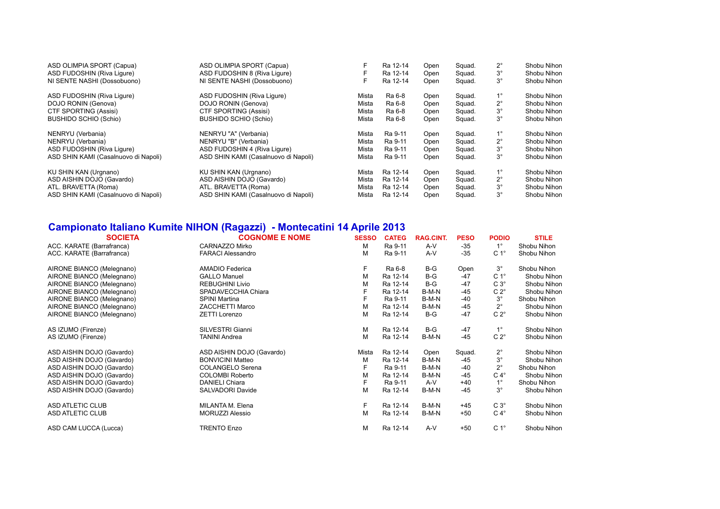| ASD OLIMPIA SPORT (Capua)            | ASD OLIMPIA SPORT (Capua)            |       | Ra 12-14 | Open | Squad. | $2^{\circ}$ | Shobu Nihon |
|--------------------------------------|--------------------------------------|-------|----------|------|--------|-------------|-------------|
| ASD FUDOSHIN (Riva Liqure)           | ASD FUDOSHIN 8 (Riva Ligure)         |       | Ra 12-14 | Open | Squad. | $3^{\circ}$ | Shobu Nihon |
| NI SENTE NASHI (Dossobuono)          | NI SENTE NASHI (Dossobuono)          |       | Ra 12-14 | Open | Squad. | $3^{\circ}$ | Shobu Nihon |
| ASD FUDOSHIN (Riva Liqure)           | ASD FUDOSHIN (Riva Ligure)           | Mista | Ra 6-8   | Open | Squad. | $1^{\circ}$ | Shobu Nihon |
| DOJO RONIN (Genova)                  | DOJO RONIN (Genova)                  | Mista | Ra 6-8   | Open | Squad. | $2^{\circ}$ | Shobu Nihon |
| CTF SPORTING (Assisi)                | CTF SPORTING (Assisi)                | Mista | Ra 6-8   | Open | Squad. | $3^{\circ}$ | Shobu Nihon |
| <b>BUSHIDO SCHIO (Schio)</b>         | <b>BUSHIDO SCHIO (Schio)</b>         | Mista | Ra 6-8   | Open | Squad. | $3^{\circ}$ | Shobu Nihon |
| NENRYU (Verbania)                    | NENRYU "A" (Verbania)                | Mista | Ra 9-11  | Open | Squad. | $1^{\circ}$ | Shobu Nihon |
| NENRYU (Verbania)                    | NENRYU "B" (Verbania)                | Mista | Ra 9-11  | Open | Squad. | $2^{\circ}$ | Shobu Nihon |
| ASD FUDOSHIN (Riva Liqure)           | ASD FUDOSHIN 4 (Riva Liqure)         | Mista | Ra 9-11  | Open | Squad. | $3^{\circ}$ | Shobu Nihon |
| ASD SHIN KAMI (Casalnuovo di Napoli) | ASD SHIN KAMI (Casalnuovo di Napoli) | Mista | Ra 9-11  | Open | Squad. | $3^{\circ}$ | Shobu Nihon |
| KU SHIN KAN (Urgnano)                | KU SHIN KAN (Urgnano)                | Mista | Ra 12-14 | Open | Squad. | $1^{\circ}$ | Shobu Nihon |
| ASD AISHIN DOJO (Gavardo)            | ASD AISHIN DOJO (Gavardo)            | Mista | Ra 12-14 | Open | Squad. | $2^{\circ}$ | Shobu Nihon |
| ATL. BRAVETTA (Roma)                 | ATL. BRAVETTA (Roma)                 | Mista | Ra 12-14 | Open | Squad. | $3^\circ$   | Shobu Nihon |
| ASD SHIN KAMI (Casalnuovo di Napoli) | ASD SHIN KAMI (Casalnuovo di Napoli) | Mista | Ra 12-14 | Open | Squad. | $3^{\circ}$ | Shobu Nihon |

## **Campionato Italiano Kumite NIHON (Ragazzi) - Montecatini 14 Aprile 2013**

| <b>SOCIETA</b>            | <b>COGNOME E NOME</b>     | <b>SESSO</b> | <b>CATEG</b> | <b>RAG.CINT.</b> | <b>PESO</b> | <b>PODIO</b>     | <b>STILE</b> |
|---------------------------|---------------------------|--------------|--------------|------------------|-------------|------------------|--------------|
| ACC. KARATE (Barrafranca) | CARNAZZO Mirko            | M            | Ra 9-11      | $A-V$            | $-35$       | $1^{\circ}$      | Shobu Nihon  |
| ACC. KARATE (Barrafranca) | <b>FARACI Alessandro</b>  | M            | Ra 9-11      | A-V              | $-35$       | C <sub>1</sub> ° | Shobu Nihon  |
| AIRONE BIANCO (Melegnano) | AMADIO Federica           | F            | Ra 6-8       | $B-G$            | Open        | $3^{\circ}$      | Shobu Nihon  |
| AIRONE BIANCO (Melegnano) | <b>GALLO Manuel</b>       | M            | Ra 12-14     | $B-G$            | $-47$       | C <sub>1</sub> ° | Shobu Nihon  |
| AIRONE BIANCO (Melegnano) | REBUGHINI Livio           | M            | Ra 12-14     | $B-G$            | $-47$       | $C3^\circ$       | Shobu Nihon  |
| AIRONE BIANCO (Melegnano) | SPADAVECCHIA Chiara       |              | Ra 12-14     | B-M-N            | $-45$       | $C 2^{\circ}$    | Shobu Nihon  |
| AIRONE BIANCO (Melegnano) | <b>SPINI Martina</b>      | F            | Ra 9-11      | B-M-N            | -40         | $3^{\circ}$      | Shobu Nihon  |
| AIRONE BIANCO (Melegnano) | <b>ZACCHETTI Marco</b>    | M            | Ra 12-14     | B-M-N            | -45         | $2^{\circ}$      | Shobu Nihon  |
| AIRONE BIANCO (Melegnano) | <b>ZETTI Lorenzo</b>      | M            | Ra 12-14     | $B-G$            | $-47$       | $C 2^{\circ}$    | Shobu Nihon  |
| AS IZUMO (Firenze)        | SILVESTRI Gianni          | M            | Ra 12-14     | $B-G$            | $-47$       | $1^{\circ}$      | Shobu Nihon  |
| AS IZUMO (Firenze)        | <b>TANINI Andrea</b>      | M            | Ra 12-14     | B-M-N            | $-45$       | $C 2^{\circ}$    | Shobu Nihon  |
| ASD AISHIN DOJO (Gavardo) | ASD AISHIN DOJO (Gavardo) | Mista        | Ra 12-14     | Open             | Squad.      | $2^{\circ}$      | Shobu Nihon  |
| ASD AISHIN DOJO (Gavardo) | <b>BONVICINI Matteo</b>   | M            | Ra 12-14     | B-M-N            | -45         | $3^\circ$        | Shobu Nihon  |
| ASD AISHIN DOJO (Gavardo) | <b>COLANGELO Serena</b>   | F            | Ra 9-11      | B-M-N            | -40         | $2^{\circ}$      | Shobu Nihon  |
| ASD AISHIN DOJO (Gavardo) | <b>COLOMBI Roberto</b>    | M            | Ra 12-14     | B-M-N            | $-45$       | $C 4^\circ$      | Shobu Nihon  |
| ASD AISHIN DOJO (Gavardo) | <b>DANIELI Chiara</b>     | F            | Ra 9-11      | A-V              | $+40$       | $1^{\circ}$      | Shobu Nihon  |
| ASD AISHIN DOJO (Gavardo) | SALVADORI Davide          | M            | Ra 12-14     | B-M-N            | $-45$       | $3^\circ$        | Shobu Nihon  |
| <b>ASD ATLETIC CLUB</b>   | MILANTA M. Elena          | F            | Ra 12-14     | B-M-N            | $+45$       | $C3^\circ$       | Shobu Nihon  |
| <b>ASD ATLETIC CLUB</b>   | <b>MORUZZI Alessio</b>    | M            | Ra 12-14     | B-M-N            | $+50$       | $C 4^\circ$      | Shobu Nihon  |
| ASD CAM LUCCA (Lucca)     | <b>TRENTO Enzo</b>        | M            | Ra 12-14     | $A-V$            | $+50$       | C <sub>1</sub> ° | Shobu Nihon  |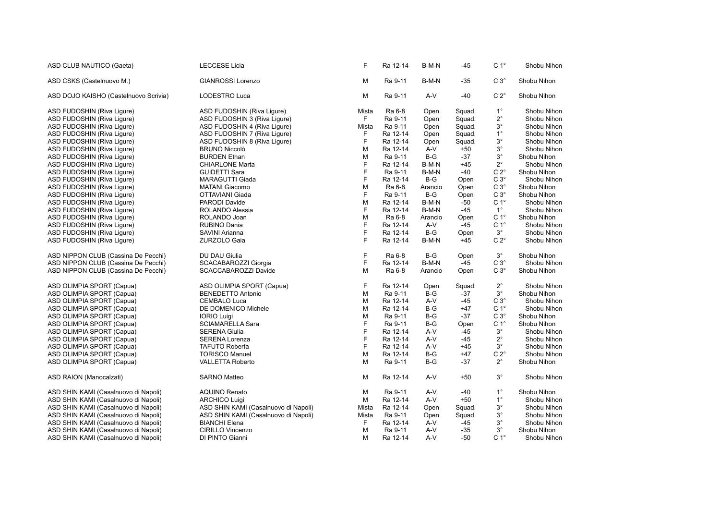| ASD CLUB NAUTICO (Gaeta)              | <b>LECCESE Licia</b>                 | F     | Ra 12-14 | B-M-N   | $-45$  | C <sub>1</sub> ° | Shobu Nihon |
|---------------------------------------|--------------------------------------|-------|----------|---------|--------|------------------|-------------|
| ASD CSKS (Castelnuovo M.)             | <b>GIANROSSI Lorenzo</b>             | M     | Ra 9-11  | B-M-N   | -35    | $C3^\circ$       | Shobu Nihon |
| ASD DOJO KAISHO (Castelnuovo Scrivia) | LODESTRO Luca                        | M     | Ra 9-11  | A-V     | $-40$  | $C 2^{\circ}$    | Shobu Nihon |
| ASD FUDOSHIN (Riva Ligure)            | ASD FUDOSHIN (Riva Ligure)           | Mista | Ra 6-8   | Open    | Squad. | $1^{\circ}$      | Shobu Nihon |
| ASD FUDOSHIN (Riva Ligure)            | ASD FUDOSHIN 3 (Riva Ligure)         | F.    | Ra 9-11  | Open    | Squad. | $2^{\circ}$      | Shobu Nihon |
| ASD FUDOSHIN (Riva Ligure)            | ASD FUDOSHIN 4 (Riva Ligure)         | Mista | Ra 9-11  | Open    | Squad. | $3^{\circ}$      | Shobu Nihon |
| ASD FUDOSHIN (Riva Ligure)            | ASD FUDOSHIN 7 (Riva Ligure)         | F     | Ra 12-14 | Open    | Squad. | $1^{\circ}$      | Shobu Nihon |
| ASD FUDOSHIN (Riva Ligure)            | ASD FUDOSHIN 8 (Riva Ligure)         | F     | Ra 12-14 | Open    | Squad. | $3^{\circ}$      | Shobu Nihon |
| ASD FUDOSHIN (Riva Ligure)            | <b>BRUNO Niccolò</b>                 | M     | Ra 12-14 | A-V     | $+50$  | $3^{\circ}$      | Shobu Nihon |
| ASD FUDOSHIN (Riva Liqure)            | <b>BURDEN Ethan</b>                  | M     | Ra 9-11  | $B-G$   | -37    | $3^{\circ}$      | Shobu Nihon |
| ASD FUDOSHIN (Riva Liqure)            | <b>CHIARLONE Marta</b>               | F     | Ra 12-14 | B-M-N   | $+45$  | $2^{\circ}$      | Shobu Nihon |
| ASD FUDOSHIN (Riva Ligure)            | <b>GUIDETTI Sara</b>                 | F     | Ra 9-11  | B-M-N   | -40    | $C 2^{\circ}$    | Shobu Nihon |
| ASD FUDOSHIN (Riva Ligure)            | <b>MARAGUTTI Giada</b>               | F     | Ra 12-14 | $B-G$   | Open   | $C3^\circ$       | Shobu Nihon |
| ASD FUDOSHIN (Riva Liqure)            | <b>MATANI Giacomo</b>                | M     | Ra 6-8   | Arancio | Open   | C $3^\circ$      | Shobu Nihon |
| ASD FUDOSHIN (Riva Ligure)            | OTTAVIANI Giada                      | F     | Ra 9-11  | $B-G$   | Open   | $C3^\circ$       | Shobu Nihon |
| ASD FUDOSHIN (Riva Ligure)            | PARODI Davide                        | M     | Ra 12-14 | B-M-N   | -50    | C <sub>1</sub> ° | Shobu Nihon |
| ASD FUDOSHIN (Riva Ligure)            | ROLANDO Alessia                      | F     | Ra 12-14 | B-M-N   | -45    | $1^{\circ}$      | Shobu Nihon |
| ASD FUDOSHIN (Riva Ligure)            | ROLANDO Joan                         | M     | Ra 6-8   | Arancio | Open   | C <sub>1</sub> ° | Shobu Nihon |
| ASD FUDOSHIN (Riva Ligure)            | <b>RUBINO Dania</b>                  | F     | Ra 12-14 | A-V     | -45    | C <sub>1</sub> ° | Shobu Nihon |
| ASD FUDOSHIN (Riva Ligure)            | SAVINI Arianna                       | F     | Ra 12-14 | $B-G$   | Open   | $3^\circ$        | Shobu Nihon |
| ASD FUDOSHIN (Riva Ligure)            | ZURZOLO Gaia                         | F     | Ra 12-14 | B-M-N   | $+45$  | $C 2^{\circ}$    | Shobu Nihon |
| ASD NIPPON CLUB (Cassina De Pecchi)   | DU DAU Giulia                        | F     | Ra 6-8   | $B-G$   | Open   | $3^{\circ}$      | Shobu Nihon |
| ASD NIPPON CLUB (Cassina De Pecchi)   | SCACABAROZZI Giorgia                 | F     | Ra 12-14 | B-M-N   | $-45$  | $C3^\circ$       | Shobu Nihon |
| ASD NIPPON CLUB (Cassina De Pecchi)   | SCACCABAROZZI Davide                 | M     | Ra 6-8   | Arancio | Open   | $C3^\circ$       | Shobu Nihon |
| ASD OLIMPIA SPORT (Capua)             | ASD OLIMPIA SPORT (Capua)            | F     | Ra 12-14 | Open    | Squad. | $2^{\circ}$      | Shobu Nihon |
| ASD OLIMPIA SPORT (Capua)             | <b>BENEDETTO Antonio</b>             | M     | Ra 9-11  | $B-G$   | -37    | $3^{\circ}$      | Shobu Nihon |
| ASD OLIMPIA SPORT (Capua)             | <b>CEMBALO Luca</b>                  | M     | Ra 12-14 | $A-V$   | $-45$  | $C3^\circ$       | Shobu Nihon |
| ASD OLIMPIA SPORT (Capua)             | DE DOMENICO Michele                  | M     | Ra 12-14 | B-G     | +47    | C <sub>1</sub> ° | Shobu Nihon |
| ASD OLIMPIA SPORT (Capua)             | <b>IORIO Luigi</b>                   | M     | Ra 9-11  | $B-G$   | $-37$  | $C3^\circ$       | Shobu Nihon |
| ASD OLIMPIA SPORT (Capua)             | <b>SCIAMARELLA Sara</b>              | F     | Ra 9-11  | B-G     | Open   | C <sub>1</sub> ° | Shobu Nihon |
| ASD OLIMPIA SPORT (Capua)             | <b>SERENA Giulia</b>                 | F     | Ra 12-14 | A-V     | -45    | $3^\circ$        | Shobu Nihon |
| ASD OLIMPIA SPORT (Capua)             | <b>SERENA Lorenza</b>                | F     | Ra 12-14 | A-V     | -45    | $2^{\circ}$      | Shobu Nihon |
| ASD OLIMPIA SPORT (Capua)             | <b>TAFUTO Roberta</b>                | F     | Ra 12-14 | A-V     | $+45$  | $3^{\circ}$      | Shobu Nihon |
| ASD OLIMPIA SPORT (Capua)             | <b>TORISCO Manuel</b>                | M     | Ra 12-14 | $B-G$   | $+47$  | $C 2^{\circ}$    | Shobu Nihon |
| ASD OLIMPIA SPORT (Capua)             | <b>VALLETTA Roberto</b>              | M     | Ra 9-11  | $B-G$   | $-37$  | $2^{\circ}$      | Shobu Nihon |
| ASD RAION (Manocalzati)               | <b>SARNO Matteo</b>                  | M     | Ra 12-14 | A-V     | $+50$  | $3^{\circ}$      | Shobu Nihon |
| ASD SHIN KAMI (Casalnuovo di Napoli)  | <b>AQUINO Renato</b>                 | M     | Ra 9-11  | $A-V$   | $-40$  | $1^{\circ}$      | Shobu Nihon |
| ASD SHIN KAMI (Casalnuovo di Napoli)  | <b>ARCHICO Luigi</b>                 | M     | Ra 12-14 | A-V     | $+50$  | $1^{\circ}$      | Shobu Nihon |
| ASD SHIN KAMI (Casalnuovo di Napoli)  | ASD SHIN KAMI (Casalnuovo di Napoli) | Mista | Ra 12-14 | Open    | Squad. | $3^{\circ}$      | Shobu Nihon |
| ASD SHIN KAMI (Casalnuovo di Napoli)  | ASD SHIN KAMI (Casalnuovo di Napoli) | Mista | Ra 9-11  | Open    | Squad. | $3^\circ$        | Shobu Nihon |
| ASD SHIN KAMI (Casalnuovo di Napoli)  | <b>BIANCHI Elena</b>                 | F     | Ra 12-14 | A-V     | -45    | $3^{\circ}$      | Shobu Nihon |
| ASD SHIN KAMI (Casalnuovo di Napoli)  | CIRILLO Vincenzo                     | M     | Ra 9-11  | A-V     | -35    | $3^{\circ}$      | Shobu Nihon |
| ASD SHIN KAMI (Casalnuovo di Napoli)  | DI PINTO Gianni                      | M     | Ra 12-14 | A-V     | -50    | C <sub>1</sub> ° | Shobu Nihon |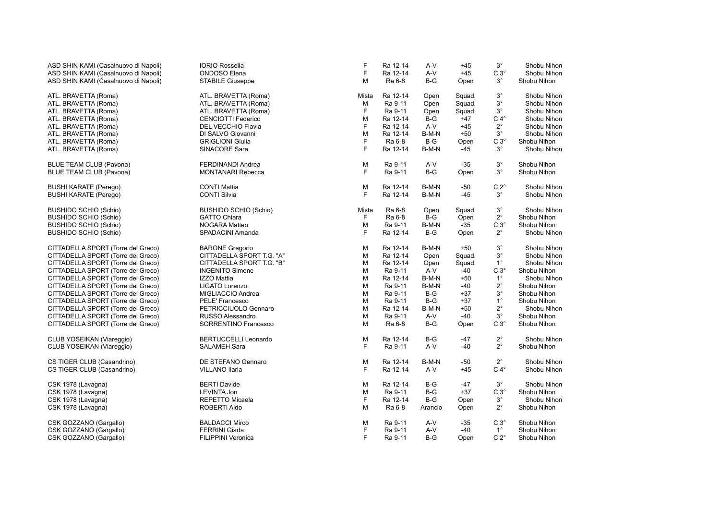| ASD SHIN KAMI (Casalnuovo di Napoli) | <b>IORIO Rossella</b>        | F            | Ra 12-14 | A-V     | $+45$  | $3^{\circ}$   | Shobu Nihon |
|--------------------------------------|------------------------------|--------------|----------|---------|--------|---------------|-------------|
| ASD SHIN KAMI (Casalnuovo di Napoli) | <b>ONDOSO</b> Elena          | F            | Ra 12-14 | $A-V$   | $+45$  | $C3^\circ$    | Shobu Nihon |
| ASD SHIN KAMI (Casalnuovo di Napoli) | STABILE Giuseppe             | M            | Ra 6-8   | $B-G$   | Open   | $3^{\circ}$   | Shobu Nihon |
| ATL. BRAVETTA (Roma)                 | ATL. BRAVETTA (Roma)         | Mista        | Ra 12-14 | Open    | Squad. | $3^\circ$     | Shobu Nihon |
| ATL. BRAVETTA (Roma)                 | ATL. BRAVETTA (Roma)         | M            | Ra 9-11  | Open    | Squad. | $3^{\circ}$   | Shobu Nihon |
| ATL. BRAVETTA (Roma)                 | ATL. BRAVETTA (Roma)         | $\mathsf{F}$ | Ra 9-11  | Open    | Squad. | $3^{\circ}$   | Shobu Nihon |
| ATL. BRAVETTA (Roma)                 | <b>CENCIOTTI Federico</b>    | M            | Ra 12-14 | $B-G$   | $+47$  | $C 4^\circ$   | Shobu Nihon |
| ATL. BRAVETTA (Roma)                 | <b>DEL VECCHIO Flavia</b>    | F            | Ra 12-14 | $A-V$   | $+45$  | $2^{\circ}$   | Shobu Nihon |
| ATL. BRAVETTA (Roma)                 | DI SALVO Giovanni            | M            | Ra 12-14 | B-M-N   | $+50$  | $3^{\circ}$   | Shobu Nihon |
| ATL. BRAVETTA (Roma)                 | <b>GRIGLIONI Giulia</b>      | F            | Ra 6-8   | $B-G$   | Open   | $C3^\circ$    | Shobu Nihon |
| ATL. BRAVETTA (Roma)                 | SINACORE Sara                | F            | Ra 12-14 | B-M-N   | $-45$  | $3^{\circ}$   | Shobu Nihon |
| <b>BLUE TEAM CLUB (Pavona)</b>       | <b>FERDINANDI Andrea</b>     | M            | Ra 9-11  | A-V     | $-35$  | $3^{\circ}$   | Shobu Nihon |
| <b>BLUE TEAM CLUB (Pavona)</b>       | <b>MONTANARI Rebecca</b>     | E            | Ra 9-11  | $B-G$   | Open   | $3^{\circ}$   | Shobu Nihon |
| <b>BUSHI KARATE (Perego)</b>         | <b>CONTI Mattia</b>          | M            | Ra 12-14 | B-M-N   | $-50$  | $C 2^{\circ}$ | Shobu Nihon |
| <b>BUSHI KARATE (Perego)</b>         | <b>CONTI Silvia</b>          | E            | Ra 12-14 | B-M-N   | $-45$  | $3^{\circ}$   | Shobu Nihon |
| <b>BUSHIDO SCHIO (Schio)</b>         | <b>BUSHIDO SCHIO (Schio)</b> | Mista        | Ra 6-8   | Open    | Squad. | $3^{\circ}$   | Shobu Nihon |
| <b>BUSHIDO SCHIO (Schio)</b>         | <b>GATTO Chiara</b>          | F            | Ra 6-8   | $B-G$   | Open   | $2^{\circ}$   | Shobu Nihon |
| <b>BUSHIDO SCHIO (Schio)</b>         | NOGARA Matteo                | M            | Ra 9-11  | B-M-N   | $-35$  | $C3^\circ$    | Shobu Nihon |
| <b>BUSHIDO SCHIO (Schio)</b>         | SPADACINI Amanda             | F            | Ra 12-14 | B-G     | Open   | $2^{\circ}$   | Shobu Nihon |
| CITTADELLA SPORT (Torre del Greco)   | <b>BARONE Gregorio</b>       | M            | Ra 12-14 | B-M-N   | $+50$  | $3^{\circ}$   | Shobu Nihon |
| CITTADELLA SPORT (Torre del Greco)   | CITTADELLA SPORT T.G. "A"    | M            | Ra 12-14 | Open    | Squad. | $3^{\circ}$   | Shobu Nihon |
| CITTADELLA SPORT (Torre del Greco)   | CITTADELLA SPORT T.G. "B"    | M            | Ra 12-14 | Open    | Squad. | $1^{\circ}$   | Shobu Nihon |
| CITTADELLA SPORT (Torre del Greco)   | <b>INGENITO Simone</b>       | M            | Ra 9-11  | A-V     | $-40$  | $C3^\circ$    | Shobu Nihon |
| CITTADELLA SPORT (Torre del Greco)   | <b>IZZO Mattia</b>           | M            | Ra 12-14 | B-M-N   | $+50$  | $1^{\circ}$   | Shobu Nihon |
| CITTADELLA SPORT (Torre del Greco)   | LIGATO Lorenzo               | M            | Ra 9-11  | B-M-N   | -40    | $2^{\circ}$   | Shobu Nihon |
| CITTADELLA SPORT (Torre del Greco)   | MIGLIACCIO Andrea            | M            | Ra 9-11  | $B-G$   | $+37$  | $3^\circ$     | Shobu Nihon |
| CITTADELLA SPORT (Torre del Greco)   | <b>PELE' Francesco</b>       | M            | Ra 9-11  | $B-G$   | $+37$  | $1^{\circ}$   | Shobu Nihon |
| CITTADELLA SPORT (Torre del Greco)   | PETRICCIUOLO Gennaro         | M            | Ra 12-14 | B-M-N   | $+50$  | $2^{\circ}$   | Shobu Nihon |
| CITTADELLA SPORT (Torre del Greco)   | RUSSO Alessandro             | M            | Ra 9-11  | A-V     | $-40$  | $3^\circ$     | Shobu Nihon |
| CITTADELLA SPORT (Torre del Greco)   | <b>SORRENTINO Francesco</b>  | M            | Ra 6-8   | $B-G$   | Open   | $C3^\circ$    | Shobu Nihon |
| CLUB YOSEIKAN (Viareggio)            | <b>BERTUCCELLI Leonardo</b>  | M            | Ra 12-14 | $B-G$   | -47    | $2^{\circ}$   | Shobu Nihon |
| CLUB YOSEIKAN (Viareggio)            | <b>SALAMEH Sara</b>          | F            | Ra 9-11  | A-V     | -40    | $2^{\circ}$   | Shobu Nihon |
| CS TIGER CLUB (Casandrino)           | DE STEFANO Gennaro           | M            | Ra 12-14 | B-M-N   | -50    | $2^{\circ}$   | Shobu Nihon |
| CS TIGER CLUB (Casandrino)           | VILLANO Ilaria               | F            | Ra 12-14 | A-V     | $+45$  | $C 4^\circ$   | Shobu Nihon |
| CSK 1978 (Lavagna)                   | <b>BERTI Davide</b>          | M            | Ra 12-14 | B-G     | -47    | $3^{\circ}$   | Shobu Nihon |
| CSK 1978 (Lavagna)                   | LEVINTA Jon                  | M            | Ra 9-11  | $B-G$   | $+37$  | $C3^\circ$    | Shobu Nihon |
| CSK 1978 (Lavagna)                   | REPETTO Micaela              | F            | Ra 12-14 | $B-G$   | Open   | $3^{\circ}$   | Shobu Nihon |
| CSK 1978 (Lavagna)                   | ROBERTI Aldo                 | M            | Ra 6-8   | Arancio | Open   | $2^{\circ}$   | Shobu Nihon |
| CSK GOZZANO (Gargallo)               | <b>BALDACCI Mirco</b>        | M            | Ra 9-11  | A-V     | $-35$  | $C3^\circ$    | Shobu Nihon |
| CSK GOZZANO (Gargallo)               | <b>FERRINI Giada</b>         | F            | Ra 9-11  | A-V     | -40    | $1^{\circ}$   | Shobu Nihon |
| CSK GOZZANO (Gargallo)               | <b>FILIPPINI Veronica</b>    | F            | Ra 9-11  | B-G     | Open   | $C 2^{\circ}$ | Shobu Nihon |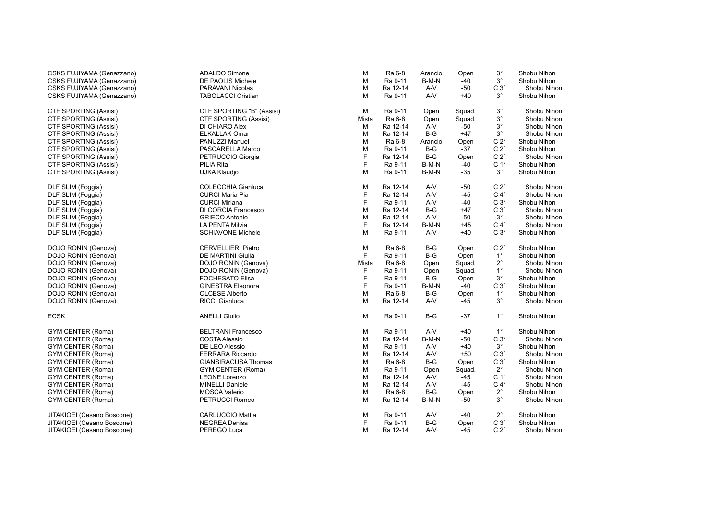| CSKS FUJIYAMA (Genazzano)    | <b>ADALDO Simone</b>       | M     | Ra 6-8   | Arancio | Open   | $3^{\circ}$      | Shobu Nihon |
|------------------------------|----------------------------|-------|----------|---------|--------|------------------|-------------|
| CSKS FUJIYAMA (Genazzano)    | DE PAOLIS Michele          | M     | Ra 9-11  | B-M-N   | -40    | $3^\circ$        | Shobu Nihon |
| CSKS FUJIYAMA (Genazzano)    | <b>PARAVANI Nicolas</b>    | M     | Ra 12-14 | $A-V$   | $-50$  | $C3^\circ$       | Shobu Nihon |
| CSKS FUJIYAMA (Genazzano)    | <b>TABOLACCI Cristian</b>  | M     | Ra 9-11  | A-V     | $+40$  | $3^{\circ}$      | Shobu Nihon |
| <b>CTF SPORTING (Assisi)</b> | CTF SPORTING "B" (Assisi)  | м     | Ra 9-11  | Open    | Squad. | $3^{\circ}$      | Shobu Nihon |
| CTF SPORTING (Assisi)        | CTF SPORTING (Assisi)      | Mista | Ra 6-8   | Open    | Squad. | $3^{\circ}$      | Shobu Nihon |
| CTF SPORTING (Assisi)        | DI CHIARO Alex             | м     | Ra 12-14 | A-V     | -50    | $3^\circ$        | Shobu Nihon |
| CTF SPORTING (Assisi)        | <b>ELKALLAK Omar</b>       | M     | Ra 12-14 | $B-G$   | +47    | $3^\circ$        | Shobu Nihon |
| <b>CTF SPORTING (Assisi)</b> | PANUZZI Manuel             | M     | Ra 6-8   | Arancio | Open   | $C 2^{\circ}$    | Shobu Nihon |
| CTF SPORTING (Assisi)        | PASCARELLA Marco           | M     | Ra 9-11  | $B-G$   | $-37$  | $C 2^{\circ}$    | Shobu Nihon |
| <b>CTF SPORTING (Assisi)</b> | PETRUCCIO Giorgia          | F     | Ra 12-14 | $B-G$   | Open   | $C 2^{\circ}$    | Shobu Nihon |
| <b>CTF SPORTING (Assisi)</b> | PILIA Rita                 | F     | Ra 9-11  | B-M-N   | -40    | C <sub>1</sub> ° | Shobu Nihon |
| CTF SPORTING (Assisi)        | UJKA Klaudjo               | M     | Ra 9-11  | B-M-N   | $-35$  | $3^{\circ}$      | Shobu Nihon |
| DLF SLIM (Foggia)            | <b>COLECCHIA Gianluca</b>  | M     | Ra 12-14 | A-V     | -50    | $C 2^{\circ}$    | Shobu Nihon |
| DLF SLIM (Foggia)            | <b>CURCI Maria Pia</b>     | F     | Ra 12-14 | A-V     | -45    | $C 4^\circ$      | Shobu Nihon |
| DLF SLIM (Foggia)            | <b>CURCI Miriana</b>       | F     | Ra 9-11  | A-V     | $-40$  | $C3^\circ$       | Shobu Nihon |
| DLF SLIM (Foggia)            | DI CORCIA Francesco        | M     | Ra 12-14 | $B-G$   | +47    | $C3^\circ$       | Shobu Nihon |
| DLF SLIM (Foggia)            | <b>GRIECO Antonio</b>      | M     | Ra 12-14 | $A-V$   | $-50$  | $3^{\circ}$      | Shobu Nihon |
| DLF SLIM (Foggia)            | <b>LA PENTA Milvia</b>     | F     | Ra 12-14 | B-M-N   | $+45$  | $C 4^\circ$      | Shobu Nihon |
| DLF SLIM (Foggia)            | <b>SCHIAVONE Michele</b>   | M     | Ra 9-11  | A-V     | $+40$  | $C3^\circ$       | Shobu Nihon |
| DOJO RONIN (Genova)          | <b>CERVELLIERI Pietro</b>  | M     | Ra 6-8   | B-G     | Open   | $C 2^{\circ}$    | Shobu Nihon |
| DOJO RONIN (Genova)          | <b>DE MARTINI Giulia</b>   | F     | Ra 9-11  | $B-G$   | Open   | $1^{\circ}$      | Shobu Nihon |
| DOJO RONIN (Genova)          | DOJO RONIN (Genova)        | Mista | Ra 6-8   | Open    | Squad. | $2^{\circ}$      | Shobu Nihon |
| DOJO RONIN (Genova)          | DOJO RONIN (Genova)        | F     | Ra 9-11  | Open    | Squad. | $1^{\circ}$      | Shobu Nihon |
| DOJO RONIN (Genova)          | <b>FOCHESATO Elisa</b>     | F     | Ra 9-11  | $B-G$   | Open   | $3^\circ$        | Shobu Nihon |
| DOJO RONIN (Genova)          | <b>GINESTRA Eleonora</b>   | F     | Ra 9-11  | B-M-N   | $-40$  | $C3^\circ$       | Shobu Nihon |
| DOJO RONIN (Genova)          | <b>OLCESE Alberto</b>      | M     | Ra 6-8   | $B-G$   | Open   | $1^{\circ}$      | Shobu Nihon |
| DOJO RONIN (Genova)          | <b>RICCI Gianluca</b>      | M     | Ra 12-14 | $A-V$   | -45    | $3^{\circ}$      | Shobu Nihon |
| <b>ECSK</b>                  | <b>ANELLI Giulio</b>       | M     | Ra 9-11  | $B-G$   | $-37$  | $1^{\circ}$      | Shobu Nihon |
| GYM CENTER (Roma)            | <b>BELTRANI Francesco</b>  | M     | Ra 9-11  | A-V     | $+40$  | $1^{\circ}$      | Shobu Nihon |
| <b>GYM CENTER (Roma)</b>     | <b>COSTA Alessio</b>       | M     | Ra 12-14 | B-M-N   | $-50$  | $C 3^\circ$      | Shobu Nihon |
| <b>GYM CENTER (Roma)</b>     | DE LEO Alessio             | M     | Ra 9-11  | A-V     | $+40$  | $3^{\circ}$      | Shobu Nihon |
| <b>GYM CENTER (Roma)</b>     | <b>FERRARA Riccardo</b>    | M     | Ra 12-14 | A-V     | $+50$  | $C3^\circ$       | Shobu Nihon |
| <b>GYM CENTER (Roma)</b>     | <b>GIANSIRACUSA Thomas</b> | M     | Ra 6-8   | $B-G$   | Open   | $C3^\circ$       | Shobu Nihon |
| GYM CENTER (Roma)            | GYM CENTER (Roma)          | M     | Ra 9-11  | Open    | Squad. | $2^{\circ}$      | Shobu Nihon |
| <b>GYM CENTER (Roma)</b>     | <b>LEONE Lorenzo</b>       | M     | Ra 12-14 | A-V     | -45    | C <sub>1</sub> ° | Shobu Nihon |
| <b>GYM CENTER (Roma)</b>     | <b>MINELLI Daniele</b>     | M     | Ra 12-14 | $A-V$   | -45    | $C 4^\circ$      | Shobu Nihon |
| GYM CENTER (Roma)            | <b>MOSCA Valerio</b>       | M     | Ra 6-8   | $B-G$   | Open   | $2^{\circ}$      | Shobu Nihon |
| <b>GYM CENTER (Roma)</b>     | PETRUCCI Romeo             | M     | Ra 12-14 | B-M-N   | $-50$  | $3^\circ$        | Shobu Nihon |
| JITAKIOEI (Cesano Boscone)   | <b>CARLUCCIO Mattia</b>    | M     | Ra 9-11  | A-V     | -40    | $2^{\circ}$      | Shobu Nihon |
| JITAKIOEI (Cesano Boscone)   | <b>NEGREA Denisa</b>       | F     | Ra 9-11  | $B-G$   | Open   | $C 3^\circ$      | Shobu Nihon |
| JITAKIOEI (Cesano Boscone)   | PEREGO Luca                | M     | Ra 12-14 | $A-V$   | -45    | $C 2^{\circ}$    | Shobu Nihon |
|                              |                            |       |          |         |        |                  |             |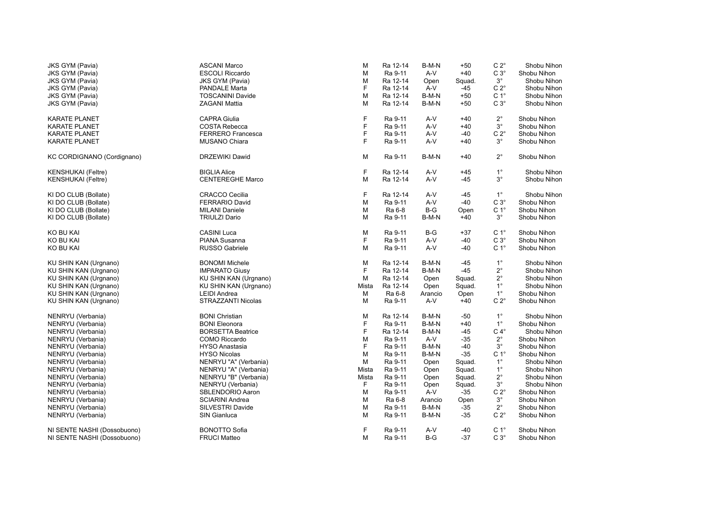| $C3^\circ$<br>M<br>Ra 9-11<br>A-V<br>$+40$<br>Shobu Nihon<br><b>JKS GYM (Pavia)</b><br><b>ESCOLI Riccardo</b><br>$3^{\circ}$<br>Ra 12-14<br><b>JKS GYM (Pavia)</b><br><b>JKS GYM (Pavia)</b><br>M<br>Squad.<br>Shobu Nihon<br>Open<br>F<br>$C 2^{\circ}$<br>Ra 12-14<br>A-V<br>Shobu Nihon<br><b>JKS GYM (Pavia)</b><br><b>PANDALE Marta</b><br>-45<br>C <sub>1</sub> °<br>M<br><b>JKS GYM (Pavia)</b><br><b>TOSCANINI Davide</b><br>Ra 12-14<br>B-M-N<br>$+50$<br>Shobu Nihon<br>$C3^\circ$<br>M<br>Ra 12-14<br>B-M-N<br>Shobu Nihon<br><b>JKS GYM (Pavia)</b><br><b>ZAGANI Mattia</b><br>$+50$<br>F<br>$2^{\circ}$<br><b>CAPRA Giulia</b><br>Ra 9-11<br>A-V<br>$+40$<br>Shobu Nihon<br><b>KARATE PLANET</b><br>F<br>$3^{\circ}$<br>A-V<br><b>COSTA Rebecca</b><br>Ra 9-11<br>$+40$<br>Shobu Nihon<br>KARATE PLANET<br>F<br>$C 2^{\circ}$<br><b>FERRERO Francesca</b><br>Ra 9-11<br>A-V<br>Shobu Nihon<br><b>KARATE PLANET</b><br>-40<br>F<br>$3^{\circ}$<br><b>MUSANO Chiara</b><br>Ra 9-11<br>A-V<br>Shobu Nihon<br><b>KARATE PLANET</b><br>$+40$<br>$2^{\circ}$<br>KC CORDIGNANO (Cordignano)<br>DRZEWIKI Dawid<br>M<br>Ra 9-11<br>B-M-N<br>$+40$<br>Shobu Nihon<br>F<br>$1^{\circ}$<br><b>BIGLIA Alice</b><br>Ra 12-14<br>A-V<br>Shobu Nihon<br><b>KENSHUKAI</b> (Feltre)<br>$+45$<br>$3^{\circ}$<br><b>CENTEREGHE Marco</b><br>M<br>A-V<br>Shobu Nihon<br><b>KENSHUKAI</b> (Feltre)<br>Ra 12-14<br>-45<br>F<br>$1^{\circ}$<br>KI DO CLUB (Bollate)<br><b>CRACCO Cecilia</b><br>Ra 12-14<br>A-V<br>Shobu Nihon<br>-45<br>$C3^\circ$<br>KI DO CLUB (Bollate)<br><b>FERRARIO David</b><br>M<br>Ra 9-11<br>A-V<br>$-40$<br>Shobu Nihon<br>C <sub>1</sub> °<br>Ra 6-8<br>$B-G$<br>KI DO CLUB (Bollate)<br><b>MILANI Daniele</b><br>M<br>Shobu Nihon<br>Open<br>$3^{\circ}$<br>KI DO CLUB (Bollate)<br><b>TRIULZI Dario</b><br>M<br>Ra 9-11<br>B-M-N<br>$+40$<br>Shobu Nihon<br>C <sub>1</sub> °<br>KO BU KAI<br><b>CASINI Luca</b><br>M<br>$B-G$<br>Shobu Nihon<br>Ra 9-11<br>$+37$<br>$\mathsf{F}$<br><b>PIANA Susanna</b><br>Ra 9-11<br>A-V<br>$C3^\circ$<br>KO BU KAI<br>$-40$<br>Shobu Nihon<br>$A-V$<br>C <sub>1</sub> °<br>KO BU KAI<br><b>RUSSO Gabriele</b><br>M<br>Ra 9-11<br>-40<br>Shobu Nihon<br>$1^{\circ}$<br>M<br>Ra 12-14<br>KU SHIN KAN (Urgnano)<br><b>BONOMI</b> Michele<br>B-M-N<br>-45<br>Shobu Nihon<br>E<br>$-45$<br>$2^{\circ}$<br>KU SHIN KAN (Urgnano)<br><b>IMPARATO Giusy</b><br>Ra 12-14<br>B-M-N<br>Shobu Nihon<br>$2^{\circ}$<br>KU SHIN KAN (Urgnano)<br>м<br>Ra 12-14<br>Squad.<br>Shobu Nihon<br>KU SHIN KAN (Urgnano)<br>Open<br>$1^{\circ}$<br>Mista<br>Ra 12-14<br>Shobu Nihon<br>KU SHIN KAN (Urgnano)<br>KU SHIN KAN (Urgnano)<br>Open<br>Squad.<br>$1^{\circ}$<br>Ra 6-8<br>KU SHIN KAN (Urgnano)<br><b>LEIDI</b> Andrea<br>М<br>Arancio<br>Open<br>Shobu Nihon<br>$C 2^{\circ}$<br>KU SHIN KAN (Urgnano)<br>STRAZZANTI Nicolas<br>м<br>Ra 9-11<br>A-V<br>$+40$<br>Shobu Nihon<br>$1^{\circ}$<br>NENRYU (Verbania)<br><b>BONI Christian</b><br>M<br>Ra 12-14<br>B-M-N<br>Shobu Nihon<br>-50<br>F<br>$1^{\circ}$<br>Ra 9-11<br>B-M-N<br>NENRYU (Verbania)<br><b>BONI Eleonora</b><br>$+40$<br>Shobu Nihon<br>F<br>Ra 12-14<br>B-M-N<br>$C 4^\circ$<br><b>BORSETTA Beatrice</b><br>$-45$<br>Shobu Nihon<br>NENRYU (Verbania)<br>$2^{\circ}$<br>COMO Riccardo<br>M<br>Ra 9-11<br>A-V<br>$-35$<br>Shobu Nihon<br>NENRYU (Verbania)<br>F<br>Ra 9-11<br>B-M-N<br>$-40$<br>$3^{\circ}$<br>NENRYU (Verbania)<br><b>HYSO Anastasia</b><br>Shobu Nihon<br>C <sub>1</sub> °<br>Ra 9-11<br>B-M-N<br>$-35$<br>NENRYU (Verbania)<br><b>HYSO Nicolas</b><br>M<br>Shobu Nihon<br>$1^{\circ}$<br>NENRYU "A" (Verbania)<br>M<br>Ra 9-11<br>Squad.<br>Shobu Nihon<br>NENRYU (Verbania)<br>Open<br>Mista<br>Ra 9-11<br>$1^{\circ}$<br>NENRYU (Verbania)<br>NENRYU "A" (Verbania)<br>Squad.<br>Shobu Nihon<br>Open<br>NENRYU "B" (Verbania)<br>Ra 9-11<br>$2^{\circ}$<br>NENRYU (Verbania)<br>Mista<br>Squad.<br>Shobu Nihon<br>Open<br>F<br>$3^{\circ}$<br>NENRYU (Verbania)<br>NENRYU (Verbania)<br>Ra 9-11<br>Squad.<br>Shobu Nihon<br>Open<br>$C 2^{\circ}$<br>SBLENDORIO Aaron<br>M<br>Ra 9-11<br>A-V<br>$-35$<br>Shobu Nihon<br>NENRYU (Verbania)<br><b>SCIARINI Andrea</b><br>Ra 6-8<br>$3^{\circ}$<br>Shobu Nihon<br>NENRYU (Verbania)<br>M<br>Arancio<br>Open<br>SILVESTRI Davide<br>M<br>Ra 9-11<br>B-M-N<br>$2^{\circ}$<br>NENRYU (Verbania)<br>-35<br>Shobu Nihon<br>$C 2^{\circ}$<br>NENRYU (Verbania)<br>SIN Gianluca<br>М<br>Ra 9-11<br>B-M-N<br>-35<br>Shobu Nihon<br>F<br>C <sub>1</sub> °<br>NI SENTE NASHI (Dossobuono)<br><b>BONOTTO Sofia</b><br>Ra 9-11<br>A-V<br>Shobu Nihon<br>-40<br>$B-G$<br>$C 3^\circ$<br>NI SENTE NASHI (Dossobuono)<br><b>FRUCI Matteo</b><br>М<br>Ra 9-11<br>-37<br>Shobu Nihon | <b>JKS GYM (Pavia)</b> | <b>ASCANI Marco</b> | М | Ra 12-14 | B-M-N | $+50$ | $C 2^{\circ}$ | Shobu Nihon |
|----------------------------------------------------------------------------------------------------------------------------------------------------------------------------------------------------------------------------------------------------------------------------------------------------------------------------------------------------------------------------------------------------------------------------------------------------------------------------------------------------------------------------------------------------------------------------------------------------------------------------------------------------------------------------------------------------------------------------------------------------------------------------------------------------------------------------------------------------------------------------------------------------------------------------------------------------------------------------------------------------------------------------------------------------------------------------------------------------------------------------------------------------------------------------------------------------------------------------------------------------------------------------------------------------------------------------------------------------------------------------------------------------------------------------------------------------------------------------------------------------------------------------------------------------------------------------------------------------------------------------------------------------------------------------------------------------------------------------------------------------------------------------------------------------------------------------------------------------------------------------------------------------------------------------------------------------------------------------------------------------------------------------------------------------------------------------------------------------------------------------------------------------------------------------------------------------------------------------------------------------------------------------------------------------------------------------------------------------------------------------------------------------------------------------------------------------------------------------------------------------------------------------------------------------------------------------------------------------------------------------------------------------------------------------------------------------------------------------------------------------------------------------------------------------------------------------------------------------------------------------------------------------------------------------------------------------------------------------------------------------------------------------------------------------------------------------------------------------------------------------------------------------------------------------------------------------------------------------------------------------------------------------------------------------------------------------------------------------------------------------------------------------------------------------------------------------------------------------------------------------------------------------------------------------------------------------------------------------------------------------------------------------------------------------------------------------------------------------------------------------------------------------------------------------------------------------------------------------------------------------------------------------------------------------------------------------------------------------------------------------------------------------------------------------------------------------------------------------------------------------------------------------------------------------------------------------------------------------------------------------------------------------------------------------------------------------------------------------------------------------------------------------------------------------------------------------------------------------------------------------------------------------------------------------------------------------------------------------------------------------------------------------------------------------------------------------------------------------------------------------|------------------------|---------------------|---|----------|-------|-------|---------------|-------------|
|                                                                                                                                                                                                                                                                                                                                                                                                                                                                                                                                                                                                                                                                                                                                                                                                                                                                                                                                                                                                                                                                                                                                                                                                                                                                                                                                                                                                                                                                                                                                                                                                                                                                                                                                                                                                                                                                                                                                                                                                                                                                                                                                                                                                                                                                                                                                                                                                                                                                                                                                                                                                                                                                                                                                                                                                                                                                                                                                                                                                                                                                                                                                                                                                                                                                                                                                                                                                                                                                                                                                                                                                                                                                                                                                                                                                                                                                                                                                                                                                                                                                                                                                                                                                                                                                                                                                                                                                                                                                                                                                                                                                                                                                                                                                                    |                        |                     |   |          |       |       |               |             |
|                                                                                                                                                                                                                                                                                                                                                                                                                                                                                                                                                                                                                                                                                                                                                                                                                                                                                                                                                                                                                                                                                                                                                                                                                                                                                                                                                                                                                                                                                                                                                                                                                                                                                                                                                                                                                                                                                                                                                                                                                                                                                                                                                                                                                                                                                                                                                                                                                                                                                                                                                                                                                                                                                                                                                                                                                                                                                                                                                                                                                                                                                                                                                                                                                                                                                                                                                                                                                                                                                                                                                                                                                                                                                                                                                                                                                                                                                                                                                                                                                                                                                                                                                                                                                                                                                                                                                                                                                                                                                                                                                                                                                                                                                                                                                    |                        |                     |   |          |       |       |               |             |
|                                                                                                                                                                                                                                                                                                                                                                                                                                                                                                                                                                                                                                                                                                                                                                                                                                                                                                                                                                                                                                                                                                                                                                                                                                                                                                                                                                                                                                                                                                                                                                                                                                                                                                                                                                                                                                                                                                                                                                                                                                                                                                                                                                                                                                                                                                                                                                                                                                                                                                                                                                                                                                                                                                                                                                                                                                                                                                                                                                                                                                                                                                                                                                                                                                                                                                                                                                                                                                                                                                                                                                                                                                                                                                                                                                                                                                                                                                                                                                                                                                                                                                                                                                                                                                                                                                                                                                                                                                                                                                                                                                                                                                                                                                                                                    |                        |                     |   |          |       |       |               |             |
|                                                                                                                                                                                                                                                                                                                                                                                                                                                                                                                                                                                                                                                                                                                                                                                                                                                                                                                                                                                                                                                                                                                                                                                                                                                                                                                                                                                                                                                                                                                                                                                                                                                                                                                                                                                                                                                                                                                                                                                                                                                                                                                                                                                                                                                                                                                                                                                                                                                                                                                                                                                                                                                                                                                                                                                                                                                                                                                                                                                                                                                                                                                                                                                                                                                                                                                                                                                                                                                                                                                                                                                                                                                                                                                                                                                                                                                                                                                                                                                                                                                                                                                                                                                                                                                                                                                                                                                                                                                                                                                                                                                                                                                                                                                                                    |                        |                     |   |          |       |       |               |             |
|                                                                                                                                                                                                                                                                                                                                                                                                                                                                                                                                                                                                                                                                                                                                                                                                                                                                                                                                                                                                                                                                                                                                                                                                                                                                                                                                                                                                                                                                                                                                                                                                                                                                                                                                                                                                                                                                                                                                                                                                                                                                                                                                                                                                                                                                                                                                                                                                                                                                                                                                                                                                                                                                                                                                                                                                                                                                                                                                                                                                                                                                                                                                                                                                                                                                                                                                                                                                                                                                                                                                                                                                                                                                                                                                                                                                                                                                                                                                                                                                                                                                                                                                                                                                                                                                                                                                                                                                                                                                                                                                                                                                                                                                                                                                                    |                        |                     |   |          |       |       |               |             |
|                                                                                                                                                                                                                                                                                                                                                                                                                                                                                                                                                                                                                                                                                                                                                                                                                                                                                                                                                                                                                                                                                                                                                                                                                                                                                                                                                                                                                                                                                                                                                                                                                                                                                                                                                                                                                                                                                                                                                                                                                                                                                                                                                                                                                                                                                                                                                                                                                                                                                                                                                                                                                                                                                                                                                                                                                                                                                                                                                                                                                                                                                                                                                                                                                                                                                                                                                                                                                                                                                                                                                                                                                                                                                                                                                                                                                                                                                                                                                                                                                                                                                                                                                                                                                                                                                                                                                                                                                                                                                                                                                                                                                                                                                                                                                    |                        |                     |   |          |       |       |               |             |
|                                                                                                                                                                                                                                                                                                                                                                                                                                                                                                                                                                                                                                                                                                                                                                                                                                                                                                                                                                                                                                                                                                                                                                                                                                                                                                                                                                                                                                                                                                                                                                                                                                                                                                                                                                                                                                                                                                                                                                                                                                                                                                                                                                                                                                                                                                                                                                                                                                                                                                                                                                                                                                                                                                                                                                                                                                                                                                                                                                                                                                                                                                                                                                                                                                                                                                                                                                                                                                                                                                                                                                                                                                                                                                                                                                                                                                                                                                                                                                                                                                                                                                                                                                                                                                                                                                                                                                                                                                                                                                                                                                                                                                                                                                                                                    |                        |                     |   |          |       |       |               |             |
|                                                                                                                                                                                                                                                                                                                                                                                                                                                                                                                                                                                                                                                                                                                                                                                                                                                                                                                                                                                                                                                                                                                                                                                                                                                                                                                                                                                                                                                                                                                                                                                                                                                                                                                                                                                                                                                                                                                                                                                                                                                                                                                                                                                                                                                                                                                                                                                                                                                                                                                                                                                                                                                                                                                                                                                                                                                                                                                                                                                                                                                                                                                                                                                                                                                                                                                                                                                                                                                                                                                                                                                                                                                                                                                                                                                                                                                                                                                                                                                                                                                                                                                                                                                                                                                                                                                                                                                                                                                                                                                                                                                                                                                                                                                                                    |                        |                     |   |          |       |       |               |             |
|                                                                                                                                                                                                                                                                                                                                                                                                                                                                                                                                                                                                                                                                                                                                                                                                                                                                                                                                                                                                                                                                                                                                                                                                                                                                                                                                                                                                                                                                                                                                                                                                                                                                                                                                                                                                                                                                                                                                                                                                                                                                                                                                                                                                                                                                                                                                                                                                                                                                                                                                                                                                                                                                                                                                                                                                                                                                                                                                                                                                                                                                                                                                                                                                                                                                                                                                                                                                                                                                                                                                                                                                                                                                                                                                                                                                                                                                                                                                                                                                                                                                                                                                                                                                                                                                                                                                                                                                                                                                                                                                                                                                                                                                                                                                                    |                        |                     |   |          |       |       |               |             |
|                                                                                                                                                                                                                                                                                                                                                                                                                                                                                                                                                                                                                                                                                                                                                                                                                                                                                                                                                                                                                                                                                                                                                                                                                                                                                                                                                                                                                                                                                                                                                                                                                                                                                                                                                                                                                                                                                                                                                                                                                                                                                                                                                                                                                                                                                                                                                                                                                                                                                                                                                                                                                                                                                                                                                                                                                                                                                                                                                                                                                                                                                                                                                                                                                                                                                                                                                                                                                                                                                                                                                                                                                                                                                                                                                                                                                                                                                                                                                                                                                                                                                                                                                                                                                                                                                                                                                                                                                                                                                                                                                                                                                                                                                                                                                    |                        |                     |   |          |       |       |               |             |
|                                                                                                                                                                                                                                                                                                                                                                                                                                                                                                                                                                                                                                                                                                                                                                                                                                                                                                                                                                                                                                                                                                                                                                                                                                                                                                                                                                                                                                                                                                                                                                                                                                                                                                                                                                                                                                                                                                                                                                                                                                                                                                                                                                                                                                                                                                                                                                                                                                                                                                                                                                                                                                                                                                                                                                                                                                                                                                                                                                                                                                                                                                                                                                                                                                                                                                                                                                                                                                                                                                                                                                                                                                                                                                                                                                                                                                                                                                                                                                                                                                                                                                                                                                                                                                                                                                                                                                                                                                                                                                                                                                                                                                                                                                                                                    |                        |                     |   |          |       |       |               |             |
|                                                                                                                                                                                                                                                                                                                                                                                                                                                                                                                                                                                                                                                                                                                                                                                                                                                                                                                                                                                                                                                                                                                                                                                                                                                                                                                                                                                                                                                                                                                                                                                                                                                                                                                                                                                                                                                                                                                                                                                                                                                                                                                                                                                                                                                                                                                                                                                                                                                                                                                                                                                                                                                                                                                                                                                                                                                                                                                                                                                                                                                                                                                                                                                                                                                                                                                                                                                                                                                                                                                                                                                                                                                                                                                                                                                                                                                                                                                                                                                                                                                                                                                                                                                                                                                                                                                                                                                                                                                                                                                                                                                                                                                                                                                                                    |                        |                     |   |          |       |       |               |             |
|                                                                                                                                                                                                                                                                                                                                                                                                                                                                                                                                                                                                                                                                                                                                                                                                                                                                                                                                                                                                                                                                                                                                                                                                                                                                                                                                                                                                                                                                                                                                                                                                                                                                                                                                                                                                                                                                                                                                                                                                                                                                                                                                                                                                                                                                                                                                                                                                                                                                                                                                                                                                                                                                                                                                                                                                                                                                                                                                                                                                                                                                                                                                                                                                                                                                                                                                                                                                                                                                                                                                                                                                                                                                                                                                                                                                                                                                                                                                                                                                                                                                                                                                                                                                                                                                                                                                                                                                                                                                                                                                                                                                                                                                                                                                                    |                        |                     |   |          |       |       |               |             |
|                                                                                                                                                                                                                                                                                                                                                                                                                                                                                                                                                                                                                                                                                                                                                                                                                                                                                                                                                                                                                                                                                                                                                                                                                                                                                                                                                                                                                                                                                                                                                                                                                                                                                                                                                                                                                                                                                                                                                                                                                                                                                                                                                                                                                                                                                                                                                                                                                                                                                                                                                                                                                                                                                                                                                                                                                                                                                                                                                                                                                                                                                                                                                                                                                                                                                                                                                                                                                                                                                                                                                                                                                                                                                                                                                                                                                                                                                                                                                                                                                                                                                                                                                                                                                                                                                                                                                                                                                                                                                                                                                                                                                                                                                                                                                    |                        |                     |   |          |       |       |               |             |
|                                                                                                                                                                                                                                                                                                                                                                                                                                                                                                                                                                                                                                                                                                                                                                                                                                                                                                                                                                                                                                                                                                                                                                                                                                                                                                                                                                                                                                                                                                                                                                                                                                                                                                                                                                                                                                                                                                                                                                                                                                                                                                                                                                                                                                                                                                                                                                                                                                                                                                                                                                                                                                                                                                                                                                                                                                                                                                                                                                                                                                                                                                                                                                                                                                                                                                                                                                                                                                                                                                                                                                                                                                                                                                                                                                                                                                                                                                                                                                                                                                                                                                                                                                                                                                                                                                                                                                                                                                                                                                                                                                                                                                                                                                                                                    |                        |                     |   |          |       |       |               |             |
|                                                                                                                                                                                                                                                                                                                                                                                                                                                                                                                                                                                                                                                                                                                                                                                                                                                                                                                                                                                                                                                                                                                                                                                                                                                                                                                                                                                                                                                                                                                                                                                                                                                                                                                                                                                                                                                                                                                                                                                                                                                                                                                                                                                                                                                                                                                                                                                                                                                                                                                                                                                                                                                                                                                                                                                                                                                                                                                                                                                                                                                                                                                                                                                                                                                                                                                                                                                                                                                                                                                                                                                                                                                                                                                                                                                                                                                                                                                                                                                                                                                                                                                                                                                                                                                                                                                                                                                                                                                                                                                                                                                                                                                                                                                                                    |                        |                     |   |          |       |       |               |             |
|                                                                                                                                                                                                                                                                                                                                                                                                                                                                                                                                                                                                                                                                                                                                                                                                                                                                                                                                                                                                                                                                                                                                                                                                                                                                                                                                                                                                                                                                                                                                                                                                                                                                                                                                                                                                                                                                                                                                                                                                                                                                                                                                                                                                                                                                                                                                                                                                                                                                                                                                                                                                                                                                                                                                                                                                                                                                                                                                                                                                                                                                                                                                                                                                                                                                                                                                                                                                                                                                                                                                                                                                                                                                                                                                                                                                                                                                                                                                                                                                                                                                                                                                                                                                                                                                                                                                                                                                                                                                                                                                                                                                                                                                                                                                                    |                        |                     |   |          |       |       |               |             |
|                                                                                                                                                                                                                                                                                                                                                                                                                                                                                                                                                                                                                                                                                                                                                                                                                                                                                                                                                                                                                                                                                                                                                                                                                                                                                                                                                                                                                                                                                                                                                                                                                                                                                                                                                                                                                                                                                                                                                                                                                                                                                                                                                                                                                                                                                                                                                                                                                                                                                                                                                                                                                                                                                                                                                                                                                                                                                                                                                                                                                                                                                                                                                                                                                                                                                                                                                                                                                                                                                                                                                                                                                                                                                                                                                                                                                                                                                                                                                                                                                                                                                                                                                                                                                                                                                                                                                                                                                                                                                                                                                                                                                                                                                                                                                    |                        |                     |   |          |       |       |               |             |
|                                                                                                                                                                                                                                                                                                                                                                                                                                                                                                                                                                                                                                                                                                                                                                                                                                                                                                                                                                                                                                                                                                                                                                                                                                                                                                                                                                                                                                                                                                                                                                                                                                                                                                                                                                                                                                                                                                                                                                                                                                                                                                                                                                                                                                                                                                                                                                                                                                                                                                                                                                                                                                                                                                                                                                                                                                                                                                                                                                                                                                                                                                                                                                                                                                                                                                                                                                                                                                                                                                                                                                                                                                                                                                                                                                                                                                                                                                                                                                                                                                                                                                                                                                                                                                                                                                                                                                                                                                                                                                                                                                                                                                                                                                                                                    |                        |                     |   |          |       |       |               |             |
|                                                                                                                                                                                                                                                                                                                                                                                                                                                                                                                                                                                                                                                                                                                                                                                                                                                                                                                                                                                                                                                                                                                                                                                                                                                                                                                                                                                                                                                                                                                                                                                                                                                                                                                                                                                                                                                                                                                                                                                                                                                                                                                                                                                                                                                                                                                                                                                                                                                                                                                                                                                                                                                                                                                                                                                                                                                                                                                                                                                                                                                                                                                                                                                                                                                                                                                                                                                                                                                                                                                                                                                                                                                                                                                                                                                                                                                                                                                                                                                                                                                                                                                                                                                                                                                                                                                                                                                                                                                                                                                                                                                                                                                                                                                                                    |                        |                     |   |          |       |       |               |             |
|                                                                                                                                                                                                                                                                                                                                                                                                                                                                                                                                                                                                                                                                                                                                                                                                                                                                                                                                                                                                                                                                                                                                                                                                                                                                                                                                                                                                                                                                                                                                                                                                                                                                                                                                                                                                                                                                                                                                                                                                                                                                                                                                                                                                                                                                                                                                                                                                                                                                                                                                                                                                                                                                                                                                                                                                                                                                                                                                                                                                                                                                                                                                                                                                                                                                                                                                                                                                                                                                                                                                                                                                                                                                                                                                                                                                                                                                                                                                                                                                                                                                                                                                                                                                                                                                                                                                                                                                                                                                                                                                                                                                                                                                                                                                                    |                        |                     |   |          |       |       |               |             |
|                                                                                                                                                                                                                                                                                                                                                                                                                                                                                                                                                                                                                                                                                                                                                                                                                                                                                                                                                                                                                                                                                                                                                                                                                                                                                                                                                                                                                                                                                                                                                                                                                                                                                                                                                                                                                                                                                                                                                                                                                                                                                                                                                                                                                                                                                                                                                                                                                                                                                                                                                                                                                                                                                                                                                                                                                                                                                                                                                                                                                                                                                                                                                                                                                                                                                                                                                                                                                                                                                                                                                                                                                                                                                                                                                                                                                                                                                                                                                                                                                                                                                                                                                                                                                                                                                                                                                                                                                                                                                                                                                                                                                                                                                                                                                    |                        |                     |   |          |       |       |               |             |
|                                                                                                                                                                                                                                                                                                                                                                                                                                                                                                                                                                                                                                                                                                                                                                                                                                                                                                                                                                                                                                                                                                                                                                                                                                                                                                                                                                                                                                                                                                                                                                                                                                                                                                                                                                                                                                                                                                                                                                                                                                                                                                                                                                                                                                                                                                                                                                                                                                                                                                                                                                                                                                                                                                                                                                                                                                                                                                                                                                                                                                                                                                                                                                                                                                                                                                                                                                                                                                                                                                                                                                                                                                                                                                                                                                                                                                                                                                                                                                                                                                                                                                                                                                                                                                                                                                                                                                                                                                                                                                                                                                                                                                                                                                                                                    |                        |                     |   |          |       |       |               |             |
|                                                                                                                                                                                                                                                                                                                                                                                                                                                                                                                                                                                                                                                                                                                                                                                                                                                                                                                                                                                                                                                                                                                                                                                                                                                                                                                                                                                                                                                                                                                                                                                                                                                                                                                                                                                                                                                                                                                                                                                                                                                                                                                                                                                                                                                                                                                                                                                                                                                                                                                                                                                                                                                                                                                                                                                                                                                                                                                                                                                                                                                                                                                                                                                                                                                                                                                                                                                                                                                                                                                                                                                                                                                                                                                                                                                                                                                                                                                                                                                                                                                                                                                                                                                                                                                                                                                                                                                                                                                                                                                                                                                                                                                                                                                                                    |                        |                     |   |          |       |       |               |             |
|                                                                                                                                                                                                                                                                                                                                                                                                                                                                                                                                                                                                                                                                                                                                                                                                                                                                                                                                                                                                                                                                                                                                                                                                                                                                                                                                                                                                                                                                                                                                                                                                                                                                                                                                                                                                                                                                                                                                                                                                                                                                                                                                                                                                                                                                                                                                                                                                                                                                                                                                                                                                                                                                                                                                                                                                                                                                                                                                                                                                                                                                                                                                                                                                                                                                                                                                                                                                                                                                                                                                                                                                                                                                                                                                                                                                                                                                                                                                                                                                                                                                                                                                                                                                                                                                                                                                                                                                                                                                                                                                                                                                                                                                                                                                                    |                        |                     |   |          |       |       |               |             |
|                                                                                                                                                                                                                                                                                                                                                                                                                                                                                                                                                                                                                                                                                                                                                                                                                                                                                                                                                                                                                                                                                                                                                                                                                                                                                                                                                                                                                                                                                                                                                                                                                                                                                                                                                                                                                                                                                                                                                                                                                                                                                                                                                                                                                                                                                                                                                                                                                                                                                                                                                                                                                                                                                                                                                                                                                                                                                                                                                                                                                                                                                                                                                                                                                                                                                                                                                                                                                                                                                                                                                                                                                                                                                                                                                                                                                                                                                                                                                                                                                                                                                                                                                                                                                                                                                                                                                                                                                                                                                                                                                                                                                                                                                                                                                    |                        |                     |   |          |       |       |               |             |
|                                                                                                                                                                                                                                                                                                                                                                                                                                                                                                                                                                                                                                                                                                                                                                                                                                                                                                                                                                                                                                                                                                                                                                                                                                                                                                                                                                                                                                                                                                                                                                                                                                                                                                                                                                                                                                                                                                                                                                                                                                                                                                                                                                                                                                                                                                                                                                                                                                                                                                                                                                                                                                                                                                                                                                                                                                                                                                                                                                                                                                                                                                                                                                                                                                                                                                                                                                                                                                                                                                                                                                                                                                                                                                                                                                                                                                                                                                                                                                                                                                                                                                                                                                                                                                                                                                                                                                                                                                                                                                                                                                                                                                                                                                                                                    |                        |                     |   |          |       |       |               |             |
|                                                                                                                                                                                                                                                                                                                                                                                                                                                                                                                                                                                                                                                                                                                                                                                                                                                                                                                                                                                                                                                                                                                                                                                                                                                                                                                                                                                                                                                                                                                                                                                                                                                                                                                                                                                                                                                                                                                                                                                                                                                                                                                                                                                                                                                                                                                                                                                                                                                                                                                                                                                                                                                                                                                                                                                                                                                                                                                                                                                                                                                                                                                                                                                                                                                                                                                                                                                                                                                                                                                                                                                                                                                                                                                                                                                                                                                                                                                                                                                                                                                                                                                                                                                                                                                                                                                                                                                                                                                                                                                                                                                                                                                                                                                                                    |                        |                     |   |          |       |       |               |             |
|                                                                                                                                                                                                                                                                                                                                                                                                                                                                                                                                                                                                                                                                                                                                                                                                                                                                                                                                                                                                                                                                                                                                                                                                                                                                                                                                                                                                                                                                                                                                                                                                                                                                                                                                                                                                                                                                                                                                                                                                                                                                                                                                                                                                                                                                                                                                                                                                                                                                                                                                                                                                                                                                                                                                                                                                                                                                                                                                                                                                                                                                                                                                                                                                                                                                                                                                                                                                                                                                                                                                                                                                                                                                                                                                                                                                                                                                                                                                                                                                                                                                                                                                                                                                                                                                                                                                                                                                                                                                                                                                                                                                                                                                                                                                                    |                        |                     |   |          |       |       |               |             |
|                                                                                                                                                                                                                                                                                                                                                                                                                                                                                                                                                                                                                                                                                                                                                                                                                                                                                                                                                                                                                                                                                                                                                                                                                                                                                                                                                                                                                                                                                                                                                                                                                                                                                                                                                                                                                                                                                                                                                                                                                                                                                                                                                                                                                                                                                                                                                                                                                                                                                                                                                                                                                                                                                                                                                                                                                                                                                                                                                                                                                                                                                                                                                                                                                                                                                                                                                                                                                                                                                                                                                                                                                                                                                                                                                                                                                                                                                                                                                                                                                                                                                                                                                                                                                                                                                                                                                                                                                                                                                                                                                                                                                                                                                                                                                    |                        |                     |   |          |       |       |               |             |
|                                                                                                                                                                                                                                                                                                                                                                                                                                                                                                                                                                                                                                                                                                                                                                                                                                                                                                                                                                                                                                                                                                                                                                                                                                                                                                                                                                                                                                                                                                                                                                                                                                                                                                                                                                                                                                                                                                                                                                                                                                                                                                                                                                                                                                                                                                                                                                                                                                                                                                                                                                                                                                                                                                                                                                                                                                                                                                                                                                                                                                                                                                                                                                                                                                                                                                                                                                                                                                                                                                                                                                                                                                                                                                                                                                                                                                                                                                                                                                                                                                                                                                                                                                                                                                                                                                                                                                                                                                                                                                                                                                                                                                                                                                                                                    |                        |                     |   |          |       |       |               |             |
|                                                                                                                                                                                                                                                                                                                                                                                                                                                                                                                                                                                                                                                                                                                                                                                                                                                                                                                                                                                                                                                                                                                                                                                                                                                                                                                                                                                                                                                                                                                                                                                                                                                                                                                                                                                                                                                                                                                                                                                                                                                                                                                                                                                                                                                                                                                                                                                                                                                                                                                                                                                                                                                                                                                                                                                                                                                                                                                                                                                                                                                                                                                                                                                                                                                                                                                                                                                                                                                                                                                                                                                                                                                                                                                                                                                                                                                                                                                                                                                                                                                                                                                                                                                                                                                                                                                                                                                                                                                                                                                                                                                                                                                                                                                                                    |                        |                     |   |          |       |       |               |             |
|                                                                                                                                                                                                                                                                                                                                                                                                                                                                                                                                                                                                                                                                                                                                                                                                                                                                                                                                                                                                                                                                                                                                                                                                                                                                                                                                                                                                                                                                                                                                                                                                                                                                                                                                                                                                                                                                                                                                                                                                                                                                                                                                                                                                                                                                                                                                                                                                                                                                                                                                                                                                                                                                                                                                                                                                                                                                                                                                                                                                                                                                                                                                                                                                                                                                                                                                                                                                                                                                                                                                                                                                                                                                                                                                                                                                                                                                                                                                                                                                                                                                                                                                                                                                                                                                                                                                                                                                                                                                                                                                                                                                                                                                                                                                                    |                        |                     |   |          |       |       |               |             |
|                                                                                                                                                                                                                                                                                                                                                                                                                                                                                                                                                                                                                                                                                                                                                                                                                                                                                                                                                                                                                                                                                                                                                                                                                                                                                                                                                                                                                                                                                                                                                                                                                                                                                                                                                                                                                                                                                                                                                                                                                                                                                                                                                                                                                                                                                                                                                                                                                                                                                                                                                                                                                                                                                                                                                                                                                                                                                                                                                                                                                                                                                                                                                                                                                                                                                                                                                                                                                                                                                                                                                                                                                                                                                                                                                                                                                                                                                                                                                                                                                                                                                                                                                                                                                                                                                                                                                                                                                                                                                                                                                                                                                                                                                                                                                    |                        |                     |   |          |       |       |               |             |
|                                                                                                                                                                                                                                                                                                                                                                                                                                                                                                                                                                                                                                                                                                                                                                                                                                                                                                                                                                                                                                                                                                                                                                                                                                                                                                                                                                                                                                                                                                                                                                                                                                                                                                                                                                                                                                                                                                                                                                                                                                                                                                                                                                                                                                                                                                                                                                                                                                                                                                                                                                                                                                                                                                                                                                                                                                                                                                                                                                                                                                                                                                                                                                                                                                                                                                                                                                                                                                                                                                                                                                                                                                                                                                                                                                                                                                                                                                                                                                                                                                                                                                                                                                                                                                                                                                                                                                                                                                                                                                                                                                                                                                                                                                                                                    |                        |                     |   |          |       |       |               |             |
|                                                                                                                                                                                                                                                                                                                                                                                                                                                                                                                                                                                                                                                                                                                                                                                                                                                                                                                                                                                                                                                                                                                                                                                                                                                                                                                                                                                                                                                                                                                                                                                                                                                                                                                                                                                                                                                                                                                                                                                                                                                                                                                                                                                                                                                                                                                                                                                                                                                                                                                                                                                                                                                                                                                                                                                                                                                                                                                                                                                                                                                                                                                                                                                                                                                                                                                                                                                                                                                                                                                                                                                                                                                                                                                                                                                                                                                                                                                                                                                                                                                                                                                                                                                                                                                                                                                                                                                                                                                                                                                                                                                                                                                                                                                                                    |                        |                     |   |          |       |       |               |             |
|                                                                                                                                                                                                                                                                                                                                                                                                                                                                                                                                                                                                                                                                                                                                                                                                                                                                                                                                                                                                                                                                                                                                                                                                                                                                                                                                                                                                                                                                                                                                                                                                                                                                                                                                                                                                                                                                                                                                                                                                                                                                                                                                                                                                                                                                                                                                                                                                                                                                                                                                                                                                                                                                                                                                                                                                                                                                                                                                                                                                                                                                                                                                                                                                                                                                                                                                                                                                                                                                                                                                                                                                                                                                                                                                                                                                                                                                                                                                                                                                                                                                                                                                                                                                                                                                                                                                                                                                                                                                                                                                                                                                                                                                                                                                                    |                        |                     |   |          |       |       |               |             |
|                                                                                                                                                                                                                                                                                                                                                                                                                                                                                                                                                                                                                                                                                                                                                                                                                                                                                                                                                                                                                                                                                                                                                                                                                                                                                                                                                                                                                                                                                                                                                                                                                                                                                                                                                                                                                                                                                                                                                                                                                                                                                                                                                                                                                                                                                                                                                                                                                                                                                                                                                                                                                                                                                                                                                                                                                                                                                                                                                                                                                                                                                                                                                                                                                                                                                                                                                                                                                                                                                                                                                                                                                                                                                                                                                                                                                                                                                                                                                                                                                                                                                                                                                                                                                                                                                                                                                                                                                                                                                                                                                                                                                                                                                                                                                    |                        |                     |   |          |       |       |               |             |
|                                                                                                                                                                                                                                                                                                                                                                                                                                                                                                                                                                                                                                                                                                                                                                                                                                                                                                                                                                                                                                                                                                                                                                                                                                                                                                                                                                                                                                                                                                                                                                                                                                                                                                                                                                                                                                                                                                                                                                                                                                                                                                                                                                                                                                                                                                                                                                                                                                                                                                                                                                                                                                                                                                                                                                                                                                                                                                                                                                                                                                                                                                                                                                                                                                                                                                                                                                                                                                                                                                                                                                                                                                                                                                                                                                                                                                                                                                                                                                                                                                                                                                                                                                                                                                                                                                                                                                                                                                                                                                                                                                                                                                                                                                                                                    |                        |                     |   |          |       |       |               |             |
|                                                                                                                                                                                                                                                                                                                                                                                                                                                                                                                                                                                                                                                                                                                                                                                                                                                                                                                                                                                                                                                                                                                                                                                                                                                                                                                                                                                                                                                                                                                                                                                                                                                                                                                                                                                                                                                                                                                                                                                                                                                                                                                                                                                                                                                                                                                                                                                                                                                                                                                                                                                                                                                                                                                                                                                                                                                                                                                                                                                                                                                                                                                                                                                                                                                                                                                                                                                                                                                                                                                                                                                                                                                                                                                                                                                                                                                                                                                                                                                                                                                                                                                                                                                                                                                                                                                                                                                                                                                                                                                                                                                                                                                                                                                                                    |                        |                     |   |          |       |       |               |             |
|                                                                                                                                                                                                                                                                                                                                                                                                                                                                                                                                                                                                                                                                                                                                                                                                                                                                                                                                                                                                                                                                                                                                                                                                                                                                                                                                                                                                                                                                                                                                                                                                                                                                                                                                                                                                                                                                                                                                                                                                                                                                                                                                                                                                                                                                                                                                                                                                                                                                                                                                                                                                                                                                                                                                                                                                                                                                                                                                                                                                                                                                                                                                                                                                                                                                                                                                                                                                                                                                                                                                                                                                                                                                                                                                                                                                                                                                                                                                                                                                                                                                                                                                                                                                                                                                                                                                                                                                                                                                                                                                                                                                                                                                                                                                                    |                        |                     |   |          |       |       |               |             |
|                                                                                                                                                                                                                                                                                                                                                                                                                                                                                                                                                                                                                                                                                                                                                                                                                                                                                                                                                                                                                                                                                                                                                                                                                                                                                                                                                                                                                                                                                                                                                                                                                                                                                                                                                                                                                                                                                                                                                                                                                                                                                                                                                                                                                                                                                                                                                                                                                                                                                                                                                                                                                                                                                                                                                                                                                                                                                                                                                                                                                                                                                                                                                                                                                                                                                                                                                                                                                                                                                                                                                                                                                                                                                                                                                                                                                                                                                                                                                                                                                                                                                                                                                                                                                                                                                                                                                                                                                                                                                                                                                                                                                                                                                                                                                    |                        |                     |   |          |       |       |               |             |
|                                                                                                                                                                                                                                                                                                                                                                                                                                                                                                                                                                                                                                                                                                                                                                                                                                                                                                                                                                                                                                                                                                                                                                                                                                                                                                                                                                                                                                                                                                                                                                                                                                                                                                                                                                                                                                                                                                                                                                                                                                                                                                                                                                                                                                                                                                                                                                                                                                                                                                                                                                                                                                                                                                                                                                                                                                                                                                                                                                                                                                                                                                                                                                                                                                                                                                                                                                                                                                                                                                                                                                                                                                                                                                                                                                                                                                                                                                                                                                                                                                                                                                                                                                                                                                                                                                                                                                                                                                                                                                                                                                                                                                                                                                                                                    |                        |                     |   |          |       |       |               |             |
|                                                                                                                                                                                                                                                                                                                                                                                                                                                                                                                                                                                                                                                                                                                                                                                                                                                                                                                                                                                                                                                                                                                                                                                                                                                                                                                                                                                                                                                                                                                                                                                                                                                                                                                                                                                                                                                                                                                                                                                                                                                                                                                                                                                                                                                                                                                                                                                                                                                                                                                                                                                                                                                                                                                                                                                                                                                                                                                                                                                                                                                                                                                                                                                                                                                                                                                                                                                                                                                                                                                                                                                                                                                                                                                                                                                                                                                                                                                                                                                                                                                                                                                                                                                                                                                                                                                                                                                                                                                                                                                                                                                                                                                                                                                                                    |                        |                     |   |          |       |       |               |             |
|                                                                                                                                                                                                                                                                                                                                                                                                                                                                                                                                                                                                                                                                                                                                                                                                                                                                                                                                                                                                                                                                                                                                                                                                                                                                                                                                                                                                                                                                                                                                                                                                                                                                                                                                                                                                                                                                                                                                                                                                                                                                                                                                                                                                                                                                                                                                                                                                                                                                                                                                                                                                                                                                                                                                                                                                                                                                                                                                                                                                                                                                                                                                                                                                                                                                                                                                                                                                                                                                                                                                                                                                                                                                                                                                                                                                                                                                                                                                                                                                                                                                                                                                                                                                                                                                                                                                                                                                                                                                                                                                                                                                                                                                                                                                                    |                        |                     |   |          |       |       |               |             |
|                                                                                                                                                                                                                                                                                                                                                                                                                                                                                                                                                                                                                                                                                                                                                                                                                                                                                                                                                                                                                                                                                                                                                                                                                                                                                                                                                                                                                                                                                                                                                                                                                                                                                                                                                                                                                                                                                                                                                                                                                                                                                                                                                                                                                                                                                                                                                                                                                                                                                                                                                                                                                                                                                                                                                                                                                                                                                                                                                                                                                                                                                                                                                                                                                                                                                                                                                                                                                                                                                                                                                                                                                                                                                                                                                                                                                                                                                                                                                                                                                                                                                                                                                                                                                                                                                                                                                                                                                                                                                                                                                                                                                                                                                                                                                    |                        |                     |   |          |       |       |               |             |
|                                                                                                                                                                                                                                                                                                                                                                                                                                                                                                                                                                                                                                                                                                                                                                                                                                                                                                                                                                                                                                                                                                                                                                                                                                                                                                                                                                                                                                                                                                                                                                                                                                                                                                                                                                                                                                                                                                                                                                                                                                                                                                                                                                                                                                                                                                                                                                                                                                                                                                                                                                                                                                                                                                                                                                                                                                                                                                                                                                                                                                                                                                                                                                                                                                                                                                                                                                                                                                                                                                                                                                                                                                                                                                                                                                                                                                                                                                                                                                                                                                                                                                                                                                                                                                                                                                                                                                                                                                                                                                                                                                                                                                                                                                                                                    |                        |                     |   |          |       |       |               |             |
|                                                                                                                                                                                                                                                                                                                                                                                                                                                                                                                                                                                                                                                                                                                                                                                                                                                                                                                                                                                                                                                                                                                                                                                                                                                                                                                                                                                                                                                                                                                                                                                                                                                                                                                                                                                                                                                                                                                                                                                                                                                                                                                                                                                                                                                                                                                                                                                                                                                                                                                                                                                                                                                                                                                                                                                                                                                                                                                                                                                                                                                                                                                                                                                                                                                                                                                                                                                                                                                                                                                                                                                                                                                                                                                                                                                                                                                                                                                                                                                                                                                                                                                                                                                                                                                                                                                                                                                                                                                                                                                                                                                                                                                                                                                                                    |                        |                     |   |          |       |       |               |             |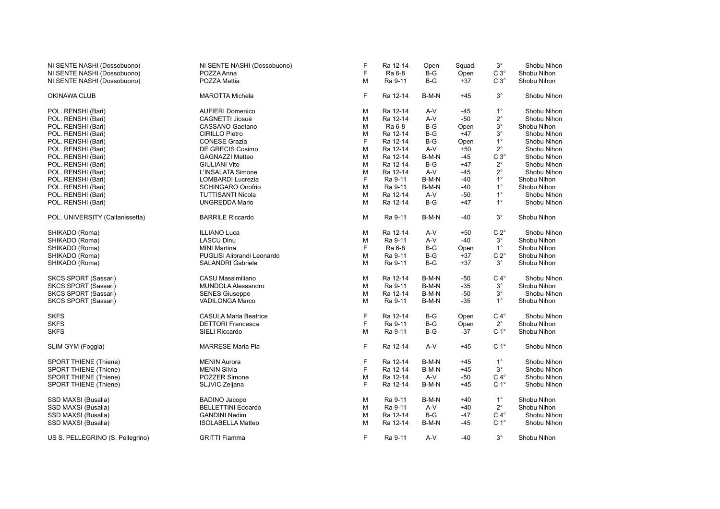| NI SENTE NASHI (Dossobuono)      | NI SENTE NASHI (Dossobuono)  | F | Ra 12-14 | Open  | Squad. | $3^{\circ}$      | Shobu Nihon |
|----------------------------------|------------------------------|---|----------|-------|--------|------------------|-------------|
| NI SENTE NASHI (Dossobuono)      | POZZA Anna                   | F | Ra 6-8   | B-G   | Open   | $C3^\circ$       | Shobu Nihon |
| NI SENTE NASHI (Dossobuono)      | POZZA Mattia                 | M | Ra 9-11  | $B-G$ | $+37$  | $C3^\circ$       | Shobu Nihon |
| OKINAWA CLUB                     | <b>MAROTTA Michela</b>       | F | Ra 12-14 | B-M-N | $+45$  | $3^{\circ}$      | Shobu Nihon |
| POL. RENSHI (Bari)               | <b>AUFIERI Domenico</b>      | M | Ra 12-14 | A-V   | -45    | $1^{\circ}$      | Shobu Nihon |
| POL. RENSHI (Bari)               | CAGNETTI Jiosuè              | М | Ra 12-14 | A-V   | $-50$  | $2^{\circ}$      | Shobu Nihon |
| POL. RENSHI (Bari)               | CASSANO Gaetano              | M | Ra 6-8   | $B-G$ | Open   | $3^\circ$        | Shobu Nihon |
| POL. RENSHI (Bari)               | CIRILLO Pietro               | M | Ra 12-14 | $B-G$ | $+47$  | $3^{\circ}$      | Shobu Nihon |
| POL. RENSHI (Bari)               | <b>CONESE Grazia</b>         | F | Ra 12-14 | $B-G$ | Open   | $1^{\circ}$      | Shobu Nihon |
| POL. RENSHI (Bari)               | DE GRECIS Cosimo             | M | Ra 12-14 | A-V   | $+50$  | $2^{\circ}$      | Shobu Nihon |
| POL. RENSHI (Bari)               | <b>GAGNAZZI Matteo</b>       | M | Ra 12-14 | B-M-N | -45    | $C3^\circ$       | Shobu Nihon |
| POL. RENSHI (Bari)               | <b>GIULIANI Vito</b>         | M | Ra 12-14 | $B-G$ | $+47$  | $2^{\circ}$      | Shobu Nihon |
| POL. RENSHI (Bari)               | L'INSALATA Simone            | M | Ra 12-14 | A-V   | $-45$  | $2^{\circ}$      | Shobu Nihon |
| POL. RENSHI (Bari)               | LOMBARDI Lucrezia            | F | Ra 9-11  | B-M-N | $-40$  | $1^{\circ}$      | Shobu Nihon |
| POL. RENSHI (Bari)               | <b>SCHINGARO Onofrio</b>     | M | Ra 9-11  | B-M-N | $-40$  | $1^{\circ}$      | Shobu Nihon |
| POL. RENSHI (Bari)               | <b>TUTTISANTI Nicola</b>     | M | Ra 12-14 | A-V   | $-50$  | $1^{\circ}$      | Shobu Nihon |
| POL. RENSHI (Bari)               | <b>UNGREDDA Mario</b>        | M | Ra 12-14 | $B-G$ | $+47$  | $1^{\circ}$      | Shobu Nihon |
| POL. UNIVERSITY (Caltanissetta)  | <b>BARRILE Riccardo</b>      | М | Ra 9-11  | B-M-N | -40    | $3^\circ$        | Shobu Nihon |
| SHIKADO (Roma)                   | <b>ILLIANO Luca</b>          | M | Ra 12-14 | A-V   | $+50$  | $C 2^{\circ}$    | Shobu Nihon |
| SHIKADO (Roma)                   | <b>LASCU Dinu</b>            | M | Ra 9-11  | A-V   | $-40$  | $3^{\circ}$      | Shobu Nihon |
| SHIKADO (Roma)                   | <b>MINI Martina</b>          | F | Ra 6-8   | B-G   | Open   | $1^{\circ}$      | Shobu Nihon |
| SHIKADO (Roma)                   | PUGLISI Alibrandi Leonardo   | M | Ra 9-11  | $B-G$ | $+37$  | $C 2^{\circ}$    | Shobu Nihon |
| SHIKADO (Roma)                   | <b>SALANDRI Gabriele</b>     | M | Ra 9-11  | $B-G$ | $+37$  | $3^{\circ}$      | Shobu Nihon |
| SKCS SPORT (Sassari)             | CASU Massimiliano            | M | Ra 12-14 | B-M-N | $-50$  | $C 4^\circ$      | Shobu Nihon |
| SKCS SPORT (Sassari)             | <b>MUNDOLA Alessandro</b>    | М | Ra 9-11  | B-M-N | $-35$  | $3^{\circ}$      | Shobu Nihon |
| <b>SKCS SPORT (Sassari)</b>      | <b>SENES Giuseppe</b>        | M | Ra 12-14 | B-M-N | $-50$  | $3^\circ$        | Shobu Nihon |
| SKCS SPORT (Sassari)             | <b>VADILONGA Marco</b>       | M | Ra 9-11  | B-M-N | $-35$  | $1^{\circ}$      | Shobu Nihon |
| <b>SKFS</b>                      | <b>CASULA Maria Beatrice</b> | F | Ra 12-14 | $B-G$ | Open   | $C 4^\circ$      | Shobu Nihon |
| <b>SKFS</b>                      | <b>DETTORI Francesca</b>     | F | Ra 9-11  | $B-G$ | Open   | $2^{\circ}$      | Shobu Nihon |
| <b>SKFS</b>                      | SIELI Riccardo               | M | Ra 9-11  | $B-G$ | $-37$  | C <sub>1</sub> ° | Shobu Nihon |
| SLIM GYM (Foggia)                | <b>MARRESE Maria Pia</b>     | F | Ra 12-14 | A-V   | $+45$  | C <sub>1</sub> ° | Shobu Nihon |
| <b>SPORT THIENE (Thiene)</b>     | <b>MENIN Aurora</b>          | F | Ra 12-14 | B-M-N | $+45$  | $1^{\circ}$      | Shobu Nihon |
| <b>SPORT THIENE (Thiene)</b>     | <b>MENIN Silvia</b>          | F | Ra 12-14 | B-M-N | $+45$  | $3^{\circ}$      | Shobu Nihon |
| <b>SPORT THIENE (Thiene)</b>     | POZZER Simone                | M | Ra 12-14 | $A-V$ | -50    | $C 4^\circ$      | Shobu Nihon |
| <b>SPORT THIENE (Thiene)</b>     | SLJVIC Zeljana               | F | Ra 12-14 | B-M-N | $+45$  | C <sub>1</sub> ° | Shobu Nihon |
| SSD MAXSI (Busalla)              | <b>BADINO Jacopo</b>         | M | Ra 9-11  | B-M-N | $+40$  | $1^{\circ}$      | Shobu Nihon |
| SSD MAXSI (Busalla)              | <b>BELLETTINI Edoardo</b>    | M | Ra 9-11  | A-V   | $+40$  | $2^{\circ}$      | Shobu Nihon |
| SSD MAXSI (Busalla)              | <b>GANDINI Nedim</b>         | M | Ra 12-14 | $B-G$ | -47    | $C 4^\circ$      | Shobu Nihon |
| SSD MAXSI (Busalla)              | <b>ISOLABELLA Matteo</b>     | M | Ra 12-14 | B-M-N | $-45$  | C <sub>1</sub> ° | Shobu Nihon |
| US S. PELLEGRINO (S. Pellegrino) | <b>GRITTI Fiamma</b>         | F | Ra 9-11  | A-V   | -40    | $3^{\circ}$      | Shobu Nihon |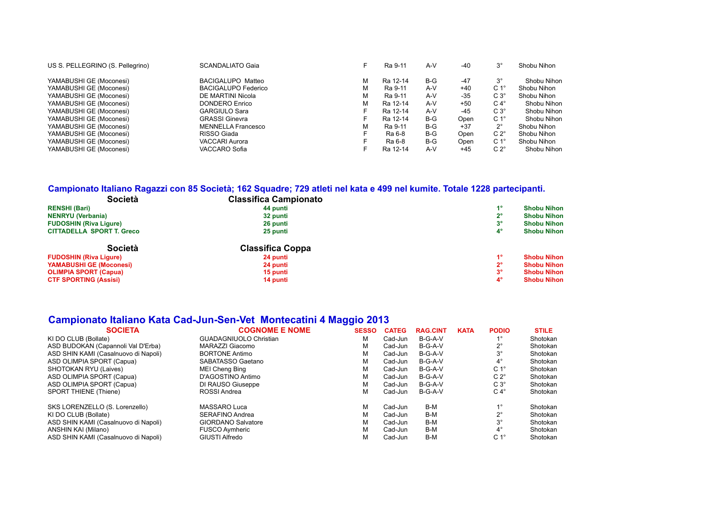| US S. PELLEGRINO (S. Pellegrino) | <b>SCANDALIATO Gaia</b>    |   | Ra 9-11  | $A-V$ | -40   | $3^{\circ}$      | Shobu Nihon |
|----------------------------------|----------------------------|---|----------|-------|-------|------------------|-------------|
| YAMABUSHI GE (Moconesi)          | BACIGALUPO Matteo          | М | Ra 12-14 | B-G   | $-47$ | $3^{\circ}$      | Shobu Nihon |
| YAMABUSHI GE (Moconesi)          | <b>BACIGALUPO Federico</b> | М | Ra 9-11  | $A-V$ | +40   | C <sub>1</sub> ° | Shobu Nihon |
| YAMABUSHI GE (Moconesi)          | DE MARTINI Nicola          | М | Ra 9-11  | $A-V$ | -35   | $C3^{\circ}$     | Shobu Nihon |
| YAMABUSHI GE (Moconesi)          | <b>DONDERO Enrico</b>      | М | Ra 12-14 | $A-V$ | +50   | $C 4^{\circ}$    | Shobu Nihon |
| YAMABUSHI GE (Moconesi)          | <b>GARGIULO Sara</b>       |   | Ra 12-14 | $A-V$ | -45   | $C3^\circ$       | Shobu Nihon |
| YAMABUSHI GE (Moconesi)          | <b>GRASSI Ginevra</b>      |   | Ra 12-14 | B-G   | Open  | C <sub>1</sub> ° | Shobu Nihon |
| YAMABUSHI GE (Moconesi)          | <b>MENNELLA Francesco</b>  | м | Ra 9-11  | B-G   | $+37$ | $2^{\circ}$      | Shobu Nihon |
| YAMABUSHI GE (Moconesi)          | RISSO Giada                | F | Ra 6-8   | B-G   | Open  | $C 2^{\circ}$    | Shobu Nihon |
| YAMABUSHI GE (Moconesi)          | <b>VACCARI Aurora</b>      |   | Ra 6-8   | B-G   | Open  | C <sub>1</sub> ° | Shobu Nihon |
| YAMABUSHI GE (Moconesi)          | VACCARO Sofia              |   | Ra 12-14 | $A-V$ | $+45$ | $C 2^{\circ}$    | Shobu Nihon |

#### **Campionato Italiano Ragazzi con 85 Società; 162 Squadre; 729 atleti nel kata e 499 nel kumite. Totale 1228 partecipanti.**

| <b>Società</b>                   | <b>Classifica Campionato</b> |             |                    |
|----------------------------------|------------------------------|-------------|--------------------|
| <b>RENSHI (Bari)</b>             | 44 punti                     | 40          | <b>Shobu Nihon</b> |
| <b>NENRYU</b> (Verbania)         | 32 punti                     | າ           | <b>Shobu Nihon</b> |
| <b>FUDOSHIN (Riva Ligure)</b>    | 26 punti                     | $3^{\circ}$ | <b>Shobu Nihon</b> |
| <b>CITTADELLA SPORT T. Greco</b> | 25 punti                     | $4^{\circ}$ | <b>Shobu Nihon</b> |
| <b>Società</b>                   | <b>Classifica Coppa</b>      |             |                    |
| <b>FUDOSHIN (Riva Ligure)</b>    | 24 punti                     | 40          | <b>Shobu Nihon</b> |
| <b>YAMABUSHI GE (Moconesi)</b>   | 24 punti                     | າ∘          | <b>Shobu Nihon</b> |
| <b>OLIMPIA SPORT (Capua)</b>     | 15 punti                     | $3^{\circ}$ | <b>Shobu Nihon</b> |
| <b>CTF SPORTING (Assisi)</b>     | 14 punti                     | 4°          | <b>Shobu Nihon</b> |

### **Campionato Italiano Kata Cad-Jun-Sen-Vet Montecatini 4 Maggio 2013**

| <b>SOCIETA</b>                       | <b>COGNOME E NOME</b>         | <b>SESSO</b> | <b>CATEG</b> | <b>RAG.CINT</b> | <b>KATA</b> | <b>PODIO</b>     | <b>STILE</b> |
|--------------------------------------|-------------------------------|--------------|--------------|-----------------|-------------|------------------|--------------|
| KI DO CLUB (Bollate)                 | <b>GUADAGNIUOLO Christian</b> | м            | Cad-Jun      | B-G-A-V         |             | 10               | Shotokan     |
| ASD BUDOKAN (Capannoli Val D'Erba)   | MARAZZI Giacomo               | М            | Cad-Jun      | B-G-A-V         |             | $2^{\circ}$      | Shotokan     |
| ASD SHIN KAMI (Casalnuovo di Napoli) | <b>BORTONE Antimo</b>         | м            | Cad-Jun      | B-G-A-V         |             | $3^{\circ}$      | Shotokan     |
| ASD OLIMPIA SPORT (Capua)            | SABATASSO Gaetano             | М            | Cad-Jun      | B-G-A-V         |             | $4^{\circ}$      | Shotokan     |
| <b>SHOTOKAN RYU (Laives)</b>         | MEI Cheng Bing                | М            | Cad-Jun      | B-G-A-V         |             | C <sub>1</sub> ° | Shotokan     |
| ASD OLIMPIA SPORT (Capua)            | D'AGOSTINO Antimo             | М            | Cad-Jun      | B-G-A-V         |             | $C 2^{\circ}$    | Shotokan     |
| ASD OLIMPIA SPORT (Capua)            | DI RAUSO Giuseppe             | М            | Cad-Jun      | B-G-A-V         |             | $C3^\circ$       | Shotokan     |
| <b>SPORT THIENE (Thiene)</b>         | ROSSI Andrea                  | М            | Cad-Jun      | B-G-A-V         |             | $C 4^\circ$      | Shotokan     |
| SKS LORENZELLO (S. Lorenzello)       | MASSARO Luca                  | м            | Cad-Jun      | B-M             |             | $1^{\circ}$      | Shotokan     |
| KI DO CLUB (Bollate)                 | <b>SERAFINO Andrea</b>        | М            | Cad-Jun      | B-M             |             | $2^{\circ}$      | Shotokan     |
| ASD SHIN KAMI (Casalnuovo di Napoli) | <b>GIORDANO Salvatore</b>     | М            | Cad-Jun      | B-M             |             | $3^{\circ}$      | Shotokan     |
| ANSHIN KAI (Milano)                  | <b>FUSCO Aymheric</b>         | М            | Cad-Jun      | B-M             |             | $4^{\circ}$      | Shotokan     |
| ASD SHIN KAMI (Casalnuovo di Napoli) | GIUSTI Alfredo                | М            | Cad-Jun      | B-M             |             | C <sub>1</sub> ° | Shotokan     |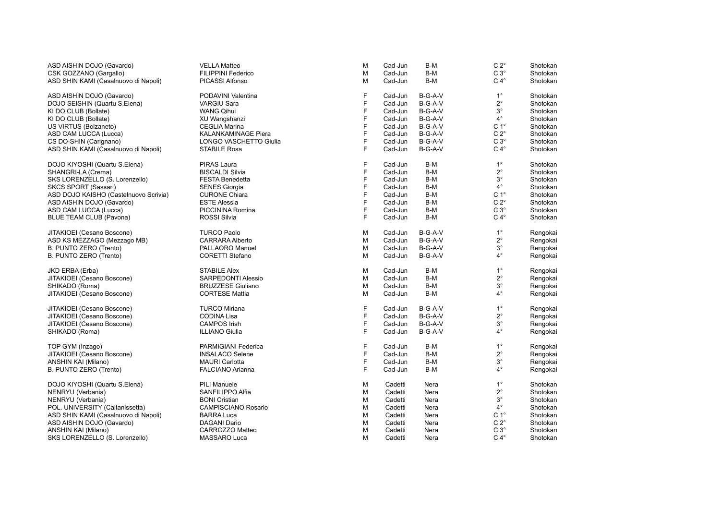| ASD AISHIN DOJO (Gavardo)             | <b>VELLA Matteo</b>           | м            | Cad-Jun | B-M       | $C 2^{\circ}$    | Shotokan |
|---------------------------------------|-------------------------------|--------------|---------|-----------|------------------|----------|
| CSK GOZZANO (Gargallo)                | FILIPPINI Federico            | M            | Cad-Jun | B-M       | $C3^\circ$       | Shotokan |
| ASD SHIN KAMI (Casalnuovo di Napoli)  | PICASSI Alfonso               | м            | Cad-Jun | B-M       | $C 4^\circ$      | Shotokan |
| ASD AISHIN DOJO (Gavardo)             | PODAVINI Valentina            | F            | Cad-Jun | B-G-A-V   | $1^{\circ}$      | Shotokan |
| DOJO SEISHIN (Quartu S.Elena)         | <b>VARGIU Sara</b>            | F            | Cad-Jun | B-G-A-V   | $2^{\circ}$      | Shotokan |
| KI DO CLUB (Bollate)                  | <b>WANG Qihui</b>             | F            | Cad-Jun | B-G-A-V   | $3^{\circ}$      | Shotokan |
| KI DO CLUB (Bollate)                  | XU Wangshanzi                 | F            | Cad-Jun | B-G-A-V   | $4^{\circ}$      | Shotokan |
| US VIRTUS (Bolzaneto)                 | <b>CEGLIA Marina</b>          | F            | Cad-Jun | B-G-A-V   | C <sub>1</sub> ° | Shotokan |
| ASD CAM LUCCA (Lucca)                 | KALANKAMINAGE Piera           | F            | Cad-Jun | B-G-A-V   | $C 2^{\circ}$    | Shotokan |
| CS DO-SHIN (Carignano)                | <b>LONGO VASCHETTO Giulia</b> | F            | Cad-Jun | $B-G-A-V$ | $C3^\circ$       | Shotokan |
| ASD SHIN KAMI (Casalnuovo di Napoli)  | STABILE Rosa                  | E            | Cad-Jun | B-G-A-V   | $C 4^\circ$      | Shotokan |
| DOJO KIYOSHI (Quartu S.Elena)         | <b>PIRAS Laura</b>            | F            | Cad-Jun | B-M       | $1^{\circ}$      | Shotokan |
| SHANGRI-LA (Crema)                    | <b>BISCALDI Silvia</b>        | F            | Cad-Jun | B-M       | $2^{\circ}$      | Shotokan |
| SKS LORENZELLO (S. Lorenzello)        | <b>FESTA Benedetta</b>        | F            | Cad-Jun | B-M       | $3^\circ$        | Shotokan |
| <b>SKCS SPORT (Sassari)</b>           | <b>SENES Giorgia</b>          | E            | Cad-Jun | B-M       | $4^{\circ}$      | Shotokan |
| ASD DOJO KAISHO (Castelnuovo Scrivia) | <b>CURONE Chiara</b>          | F            | Cad-Jun | B-M       | C <sub>1</sub> ° | Shotokan |
| ASD AISHIN DOJO (Gavardo)             | <b>ESTE Alessia</b>           | F            | Cad-Jun | B-M       | $C 2^\circ$      | Shotokan |
| ASD CAM LUCCA (Lucca)                 | PICCININA Romina              | F            | Cad-Jun | B-M       | $C3^\circ$       | Shotokan |
| <b>BLUE TEAM CLUB (Pavona)</b>        | <b>ROSSI Silvia</b>           | F            | Cad-Jun | B-M       | $C 4^\circ$      | Shotokan |
| JITAKIOEI (Cesano Boscone)            | <b>TURCO Paolo</b>            | М            | Cad-Jun | B-G-A-V   | $1^{\circ}$      | Rengokai |
| ASD KS MEZZAGO (Mezzago MB)           | CARRARA Alberto               | M            | Cad-Jun | B-G-A-V   | $2^{\circ}$      | Rengokai |
| B. PUNTO ZERO (Trento)                | PALLAORO Manuel               | M            | Cad-Jun | B-G-A-V   | $3^{\circ}$      | Rengokai |
| B. PUNTO ZERO (Trento)                | <b>CORETTI Stefano</b>        | M            | Cad-Jun | B-G-A-V   | $4^{\circ}$      | Rengokai |
| JKD ERBA (Erba)                       | <b>STABILE Alex</b>           | М            | Cad-Jun | B-M       | $1^{\circ}$      | Rengokai |
| JITAKIOEI (Cesano Boscone)            | SARPEDONTI Alessio            | М            | Cad-Jun | B-M       | $2^{\circ}$      | Rengokai |
| SHIKADO (Roma)                        | <b>BRUZZESE Giuliano</b>      | M            | Cad-Jun | B-M       | $3^{\circ}$      | Rengokai |
| JITAKIOEI (Cesano Boscone)            | <b>CORTESE Mattia</b>         | M            | Cad-Jun | B-M       | $4^{\circ}$      | Rengokai |
| JITAKIOEI (Cesano Boscone)            | <b>TURCO Miriana</b>          | F            | Cad-Jun | B-G-A-V   | $1^{\circ}$      | Rengokai |
| JITAKIOEI (Cesano Boscone)            | CODINA Lisa                   | F            | Cad-Jun | B-G-A-V   | $2^{\circ}$      | Rengokai |
| JITAKIOEI (Cesano Boscone)            | <b>CAMPOS Irish</b>           | F            | Cad-Jun | B-G-A-V   | $3^{\circ}$      | Rengokai |
| SHIKADO (Roma)                        | <b>ILLIANO Giulia</b>         | F            | Cad-Jun | B-G-A-V   | $4^{\circ}$      | Rengokai |
| TOP GYM (Inzago)                      | PARMIGIANI Federica           | $\mathsf{F}$ | Cad-Jun | B-M       | $1^{\circ}$      | Rengokai |
| JITAKIOEI (Cesano Boscone)            | <b>INSALACO Selene</b>        | F            | Cad-Jun | B-M       | $2^{\circ}$      | Rengokai |
| ANSHIN KAI (Milano)                   | <b>MAURI</b> Carlotta         | F            | Cad-Jun | B-M       | $3^{\circ}$      | Rengokai |
| B. PUNTO ZERO (Trento)                | <b>FALCIANO Arianna</b>       | F            | Cad-Jun | B-M       | $4^{\circ}$      | Rengokai |
| DOJO KIYOSHI (Quartu S.Elena)         | <b>PILI Manuele</b>           | М            | Cadetti | Nera      | $1^{\circ}$      | Shotokan |
| NENRYU (Verbania)                     | SANFILIPPO Alfia              | M            | Cadetti | Nera      | $2^{\circ}$      | Shotokan |
| NENRYU (Verbania)                     | <b>BONI</b> Cristian          | М            | Cadetti | Nera      | $3^{\circ}$      | Shotokan |
| POL. UNIVERSITY (Caltanissetta)       | CAMPISCIANO Rosario           | M            | Cadetti | Nera      | $4^{\circ}$      | Shotokan |
| ASD SHIN KAMI (Casalnuovo di Napoli)  | <b>BARRA Luca</b>             | M            | Cadetti | Nera      | $C 1^\circ$      | Shotokan |
| ASD AISHIN DOJO (Gavardo)             | DAGANI Dario                  | М            | Cadetti | Nera      | $C 2^{\circ}$    | Shotokan |
| ANSHIN KAI (Milano)                   | CARROZZO Matteo               | М            | Cadetti | Nera      | $C3^\circ$       | Shotokan |
| SKS LORENZELLO (S. Lorenzello)        | MASSARO Luca                  | М            | Cadetti | Nera      | $C 4^\circ$      | Shotokan |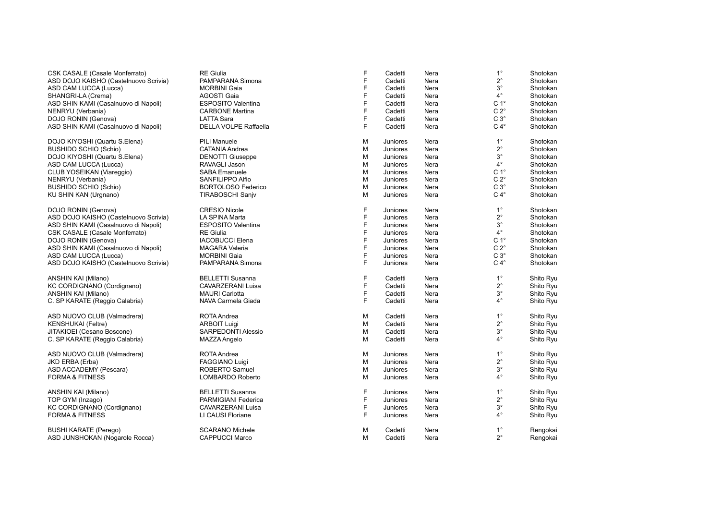| CSK CASALE (Casale Monferrato)        | <b>RE</b> Giulia          | F           | Cadetti  | Nera | $1^{\circ}$      | Shotokan  |
|---------------------------------------|---------------------------|-------------|----------|------|------------------|-----------|
| ASD DOJO KAISHO (Castelnuovo Scrivia) | PAMPARANA Simona          | F           | Cadetti  | Nera | $2^{\circ}$      | Shotokan  |
| ASD CAM LUCCA (Lucca)                 | <b>MORBINI Gaia</b>       | F           | Cadetti  | Nera | $3^{\circ}$      | Shotokan  |
| SHANGRI-LA (Crema)                    | AGOSTI Gaia               | F           | Cadetti  | Nera | $4^\circ$        | Shotokan  |
| ASD SHIN KAMI (Casalnuovo di Napoli)  | <b>ESPOSITO Valentina</b> | F           | Cadetti  | Nera | C <sub>1</sub> ° | Shotokan  |
| NENRYU (Verbania)                     | <b>CARBONE Martina</b>    | F           | Cadetti  | Nera | $C 2^{\circ}$    | Shotokan  |
| DOJO RONIN (Genova)                   | <b>LATTA Sara</b>         | F           | Cadetti  | Nera | $C3^\circ$       | Shotokan  |
| ASD SHIN KAMI (Casalnuovo di Napoli)  | DELLA VOLPE Raffaella     | F           | Cadetti  | Nera | $C 4^\circ$      | Shotokan  |
| DOJO KIYOSHI (Quartu S.Elena)         | <b>PILI Manuele</b>       | M           | Juniores | Nera | $1^{\circ}$      | Shotokan  |
| <b>BUSHIDO SCHIO (Schio)</b>          | <b>CATANIA Andrea</b>     | M           | Juniores | Nera | $2^{\circ}$      | Shotokan  |
| DOJO KIYOSHI (Quartu S.Elena)         | <b>DENOTTI Giuseppe</b>   | M           | Juniores | Nera | $3^\circ$        | Shotokan  |
| ASD CAM LUCCA (Lucca)                 | RAVAGLI Jason             | M           | Juniores | Nera | $4^{\circ}$      | Shotokan  |
| CLUB YOSEIKAN (Viareggio)             | <b>SABA Emanuele</b>      | M           | Juniores | Nera | C <sub>1</sub> ° | Shotokan  |
| NENRYU (Verbania)                     | SANFILIPPO Alfio          | M           | Juniores | Nera | $C 2^{\circ}$    | Shotokan  |
| <b>BUSHIDO SCHIO (Schio)</b>          | <b>BORTOLOSO Federico</b> | M           | Juniores | Nera | $C3^\circ$       | Shotokan  |
| KU SHIN KAN (Urgnano)                 | <b>TIRABOSCHI Sanjv</b>   | M           | Juniores | Nera | $C 4^\circ$      | Shotokan  |
| DOJO RONIN (Genova)                   | <b>CRESIO Nicole</b>      | F           | Juniores | Nera | $1^{\circ}$      | Shotokan  |
| ASD DOJO KAISHO (Castelnuovo Scrivia) | LA SPINA Marta            | F           | Juniores | Nera | $2^{\circ}$      | Shotokan  |
| ASD SHIN KAMI (Casalnuovo di Napoli)  | <b>ESPOSITO Valentina</b> | F           | Juniores | Nera | $3^\circ$        | Shotokan  |
| CSK CASALE (Casale Monferrato)        | <b>RE</b> Giulia          | F           | Juniores | Nera | $4^{\circ}$      | Shotokan  |
| DOJO RONIN (Genova)                   | <b>IACOBUCCI Elena</b>    | F           | Juniores | Nera | C <sub>1</sub> ° | Shotokan  |
| ASD SHIN KAMI (Casalnuovo di Napoli)  | <b>MAGARA Valeria</b>     | F           | Juniores | Nera | $C 2^{\circ}$    | Shotokan  |
| ASD CAM LUCCA (Lucca)                 | <b>MORBINI Gaia</b>       | F           | Juniores | Nera | $C3^\circ$       | Shotokan  |
| ASD DOJO KAISHO (Castelnuovo Scrivia) | PAMPARANA Simona          | F           | Juniores | Nera | $C 4^\circ$      | Shotokan  |
|                                       |                           |             |          |      |                  |           |
| ANSHIN KAI (Milano)                   | <b>BELLETTI Susanna</b>   | F           | Cadetti  | Nera | $1^{\circ}$      | Shito Ryu |
| KC CORDIGNANO (Cordignano)            | CAVARZERANI Luisa         | F           | Cadetti  | Nera | $2^{\circ}$      | Shito Ryu |
| ANSHIN KAI (Milano)                   | <b>MAURI Carlotta</b>     | F           | Cadetti  | Nera | $3^\circ$        | Shito Ryu |
| C. SP KARATE (Reggio Calabria)        | NAVA Carmela Giada        | E           | Cadetti  | Nera | $4^{\circ}$      | Shito Ryu |
| ASD NUOVO CLUB (Valmadrera)           | ROTA Andrea               | M           | Cadetti  | Nera | $1^{\circ}$      | Shito Ryu |
| <b>KENSHUKAI</b> (Feltre)             | <b>ARBOIT Luigi</b>       | M           | Cadetti  | Nera | $2^{\circ}$      | Shito Ryu |
| JITAKIOEI (Cesano Boscone)            | <b>SARPEDONTI Alessio</b> | M           | Cadetti  | Nera | $3^\circ$        | Shito Ryu |
| C. SP KARATE (Reggio Calabria)        | MAZZA Angelo              | M           | Cadetti  | Nera | $4^\circ$        | Shito Ryu |
| ASD NUOVO CLUB (Valmadrera)           | ROTA Andrea               | M           | Juniores | Nera | $1^{\circ}$      | Shito Ryu |
| JKD ERBA (Erba)                       | FAGGIANO Luigi            | M           | Juniores | Nera | $2^{\circ}$      | Shito Ryu |
| ASD ACCADEMY (Pescara)                | ROBERTO Samuel            | M           | Juniores | Nera | $3^\circ$        | Shito Ryu |
| <b>FORMA &amp; FITNESS</b>            | LOMBARDO Roberto          | M           | Juniores | Nera | $4^\circ$        | Shito Ryu |
| ANSHIN KAI (Milano)                   | <b>BELLETTI Susanna</b>   | F           | Juniores | Nera | $1^{\circ}$      | Shito Ryu |
| TOP GYM (Inzago)                      | PARMIGIANI Federica       | $\mathsf F$ | Juniores | Nera | $2^{\circ}$      | Shito Ryu |
| KC CORDIGNANO (Cordignano)            | <b>CAVARZERANI Luisa</b>  | F           | Juniores | Nera | $3^\circ$        | Shito Ryu |
| <b>FORMA &amp; FITNESS</b>            | LI CAUSI Floriane         | F           | Juniores | Nera | $4^{\circ}$      | Shito Ryu |
|                                       |                           |             |          |      |                  |           |
| <b>BUSHI KARATE (Perego)</b>          | <b>SCARANO Michele</b>    | M           | Cadetti  | Nera | $1^{\circ}$      | Rengokai  |
| ASD JUNSHOKAN (Nogarole Rocca)        | <b>CAPPUCCI Marco</b>     | M           | Cadetti  | Nera | $2^{\circ}$      | Rengokai  |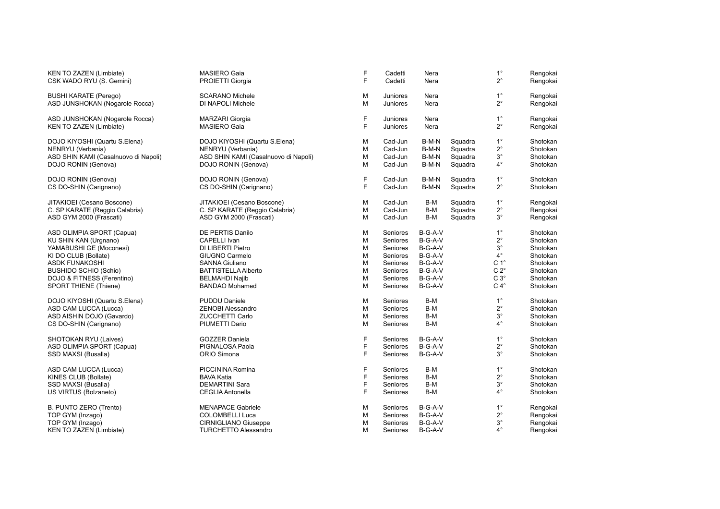| KEN TO ZAZEN (Limbiate)<br>CSK WADO RYU (S. Gemini)       | MASIERO Gaia<br>PROIETTI Giorgia       | F<br>F | Cadetti<br>Cadetti          | Nera<br>Nera |         | $1^{\circ}$<br>$2^{\circ}$ | Rengokai<br>Rengokai |  |
|-----------------------------------------------------------|----------------------------------------|--------|-----------------------------|--------------|---------|----------------------------|----------------------|--|
| <b>BUSHI KARATE (Perego)</b>                              | <b>SCARANO Michele</b>                 | M      | <b>Juniores</b>             | Nera         |         | $1^{\circ}$                | Rengokai             |  |
| ASD JUNSHOKAN (Nogarole Rocca)                            | DI NAPOLI Michele                      | M      | <b>Juniores</b>             | Nera         |         | $2^{\circ}$                | Rengokai             |  |
| ASD JUNSHOKAN (Nogarole Rocca)<br>KEN TO ZAZEN (Limbiate) | <b>MARZARI</b> Giorgia<br>MASIERO Gaia | F<br>F | <b>Juniores</b><br>Juniores | Nera<br>Nera |         | $1^{\circ}$<br>$2^{\circ}$ | Rengokai<br>Rengokai |  |
|                                                           |                                        |        |                             |              |         |                            |                      |  |
| DOJO KIYOSHI (Quartu S.Elena)                             | DOJO KIYOSHI (Quartu S.Elena)          | M      | Cad-Jun                     | B-M-N        | Squadra | $1^{\circ}$                | Shotokan             |  |
| NENRYU (Verbania)                                         | NENRYU (Verbania)                      | М      | Cad-Jun                     | B-M-N        | Squadra | $2^{\circ}$                | Shotokan             |  |
| ASD SHIN KAMI (Casalnuovo di Napoli)                      | ASD SHIN KAMI (Casalnuovo di Napoli)   | M      | Cad-Jun                     | B-M-N        | Squadra | $3^{\circ}$                | Shotokan             |  |
| DOJO RONIN (Genova)                                       | DOJO RONIN (Genova)                    | M      | Cad-Jun                     | B-M-N        | Squadra | $4^{\circ}$                | Shotokan             |  |
| DOJO RONIN (Genova)                                       | DOJO RONIN (Genova)                    | F      | Cad-Jun                     | B-M-N        | Squadra | $1^{\circ}$                | Shotokan             |  |
| CS DO-SHIN (Carignano)                                    | CS DO-SHIN (Carignano)                 | F      | Cad-Jun                     | B-M-N        | Squadra | $2^{\circ}$                | Shotokan             |  |
| JITAKIOEI (Cesano Boscone)                                | JITAKIOEI (Cesano Boscone)             | М      | Cad-Jun                     | B-M          | Squadra | $1^{\circ}$                | Rengokai             |  |
| C. SP KARATE (Reggio Calabria)                            | C. SP KARATE (Reggio Calabria)         | M      | Cad-Jun                     | B-M          | Squadra | $2^{\circ}$                | Rengokai             |  |
| ASD GYM 2000 (Frascati)                                   | ASD GYM 2000 (Frascati)                | M      | Cad-Jun                     | B-M          | Squadra | $3^\circ$                  | Rengokai             |  |
| ASD OLIMPIA SPORT (Capua)                                 | DE PERTIS Danilo                       | M      | Seniores                    | B-G-A-V      |         | $1^{\circ}$                | Shotokan             |  |
| KU SHIN KAN (Urgnano)                                     | <b>CAPELLI</b> Ivan                    | M      | Seniores                    | B-G-A-V      |         | $2^{\circ}$                | Shotokan             |  |
| YAMABUSHI GE (Moconesi)                                   | DI LIBERTI Pietro                      | M      | Seniores                    | $B-G-A-V$    |         | $3^{\circ}$                | Shotokan             |  |
| KI DO CLUB (Bollate)                                      | GIUGNO Carmelo                         | М      | Seniores                    | B-G-A-V      |         | $4^{\circ}$                | Shotokan             |  |
| ASDK FUNAKOSHI                                            | <b>SANNA Giuliano</b>                  | М      | Seniores                    | B-G-A-V      |         | C <sub>1</sub> °           | Shotokan             |  |
| <b>BUSHIDO SCHIO (Schio)</b>                              | <b>BATTISTELLA Alberto</b>             | М      | Seniores                    | B-G-A-V      |         | $C 2^\circ$                | Shotokan             |  |
| DOJO & FITNESS (Ferentino)                                | <b>BELMAHDI Najib</b>                  | М      | Seniores                    | B-G-A-V      |         | $C 3^\circ$                | Shotokan             |  |
| <b>SPORT THIENE (Thiene)</b>                              | <b>BANDAO</b> Mohamed                  | M      | Seniores                    | B-G-A-V      |         | $C 4^\circ$                | Shotokan             |  |
| DOJO KIYOSHI (Quartu S.Elena)                             | <b>PUDDU Daniele</b>                   | М      | Seniores                    | B-M          |         | $1^{\circ}$                | Shotokan             |  |
| ASD CAM LUCCA (Lucca)                                     | ZENOBI Alessandro                      | М      | Seniores                    | B-M          |         | $2^{\circ}$                | Shotokan             |  |
| ASD AISHIN DOJO (Gavardo)                                 | <b>ZUCCHETTI Carlo</b>                 | М      | Seniores                    | B-M          |         | $3^{\circ}$                | Shotokan             |  |
| CS DO-SHIN (Carignano)                                    | PIUMETTI Dario                         | M      | Seniores                    | B-M          |         | $4^{\circ}$                | Shotokan             |  |
| SHOTOKAN RYU (Laives)                                     | <b>GOZZER Daniela</b>                  | F      | Seniores                    | $B-G-A-V$    |         | $1^{\circ}$                | Shotokan             |  |
| ASD OLIMPIA SPORT (Capua)                                 | PIGNALOSA Paola                        | F      | Seniores                    | B-G-A-V      |         | $2^{\circ}$                | Shotokan             |  |
| SSD MAXSI (Busalla)                                       | ORIO Simona                            | F      | Seniores                    | B-G-A-V      |         | $3^{\circ}$                | Shotokan             |  |
| ASD CAM LUCCA (Lucca)                                     | PICCININA Romina                       | F      | Seniores                    | B-M          |         | $1^{\circ}$                | Shotokan             |  |
| KINES CLUB (Bollate)                                      | <b>BAVA Katia</b>                      | F      | Seniores                    | B-M          |         | $2^{\circ}$                | Shotokan             |  |
| SSD MAXSI (Busalla)                                       | <b>DEMARTINI Sara</b>                  | F      | Seniores                    | B-M          |         | $3^\circ$                  | Shotokan             |  |
| US VIRTUS (Bolzaneto)                                     | CEGLIA Antonella                       | F      | Seniores                    | B-M          |         | $4^{\circ}$                | Shotokan             |  |
| B. PUNTO ZERO (Trento)                                    | <b>MENAPACE Gabriele</b>               | М      | Seniores                    | B-G-A-V      |         | $1^{\circ}$                | Rengokai             |  |
| TOP GYM (Inzago)                                          | <b>COLOMBELLI Luca</b>                 | М      | Seniores                    | B-G-A-V      |         | $2^{\circ}$                | Rengokai             |  |
| TOP GYM (Inzago)                                          | <b>CIRNIGLIANO Giuseppe</b>            | М      | Seniores                    | B-G-A-V      |         | $3^\circ$                  | Rengokai             |  |
| KEN TO ZAZEN (Limbiate)                                   | <b>TURCHETTO Alessandro</b>            | M      | Seniores                    | B-G-A-V      |         | $4^\circ$                  | Rengokai             |  |
|                                                           |                                        |        |                             |              |         |                            |                      |  |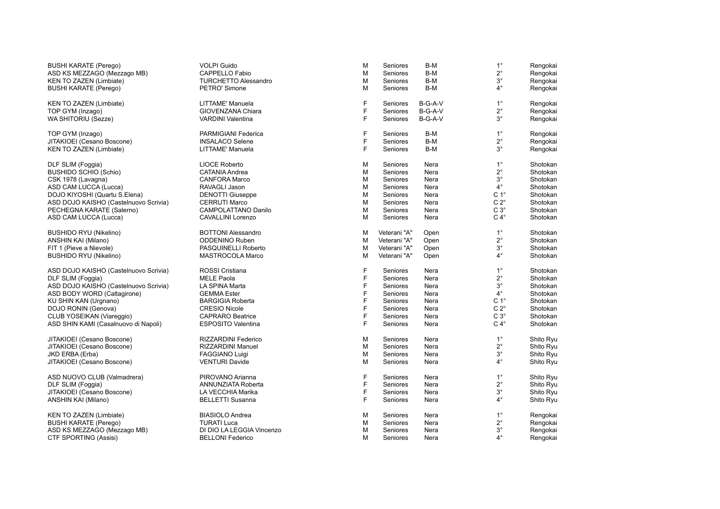| <b>BUSHI KARATE (Perego)</b>          | <b>VOLPI Guido</b>          | M | Seniores     | B-M     | $1^{\circ}$      | Rengokai  |
|---------------------------------------|-----------------------------|---|--------------|---------|------------------|-----------|
| ASD KS MEZZAGO (Mezzago MB)           | CAPPELLO Fabio              | M | Seniores     | B-M     | $2^{\circ}$      | Rengokai  |
| KEN TO ZAZEN (Limbiate)               | <b>TURCHETTO Alessandro</b> | M | Seniores     | B-M     | $3^\circ$        | Rengokai  |
| BUSHI KARATE (Perego)                 | PETRO' Simone               | M | Seniores     | B-M     | $4^{\circ}$      | Rengokai  |
| <b>KEN TO ZAZEN (Limbiate)</b>        | LITTAME' Manuela            | F | Seniores     | B-G-A-V | $1^{\circ}$      | Rengokai  |
| TOP GYM (Inzago)                      | GIOVENZANA Chiara           | F | Seniores     | B-G-A-V | $2^{\circ}$      | Rengokai  |
| WA SHITORIU (Sezze)                   | <b>VARDINI Valentina</b>    | F | Seniores     | B-G-A-V | $3^{\circ}$      | Rengokai  |
| TOP GYM (Inzago)                      | PARMIGIANI Federica         | F | Seniores     | B-M     | $1^{\circ}$      | Rengokai  |
| JITAKIOEI (Cesano Boscone)            | <b>INSALACO Selene</b>      | F | Seniores     | B-M     | $2^{\circ}$      | Rengokai  |
| KEN TO ZAZEN (Limbiate)               | LITTAME' Manuela            | F | Seniores     | B-M     | $3^{\circ}$      | Rengokai  |
| DLF SLIM (Foggia)                     | <b>LIOCE Roberto</b>        | M | Seniores     | Nera    | $1^{\circ}$      | Shotokan  |
| BUSHIDO SCHIO (Schio)                 | CATANIA Andrea              | M | Seniores     | Nera    | $2^{\circ}$      | Shotokan  |
| CSK 1978 (Lavagna)                    | <b>CANFORA Marco</b>        | M | Seniores     | Nera    | $3^\circ$        | Shotokan  |
| ASD CAM LUCCA (Lucca)                 | RAVAGLI Jason               | M | Seniores     | Nera    | $4^{\circ}$      | Shotokan  |
| DOJO KIYOSHI (Quartu S.Elena)         | <b>DENOTTI Giuseppe</b>     | M | Seniores     | Nera    | C <sub>1</sub> ° | Shotokan  |
| ASD DOJO KAISHO (Castelnuovo Scrivia) | <b>CERRUTI Marco</b>        | M | Seniores     | Nera    | $C 2^{\circ}$    | Shotokan  |
| PECHEGNA KARATE (Salerno)             | CAMPOLATTANO Danilo         | M | Seniores     | Nera    | $C 3^\circ$      | Shotokan  |
| ASD CAM LUCCA (Lucca)                 | CAVALLINI Lorenzo           | М | Seniores     | Nera    | $C 4^\circ$      | Shotokan  |
| <b>BUSHIDO RYU (Nikelino)</b>         | <b>BOTTONI Alessandro</b>   | М | Veterani "A" | Open    | $1^{\circ}$      | Shotokan  |
| ANSHIN KAI (Milano)                   | <b>ODDENINO Ruben</b>       | M | Veterani "A" | Open    | $2^{\circ}$      | Shotokan  |
| FIT 1 (Pieve a Nievole)               | PASQUINELLI Roberto         | M | Veterani "A" | Open    | $3^\circ$        | Shotokan  |
| <b>BUSHIDO RYU (Nikelino)</b>         | MASTROCOLA Marco            | M | Veterani "A" | Open    | $4^{\circ}$      | Shotokan  |
| ASD DOJO KAISHO (Castelnuovo Scrivia) | ROSSI Cristiana             | F | Seniores     | Nera    | $1^{\circ}$      | Shotokan  |
| DLF SLIM (Foggia)                     | <b>MELE Paola</b>           | F | Seniores     | Nera    | $2^{\circ}$      | Shotokan  |
| ASD DOJO KAISHO (Castelnuovo Scrivia) | LA SPINA Marta              | F | Seniores     | Nera    | $3^\circ$        | Shotokan  |
| ASD BODY WORD (Caltagirone)           | <b>GEMMA Ester</b>          | F | Seniores     | Nera    | $4^{\circ}$      | Shotokan  |
| KU SHIN KAN (Urgnano)                 | <b>BARGIGIA Roberta</b>     | F | Seniores     | Nera    | C <sub>1</sub> ° | Shotokan  |
| DOJO RONIN (Genova)                   | <b>CRESIO Nicole</b>        | F | Seniores     | Nera    | $C 2^{\circ}$    | Shotokan  |
| CLUB YOSEIKAN (Viareggio)             | <b>CAPRARO Beatrice</b>     | F | Seniores     | Nera    | $C3^\circ$       | Shotokan  |
| ASD SHIN KAMI (Casalnuovo di Napoli)  | <b>ESPOSITO Valentina</b>   | F | Seniores     | Nera    | $C 4^\circ$      | Shotokan  |
| JITAKIOEI (Cesano Boscone)            | RIZZARDINI Federico         | M | Seniores     | Nera    | $1^{\circ}$      | Shito Ryu |
| JITAKIOEI (Cesano Boscone)            | RIZZARDINI Manuel           | M | Seniores     | Nera    | $2^{\circ}$      | Shito Ryu |
| JKD ERBA (Erba)                       | <b>FAGGIANO Luigi</b>       | M | Seniores     | Nera    | $3^\circ$        | Shito Ryu |
| JITAKIOEI (Cesano Boscone)            | <b>VENTURI Davide</b>       | м | Seniores     | Nera    | $4^{\circ}$      | Shito Ryu |
| ASD NUOVO CLUB (Valmadrera)           | PIROVANO Arianna            | F | Seniores     | Nera    | $1^{\circ}$      | Shito Ryu |
| DLF SLIM (Foggia)                     | ANNUNZIATA Roberta          | F | Seniores     | Nera    | $2^{\circ}$      | Shito Ryu |
| JITAKIOEI (Cesano Boscone)            | LA VECCHIA Marika           | F | Seniores     | Nera    | $3^\circ$        | Shito Ryu |
| ANSHIN KAI (Milano)                   | <b>BELLETTI Susanna</b>     | F | Seniores     | Nera    | $4^{\circ}$      | Shito Ryu |
| <b>KEN TO ZAZEN (Limbiate)</b>        | <b>BIASIOLO Andrea</b>      | М | Seniores     | Nera    | $1^{\circ}$      | Rengokai  |
| <b>BUSHI KARATE (Perego)</b>          | <b>TURATI Luca</b>          | M | Seniores     | Nera    | $2^{\circ}$      | Rengokai  |
| ASD KS MEZZAGO (Mezzago MB)           | DI DIO LA LEGGIA Vincenzo   | M | Seniores     | Nera    | $3^\circ$        | Rengokai  |
| CTF SPORTING (Assisi)                 | <b>BELLONI Federico</b>     | M | Seniores     | Nera    | $4^{\circ}$      | Rengokai  |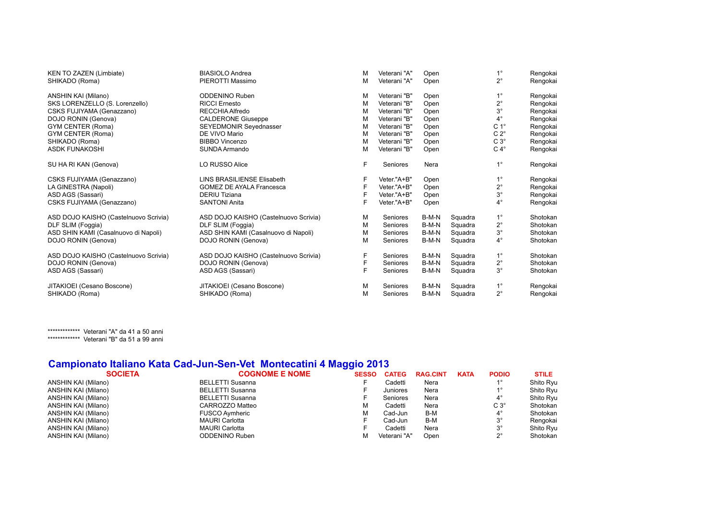| KEN TO ZAZEN (Limbiate)               | <b>BIASIOLO Andrea</b>                | M | Veterani "A" | Open  |         | $1^{\circ}$      | Rengokai |
|---------------------------------------|---------------------------------------|---|--------------|-------|---------|------------------|----------|
| SHIKADO (Roma)                        | PIEROTTI Massimo                      | М | Veterani "A" | Open  |         | $2^{\circ}$      | Rengokai |
| ANSHIN KAI (Milano)                   | <b>ODDENINO Ruben</b>                 | M | Veterani "B" | Open  |         | $1^{\circ}$      | Rengokai |
| SKS LORENZELLO (S. Lorenzello)        | <b>RICCI Ernesto</b>                  | M | Veterani "B" | Open  |         | $2^{\circ}$      | Rengokai |
| CSKS FUJIYAMA (Genazzano)             | RECCHIA Alfredo                       | M | Veterani "B" | Open  |         | $3^{\circ}$      | Rengokai |
| DOJO RONIN (Genova)                   | <b>CALDERONE Giuseppe</b>             | M | Veterani "B" | Open  |         | $4^{\circ}$      | Rengokai |
| GYM CENTER (Roma)                     | SEYEDMONIR Seyednasser                | M | Veterani "B" | Open  |         | C <sub>1</sub> ° | Rengokai |
| GYM CENTER (Roma)                     | DE VIVO Mario                         | M | Veterani "B" | Open  |         | $C 2^{\circ}$    | Rengokai |
| SHIKADO (Roma)                        | <b>BIBBO Vincenzo</b>                 | М | Veterani "B" | Open  |         | $C3^\circ$       | Rengokai |
| <b>ASDK FUNAKOSHI</b>                 | SUNDA Armando                         | M | Veterani "B" | Open  |         | $C 4^\circ$      | Rengokai |
| SU HA RI KAN (Genova)                 | <b>LO RUSSO Alice</b>                 | F | Seniores     | Nera  |         | $1^{\circ}$      | Rengokai |
| CSKS FUJIYAMA (Genazzano)             | <b>LINS BRASILIENSE Elisabeth</b>     | F | Veter."A+B"  | Open  |         | $1^{\circ}$      | Rengokai |
| LA GINESTRA (Napoli)                  | <b>GOMEZ DE AYALA Francesca</b>       | F | Veter."A+B"  | Open  |         | $2^{\circ}$      | Rengokai |
| ASD AGS (Sassari)                     | <b>DERIU Tiziana</b>                  | F | Veter."A+B"  | Open  |         | $3^{\circ}$      | Rengokai |
| CSKS FUJIYAMA (Genazzano)             | <b>SANTONI Anita</b>                  | F | Veter."A+B"  | Open  |         | $4^\circ$        | Rengokai |
| ASD DOJO KAISHO (Castelnuovo Scrivia) | ASD DOJO KAISHO (Castelnuovo Scrivia) | M | Seniores     | B-M-N | Squadra | $1^{\circ}$      | Shotokan |
| DLF SLIM (Foggia)                     | DLF SLIM (Foggia)                     | М | Seniores     | B-M-N | Squadra | $2^{\circ}$      | Shotokan |
| ASD SHIN KAMI (Casalnuovo di Napoli)  | ASD SHIN KAMI (Casalnuovo di Napoli)  | M | Seniores     | B-M-N | Squadra | $3^{\circ}$      | Shotokan |
| DOJO RONIN (Genova)                   | DOJO RONIN (Genova)                   | M | Seniores     | B-M-N | Squadra | $4^{\circ}$      | Shotokan |
| ASD DOJO KAISHO (Castelnuovo Scrivia) | ASD DOJO KAISHO (Castelnuovo Scrivia) | F | Seniores     | B-M-N | Squadra | $1^{\circ}$      | Shotokan |
| DOJO RONIN (Genova)                   | DOJO RONIN (Genova)                   | F | Seniores     | B-M-N | Squadra | $2^{\circ}$      | Shotokan |
| ASD AGS (Sassari)                     | ASD AGS (Sassari)                     | F | Seniores     | B-M-N | Squadra | $3^{\circ}$      | Shotokan |
| JITAKIOEI (Cesano Boscone)            | JITAKIOEI (Cesano Boscone)            | M | Seniores     | B-M-N | Squadra | $1^{\circ}$      | Rengokai |
| SHIKADO (Roma)                        | SHIKADO (Roma)                        | M | Seniores     | B-M-N | Squadra | $2^{\circ}$      | Rengokai |

\*\*\*\*\*\*\*\*\*\*\*\*\* Veterani "A" da 41 a 50 anni \*\*\*\*\*\*\*\*\*\*\*\*\*\*\* Veterani "B" da 51 a 99 anni

### **Campionato Italiano Kata Cad-Jun-Sen-Vet Montecatini 4 Maggio 2013**

|                     | <b>SOCIETA</b> | <b>COGNOME E NOME</b>   | <b>SESSO</b> | <b>CATEG</b> | <b>RAG.CINT</b> | <b>KATA</b> | <b>PODIO</b> | <b>STILE</b> |
|---------------------|----------------|-------------------------|--------------|--------------|-----------------|-------------|--------------|--------------|
| ANSHIN KAI (Milano) |                | <b>BELLETTI Susanna</b> |              | Cadetti      | Nera            |             | $1^{\circ}$  | Shito Ryu    |
| ANSHIN KAI (Milano) |                | <b>BELLETTI Susanna</b> |              | Juniores     | Nera            |             |              | Shito Ryu    |
| ANSHIN KAI (Milano) |                | <b>BELLETTI Susanna</b> |              | Seniores     | Nera            |             | $4^{\circ}$  | Shito Ryu    |
| ANSHIN KAI (Milano) |                | CARROZZO Matteo         | M            | Cadetti      | Nera            |             | $C3^\circ$   | Shotokan     |
| ANSHIN KAI (Milano) |                | <b>FUSCO Avmheric</b>   | M            | Cad-Jun      | B-M             |             | $4^{\circ}$  | Shotokan     |
| ANSHIN KAI (Milano) |                | <b>MAURI Carlotta</b>   |              | Cad-Jun      | B-M             |             | $3^{\circ}$  | Rengokai     |
| ANSHIN KAI (Milano) |                | <b>MAURI</b> Carlotta   |              | Cadetti      | Nera            |             | $3^{\circ}$  | Shito Ryu    |
| ANSHIN KAI (Milano) |                | <b>ODDENINO Ruben</b>   | M            | Veterani "A" | Open            |             | $2^{\circ}$  | Shotokan     |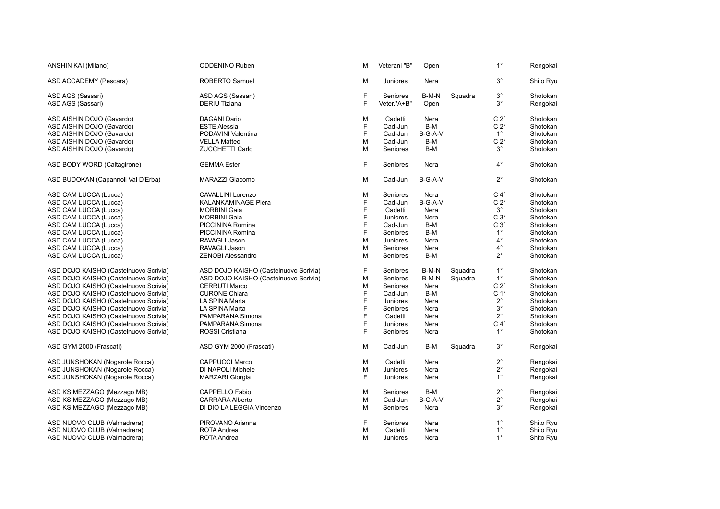| ANSHIN KAI (Milano)                    | <b>ODDENINO Ruben</b>                 | M      | Veterani "B"            | Open          |         | $1^{\circ}$              | Rengokai             |
|----------------------------------------|---------------------------------------|--------|-------------------------|---------------|---------|--------------------------|----------------------|
| ASD ACCADEMY (Pescara)                 | <b>ROBERTO Samuel</b>                 | М      | Juniores                | Nera          |         | $3^{\circ}$              | Shito Ryu            |
| ASD AGS (Sassari)<br>ASD AGS (Sassari) | ASD AGS (Sassari)<br>DERIU Tiziana    | F<br>F | Seniores<br>Veter."A+B" | B-M-N<br>Open | Squadra | $3^{\circ}$<br>$3^\circ$ | Shotokan<br>Rengokai |
| ASD AISHIN DOJO (Gavardo)              | <b>DAGANI Dario</b>                   | M      | Cadetti                 | Nera          |         | $C 2^{\circ}$            | Shotokan             |
| ASD AISHIN DOJO (Gavardo)              | <b>ESTE Alessia</b>                   | F      | Cad-Jun                 | B-M           |         | $C 2^{\circ}$            | Shotokan             |
| ASD AISHIN DOJO (Gavardo)              | PODAVINI Valentina                    | F      | Cad-Jun                 | B-G-A-V       |         | $1^{\circ}$              | Shotokan             |
| ASD AISHIN DOJO (Gavardo)              | <b>VELLA Matteo</b>                   | M      | Cad-Jun                 | B-M           |         | $C 2^{\circ}$            | Shotokan             |
| ASD AISHIN DOJO (Gavardo)              | <b>ZUCCHETTI Carlo</b>                | M      | Seniores                | B-M           |         | $3^{\circ}$              | Shotokan             |
| ASD BODY WORD (Caltagirone)            | <b>GEMMA Ester</b>                    | F      | Seniores                | Nera          |         | $4^{\circ}$              | Shotokan             |
| ASD BUDOKAN (Capannoli Val D'Erba)     | MARAZZI Giacomo                       | М      | Cad-Jun                 | B-G-A-V       |         | $2^{\circ}$              | Shotokan             |
| ASD CAM LUCCA (Lucca)                  | <b>CAVALLINI Lorenzo</b>              | M      | Seniores                | Nera          |         | $C 4^\circ$              | Shotokan             |
| ASD CAM LUCCA (Lucca)                  | <b>KALANKAMINAGE Piera</b>            | F      | Cad-Jun                 | B-G-A-V       |         | $C 2^{\circ}$            | Shotokan             |
| ASD CAM LUCCA (Lucca)                  | <b>MORBINI Gaia</b>                   | F      | Cadetti                 | Nera          |         | $3^{\circ}$              | Shotokan             |
| ASD CAM LUCCA (Lucca)                  | <b>MORBINI Gaia</b>                   | F      | Juniores                | Nera          |         | $C3^\circ$               | Shotokan             |
| ASD CAM LUCCA (Lucca)                  | PICCININA Romina                      | F      | Cad-Jun                 | B-M           |         | $C3^\circ$               | Shotokan             |
| ASD CAM LUCCA (Lucca)                  | PICCININA Romina                      | F      | Seniores                | B-M           |         | $1^{\circ}$              | Shotokan             |
| ASD CAM LUCCA (Lucca)                  | RAVAGLI Jason                         | M      | Juniores                | Nera          |         | $4^{\circ}$              | Shotokan             |
| ASD CAM LUCCA (Lucca)                  | RAVAGLI Jason                         | M      | Seniores                | Nera          |         | $4^{\circ}$              | Shotokan             |
| ASD CAM LUCCA (Lucca)                  | <b>ZENOBI Alessandro</b>              | M      | Seniores                | B-M           |         | $2^{\circ}$              | Shotokan             |
| ASD DOJO KAISHO (Castelnuovo Scrivia)  | ASD DOJO KAISHO (Castelnuovo Scrivia) | F      | Seniores                | B-M-N         | Squadra | $1^{\circ}$              | Shotokan             |
| ASD DOJO KAISHO (Castelnuovo Scrivia)  | ASD DOJO KAISHO (Castelnuovo Scrivia) | M      | Seniores                | B-M-N         | Squadra | $1^{\circ}$              | Shotokan             |
| ASD DOJO KAISHO (Castelnuovo Scrivia)  | <b>CERRUTI Marco</b>                  | M      | Seniores                | Nera          |         | $C 2^{\circ}$            | Shotokan             |
| ASD DOJO KAISHO (Castelnuovo Scrivia)  | <b>CURONE Chiara</b>                  | F      | Cad-Jun                 | B-M           |         | C <sub>1</sub> °         | Shotokan             |
| ASD DOJO KAISHO (Castelnuovo Scrivia)  | LA SPINA Marta                        | F      | Juniores                | Nera          |         | $2^{\circ}$              | Shotokan             |
| ASD DOJO KAISHO (Castelnuovo Scrivia)  | LA SPINA Marta                        | F      | Seniores                | Nera          |         | $3^{\circ}$              | Shotokan             |
| ASD DOJO KAISHO (Castelnuovo Scrivia)  | PAMPARANA Simona                      | F      | Cadetti                 | Nera          |         | $2^{\circ}$              | Shotokan             |
| ASD DOJO KAISHO (Castelnuovo Scrivia)  | PAMPARANA Simona                      | F      | Juniores                | Nera          |         | $C 4^\circ$              | Shotokan             |
| ASD DOJO KAISHO (Castelnuovo Scrivia)  | ROSSI Cristiana                       | F      | Seniores                | Nera          |         | $1^{\circ}$              | Shotokan             |
| ASD GYM 2000 (Frascati)                | ASD GYM 2000 (Frascati)               | M      | Cad-Jun                 | B-M           | Squadra | $3^{\circ}$              | Rengokai             |
| ASD JUNSHOKAN (Nogarole Rocca)         | <b>CAPPUCCI Marco</b>                 | М      | Cadetti                 | Nera          |         | $2^{\circ}$              | Rengokai             |
| ASD JUNSHOKAN (Nogarole Rocca)         | DI NAPOLI Michele                     | M      | Juniores                | Nera          |         | $2^{\circ}$              | Rengokai             |
| ASD JUNSHOKAN (Nogarole Rocca)         | <b>MARZARI Giorgia</b>                | F      | Juniores                | Nera          |         | $1^{\circ}$              | Rengokai             |
| ASD KS MEZZAGO (Mezzago MB)            | CAPPELLO Fabio                        | M      | Seniores                | B-M           |         | $2^{\circ}$              | Rengokai             |
| ASD KS MEZZAGO (Mezzago MB)            | <b>CARRARA Alberto</b>                | M      | Cad-Jun                 | B-G-A-V       |         | $2^{\circ}$              | Rengokai             |
| ASD KS MEZZAGO (Mezzago MB)            | DI DIO LA LEGGIA Vincenzo             | M      | Seniores                | Nera          |         | $3^\circ$                | Rengokai             |
| ASD NUOVO CLUB (Valmadrera)            | PIROVANO Arianna                      | F      | Seniores                | Nera          |         | $1^{\circ}$              | Shito Ryu            |
| ASD NUOVO CLUB (Valmadrera)            | ROTA Andrea                           | M      | Cadetti                 | Nera          |         | $1^{\circ}$              | Shito Ryu            |
| ASD NUOVO CLUB (Valmadrera)            | ROTA Andrea                           | М      | Juniores                | Nera          |         | $1^{\circ}$              | Shito Ryu            |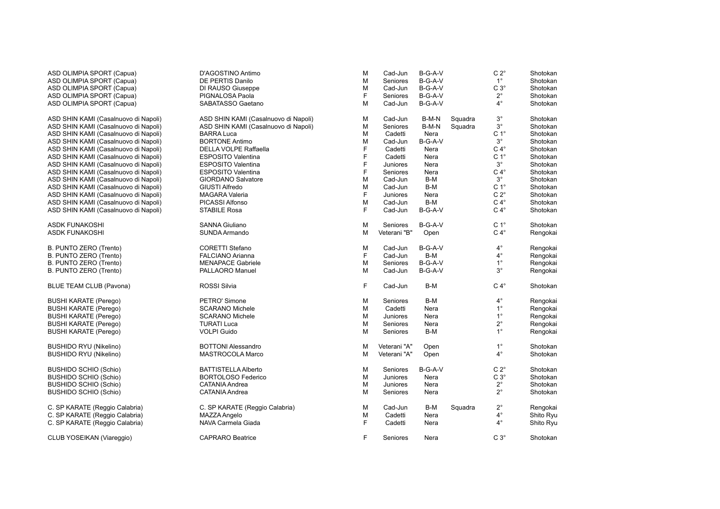| ASD OLIMPIA SPORT (Capua)            | D'AGOSTINO Antimo                    | M | Cad-Jun      | B-G-A-V   |         | $C 2^{\circ}$    | Shotokan  |
|--------------------------------------|--------------------------------------|---|--------------|-----------|---------|------------------|-----------|
| ASD OLIMPIA SPORT (Capua)            | DE PERTIS Danilo                     | М | Seniores     | $B-G-A-V$ |         | $1^{\circ}$      | Shotokan  |
| ASD OLIMPIA SPORT (Capua)            | DI RAUSO Giuseppe                    | м | Cad-Jun      | B-G-A-V   |         | $C3^\circ$       | Shotokan  |
| ASD OLIMPIA SPORT (Capua)            | PIGNALOSA Paola                      | F | Seniores     | B-G-A-V   |         | $2^{\circ}$      | Shotokan  |
| ASD OLIMPIA SPORT (Capua)            | SABATASSO Gaetano                    | м | Cad-Jun      | B-G-A-V   |         | $4^{\circ}$      | Shotokan  |
| ASD SHIN KAMI (Casalnuovo di Napoli) | ASD SHIN KAMI (Casalnuovo di Napoli) | М | Cad-Jun      | B-M-N     | Squadra | $3^{\circ}$      | Shotokan  |
| ASD SHIN KAMI (Casalnuovo di Napoli) | ASD SHIN KAMI (Casalnuovo di Napoli) | М | Seniores     | B-M-N     | Squadra | $3^{\circ}$      | Shotokan  |
| ASD SHIN KAMI (Casalnuovo di Napoli) | <b>BARRA Luca</b>                    | M | Cadetti      | Nera      |         | C <sub>1</sub> ° | Shotokan  |
| ASD SHIN KAMI (Casalnuovo di Napoli) | <b>BORTONE Antimo</b>                | M | Cad-Jun      | B-G-A-V   |         | $3^{\circ}$      | Shotokan  |
| ASD SHIN KAMI (Casalnuovo di Napoli) | DELLA VOLPE Raffaella                | F | Cadetti      | Nera      |         | $C 4^\circ$      | Shotokan  |
| ASD SHIN KAMI (Casalnuovo di Napoli) | <b>ESPOSITO Valentina</b>            | F | Cadetti      | Nera      |         | C <sub>1</sub> ° | Shotokan  |
| ASD SHIN KAMI (Casalnuovo di Napoli) | <b>ESPOSITO Valentina</b>            | F | Juniores     | Nera      |         | $3^{\circ}$      | Shotokan  |
| ASD SHIN KAMI (Casalnuovo di Napoli) | <b>ESPOSITO Valentina</b>            | F | Seniores     | Nera      |         | $C 4^\circ$      | Shotokan  |
| ASD SHIN KAMI (Casalnuovo di Napoli) | <b>GIORDANO Salvatore</b>            | M | Cad-Jun      | B-M       |         | $3^{\circ}$      | Shotokan  |
| ASD SHIN KAMI (Casalnuovo di Napoli) | <b>GIUSTI Alfredo</b>                | M | Cad-Jun      | B-M       |         | C <sub>1</sub> ° | Shotokan  |
| ASD SHIN KAMI (Casalnuovo di Napoli) | <b>MAGARA Valeria</b>                | F | Juniores     | Nera      |         | $C 2^\circ$      | Shotokan  |
| ASD SHIN KAMI (Casalnuovo di Napoli) | PICASSI Alfonso                      | M | Cad-Jun      | B-M       |         | $C 4^\circ$      | Shotokan  |
| ASD SHIN KAMI (Casalnuovo di Napoli) | STABILE Rosa                         | F | Cad-Jun      | B-G-A-V   |         | $C 4^\circ$      | Shotokan  |
| ASDK FUNAKOSHI                       | <b>SANNA Giuliano</b>                | M | Seniores     | $B-G-A-V$ |         | C <sub>1</sub> ° | Shotokan  |
| ASDK FUNAKOSHI                       | SUNDA Armando                        | м | Veterani "B" | Open      |         | $C 4^\circ$      | Rengokai  |
| B. PUNTO ZERO (Trento)               | <b>CORETTI Stefano</b>               | М | Cad-Jun      | $B-G-A-V$ |         | $4^\circ$        | Rengokai  |
| B. PUNTO ZERO (Trento)               | <b>FALCIANO Arianna</b>              | F | Cad-Jun      | B-M       |         | $4^{\circ}$      | Rengokai  |
| B. PUNTO ZERO (Trento)               | <b>MENAPACE Gabriele</b>             | M | Seniores     | $B-G-A-V$ |         | $1^{\circ}$      | Rengokai  |
| B. PUNTO ZERO (Trento)               | <b>PALLAORO Manuel</b>               | м | Cad-Jun      | $B-G-A-V$ |         | $3^\circ$        | Rengokai  |
| <b>BLUE TEAM CLUB (Pavona)</b>       | ROSSI Silvia                         | F | Cad-Jun      | B-M       |         | $C 4^\circ$      | Shotokan  |
| BUSHI KARATE (Perego)                | PETRO' Simone                        | M | Seniores     | B-M       |         | $4^{\circ}$      | Rengokai  |
| BUSHI KARATE (Perego)                | <b>SCARANO Michele</b>               | M | Cadetti      | Nera      |         | $1^{\circ}$      | Rengokai  |
| BUSHI KARATE (Perego)                | <b>SCARANO Michele</b>               | м | Juniores     | Nera      |         | $1^{\circ}$      | Rengokai  |
| <b>BUSHI KARATE (Perego)</b>         | <b>TURATI Luca</b>                   | М | Seniores     | Nera      |         | $2^{\circ}$      | Rengokai  |
| BUSHI KARATE (Perego)                | <b>VOLPI Guido</b>                   | M | Seniores     | B-M       |         | $1^{\circ}$      | Rengokai  |
| <b>BUSHIDO RYU (Nikelino)</b>        | <b>BOTTONI Alessandro</b>            | M | Veterani "A" | Open      |         | $1^{\circ}$      | Shotokan  |
| BUSHIDO RYU (Nikelino)               | MASTROCOLA Marco                     | M | Veterani "A" | Open      |         | $4^{\circ}$      | Shotokan  |
| BUSHIDO SCHIO (Schio)                | <b>BATTISTELLA Alberto</b>           | Μ | Seniores     | B-G-A-V   |         | $C 2^{\circ}$    | Shotokan  |
| BUSHIDO SCHIO (Schio)                | <b>BORTOLOSO Federico</b>            | M | Juniores     | Nera      |         | $C3^\circ$       | Shotokan  |
| BUSHIDO SCHIO (Schio)                | <b>CATANIA Andrea</b>                | М | Juniores     | Nera      |         | $2^{\circ}$      | Shotokan  |
| BUSHIDO SCHIO (Schio)                | CATANIA Andrea                       | М | Seniores     | Nera      |         | $2^{\circ}$      | Shotokan  |
| C. SP KARATE (Reggio Calabria)       | C. SP KARATE (Reggio Calabria)       | м | Cad-Jun      | B-M       | Squadra | $2^{\circ}$      | Rengokai  |
| C. SP KARATE (Reggio Calabria)       | MAZZA Angelo                         | М | Cadetti      | Nera      |         | $4^{\circ}$      | Shito Ryu |
| C. SP KARATE (Reggio Calabria)       | NAVA Carmela Giada                   | F | Cadetti      | Nera      |         | $4^{\circ}$      | Shito Ryu |
| CLUB YOSEIKAN (Viareggio)            | <b>CAPRARO Beatrice</b>              | F | Seniores     | Nera      |         | $C 3^\circ$      | Shotokan  |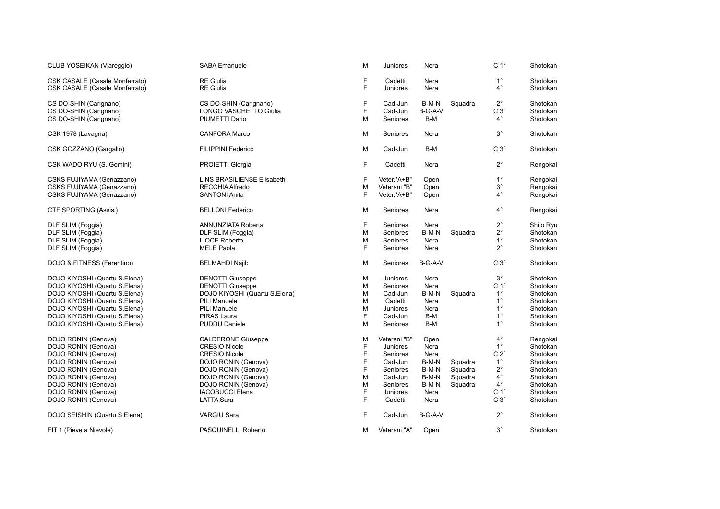| CLUB YOSEIKAN (Viareggio)                                               | SABA Emanuele                        | M           | Juniores            | Nera         |         | C <sub>1</sub> °         | Shotokan             |
|-------------------------------------------------------------------------|--------------------------------------|-------------|---------------------|--------------|---------|--------------------------|----------------------|
| <b>CSK CASALE (Casale Monferrato)</b><br>CSK CASALE (Casale Monferrato) | <b>RE</b> Giulia<br><b>RE</b> Giulia | F<br>F      | Cadetti<br>Juniores | Nera<br>Nera |         | $1^{\circ}$<br>$4^\circ$ | Shotokan<br>Shotokan |
| CS DO-SHIN (Carignano)                                                  | CS DO-SHIN (Carignano)               | F           | Cad-Jun             | B-M-N        | Squadra | $2^{\circ}$              | Shotokan             |
| CS DO-SHIN (Carignano)                                                  | <b>LONGO VASCHETTO Giulia</b>        | F           | Cad-Jun             | B-G-A-V      |         | $C3^\circ$               | Shotokan             |
| CS DO-SHIN (Carignano)                                                  | PIUMETTI Dario                       | M           | Seniores            | B-M          |         | $4^\circ$                | Shotokan             |
| CSK 1978 (Lavagna)                                                      | <b>CANFORA Marco</b>                 | M           | Seniores            | Nera         |         | $3^\circ$                | Shotokan             |
| CSK GOZZANO (Gargallo)                                                  | <b>FILIPPINI Federico</b>            | M           | Cad-Jun             | B-M          |         | $C3^\circ$               | Shotokan             |
| CSK WADO RYU (S. Gemini)                                                | PROIETTI Giorgia                     | F           | Cadetti             | Nera         |         | $2^{\circ}$              | Rengokai             |
| CSKS FUJIYAMA (Genazzano)                                               | LINS BRASILIENSE Elisabeth           | $\mathsf F$ | Veter."A+B"         | Open         |         | $1^{\circ}$              | Rengokai             |
| CSKS FUJIYAMA (Genazzano)                                               | RECCHIA Alfredo                      | M           | Veterani "B"        | Open         |         | $3^\circ$                | Rengokai             |
| CSKS FUJIYAMA (Genazzano)                                               | <b>SANTONI Anita</b>                 | F           | Veter."A+B"         | Open         |         | $4^{\circ}$              | Rengokai             |
| CTF SPORTING (Assisi)                                                   | <b>BELLONI Federico</b>              | M           | Seniores            | Nera         |         | $4^\circ$                | Rengokai             |
| DLF SLIM (Foggia)                                                       | ANNUNZIATA Roberta                   | F           | Seniores            | Nera         |         | $2^{\circ}$              | Shito Ryu            |
| DLF SLIM (Foggia)                                                       | DLF SLIM (Foggia)                    | M           | Seniores            | B-M-N        | Squadra | $2^{\circ}$              | Shotokan             |
| DLF SLIM (Foggia)                                                       | <b>LIOCE Roberto</b>                 | M           | Seniores            | Nera         |         | $1^{\circ}$              | Shotokan             |
| DLF SLIM (Foggia)                                                       | <b>MELE Paola</b>                    | F           | Seniores            | Nera         |         | $2^{\circ}$              | Shotokan             |
| DOJO & FITNESS (Ferentino)                                              | <b>BELMAHDI Najib</b>                | M           | Seniores            | B-G-A-V      |         | $C3^\circ$               | Shotokan             |
| DOJO KIYOSHI (Quartu S.Elena)                                           | <b>DENOTTI Giuseppe</b>              | M           | Juniores            | Nera         |         | $3^{\circ}$              | Shotokan             |
| DOJO KIYOSHI (Quartu S.Elena)                                           | <b>DENOTTI Giuseppe</b>              | M           | Seniores            | Nera         |         | C <sub>1</sub> °         | Shotokan             |
| DOJO KIYOSHI (Quartu S.Elena)                                           | DOJO KIYOSHI (Quartu S.Elena)        | M           | Cad-Jun             | B-M-N        | Squadra | $1^{\circ}$              | Shotokan             |
| DOJO KIYOSHI (Quartu S.Elena)                                           | PILI Manuele                         | M           | Cadetti             | Nera         |         | $1^{\circ}$              | Shotokan             |
| DOJO KIYOSHI (Quartu S.Elena)                                           | PILI Manuele                         | M           | Juniores            | Nera         |         | $1^{\circ}$              | Shotokan             |
| DOJO KIYOSHI (Quartu S.Elena)                                           | PIRAS Laura                          | F           | Cad-Jun             | B-M          |         | $1^{\circ}$              | Shotokan             |
| DOJO KIYOSHI (Quartu S.Elena)                                           | <b>PUDDU Daniele</b>                 | M           | Seniores            | B-M          |         | $1^{\circ}$              | Shotokan             |
| DOJO RONIN (Genova)                                                     | <b>CALDERONE Giuseppe</b>            | M           | Veterani "B"        | Open         |         | $4^\circ$                | Rengokai             |
| DOJO RONIN (Genova)                                                     | <b>CRESIO Nicole</b>                 | F           | Juniores            | Nera         |         | $1^{\circ}$              | Shotokan             |
| DOJO RONIN (Genova)                                                     | <b>CRESIO Nicole</b>                 | F           | Seniores            | Nera         |         | $C 2^{\circ}$            | Shotokan             |
| DOJO RONIN (Genova)                                                     | DOJO RONIN (Genova)                  | F           | Cad-Jun             | B-M-N        | Squadra | $1^{\circ}$              | Shotokan             |
| DOJO RONIN (Genova)                                                     | DOJO RONIN (Genova)                  | F           | Seniores            | B-M-N        | Squadra | $2^{\circ}$              | Shotokan             |
| DOJO RONIN (Genova)                                                     | DOJO RONIN (Genova)                  | M           | Cad-Jun             | B-M-N        | Squadra | $4^\circ$                | Shotokan             |
| DOJO RONIN (Genova)                                                     | DOJO RONIN (Genova)                  | M           | Seniores            | B-M-N        | Squadra | $4^{\circ}$              | Shotokan             |
| DOJO RONIN (Genova)                                                     | <b>IACOBUCCI Elena</b>               | F           | Juniores            | Nera         |         | C <sub>1</sub> °         | Shotokan             |
| DOJO RONIN (Genova)                                                     | <b>LATTA Sara</b>                    | F           | Cadetti             | Nera         |         | $C3^\circ$               | Shotokan             |
| DOJO SEISHIN (Quartu S.Elena)                                           | <b>VARGIU Sara</b>                   | F           | Cad-Jun             | B-G-A-V      |         | $2^{\circ}$              | Shotokan             |
| FIT 1 (Pieve a Nievole)                                                 | PASQUINELLI Roberto                  | M           | Veterani "A"        | Open         |         | $3^{\circ}$              | Shotokan             |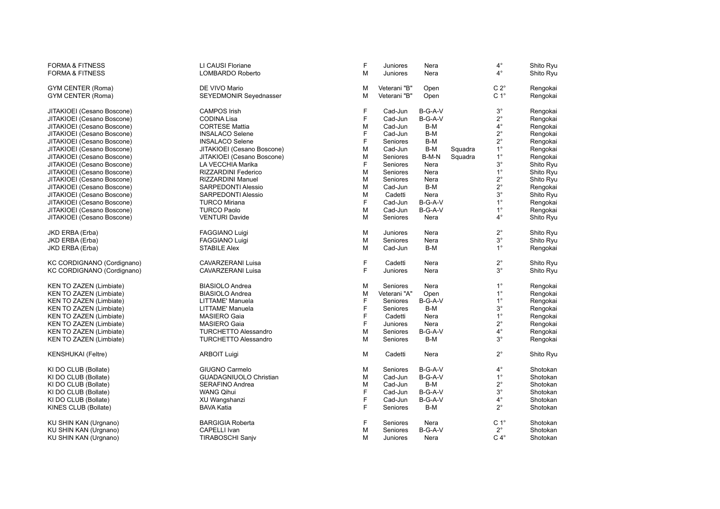| <b>FORMA &amp; FITNESS</b> | LI CAUSI Floriane             | F | Juniores        | Nera    |         | $4^{\circ}$      | Shito Ryu |
|----------------------------|-------------------------------|---|-----------------|---------|---------|------------------|-----------|
| <b>FORMA &amp; FITNESS</b> | LOMBARDO Roberto              | M | Juniores        | Nera    |         | $4^{\circ}$      | Shito Ryu |
| GYM CENTER (Roma)          | DE VIVO Mario                 | M | Veterani "B"    | Open    |         | $C 2^{\circ}$    | Rengokai  |
| GYM CENTER (Roma)          | SEYEDMONIR Seyednasser        | M | Veterani "B"    | Open    |         | C <sub>1</sub> ° | Rengokai  |
| JITAKIOEI (Cesano Boscone) | <b>CAMPOS Irish</b>           | F | Cad-Jun         | B-G-A-V |         | $3^{\circ}$      | Rengokai  |
| JITAKIOEI (Cesano Boscone) | <b>CODINA Lisa</b>            | F | Cad-Jun         | B-G-A-V |         | $2^{\circ}$      | Rengokai  |
| JITAKIOEI (Cesano Boscone) | <b>CORTESE Mattia</b>         | M | Cad-Jun         | B-M     |         | $4^{\circ}$      | Rengokai  |
| JITAKIOEI (Cesano Boscone) | <b>INSALACO Selene</b>        | F | Cad-Jun         | B-M     |         | $2^{\circ}$      | Rengokai  |
| JITAKIOEI (Cesano Boscone) | <b>INSALACO Selene</b>        | F | Seniores        | B-M     |         | $2^{\circ}$      | Rengokai  |
| JITAKIOEI (Cesano Boscone) | JITAKIOEI (Cesano Boscone)    | M | Cad-Jun         | B-M     | Squadra | $1^{\circ}$      | Rengokai  |
| JITAKIOEI (Cesano Boscone) | JITAKIOEI (Cesano Boscone)    | M | Seniores        | B-M-N   | Squadra | $1^{\circ}$      | Rengokai  |
| JITAKIOEI (Cesano Boscone) | LA VECCHIA Marika             | F | Seniores        | Nera    |         | $3^\circ$        | Shito Ryu |
| JITAKIOEI (Cesano Boscone) | RIZZARDINI Federico           | M | Seniores        | Nera    |         | $1^{\circ}$      | Shito Ryu |
| JITAKIOEI (Cesano Boscone) | <b>RIZZARDINI Manuel</b>      | M | Seniores        | Nera    |         | $2^{\circ}$      | Shito Ryu |
| JITAKIOEI (Cesano Boscone) | SARPEDONTI Alessio            | M | Cad-Jun         | B-M     |         | $2^{\circ}$      | Rengokai  |
| JITAKIOEI (Cesano Boscone) | <b>SARPEDONTI Alessio</b>     | M | Cadetti         | Nera    |         | $3^\circ$        | Shito Ryu |
| JITAKIOEI (Cesano Boscone) | <b>TURCO Miriana</b>          | F | Cad-Jun         | B-G-A-V |         | $1^{\circ}$      | Rengokai  |
| JITAKIOEI (Cesano Boscone) | <b>TURCO Paolo</b>            | M | Cad-Jun         | B-G-A-V |         | $1^{\circ}$      | Rengokai  |
| JITAKIOEI (Cesano Boscone) | <b>VENTURI Davide</b>         | M | Seniores        | Nera    |         | $4^{\circ}$      | Shito Ryu |
| JKD ERBA (Erba)            | FAGGIANO Luigi                | M | Juniores        | Nera    |         | $2^{\circ}$      | Shito Ryu |
| JKD ERBA (Erba)            | <b>FAGGIANO Luigi</b>         | M | Seniores        | Nera    |         | $3^{\circ}$      | Shito Ryu |
| JKD ERBA (Erba)            | <b>STABILE Alex</b>           | M | Cad-Jun         | B-M     |         | $1^{\circ}$      | Rengokai  |
| KC CORDIGNANO (Cordignano) | CAVARZERANI Luisa             | F | Cadetti         | Nera    |         | $2^{\circ}$      | Shito Ryu |
| KC CORDIGNANO (Cordignano) | <b>CAVARZERANI Luisa</b>      | F | <b>Juniores</b> | Nera    |         | $3^\circ$        | Shito Ryu |
| KEN TO ZAZEN (Limbiate)    | <b>BIASIOLO Andrea</b>        | M | Seniores        | Nera    |         | $1^{\circ}$      | Rengokai  |
| KEN TO ZAZEN (Limbiate)    | <b>BIASIOLO Andrea</b>        | M | Veterani "A"    | Open    |         | $1^{\circ}$      | Rengokai  |
| KEN TO ZAZEN (Limbiate)    | LITTAME' Manuela              | F | Seniores        | B-G-A-V |         | $1^{\circ}$      | Rengokai  |
| KEN TO ZAZEN (Limbiate)    | LITTAME' Manuela              | F | Seniores        | B-M     |         | $3^{\circ}$      | Rengokai  |
| KEN TO ZAZEN (Limbiate)    | <b>MASIERO Gaia</b>           | F | Cadetti         | Nera    |         | $1^{\circ}$      | Rengokai  |
| KEN TO ZAZEN (Limbiate)    | <b>MASIERO Gaia</b>           | F | Juniores        | Nera    |         | $2^{\circ}$      | Rengokai  |
| KEN TO ZAZEN (Limbiate)    | <b>TURCHETTO Alessandro</b>   | M | Seniores        | B-G-A-V |         | $4^{\circ}$      | Rengokai  |
| KEN TO ZAZEN (Limbiate)    | <b>TURCHETTO Alessandro</b>   | M | Seniores        | B-M     |         | $3^{\circ}$      | Rengokai  |
| <b>KENSHUKAI</b> (Feltre)  | <b>ARBOIT Luigi</b>           | M | Cadetti         | Nera    |         | $2^{\circ}$      | Shito Ryu |
| KI DO CLUB (Bollate)       | GIUGNO Carmelo                | M | Seniores        | B-G-A-V |         | $4^{\circ}$      | Shotokan  |
| KI DO CLUB (Bollate)       | <b>GUADAGNIUOLO Christian</b> | M | Cad-Jun         | B-G-A-V |         | $1^{\circ}$      | Shotokan  |
| KI DO CLUB (Bollate)       | SERAFINO Andrea               | M | Cad-Jun         | B-M     |         | $2^{\circ}$      | Shotokan  |
| KI DO CLUB (Bollate)       | <b>WANG Qihui</b>             | F | Cad-Jun         | B-G-A-V |         | $3^\circ$        | Shotokan  |
| KI DO CLUB (Bollate)       | XU Wangshanzi                 | F | Cad-Jun         | B-G-A-V |         | $4^{\circ}$      | Shotokan  |
| KINES CLUB (Bollate)       | <b>BAVA Katia</b>             | F | Seniores        | B-M     |         | $2^{\circ}$      | Shotokan  |
| KU SHIN KAN (Urgnano)      | <b>BARGIGIA Roberta</b>       | F | Seniores        | Nera    |         | C <sub>1</sub> ° | Shotokan  |
| KU SHIN KAN (Urgnano)      | CAPELLI Ivan                  | M | Seniores        | B-G-A-V |         | $2^{\circ}$      | Shotokan  |
| KU SHIN KAN (Urgnano)      | TIRABOSCHI Sanjv              | M | Juniores        | Nera    |         | $C 4^\circ$      | Shotokan  |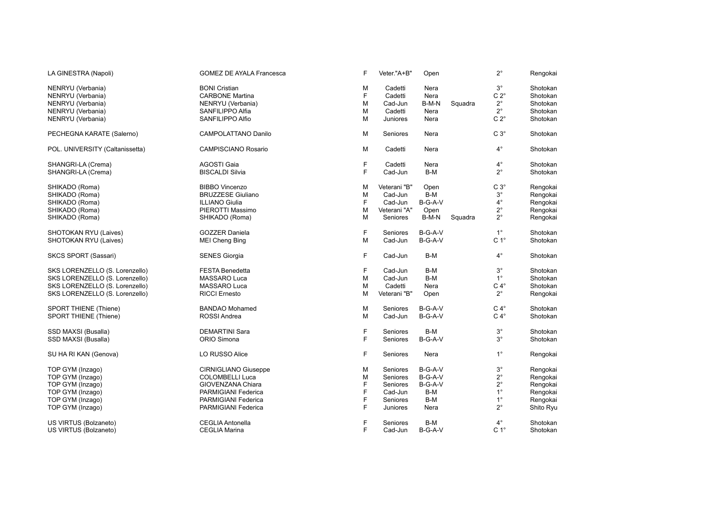| LA GINESTRA (Napoli)            | <b>GOMEZ DE AYALA Francesca</b> | F | Veter."A+B"  | Open      |         | $2^{\circ}$      | Rengokai  |
|---------------------------------|---------------------------------|---|--------------|-----------|---------|------------------|-----------|
| NENRYU (Verbania)               | <b>BONI Cristian</b>            | M | Cadetti      | Nera      |         | $3^{\circ}$      | Shotokan  |
| NENRYU (Verbania)               | <b>CARBONE Martina</b>          | F | Cadetti      | Nera      |         | $C 2^{\circ}$    | Shotokan  |
|                                 |                                 |   |              |           |         |                  |           |
| NENRYU (Verbania)               | NENRYU (Verbania)               | M | Cad-Jun      | B-M-N     | Squadra | $2^{\circ}$      | Shotokan  |
| NENRYU (Verbania)               | SANFILIPPO Alfia                | M | Cadetti      | Nera      |         | $2^{\circ}$      | Shotokan  |
| NENRYU (Verbania)               | SANFILIPPO Alfio                | M | Juniores     | Nera      |         | $C 2^{\circ}$    | Shotokan  |
| PECHEGNA KARATE (Salerno)       | <b>CAMPOLATTANO Danilo</b>      | M | Seniores     | Nera      |         | $C3^\circ$       | Shotokan  |
| POL. UNIVERSITY (Caltanissetta) | <b>CAMPISCIANO Rosario</b>      | M | Cadetti      | Nera      |         | $4^\circ$        | Shotokan  |
| SHANGRI-LA (Crema)              | <b>AGOSTI Gaia</b>              | F | Cadetti      | Nera      |         | $4^\circ$        | Shotokan  |
| SHANGRI-LA (Crema)              | <b>BISCALDI Silvia</b>          | F | Cad-Jun      | B-M       |         | $2^{\circ}$      | Shotokan  |
|                                 |                                 |   |              |           |         | $C3^\circ$       |           |
| SHIKADO (Roma)                  | <b>BIBBO</b> Vincenzo           | M | Veterani "B" | Open      |         |                  | Rengokai  |
| SHIKADO (Roma)                  | <b>BRUZZESE Giuliano</b>        | M | Cad-Jun      | B-M       |         | $3^\circ$        | Rengokai  |
| SHIKADO (Roma)                  | <b>ILLIANO Giulia</b>           | F | Cad-Jun      | B-G-A-V   |         | $4^{\circ}$      | Rengokai  |
| SHIKADO (Roma)                  | PIEROTTI Massimo                | M | Veterani "A" | Open      |         | $2^{\circ}$      | Rengokai  |
| SHIKADO (Roma)                  | SHIKADO (Roma)                  | M | Seniores     | B-M-N     | Squadra | $2^{\circ}$      | Rengokai  |
| SHOTOKAN RYU (Laives)           | <b>GOZZER Daniela</b>           | F | Seniores     | B-G-A-V   |         | $1^{\circ}$      | Shotokan  |
| SHOTOKAN RYU (Laives)           | <b>MEI Cheng Bing</b>           | M | Cad-Jun      | B-G-A-V   |         | C <sub>1</sub> ° | Shotokan  |
| SKCS SPORT (Sassari)            | <b>SENES Giorgia</b>            | F | Cad-Jun      | B-M       |         | $4^\circ$        | Shotokan  |
| SKS LORENZELLO (S. Lorenzello)  | <b>FESTA Benedetta</b>          | F | Cad-Jun      | B-M       |         | $3^{\circ}$      | Shotokan  |
| SKS LORENZELLO (S. Lorenzello)  | <b>MASSARO Luca</b>             | M | Cad-Jun      | B-M       |         | $1^{\circ}$      | Shotokan  |
| SKS LORENZELLO (S. Lorenzello)  | MASSARO Luca                    | M | Cadetti      | Nera      |         | $C 4^\circ$      | Shotokan  |
|                                 |                                 |   |              |           |         |                  |           |
| SKS LORENZELLO (S. Lorenzello)  | <b>RICCI Ernesto</b>            | M | Veterani "B" | Open      |         | $2^{\circ}$      | Rengokai  |
| SPORT THIENE (Thiene)           | <b>BANDAO</b> Mohamed           | M | Seniores     | $B-G-A-V$ |         | $C 4^\circ$      | Shotokan  |
| SPORT THIENE (Thiene)           | ROSSI Andrea                    | M | Cad-Jun      | B-G-A-V   |         | $C 4^\circ$      | Shotokan  |
| SSD MAXSI (Busalla)             | <b>DEMARTINI Sara</b>           | F | Seniores     | B-M       |         | $3^{\circ}$      | Shotokan  |
| SSD MAXSI (Busalla)             | ORIO Simona                     | E | Seniores     | B-G-A-V   |         | $3^\circ$        | Shotokan  |
| SU HA RI KAN (Genova)           | LO RUSSO Alice                  | F | Seniores     | Nera      |         | $1^{\circ}$      | Rengokai  |
| TOP GYM (Inzago)                | <b>CIRNIGLIANO Giuseppe</b>     | M | Seniores     | $B-G-A-V$ |         | $3^\circ$        | Rengokai  |
| TOP GYM (Inzago)                | <b>COLOMBELLI Luca</b>          | M | Seniores     | $B-G-A-V$ |         | $2^{\circ}$      | Rengokai  |
| TOP GYM (Inzago)                | <b>GIOVENZANA Chiara</b>        | E | Seniores     | B-G-A-V   |         | $2^{\circ}$      | Rengokai  |
| TOP GYM (Inzago)                | <b>PARMIGIANI Federica</b>      | F | Cad-Jun      | $B-M$     |         | $1^{\circ}$      | Rengokai  |
|                                 |                                 |   |              |           |         |                  |           |
| TOP GYM (Inzago)                | PARMIGIANI Federica             | F | Seniores     | $B-M$     |         | $1^{\circ}$      | Rengokai  |
| TOP GYM (Inzago)                | PARMIGIANI Federica             | F | Juniores     | Nera      |         | $2^{\circ}$      | Shito Ryu |
| US VIRTUS (Bolzaneto)           | <b>CEGLIA Antonella</b>         | F | Seniores     | B-M       |         | $4^\circ$        | Shotokan  |
| US VIRTUS (Bolzaneto)           | <b>CEGLIA Marina</b>            | E | Cad-Jun      | B-G-A-V   |         | C <sub>1</sub> ° | Shotokan  |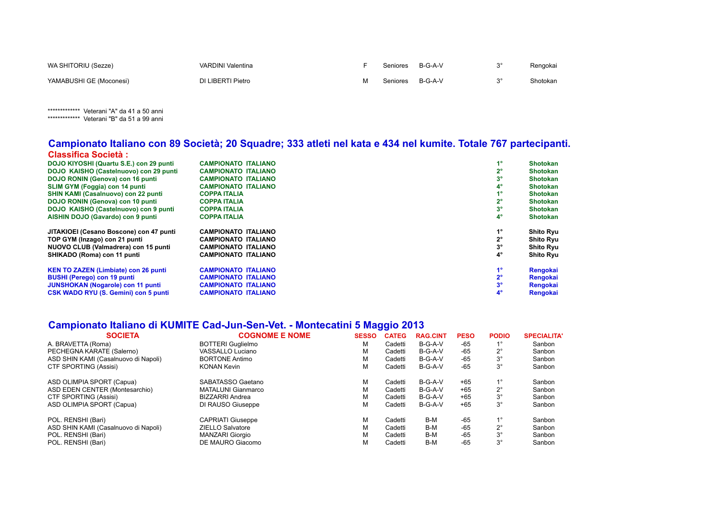| WA SHITORIU (Sezze)     | <b>VARDINI Valentina</b> | Seniores | B-G-A-V | Rengokai |
|-------------------------|--------------------------|----------|---------|----------|
| YAMABUSHI GE (Moconesi) | DI LIBERTI Pietro        | Seniores | B-G-A-V | Shotokan |

\*\*\*\*\*\*\*\*\*\*\*\*\*\* Veterani "A" da 41 a 50 anni \*\*\*\*\*\*\*\*\*\*\*\*\*\* Veterani "B" da 51 a 99 anni

#### **Campionato Italiano con 89 Società; 20 Squadre; 333 atleti nel kata e 434 nel kumite. Totale 767 partecipanti. Classifica Società :**

| DOJO KIYOSHI (Quartu S.E.) con 29 punti     | <b>CAMPIONATO ITALIANO</b> | 1°          | Shotokan         |
|---------------------------------------------|----------------------------|-------------|------------------|
| DOJO KAISHO (Castelnuovo) con 29 punti      | <b>CAMPIONATO ITALIANO</b> | 2°          | <b>Shotokan</b>  |
| DOJO RONIN (Genova) con 16 punti            | <b>CAMPIONATO ITALIANO</b> | $3^{\circ}$ | <b>Shotokan</b>  |
| <b>SLIM GYM (Foggia) con 14 punti</b>       | <b>CAMPIONATO ITALIANO</b> | 4°          | <b>Shotokan</b>  |
| <b>SHIN KAMI (Casalnuovo) con 22 punti</b>  | <b>COPPA ITALIA</b>        | 40          | <b>Shotokan</b>  |
| DOJO RONIN (Genova) con 10 punti            | <b>COPPA ITALIA</b>        | 2°          | <b>Shotokan</b>  |
| DOJO KAISHO (Castelnuovo) con 9 punti       | <b>COPPA ITALIA</b>        | $3^{\circ}$ | <b>Shotokan</b>  |
| AISHIN DOJO (Gavardo) con 9 punti           | <b>COPPA ITALIA</b>        | $4^\circ$   | <b>Shotokan</b>  |
| JITAKIOEI (Cesano Boscone) con 47 punti     | <b>CAMPIONATO ITALIANO</b> | 1°          | <b>Shito Ryu</b> |
| TOP GYM (Inzago) con 21 punti               | <b>CAMPIONATO ITALIANO</b> | 2°          | <b>Shito Ryu</b> |
| NUOVO CLUB (Valmadrera) con 15 punti        | <b>CAMPIONATO ITALIANO</b> | 3°          | Shito Ryu        |
| SHIKADO (Roma) con 11 punti                 | CAMPIONATO ITALIANO        | $4^\circ$   | Shito Ryu        |
| <b>KEN TO ZAZEN (Limbiate) con 26 punti</b> | <b>CAMPIONATO ITALIANO</b> | 1°          | Rengokai         |
| <b>BUSHI (Perego) con 19 punti</b>          | <b>CAMPIONATO ITALIANO</b> | 2°          | Rengokai         |
| <b>JUNSHOKAN (Nogarole) con 11 punti</b>    | <b>CAMPIONATO ITALIANO</b> | 3°          | Rengokai         |
| <b>CSK WADO RYU (S. Gemini) con 5 punti</b> | <b>CAMPIONATO ITALIANO</b> | $4^{\circ}$ | Rengokai         |
|                                             |                            |             |                  |

#### **Campionato Italiano di KUMITE Cad-Jun-Sen-Vet. - Montecatini 5 Maggio 2013**

| <b>SOCIETA</b>                       | <b>COGNOME E NOME</b>    | <b>SESSO</b> | <b>CATEG</b> | <b>RAG.CINT</b> | <b>PESO</b> | <b>PODIO</b> | <b>SPECIALITA'</b> |
|--------------------------------------|--------------------------|--------------|--------------|-----------------|-------------|--------------|--------------------|
| A. BRAVETTA (Roma)                   | <b>BOTTERI</b> Guglielmo | М            | Cadetti      | $B-G-A-V$       | -65         | $1^{\circ}$  | Sanbon             |
| PECHEGNA KARATE (Salerno)            | VASSALLO Luciano         | м            | Cadetti      | B-G-A-V         | $-65$       | $2^{\circ}$  | Sanbon             |
| ASD SHIN KAMI (Casalnuovo di Napoli) | <b>BORTONE Antimo</b>    | М            | Cadetti      | B-G-A-V         | $-65$       | $3^{\circ}$  | Sanbon             |
| CTF SPORTING (Assisi)                | <b>KONAN Kevin</b>       | М            | Cadetti      | $B-G-A-V$       | $-65$       | $3^\circ$    | Sanbon             |
| ASD OLIMPIA SPORT (Capua)            | SABATASSO Gaetano        | М            | Cadetti      | $B-G-A-V$       | $+65$       | $1^{\circ}$  | Sanbon             |
| ASD EDEN CENTER (Montesarchio)       | MATALUNI Gianmarco       | М            | Cadetti      | B-G-A-V         | $+65$       | $2^{\circ}$  | Sanbon             |
| CTF SPORTING (Assisi)                | <b>BIZZARRI Andrea</b>   | М            | Cadetti      | $B-G-A-V$       | $+65$       | $3^{\circ}$  | Sanbon             |
| ASD OLIMPIA SPORT (Capua)            | DI RAUSO Giuseppe        | м            | Cadetti      | B-G-A-V         | +65         | $3^{\circ}$  | Sanbon             |
| POL. RENSHI (Bari)                   | <b>CAPRIATI Giuseppe</b> | М            | Cadetti      | B-M             | $-65$       | $1^{\circ}$  | Sanbon             |
| ASD SHIN KAMI (Casalnuovo di Napoli) | <b>ZIELLO Salvatore</b>  | М            | Cadetti      | B-M             | $-65$       | $2^{\circ}$  | Sanbon             |
| POL. RENSHI (Bari)                   | <b>MANZARI Giorgio</b>   | М            | Cadetti      | B-M             | $-65$       | $3^\circ$    | Sanbon             |
| POL. RENSHI (Bari)                   | DE MAURO Giacomo         | м            | Cadetti      | B-M             | $-65$       | $3^{\circ}$  | Sanbon             |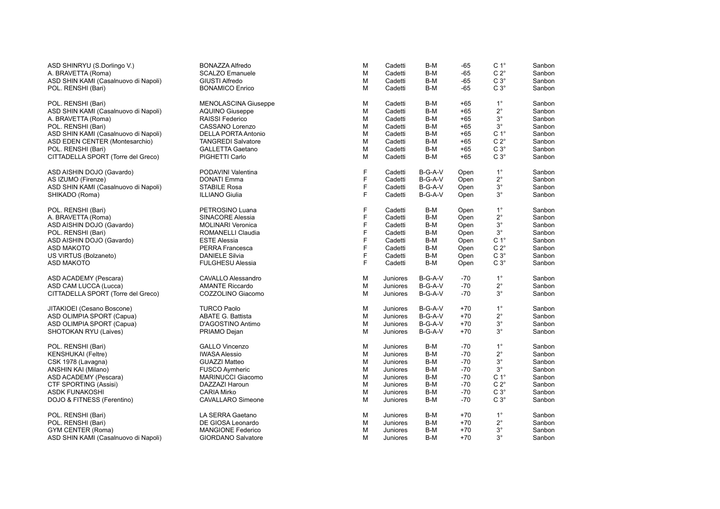| ASD SHINRYU (S.Dorlingo V.)          | <b>BONAZZA Alfredo</b>      | M | Cadetti  | B-M     | $-65$ | C <sub>1</sub> ° | Sanbon |
|--------------------------------------|-----------------------------|---|----------|---------|-------|------------------|--------|
| A. BRAVETTA (Roma)                   | <b>SCALZO Emanuele</b>      | M | Cadetti  | $B-M$   | $-65$ | $C 2^{\circ}$    | Sanbon |
| ASD SHIN KAMI (Casalnuovo di Napoli) | <b>GIUSTI Alfredo</b>       | M | Cadetti  | B-M     | $-65$ | $C3^\circ$       | Sanbon |
| POL. RENSHI (Bari)                   | <b>BONAMICO Enrico</b>      | M | Cadetti  | B-M     | $-65$ | $C3^\circ$       | Sanbon |
| POL. RENSHI (Bari)                   | <b>MENOLASCINA Giuseppe</b> | M | Cadetti  | B-M     | $+65$ | $1^{\circ}$      | Sanbon |
| ASD SHIN KAMI (Casalnuovo di Napoli) | <b>AQUINO Giuseppe</b>      | M | Cadetti  | B-M     | $+65$ | $2^{\circ}$      | Sanbon |
| A. BRAVETTA (Roma)                   | <b>RAISSI Federico</b>      | M | Cadetti  | B-M     | $+65$ | $3^{\circ}$      | Sanbon |
| POL. RENSHI (Bari)                   | CASSANO Lorenzo             | M | Cadetti  | B-M     | $+65$ | $3^{\circ}$      | Sanbon |
| ASD SHIN KAMI (Casalnuovo di Napoli) | <b>DELLA PORTA Antonio</b>  | M | Cadetti  | B-M     | $+65$ | C <sub>1</sub> ° | Sanbon |
| ASD EDEN CENTER (Montesarchio)       | <b>TANGREDI Salvatore</b>   | M | Cadetti  | B-M     | $+65$ | $C 2^{\circ}$    | Sanbon |
| POL. RENSHI (Bari)                   | <b>GALLETTA Gaetano</b>     | M | Cadetti  | B-M     | $+65$ | $C3^\circ$       | Sanbon |
| CITTADELLA SPORT (Torre del Greco)   | PIGHETTI Carlo              | M | Cadetti  | B-M     | $+65$ | $C3^\circ$       | Sanbon |
| ASD AISHIN DOJO (Gavardo)            | PODAVINI Valentina          | F | Cadetti  | B-G-A-V | Open  | $1^{\circ}$      | Sanbon |
| AS IZUMO (Firenze)                   | <b>DONATI Emma</b>          | F | Cadetti  | B-G-A-V | Open  | $2^{\circ}$      | Sanbon |
| ASD SHIN KAMI (Casalnuovo di Napoli) | <b>STABILE Rosa</b>         | F | Cadetti  | B-G-A-V | Open  | $3^\circ$        | Sanbon |
| SHIKADO (Roma)                       | <b>ILLIANO Giulia</b>       | F | Cadetti  | B-G-A-V | Open  | $3^{\circ}$      | Sanbon |
| POL. RENSHI (Bari)                   | PETROSINO Luana             | F | Cadetti  | B-M     | Open  | $1^{\circ}$      | Sanbon |
| A. BRAVETTA (Roma)                   | SINACORE Alessia            | F | Cadetti  | B-M     | Open  | $2^{\circ}$      | Sanbon |
| ASD AISHIN DOJO (Gavardo)            | <b>MOLINARI Veronica</b>    | F | Cadetti  | B-M     | Open  | $3^\circ$        | Sanbon |
| POL. RENSHI (Bari)                   | <b>ROMANELLI Claudia</b>    | F | Cadetti  | B-M     | Open  | $3^\circ$        | Sanbon |
| ASD AISHIN DOJO (Gavardo)            | <b>ESTE Alessia</b>         | F | Cadetti  | B-M     | Open  | $C 1^\circ$      | Sanbon |
| <b>ASD MAKOTO</b>                    | PERRA Francesca             | F | Cadetti  | B-M     | Open  | $C 2^\circ$      | Sanbon |
| US VIRTUS (Bolzaneto)                | <b>DANIELE Silvia</b>       | F | Cadetti  | B-M     | Open  | $C3^\circ$       | Sanbon |
| <b>ASD MAKOTO</b>                    | <b>FULGHESU Alessia</b>     | F | Cadetti  | B-M     | Open  | $C3^\circ$       | Sanbon |
| ASD ACADEMY (Pescara)                | CAVALLO Alessandro          | M | Juniores | B-G-A-V | $-70$ | $1^{\circ}$      | Sanbon |
| ASD CAM LUCCA (Lucca)                | <b>AMANTE Riccardo</b>      | M | Juniores | B-G-A-V | $-70$ | $2^{\circ}$      | Sanbon |
| CITTADELLA SPORT (Torre del Greco)   | COZZOLINO Giacomo           | M | Juniores | B-G-A-V | $-70$ | $3^{\circ}$      | Sanbon |
| JITAKIOEI (Cesano Boscone)           | <b>TURCO Paolo</b>          | M | Juniores | B-G-A-V | $+70$ | $1^{\circ}$      | Sanbon |
| ASD OLIMPIA SPORT (Capua)            | <b>ABATE G. Battista</b>    | M | Juniores | B-G-A-V | $+70$ | $2^{\circ}$      | Sanbon |
| ASD OLIMPIA SPORT (Capua)            | D'AGOSTINO Antimo           | M | Juniores | B-G-A-V | $+70$ | $3^\circ$        | Sanbon |
| SHOTOKAN RYU (Laives)                | PRIAMO Dejan                | M | Juniores | B-G-A-V | $+70$ | $3^{\circ}$      | Sanbon |
| POL. RENSHI (Bari)                   | <b>GALLO Vincenzo</b>       | M | Juniores | B-M     | $-70$ | $1^{\circ}$      | Sanbon |
| KENSHUKAI (Feltre)                   | <b>IWASA Alessio</b>        | M | Juniores | B-M     | $-70$ | $2^{\circ}$      | Sanbon |
| CSK 1978 (Lavagna)                   | <b>GUAZZI Matteo</b>        | M | Juniores | B-M     | $-70$ | $3^{\circ}$      | Sanbon |
| ANSHIN KAI (Milano)                  | <b>FUSCO Aymheric</b>       | M | Juniores | B-M     | $-70$ | $3^{\circ}$      | Sanbon |
| ASD ACADEMY (Pescara)                | <b>MARINUCCI Giacomo</b>    | M | Juniores | B-M     | $-70$ | C <sub>1</sub> ° | Sanbon |
| <b>CTF SPORTING (Assisi)</b>         | DAZZAZI Haroun              | M | Juniores | B-M     | $-70$ | $C 2^\circ$      | Sanbon |
| <b>ASDK FUNAKOSHI</b>                | <b>CARIA Mirko</b>          | M | Juniores | B-M     | $-70$ | $C 3^\circ$      | Sanbon |
| DOJO & FITNESS (Ferentino)           | <b>CAVALLARO Simeone</b>    | M | Juniores | B-M     | $-70$ | $C3^\circ$       | Sanbon |
| POL. RENSHI (Bari)                   | LA SERRA Gaetano            | M | Juniores | B-M     | $+70$ | $1^{\circ}$      | Sanbon |
| POL. RENSHI (Bari)                   | DE GIOSA Leonardo           | M | Juniores | B-M     | $+70$ | $2^{\circ}$      | Sanbon |
| <b>GYM CENTER (Roma)</b>             | <b>MANGIONE Federico</b>    | M | Juniores | B-M     | $+70$ | $3^\circ$        | Sanbon |
| ASD SHIN KAMI (Casalnuovo di Napoli) | <b>GIORDANO Salvatore</b>   | M | Juniores | B-M     | $+70$ | $3^{\circ}$      | Sanbon |
|                                      |                             |   |          |         |       |                  |        |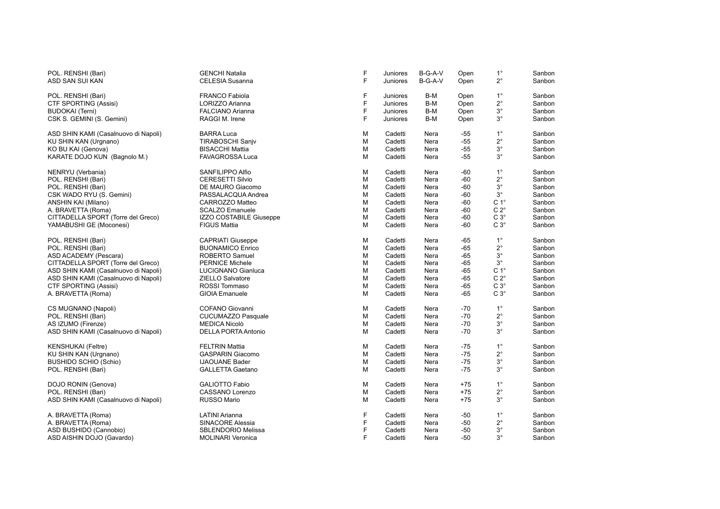| POL. RENSHI (Bari)                   | <b>GENCHI Natalia</b>      | F | Juniores        | B-G-A-V | Open  | $1^{\circ}$      | Sanbon |
|--------------------------------------|----------------------------|---|-----------------|---------|-------|------------------|--------|
| ASD SAN SUI KAN                      | CELESIA Susanna            | F | Juniores        | B-G-A-V | Open  | $2^{\circ}$      | Sanbon |
| POL. RENSHI (Bari)                   | <b>FRANCO Fabiola</b>      | F | <b>Juniores</b> | B-M     | Open  | $1^{\circ}$      | Sanbon |
| CTF SPORTING (Assisi)                | LORIZZO Arianna            | F | Juniores        | B-M     | Open  | $2^{\circ}$      | Sanbon |
| <b>BUDOKAI (Terni)</b>               | <b>FALCIANO Arianna</b>    | F | Juniores        | B-M     | Open  | $3^\circ$        | Sanbon |
| CSK S. GEMINI (S. Gemini)            | RAGGI M. Irene             | F | <b>Juniores</b> | B-M     | Open  | $3^\circ$        | Sanbon |
| ASD SHIN KAMI (Casalnuovo di Napoli) | <b>BARRA Luca</b>          | M | Cadetti         | Nera    | -55   | $1^{\circ}$      | Sanbon |
| KU SHIN KAN (Urgnano)                | <b>TIRABOSCHI Sanjv</b>    | M | Cadetti         | Nera    | $-55$ | $2^{\circ}$      | Sanbon |
| KO BU KAI (Genova)                   | <b>BISACCHI Mattia</b>     | M | Cadetti         | Nera    | $-55$ | $3^{\circ}$      | Sanbon |
| KARATE DOJO KUN (Bagnolo M.)         | FAVAGROSSA Luca            | М | Cadetti         | Nera    | -55   | $3^{\circ}$      | Sanbon |
| NENRYU (Verbania)                    | SANFILIPPO Alfio           | м | Cadetti         | Nera    | -60   | $1^{\circ}$      | Sanbon |
| POL. RENSHI (Bari)                   | <b>CERESETTI Silvio</b>    | M | Cadetti         | Nera    | -60   | $2^{\circ}$      | Sanbon |
| POL. RENSHI (Bari)                   | DE MAURO Giacomo           | M | Cadetti         | Nera    | $-60$ | $3^{\circ}$      | Sanbon |
| CSK WADO RYU (S. Gemini)             | PASSALACQUA Andrea         | M | Cadetti         | Nera    | -60   | $3^{\circ}$      | Sanbon |
|                                      | CARROZZO Matteo            | M | Cadetti         | Nera    | $-60$ | C <sub>1</sub> ° | Sanbon |
| ANSHIN KAI (Milano)                  |                            |   |                 |         |       |                  |        |
| A. BRAVETTA (Roma)                   | <b>SCALZO Emanuele</b>     | M | Cadetti         | Nera    | -60   | $C 2^{\circ}$    | Sanbon |
| CITTADELLA SPORT (Torre del Greco)   | IZZO COSTABILE Giuseppe    | M | Cadetti         | Nera    | $-60$ | $C3^\circ$       | Sanbon |
| YAMABUSHI GE (Moconesi)              | <b>FIGUS Mattia</b>        | М | Cadetti         | Nera    | -60   | $C3^\circ$       | Sanbon |
| POL. RENSHI (Bari)                   | <b>CAPRIATI Giuseppe</b>   | М | Cadetti         | Nera    | -65   | $1^{\circ}$      | Sanbon |
| POL. RENSHI (Bari)                   | <b>BUONAMICO Enrico</b>    | M | Cadetti         | Nera    | -65   | $2^{\circ}$      | Sanbon |
| ASD ACADEMY (Pescara)                | ROBERTO Samuel             | M | Cadetti         | Nera    | $-65$ | $3^{\circ}$      | Sanbon |
| CITTADELLA SPORT (Torre del Greco)   | <b>PERNICE Michele</b>     | M | Cadetti         | Nera    | $-65$ | $3^{\circ}$      | Sanbon |
| ASD SHIN KAMI (Casalnuovo di Napoli) | LUCIGNANO Gianluca         | M | Cadetti         | Nera    | -65   | C <sub>1</sub> ° | Sanbon |
| ASD SHIN KAMI (Casalnuovo di Napoli) | ZIELLO Salvatore           | M | Cadetti         | Nera    | $-65$ | $C 2^{\circ}$    | Sanbon |
| CTF SPORTING (Assisi)                | ROSSI Tommaso              | M | Cadetti         | Nera    | -65   | $C3^\circ$       | Sanbon |
| A. BRAVETTA (Roma)                   | <b>GIOIA</b> Emanuele      | М | Cadetti         | Nera    | $-65$ | $C3^\circ$       | Sanbon |
| CS MUGNANO (Napoli)                  | COFANO Giovanni            | м | Cadetti         | Nera    | -70   | $1^{\circ}$      | Sanbon |
| POL. RENSHI (Bari)                   | <b>CUCUMAZZO Pasquale</b>  | M | Cadetti         | Nera    | $-70$ | $2^{\circ}$      | Sanbon |
| AS IZUMO (Firenze)                   | <b>MEDICA Nicolò</b>       | M | Cadetti         | Nera    | $-70$ | $3^{\circ}$      | Sanbon |
| ASD SHIN KAMI (Casalnuovo di Napoli) | <b>DELLA PORTA Antonio</b> | M | Cadetti         | Nera    | $-70$ | $3^\circ$        | Sanbon |
| KENSHUKAI (Feltre)                   | <b>FELTRIN Mattia</b>      | М | Cadetti         | Nera    | -75   | $1^{\circ}$      | Sanbon |
| KU SHIN KAN (Urgnano)                | <b>GASPARIN Giacomo</b>    | М | Cadetti         | Nera    | $-75$ | $2^{\circ}$      | Sanbon |
| BUSHIDO SCHIO (Schio)                | <b>IJAOUANE Bader</b>      | M | Cadetti         | Nera    | $-75$ | $3^{\circ}$      | Sanbon |
| POL. RENSHI (Bari)                   | <b>GALLETTA Gaetano</b>    | M | Cadetti         | Nera    | $-75$ | $3^\circ$        | Sanbon |
| DOJO RONIN (Genova)                  | <b>GALIOTTO Fabio</b>      | М | Cadetti         | Nera    | $+75$ | $1^{\circ}$      | Sanbon |
| POL. RENSHI (Bari)                   | CASSANO Lorenzo            | М | Cadetti         | Nera    | $+75$ | $2^{\circ}$      | Sanbon |
| ASD SHIN KAMI (Casalnuovo di Napoli) | RUSSO Mario                | M | Cadetti         | Nera    | $+75$ | $3^{\circ}$      | Sanbon |
| A. BRAVETTA (Roma)                   | <b>LATINI Arianna</b>      | F | Cadetti         | Nera    | -50   | $1^{\circ}$      | Sanbon |
| A. BRAVETTA (Roma)                   | <b>SINACORE Alessia</b>    | F | Cadetti         | Nera    | -50   | $2^{\circ}$      | Sanbon |
| ASD BUSHIDO (Cannobio)               | <b>SBLENDORIO Melissa</b>  | F | Cadetti         | Nera    | -50   | $3^\circ$        | Sanbon |
|                                      |                            | F |                 |         | -50   | $3^{\circ}$      |        |
| ASD AISHIN DOJO (Gavardo)            | <b>MOLINARI Veronica</b>   |   | Cadetti         | Nera    |       |                  | Sanbon |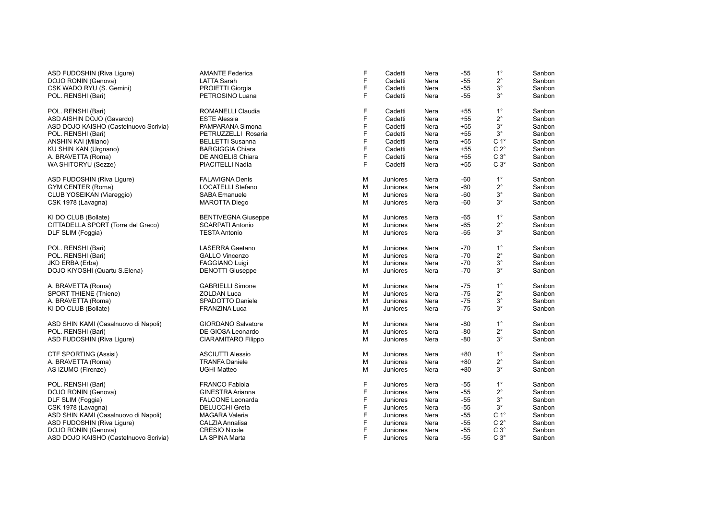| ASD FUDOSHIN (Riva Liqure)<br>DOJO RONIN (Genova) | <b>AMANTE Federica</b><br><b>LATTA Sarah</b> | F<br>F | Cadetti<br>Cadetti | Nera<br>Nera | $-55$<br>$-55$ | $1^{\circ}$<br>$2^{\circ}$ | Sanbon<br>Sanbon |
|---------------------------------------------------|----------------------------------------------|--------|--------------------|--------------|----------------|----------------------------|------------------|
|                                                   |                                              | F      |                    |              | $-55$          | $3^\circ$                  |                  |
| CSK WADO RYU (S. Gemini)                          | PROIETTI Giorgia                             | F      | Cadetti            | Nera         |                | $3^{\circ}$                | Sanbon           |
| POL. RENSHI (Bari)                                | PETROSINO Luana                              |        | Cadetti            | Nera         | $-55$          |                            | Sanbon           |
| POL. RENSHI (Bari)                                | ROMANELLI Claudia                            | F      | Cadetti            | Nera         | $+55$          | $1^{\circ}$                | Sanbon           |
| ASD AISHIN DOJO (Gavardo)                         | <b>ESTE Alessia</b>                          | F.     | Cadetti            | Nera         | $+55$          | $2^{\circ}$                | Sanbon           |
| ASD DOJO KAISHO (Castelnuovo Scrivia)             | PAMPARANA Simona                             | F      | Cadetti            | Nera         | $+55$          | $3^{\circ}$                | Sanbon           |
| POL. RENSHI (Bari)                                | PETRUZZELLI Rosaria                          | F      | Cadetti            | Nera         | $+55$          | $3^{\circ}$                | Sanbon           |
| ANSHIN KAI (Milano)                               | <b>BELLETTI Susanna</b>                      | F      | Cadetti            | Nera         | $+55$          | C <sub>1</sub> °           | Sanbon           |
| KU SHIN KAN (Urgnano)                             | <b>BARGIGGIA Chiara</b>                      | F      | Cadetti            | Nera         | $+55$          | $C 2^{\circ}$              | Sanbon           |
| A. BRAVETTA (Roma)                                | DE ANGELIS Chiara                            | F      | Cadetti            | Nera         | $+55$          | $C3^\circ$                 | Sanbon           |
| WA SHITORYU (Sezze)                               | PIACITELLI Nadia                             | F      | Cadetti            | Nera         | $+55$          | $C3^\circ$                 | Sanbon           |
| ASD FUDOSHIN (Riva Ligure)                        | <b>FALAVIGNA Denis</b>                       | M      | Juniores           | Nera         | $-60$          | $1^{\circ}$                | Sanbon           |
| GYM CENTER (Roma)                                 | <b>LOCATELLI Stefano</b>                     | M      | Juniores           | Nera         | $-60$          | $2^{\circ}$                | Sanbon           |
| CLUB YOSEIKAN (Viareggio)                         | <b>SABA Emanuele</b>                         | M      | Juniores           | Nera         | $-60$          | $3^{\circ}$                | Sanbon           |
| CSK 1978 (Lavagna)                                | <b>MAROTTA Diego</b>                         | M      | Juniores           | Nera         | $-60$          | $3^\circ$                  | Sanbon           |
|                                                   |                                              |        |                    |              |                |                            |                  |
| KI DO CLUB (Bollate)                              | <b>BENTIVEGNA Giuseppe</b>                   | M      | Juniores           | Nera         | $-65$          | $1^{\circ}$                | Sanbon           |
| CITTADELLA SPORT (Torre del Greco)                | <b>SCARPATI Antonio</b>                      | M      | Juniores           | Nera         | $-65$          | $2^{\circ}$                | Sanbon           |
| DLF SLIM (Foggia)                                 | <b>TESTA Antonio</b>                         | M      | Juniores           | Nera         | $-65$          | $3^\circ$                  | Sanbon           |
| POL. RENSHI (Bari)                                | <b>LASERRA Gaetano</b>                       | M      | Juniores           | Nera         | $-70$          | $1^{\circ}$                | Sanbon           |
| POL. RENSHI (Bari)                                | <b>GALLO Vincenzo</b>                        | M      | Juniores           | Nera         | $-70$          | $2^{\circ}$                | Sanbon           |
| JKD ERBA (Erba)                                   | <b>FAGGIANO Luigi</b>                        | M      | Juniores           | Nera         | $-70$          | $3^{\circ}$                | Sanbon           |
| DOJO KIYOSHI (Quartu S.Elena)                     | <b>DENOTTI Giuseppe</b>                      | M      | Juniores           | Nera         | $-70$          | $3^{\circ}$                | Sanbon           |
| A. BRAVETTA (Roma)                                | <b>GABRIELLI Simone</b>                      | M      | Juniores           | Nera         | $-75$          | $1^{\circ}$                | Sanbon           |
| SPORT THIENE (Thiene)                             | <b>ZOLDAN Luca</b>                           | M      | Juniores           | Nera         | $-75$          | $2^{\circ}$                | Sanbon           |
| A. BRAVETTA (Roma)                                | SPADOTTO Daniele                             | M      | Juniores           | Nera         | $-75$          | $3^{\circ}$                | Sanbon           |
| KI DO CLUB (Bollate)                              | <b>FRANZINA Luca</b>                         | M      | Juniores           | Nera         | $-75$          | $3^\circ$                  | Sanbon           |
| ASD SHIN KAMI (Casalnuovo di Napoli)              | <b>GIORDANO Salvatore</b>                    | M      |                    |              | -80            | $1^{\circ}$                | Sanbon           |
|                                                   | DE GIOSA Leonardo                            |        | Juniores           | Nera<br>Nera | $-80$          | $2^{\circ}$                | Sanbon           |
| POL. RENSHI (Bari)                                |                                              | M      | Juniores           |              |                | $3^{\circ}$                |                  |
| ASD FUDOSHIN (Riva Liqure)                        | <b>CIARAMITARO Filippo</b>                   | М      | Juniores           | Nera         | -80            |                            | Sanbon           |
| <b>CTF SPORTING (Assisi)</b>                      | <b>ASCIUTTI Alessio</b>                      | M      | Juniores           | Nera         | $+80$          | $1^{\circ}$                | Sanbon           |
| A. BRAVETTA (Roma)                                | <b>TRANFA Daniele</b>                        | M      | Juniores           | Nera         | $+80$          | $2^{\circ}$                | Sanbon           |
| AS IZUMO (Firenze)                                | <b>UGHI Matteo</b>                           | М      | Juniores           | Nera         | $+80$          | $3^{\circ}$                | Sanbon           |
| POL. RENSHI (Bari)                                | <b>FRANCO Fabiola</b>                        | F      | Juniores           | Nera         | $-55$          | $1^{\circ}$                | Sanbon           |
| DOJO RONIN (Genova)                               | <b>GINESTRA Arianna</b>                      | F      | Juniores           | Nera         | $-55$          | $2^{\circ}$                | Sanbon           |
| DLF SLIM (Foggia)                                 | <b>FALCONE Leonarda</b>                      | F      | Juniores           | Nera         | $-55$          | $3^{\circ}$                | Sanbon           |
| CSK 1978 (Lavagna)                                | <b>DELUCCHI Greta</b>                        | F      | Juniores           | Nera         | $-55$          | $3^{\circ}$                | Sanbon           |
| ASD SHIN KAMI (Casalnuovo di Napoli)              | <b>MAGARA Valeria</b>                        | F      | Juniores           | Nera         | $-55$          | $C 1^\circ$                | Sanbon           |
| ASD FUDOSHIN (Riva Ligure)                        | CALZIA Annalisa                              | F      | Juniores           | Nera         | $-55$          | $C 2^{\circ}$              | Sanbon           |
| DOJO RONIN (Genova)                               | <b>CRESIO Nicole</b>                         | F      | Juniores           | Nera         | $-55$          | $C 3^\circ$                | Sanbon           |
| ASD DOJO KAISHO (Castelnuovo Scrivia)             | LA SPINA Marta                               | F      | Juniores           | Nera         | $-55$          | $C3^\circ$                 | Sanbon           |
|                                                   |                                              |        |                    |              |                |                            |                  |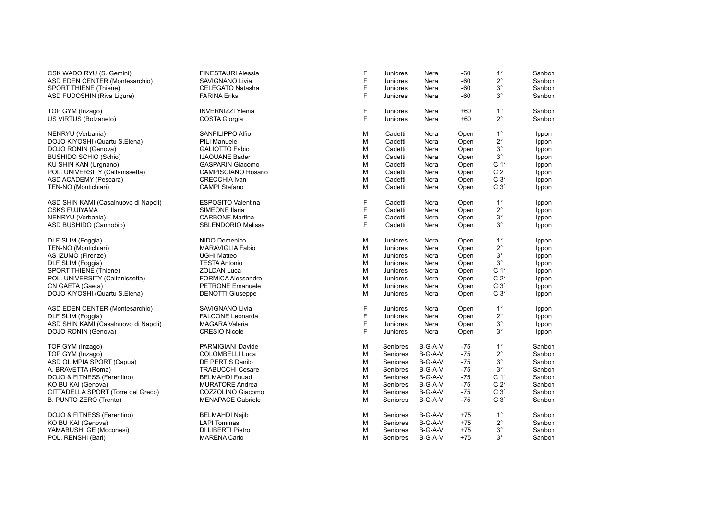| CSK WADO RYU (S. Gemini)             | <b>FINESTAURI Alessia</b>  | F           | Juniores | Nera      | $-60$ | $1^{\circ}$      | Sanbon |
|--------------------------------------|----------------------------|-------------|----------|-----------|-------|------------------|--------|
| ASD EDEN CENTER (Montesarchio)       | SAVIGNANO Livia            | F           | Juniores | Nera      | $-60$ | $2^{\circ}$      | Sanbon |
| <b>SPORT THIENE (Thiene)</b>         | <b>CELEGATO Natasha</b>    | F           | Juniores | Nera      | $-60$ | $3^\circ$        | Sanbon |
| ASD FUDOSHIN (Riva Ligure)           | <b>FARINA Erika</b>        | F           | Juniores | Nera      | $-60$ | $3^{\circ}$      | Sanbon |
| TOP GYM (Inzago)                     | <b>INVERNIZZI Ylenia</b>   | $\mathsf F$ | Juniores | Nera      | $+60$ | $1^{\circ}$      | Sanbon |
| US VIRTUS (Bolzaneto)                | <b>COSTA Giorgia</b>       | F           | Juniores | Nera      | $+60$ | $2^{\circ}$      | Sanbon |
| NENRYU (Verbania)                    | SANFILIPPO Alfio           | M           | Cadetti  | Nera      | Open  | $1^{\circ}$      | Ippon  |
| DOJO KIYOSHI (Quartu S.Elena)        | <b>PILI Manuele</b>        | M           | Cadetti  | Nera      | Open  | $2^{\circ}$      | Ippon  |
| DOJO RONIN (Genova)                  | <b>GALIOTTO Fabio</b>      | M           | Cadetti  | Nera      | Open  | $3^{\circ}$      | Ippon  |
| <b>BUSHIDO SCHIO (Schio)</b>         | <b>IJAOUANE Bader</b>      | M           | Cadetti  | Nera      | Open  | $3^{\circ}$      | Ippon  |
| KU SHIN KAN (Urgnano)                | <b>GASPARIN Giacomo</b>    | M           | Cadetti  | Nera      | Open  | C <sub>1</sub> ° | Ippon  |
| POL. UNIVERSITY (Caltanissetta)      | <b>CAMPISCIANO Rosario</b> | M           | Cadetti  | Nera      | Open  | $C 2^\circ$      | Ippon  |
| ASD ACADEMY (Pescara)                | <b>CRECCHIA Ivan</b>       | M           | Cadetti  | Nera      | Open  | $C3^\circ$       | Ippon  |
| TEN-NO (Montichiari)                 | <b>CAMPI Stefano</b>       | M           | Cadetti  | Nera      | Open  | $C3^\circ$       | Ippon  |
| ASD SHIN KAMI (Casalnuovo di Napoli) | <b>ESPOSITO Valentina</b>  | F           | Cadetti  | Nera      | Open  | $1^{\circ}$      | Ippon  |
| <b>CSKS FUJIYAMA</b>                 | <b>SIMEONE Ilaria</b>      | F           | Cadetti  | Nera      | Open  | $2^{\circ}$      | Ippon  |
| NENRYU (Verbania)                    | <b>CARBONE Martina</b>     | F           | Cadetti  | Nera      | Open  | $3^\circ$        | Ippon  |
| ASD BUSHIDO (Cannobio)               | <b>SBLENDORIO Melissa</b>  | F           | Cadetti  | Nera      | Open  | $3^\circ$        | Ippon  |
| DLF SLIM (Foggia)                    | NIDO Domenico              | M           | Juniores | Nera      | Open  | $1^{\circ}$      | Ippon  |
| TEN-NO (Montichiari)                 | <b>MARAVIGLIA Fabio</b>    | M           | Juniores | Nera      | Open  | $2^{\circ}$      | Ippon  |
| AS IZUMO (Firenze)                   | <b>UGHI Matteo</b>         | M           | Juniores | Nera      | Open  | $3^{\circ}$      | Ippon  |
| DLF SLIM (Foggia)                    | <b>TESTA Antonio</b>       | M           | Juniores | Nera      | Open  | $3^{\circ}$      | Ippon  |
| SPORT THIENE (Thiene)                | <b>ZOLDAN Luca</b>         | M           | Juniores | Nera      | Open  | $C 1^{\circ}$    | Ippon  |
| POL. UNIVERSITY (Caltanissetta)      | FORMICA Alessandro         | M           | Juniores | Nera      | Open  | $C 2^\circ$      | Ippon  |
| CN GAETA (Gaeta)                     | <b>PETRONE Emanuele</b>    | M           | Juniores | Nera      | Open  | $C3^\circ$       | Ippon  |
| DOJO KIYOSHI (Quartu S.Elena)        | <b>DENOTTI Giuseppe</b>    | M           | Juniores | Nera      | Open  | $C3^\circ$       | Ippon  |
| ASD EDEN CENTER (Montesarchio)       | <b>SAVIGNANO Livia</b>     | F           | Juniores | Nera      | Open  | $1^{\circ}$      | Ippon  |
| DLF SLIM (Foggia)                    | <b>FALCONE Leonarda</b>    | F           | Juniores | Nera      | Open  | $2^{\circ}$      | Ippon  |
| ASD SHIN KAMI (Casalnuovo di Napoli) | <b>MAGARA Valeria</b>      | F           | Juniores | Nera      | Open  | $3^{\circ}$      | Ippon  |
| DOJO RONIN (Genova)                  | <b>CRESIO Nicole</b>       | F           | Juniores | Nera      | Open  | 3°               | Ippon  |
| TOP GYM (Inzago)                     | PARMIGIANI Davide          | M           | Seniores | B-G-A-V   | $-75$ | $1^{\circ}$      | Sanbon |
| TOP GYM (Inzago)                     | <b>COLOMBELLI Luca</b>     | M           | Seniores | B-G-A-V   | $-75$ | $2^{\circ}$      | Sanbon |
| ASD OLIMPIA SPORT (Capua)            | DE PERTIS Danilo           | M           | Seniores | B-G-A-V   | $-75$ | $3^{\circ}$      | Sanbon |
| A. BRAVETTA (Roma)                   | <b>TRABUCCHI Cesare</b>    | M           | Seniores | $B-G-A-V$ | $-75$ | $3^{\circ}$      | Sanbon |
| DOJO & FITNESS (Ferentino)           | <b>BELMAHDI Fouad</b>      | M           | Seniores | B-G-A-V   | $-75$ | C <sub>1</sub> ° | Sanbon |
| KO BU KAI (Genova)                   | <b>MURATORE Andrea</b>     | M           | Seniores | B-G-A-V   | $-75$ | $C 2^\circ$      | Sanbon |
| CITTADELLA SPORT (Torre del Greco)   | COZZOLINO Giacomo          | M           | Seniores | $B-G-A-V$ | $-75$ | $C 3^\circ$      | Sanbon |
| B. PUNTO ZERO (Trento)               | <b>MENAPACE Gabriele</b>   | M           | Seniores | $B-G-A-V$ | $-75$ | $C3^\circ$       | Sanbon |
| DOJO & FITNESS (Ferentino)           | <b>BELMAHDI Najib</b>      | M           | Seniores | $B-G-A-V$ | $+75$ | $1^{\circ}$      | Sanbon |
| KO BU KAI (Genova)                   | <b>LAPI Tommasi</b>        | M           | Seniores | $B-G-A-V$ | $+75$ | $2^{\circ}$      | Sanbon |
| YAMABUSHI GE (Moconesi)              | DI LIBERTI Pietro          | M           | Seniores | $B-G-A-V$ | $+75$ | $3^\circ$        | Sanbon |
| POL. RENSHI (Bari)                   | <b>MARENA Carlo</b>        | M           | Seniores | B-G-A-V   | $+75$ | $3^\circ$        | Sanbon |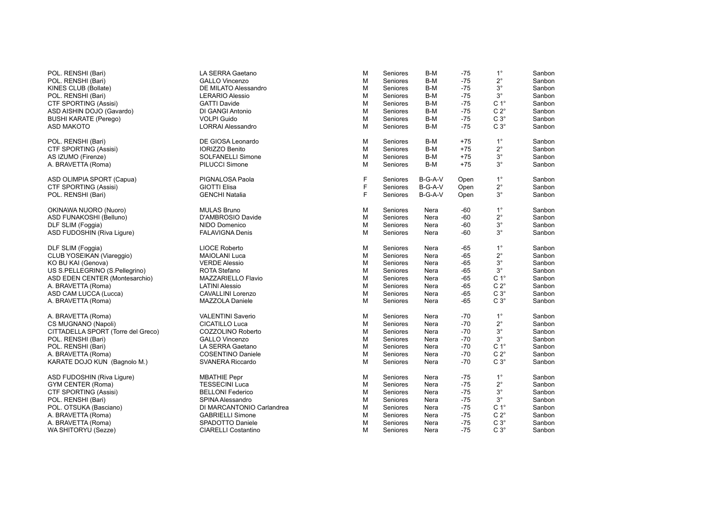| POL. RENSHI (Bari)                 | LA SERRA Gaetano           | M | Seniores | $B-M$   | $-75$ | $1^{\circ}$      | Sanbon |
|------------------------------------|----------------------------|---|----------|---------|-------|------------------|--------|
| POL. RENSHI (Bari)                 | <b>GALLO Vincenzo</b>      | М | Seniores | B-M     | $-75$ | $2^{\circ}$      | Sanbon |
| KINES CLUB (Bollate)               | DE MILATO Alessandro       | М | Seniores | B-M     | $-75$ | $3^{\circ}$      | Sanbon |
| POL. RENSHI (Bari)                 | <b>LERARIO Alessio</b>     | M | Seniores | B-M     | $-75$ | $3^{\circ}$      | Sanbon |
| <b>CTF SPORTING (Assisi)</b>       | <b>GATTI Davide</b>        | М | Seniores | B-M     | $-75$ | C <sub>1</sub> ° | Sanbon |
| ASD AISHIN DOJO (Gavardo)          | DI GANGI Antonio           | M | Seniores | B-M     | $-75$ | $C 2^\circ$      | Sanbon |
| <b>BUSHI KARATE (Perego)</b>       | <b>VOLPI Guido</b>         | M | Seniores | B-M     | $-75$ | $C 3^\circ$      | Sanbon |
| <b>ASD MAKOTO</b>                  | <b>LORRAI Alessandro</b>   | M | Seniores | B-M     | $-75$ | $C3^\circ$       | Sanbon |
| POL. RENSHI (Bari)                 | DE GIOSA Leonardo          | M | Seniores | B-M     | $+75$ | $1^{\circ}$      | Sanbon |
| CTF SPORTING (Assisi)              | <b>IORIZZO Benito</b>      | M | Seniores | $B-M$   | $+75$ | $2^{\circ}$      | Sanbon |
| AS IZUMO (Firenze)                 | SOLFANELLI Simone          | М | Seniores | B-M     | $+75$ | $3^\circ$        | Sanbon |
| A. BRAVETTA (Roma)                 | PILUCCI Simone             | M | Seniores | B-M     | $+75$ | $3^{\circ}$      | Sanbon |
| ASD OLIMPIA SPORT (Capua)          | PIGNALOSA Paola            | F | Seniores | B-G-A-V | Open  | $1^{\circ}$      | Sanbon |
| <b>CTF SPORTING (Assisi)</b>       | <b>GIOTTI Elisa</b>        | F | Seniores | B-G-A-V | Open  | $2^{\circ}$      | Sanbon |
| POL. RENSHI (Bari)                 | <b>GENCHI Natalia</b>      | E | Seniores | B-G-A-V | Open  | $3^{\circ}$      | Sanbon |
| OKINAWA NUORO (Nuoro)              | <b>MULAS Bruno</b>         | М | Seniores | Nera    | $-60$ | $1^{\circ}$      | Sanbon |
| ASD FUNAKOSHI (Belluno)            | D'AMBROSIO Davide          | М | Seniores | Nera    | $-60$ | $2^{\circ}$      | Sanbon |
| DLF SLIM (Foggia)                  | NIDO Domenico              | М | Seniores | Nera    | -60   | $3^{\circ}$      | Sanbon |
| ASD FUDOSHIN (Riva Ligure)         | <b>FALAVIGNA Denis</b>     | M | Seniores | Nera    | $-60$ | $3^\circ$        | Sanbon |
| DLF SLIM (Foggia)                  | <b>LIOCE Roberto</b>       | М | Seniores | Nera    | -65   | $1^{\circ}$      | Sanbon |
| CLUB YOSEIKAN (Viareggio)          | <b>MAIOLANI Luca</b>       | M | Seniores | Nera    | $-65$ | $2^{\circ}$      | Sanbon |
| KO BU KAI (Genova)                 | <b>VERDE Alessio</b>       | M | Seniores | Nera    | -65   | $3^\circ$        | Sanbon |
| US S.PELLEGRINO (S.Pellegrino)     | <b>ROTA Stefano</b>        | M | Seniores | Nera    | -65   | $3^{\circ}$      | Sanbon |
| ASD EDEN CENTER (Montesarchio)     | MAZZARIELLO Flavio         | M | Seniores | Nera    | $-65$ | $C 1^\circ$      | Sanbon |
| A. BRAVETTA (Roma)                 | <b>LATINI Alessio</b>      | M | Seniores | Nera    | -65   | $C 2^\circ$      | Sanbon |
| ASD CAM LUCCA (Lucca)              | CAVALLINI Lorenzo          | M | Seniores | Nera    | $-65$ | $C3^\circ$       | Sanbon |
| A. BRAVETTA (Roma)                 | MAZZOLA Daniele            | M | Seniores | Nera    | $-65$ | $C3^\circ$       | Sanbon |
| A. BRAVETTA (Roma)                 | <b>VALENTINI Saverio</b>   | М | Seniores | Nera    | $-70$ | $1^{\circ}$      | Sanbon |
| CS MUGNANO (Napoli)                | <b>CICATILLO Luca</b>      | М | Seniores | Nera    | $-70$ | $2^{\circ}$      | Sanbon |
| CITTADELLA SPORT (Torre del Greco) | COZZOLINO Roberto          | M | Seniores | Nera    | $-70$ | $3^{\circ}$      | Sanbon |
| POL. RENSHI (Bari)                 | <b>GALLO Vincenzo</b>      | M | Seniores | Nera    | $-70$ | $3^{\circ}$      | Sanbon |
| POL. RENSHI (Bari)                 | LA SERRA Gaetano           | M | Seniores | Nera    | $-70$ | C <sub>1</sub> ° | Sanbon |
| A. BRAVETTA (Roma)                 | <b>COSENTINO Daniele</b>   | M | Seniores | Nera    | $-70$ | $C 2^{\circ}$    | Sanbon |
| KARATE DOJO KUN (Bagnolo M.)       | SVANERA Riccardo           | M | Seniores | Nera    | $-70$ | $C3^\circ$       | Sanbon |
| ASD FUDOSHIN (Riva Ligure)         | <b>MBATHIE Pepr</b>        | М | Seniores | Nera    | -75   | $1^{\circ}$      | Sanbon |
| GYM CENTER (Roma)                  | <b>TESSECINI Luca</b>      | M | Seniores | Nera    | $-75$ | $2^{\circ}$      | Sanbon |
| <b>CTF SPORTING (Assisi)</b>       | <b>BELLONI Federico</b>    | М | Seniores | Nera    | -75   | $3^\circ$        | Sanbon |
| POL. RENSHI (Bari)                 | SPINA Alessandro           | M | Seniores | Nera    | $-75$ | $3^{\circ}$      | Sanbon |
| POL. OTSUKA (Basciano)             | DI MARCANTONIO Carlandrea  | М | Seniores | Nera    | $-75$ | C <sub>1</sub> ° | Sanbon |
| A. BRAVETTA (Roma)                 | <b>GABRIELLI Simone</b>    | M | Seniores | Nera    | -75   | $C 2^{\circ}$    | Sanbon |
| A. BRAVETTA (Roma)                 | SPADOTTO Daniele           | M | Seniores | Nera    | $-75$ | $C3^\circ$       | Sanbon |
| WA SHITORYU (Sezze)                | <b>CIARELLI Costantino</b> | M | Seniores | Nera    | $-75$ | $C3^\circ$       | Sanbon |
|                                    |                            |   |          |         |       |                  |        |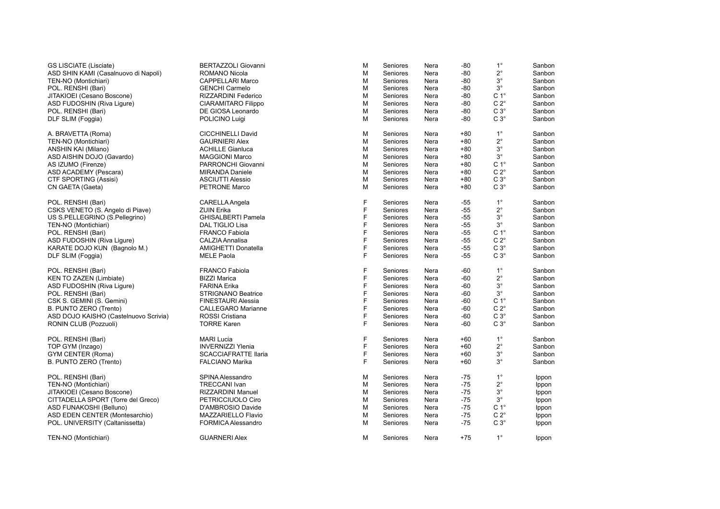| <b>GS LISCIATE (Lisciate)</b>         | <b>BERTAZZOLI Giovanni</b>  | M | Seniores | Nera | $-80$ | $1^{\circ}$      | Sanbon |
|---------------------------------------|-----------------------------|---|----------|------|-------|------------------|--------|
| ASD SHIN KAMI (Casalnuovo di Napoli)  | <b>ROMANO Nicola</b>        | M | Seniores | Nera | $-80$ | $2^{\circ}$      | Sanbon |
| TEN-NO (Montichiari)                  | <b>CAPPELLARI Marco</b>     | M | Seniores | Nera | -80   | $3^{\circ}$      | Sanbon |
| POL. RENSHI (Bari)                    | <b>GENCHI Carmelo</b>       | м | Seniores | Nera | -80   | $3^{\circ}$      | Sanbon |
| JITAKIOEI (Cesano Boscone)            | RIZZARDINI Federico         | M | Seniores | Nera | -80   | $C 1^{\circ}$    | Sanbon |
| ASD FUDOSHIN (Riva Ligure)            | <b>CIARAMITARO Filippo</b>  | M | Seniores | Nera | -80   | $C 2^{\circ}$    | Sanbon |
| POL. RENSHI (Bari)                    | DE GIOSA Leonardo           | M | Seniores | Nera | -80   | $C3^\circ$       | Sanbon |
| DLF SLIM (Foggia)                     | POLICINO Luigi              | м | Seniores | Nera | -80   | $C 3^\circ$      | Sanbon |
| A. BRAVETTA (Roma)                    | <b>CICCHINELLI David</b>    | M | Seniores | Nera | $+80$ | $1^{\circ}$      | Sanbon |
| TEN-NO (Montichiari)                  | <b>GAURNIERI Alex</b>       | M | Seniores | Nera | $+80$ | $2^{\circ}$      | Sanbon |
| ANSHIN KAI (Milano)                   | <b>ACHILLE Gianluca</b>     | м | Seniores | Nera | $+80$ | 3°               | Sanbon |
| ASD AISHIN DOJO (Gavardo)             | <b>MAGGIONI Marco</b>       | M | Seniores | Nera | $+80$ | $3^{\circ}$      | Sanbon |
| AS IZUMO (Firenze)                    | PARRONCHI Giovanni          | M | Seniores | Nera | $+80$ | C <sub>1</sub> ° | Sanbon |
| ASD ACADEMY (Pescara)                 | <b>MIRANDA Daniele</b>      | M | Seniores | Nera | $+80$ | $C 2^{\circ}$    | Sanbon |
| CTF SPORTING (Assisi)                 | <b>ASCIUTTI Alessio</b>     | M | Seniores | Nera | $+80$ | $C3^\circ$       | Sanbon |
| CN GAETA (Gaeta)                      | PETRONE Marco               | M | Seniores | Nera | $+80$ | $C3^\circ$       | Sanbon |
| POL. RENSHI (Bari)                    | CARELLA Angela              | F | Seniores | Nera | -55   | $1^{\circ}$      | Sanbon |
| CSKS VENETO (S. Angelo di Piave)      | <b>ZUIN Erika</b>           | F | Seniores | Nera | $-55$ | $2^{\circ}$      | Sanbon |
| US S.PELLEGRINO (S.Pellegrino)        | <b>GHISALBERTI Pamela</b>   | F | Seniores | Nera | -55   | $3^{\circ}$      | Sanbon |
| TEN-NO (Montichiari)                  | DAL TIGLIO Lisa             | F | Seniores | Nera | -55   | $3^\circ$        | Sanbon |
| POL. RENSHI (Bari)                    | <b>FRANCO Fabiola</b>       | F | Seniores | Nera | -55   | C <sub>1</sub> ° | Sanbon |
| ASD FUDOSHIN (Riva Liqure)            | CALZIA Annalisa             | F | Seniores | Nera | -55   | $C 2^{\circ}$    | Sanbon |
| KARATE DOJO KUN (Bagnolo M.)          | AMIGHETTI Donatella         | F | Seniores | Nera | $-55$ | $C 3^\circ$      | Sanbon |
| DLF SLIM (Foggia)                     | <b>MELE Paola</b>           | F | Seniores | Nera | $-55$ | $C3^\circ$       | Sanbon |
| POL. RENSHI (Bari)                    | <b>FRANCO Fabiola</b>       | F | Seniores | Nera | -60   | $1^{\circ}$      | Sanbon |
| KEN TO ZAZEN (Limbiate)               | <b>BIZZI Marica</b>         | F | Seniores | Nera | $-60$ | $2^{\circ}$      | Sanbon |
| ASD FUDOSHIN (Riva Ligure)            | <b>FARINA Erika</b>         | F | Seniores | Nera | $-60$ | $3^\circ$        | Sanbon |
| POL. RENSHI (Bari)                    | <b>STRIGNANO Beatrice</b>   | F | Seniores | Nera | $-60$ | $3^{\circ}$      | Sanbon |
| CSK S. GEMINI (S. Gemini)             | <b>FINESTAURI Alessia</b>   | F | Seniores | Nera | $-60$ | C <sub>1</sub> ° | Sanbon |
| B. PUNTO ZERO (Trento)                | <b>CALLEGARO Marianne</b>   | F | Seniores | Nera | $-60$ | $C 2^\circ$      | Sanbon |
| ASD DOJO KAISHO (Castelnuovo Scrivia) | ROSSI Cristiana             | F | Seniores | Nera | -60   | $C3^\circ$       | Sanbon |
| RONIN CLUB (Pozzuoli)                 | <b>TORRE Karen</b>          | E | Seniores | Nera | -60   | $C 3^\circ$      | Sanbon |
| POL. RENSHI (Bari)                    | <b>MARI Lucia</b>           | F | Seniores | Nera | $+60$ | $1^{\circ}$      | Sanbon |
| TOP GYM (Inzago)                      | <b>INVERNIZZI Ylenia</b>    | F | Seniores | Nera | $+60$ | $2^{\circ}$      | Sanbon |
| GYM CENTER (Roma)                     | <b>SCACCIAFRATTE Ilaria</b> | F | Seniores | Nera | $+60$ | $3^{\circ}$      | Sanbon |
| B. PUNTO ZERO (Trento)                | <b>FALCIANO Marika</b>      | E | Seniores | Nera | $+60$ | $3^{\circ}$      | Sanbon |
| POL. RENSHI (Bari)                    | SPINA Alessandro            | M | Seniores | Nera | -75   | $1^{\circ}$      | Ippon  |
| TEN-NO (Montichiari)                  | <b>TRECCANI Ivan</b>        | M | Seniores | Nera | $-75$ | $2^{\circ}$      | Ippon  |
| JITAKIOEI (Cesano Boscone)            | <b>RIZZARDINI Manuel</b>    | M | Seniores | Nera | $-75$ | $3^{\circ}$      | Ippon  |
| CITTADELLA SPORT (Torre del Greco)    | PETRICCIUOLO Ciro           | M | Seniores | Nera | $-75$ | $3^{\circ}$      | Ippon  |
| ASD FUNAKOSHI (Belluno)               | D'AMBROSIO Davide           | M | Seniores | Nera | $-75$ | $C 1^\circ$      | Ippon  |
| ASD EDEN CENTER (Montesarchio)        | MAZZARIELLO Flavio          | M | Seniores | Nera | $-75$ | $C 2^\circ$      | Ippon  |
| POL. UNIVERSITY (Caltanissetta)       | FORMICA Alessandro          | M | Seniores | Nera | $-75$ | $C3^\circ$       | Ippon  |
| TEN-NO (Montichiari)                  | <b>GUARNERI Alex</b>        | M | Seniores | Nera | $+75$ | $1^{\circ}$      | Ippon  |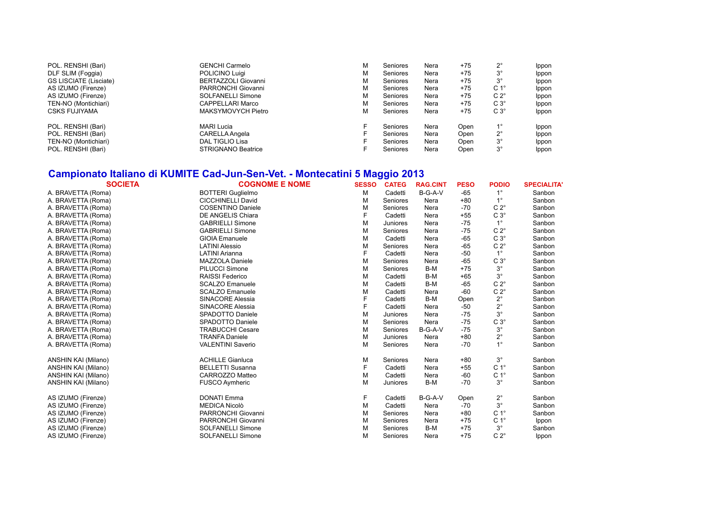| POL. RENSHI (Bari)            | <b>GENCHI Carmelo</b>     | м | Seniores | Nera | $+75$ | າ∘               | Ippon |
|-------------------------------|---------------------------|---|----------|------|-------|------------------|-------|
| DLF SLIM (Foggia)             | POLICINO Luigi            | М | Seniores | Nera | $+75$ | $3^{\circ}$      | Ippon |
| <b>GS LISCIATE (Lisciate)</b> | BERTAZZOLI Giovanni       | М | Seniores | Nera | $+75$ | $3^{\circ}$      | Ippon |
| AS IZUMO (Firenze)            | PARRONCHI Giovanni        | М | Seniores | Nera | +75   | C <sub>1</sub> ° | Ippon |
| AS IZUMO (Firenze)            | SOLFANELLI Simone         | М | Seniores | Nera | +75   | $C 2^{\circ}$    | Ippon |
| TEN-NO (Montichiari)          | CAPPELLARI Marco          | м | Seniores | Nera | +75   | $C3^\circ$       | Ippon |
| <b>CSKS FUJIYAMA</b>          | MAKSYMOVYCH Pietro        | М | Seniores | Nera | $+75$ | $C3^\circ$       | Ippon |
| POL. RENSHI (Bari)            | <b>MARI Lucia</b>         |   | Seniores | Nera | Open  | $1^{\circ}$      | Ippon |
| POL. RENSHI (Bari)            | CARELLA Angela            |   | Seniores | Nera | Open  | 2°               | Ippon |
| TEN-NO (Montichiari)          | DAL TIGLIO Lisa           |   | Seniores | Nera | Open  | $3^{\circ}$      | Ippon |
| POL. RENSHI (Bari)            | <b>STRIGNANO Beatrice</b> |   | Seniores | Nera | Open  | $3^{\circ}$      | Ippon |
|                               |                           |   |          |      |       |                  |       |

## **Campionato Italiano di KUMITE Cad-Jun-Sen-Vet. - Montecatini 5 Maggio 2013**

| <b>SOCIETA</b>      | <b>COGNOME E NOME</b>    | <b>SESSO</b> | <b>CATEG</b>    | <b>RAG.CINT</b> | <b>PESO</b> | <b>PODIO</b>     | <b>SPECIALITA</b> |
|---------------------|--------------------------|--------------|-----------------|-----------------|-------------|------------------|-------------------|
| A. BRAVETTA (Roma)  | <b>BOTTERI</b> Guglielmo | M            | Cadetti         | B-G-A-V         | $-65$       | $1^{\circ}$      | Sanbon            |
| A. BRAVETTA (Roma)  | <b>CICCHINELLI David</b> | M            | Seniores        | Nera            | $+80$       | $1^{\circ}$      | Sanbon            |
| A. BRAVETTA (Roma)  | <b>COSENTINO Daniele</b> | M            | Seniores        | Nera            | $-70$       | $C 2^{\circ}$    | Sanbon            |
| A. BRAVETTA (Roma)  | DE ANGELIS Chiara        | F            | Cadetti         | Nera            | $+55$       | $C3^\circ$       | Sanbon            |
| A. BRAVETTA (Roma)  | <b>GABRIELLI Simone</b>  | M            | <b>Juniores</b> | Nera            | $-75$       | $1^{\circ}$      | Sanbon            |
| A. BRAVETTA (Roma)  | <b>GABRIELLI Simone</b>  | M            | Seniores        | Nera            | $-75$       | $C 2^{\circ}$    | Sanbon            |
| A. BRAVETTA (Roma)  | <b>GIOIA</b> Emanuele    | M            | Cadetti         | Nera            | $-65$       | $C3^\circ$       | Sanbon            |
| A. BRAVETTA (Roma)  | <b>LATINI Alessio</b>    | M            | Seniores        | Nera            | $-65$       | $C 2^{\circ}$    | Sanbon            |
| A. BRAVETTA (Roma)  | <b>LATINI Arianna</b>    | F            | Cadetti         | Nera            | $-50$       | $1^{\circ}$      | Sanbon            |
| A. BRAVETTA (Roma)  | <b>MAZZOLA Daniele</b>   | M            | Seniores        | Nera            | $-65$       | $C3^\circ$       | Sanbon            |
| A. BRAVETTA (Roma)  | PILUCCI Simone           | M            | Seniores        | B-M             | $+75$       | $3^{\circ}$      | Sanbon            |
| A. BRAVETTA (Roma)  | <b>RAISSI Federico</b>   | M            | Cadetti         | $B-M$           | $+65$       | $3^\circ$        | Sanbon            |
| A. BRAVETTA (Roma)  | <b>SCALZO Emanuele</b>   | M            | Cadetti         | B-M             | $-65$       | $C 2^{\circ}$    | Sanbon            |
| A. BRAVETTA (Roma)  | <b>SCALZO Emanuele</b>   | M            | Cadetti         | Nera            | $-60$       | $C 2^{\circ}$    | Sanbon            |
| A. BRAVETTA (Roma)  | <b>SINACORE Alessia</b>  | F            | Cadetti         | B-M             | Open        | $2^{\circ}$      | Sanbon            |
| A. BRAVETTA (Roma)  | <b>SINACORE Alessia</b>  | F            | Cadetti         | Nera            | $-50$       | $2^{\circ}$      | Sanbon            |
| A. BRAVETTA (Roma)  | SPADOTTO Daniele         | M            | <b>Juniores</b> | Nera            | $-75$       | $3^{\circ}$      | Sanbon            |
| A. BRAVETTA (Roma)  | SPADOTTO Daniele         | M            | Seniores        | Nera            | $-75$       | $C3^\circ$       | Sanbon            |
| A. BRAVETTA (Roma)  | <b>TRABUCCHI Cesare</b>  | M            | Seniores        | B-G-A-V         | $-75$       | $3^\circ$        | Sanbon            |
| A. BRAVETTA (Roma)  | <b>TRANFA Daniele</b>    | M            | <b>Juniores</b> | Nera            | $+80$       | $2^{\circ}$      | Sanbon            |
| A. BRAVETTA (Roma)  | <b>VALENTINI Saverio</b> | M            | Seniores        | Nera            | $-70$       | $1^{\circ}$      | Sanbon            |
| ANSHIN KAI (Milano) | <b>ACHILLE Gianluca</b>  | M            | Seniores        | Nera            | $+80$       | 3°               | Sanbon            |
| ANSHIN KAI (Milano) | <b>BELLETTI Susanna</b>  | F            | Cadetti         | Nera            | $+55$       | C <sub>1</sub> ° | Sanbon            |
| ANSHIN KAI (Milano) | CARROZZO Matteo          | M            | Cadetti         | Nera            | $-60$       | C <sub>1</sub> ° | Sanbon            |
| ANSHIN KAI (Milano) | <b>FUSCO Aymheric</b>    | M            | Juniores        | B-M             | $-70$       | 3°               | Sanbon            |
| AS IZUMO (Firenze)  | <b>DONATI Emma</b>       | F            | Cadetti         | B-G-A-V         | Open        | $2^{\circ}$      | Sanbon            |
| AS IZUMO (Firenze)  | <b>MEDICA Nicolò</b>     | M            | Cadetti         | Nera            | $-70$       | $3^\circ$        | Sanbon            |
| AS IZUMO (Firenze)  | PARRONCHI Giovanni       | M            | Seniores        | Nera            | $+80$       | C <sub>1</sub> ° | Sanbon            |
| AS IZUMO (Firenze)  | PARRONCHI Giovanni       | M            | Seniores        | Nera            | $+75$       | C <sub>1</sub> ° | Ippon             |
| AS IZUMO (Firenze)  | <b>SOLFANELLI Simone</b> | M            | Seniores        | B-M             | $+75$       | $3^{\circ}$      | Sanbon            |
| AS IZUMO (Firenze)  | <b>SOLFANELLI Simone</b> | M            | Seniores        | Nera            | $+75$       | $C 2^{\circ}$    | Ippon             |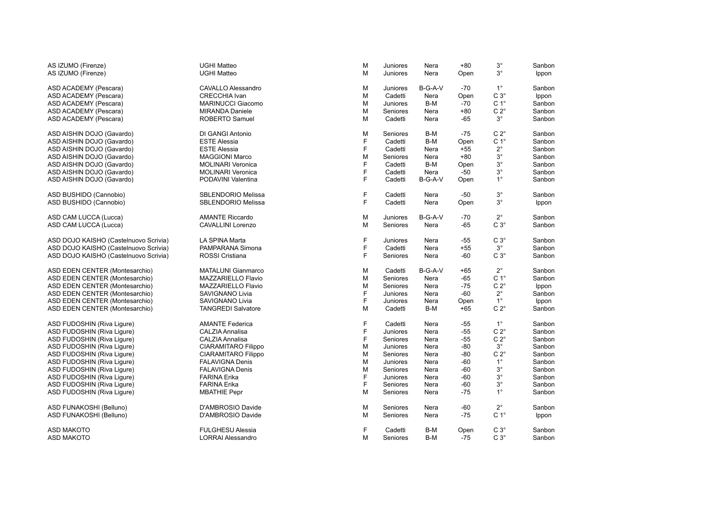| AS IZUMO (Firenze)                    | UGHI Matteo                | M | Juniores | Nera    | $+80$ | $3^{\circ}$      | Sanbon |
|---------------------------------------|----------------------------|---|----------|---------|-------|------------------|--------|
| AS IZUMO (Firenze)                    | <b>UGHI Matteo</b>         | M | Juniores | Nera    | Open  | $3^{\circ}$      | Ippon  |
| ASD ACADEMY (Pescara)                 | CAVALLO Alessandro         | M | Juniores | B-G-A-V | $-70$ | $1^{\circ}$      | Sanbon |
| ASD ACADEMY (Pescara)                 | <b>CRECCHIA Ivan</b>       | M | Cadetti  | Nera    | Open  | $C3^\circ$       | Ippon  |
| ASD ACADEMY (Pescara)                 | <b>MARINUCCI Giacomo</b>   | M | Juniores | B-M     | -70   | $C 1^{\circ}$    | Sanbon |
| ASD ACADEMY (Pescara)                 | <b>MIRANDA Daniele</b>     | M | Seniores | Nera    | $+80$ | $C 2^{\circ}$    | Sanbon |
| ASD ACADEMY (Pescara)                 | ROBERTO Samuel             | M | Cadetti  | Nera    | $-65$ | $3^{\circ}$      | Sanbon |
| ASD AISHIN DOJO (Gavardo)             | DI GANGI Antonio           | M | Seniores | B-M     | $-75$ | $C 2^{\circ}$    | Sanbon |
| ASD AISHIN DOJO (Gavardo)             | <b>ESTE Alessia</b>        | F | Cadetti  | B-M     | Open  | C <sub>1</sub> ° | Sanbon |
| ASD AISHIN DOJO (Gavardo)             | <b>ESTE Alessia</b>        | F | Cadetti  | Nera    | $+55$ | $2^{\circ}$      | Sanbon |
| ASD AISHIN DOJO (Gavardo)             | <b>MAGGIONI Marco</b>      | M | Seniores | Nera    | $+80$ | $3^{\circ}$      | Sanbon |
| ASD AISHIN DOJO (Gavardo)             | <b>MOLINARI Veronica</b>   | F | Cadetti  | B-M     | Open  | $3^{\circ}$      | Sanbon |
| ASD AISHIN DOJO (Gavardo)             | <b>MOLINARI Veronica</b>   | F | Cadetti  | Nera    | -50   | $3^{\circ}$      | Sanbon |
| ASD AISHIN DOJO (Gavardo)             | PODAVINI Valentina         | F | Cadetti  | B-G-A-V | Open  | $1^{\circ}$      | Sanbon |
| ASD BUSHIDO (Cannobio)                | SBLENDORIO Melissa         | F | Cadetti  | Nera    | -50   | $3^{\circ}$      | Sanbon |
| ASD BUSHIDO (Cannobio)                | <b>SBLENDORIO Melissa</b>  | F | Cadetti  | Nera    | Open  | $3^{\circ}$      | Ippon  |
| ASD CAM LUCCA (Lucca)                 | <b>AMANTE Riccardo</b>     | M | Juniores | B-G-A-V | -70   | $2^{\circ}$      | Sanbon |
| ASD CAM LUCCA (Lucca)                 | CAVALLINI Lorenzo          | M | Seniores | Nera    | $-65$ | $C3^\circ$       | Sanbon |
| ASD DOJO KAISHO (Castelnuovo Scrivia) | LA SPINA Marta             | F | Juniores | Nera    | $-55$ | $C3^\circ$       | Sanbon |
| ASD DOJO KAISHO (Castelnuovo Scrivia) | PAMPARANA Simona           | F | Cadetti  | Nera    | $+55$ | $3^{\circ}$      | Sanbon |
| ASD DOJO KAISHO (Castelnuovo Scrivia) | ROSSI Cristiana            | F | Seniores | Nera    | -60   | $C3^\circ$       | Sanbon |
| ASD EDEN CENTER (Montesarchio)        | <b>MATALUNI Gianmarco</b>  | M | Cadetti  | B-G-A-V | $+65$ | $2^{\circ}$      | Sanbon |
| ASD EDEN CENTER (Montesarchio)        | <b>MAZZARIELLO Flavio</b>  | M | Seniores | Nera    | $-65$ | C <sub>1</sub> ° | Sanbon |
| ASD EDEN CENTER (Montesarchio)        | MAZZARIELLO Flavio         | M | Seniores | Nera    | $-75$ | $C 2^{\circ}$    | Ippon  |
| ASD EDEN CENTER (Montesarchio)        | SAVIGNANO Livia            | F | Juniores | Nera    | -60   | $2^{\circ}$      | Sanbon |
| ASD EDEN CENTER (Montesarchio)        | SAVIGNANO Livia            | F | Juniores | Nera    | Open  | $1^{\circ}$      | Ippon  |
| ASD EDEN CENTER (Montesarchio)        | <b>TANGREDI Salvatore</b>  | M | Cadetti  | B-M     | $+65$ | $C 2^{\circ}$    | Sanbon |
| ASD FUDOSHIN (Riva Liqure)            | <b>AMANTE Federica</b>     | F | Cadetti  | Nera    | -55   | $1^{\circ}$      | Sanbon |
| ASD FUDOSHIN (Riva Ligure)            | CALZIA Annalisa            | F | Juniores | Nera    | $-55$ | $C 2^{\circ}$    | Sanbon |
| ASD FUDOSHIN (Riva Liqure)            | CALZIA Annalisa            | F | Seniores | Nera    | $-55$ | $C 2^{\circ}$    | Sanbon |
| ASD FUDOSHIN (Riva Ligure)            | CIARAMITARO Filippo        | M | Juniores | Nera    | $-80$ | $3^{\circ}$      | Sanbon |
| ASD FUDOSHIN (Riva Ligure)            | <b>CIARAMITARO Filippo</b> | M | Seniores | Nera    | $-80$ | $C 2^{\circ}$    | Sanbon |
| ASD FUDOSHIN (Riva Ligure)            | <b>FALAVIGNA Denis</b>     | M | Juniores | Nera    | $-60$ | $1^{\circ}$      | Sanbon |
| ASD FUDOSHIN (Riva Ligure)            | <b>FALAVIGNA Denis</b>     | M | Seniores | Nera    | $-60$ | $3^{\circ}$      | Sanbon |
| ASD FUDOSHIN (Riva Ligure)            | <b>FARINA Erika</b>        | F | Juniores | Nera    | $-60$ | $3^{\circ}$      | Sanbon |
| ASD FUDOSHIN (Riva Ligure)            | <b>FARINA Erika</b>        | F | Seniores | Nera    | $-60$ | $3^{\circ}$      | Sanbon |
| ASD FUDOSHIN (Riva Ligure)            | <b>MBATHIE Pepr</b>        | M | Seniores | Nera    | $-75$ | $1^{\circ}$      | Sanbon |
| ASD FUNAKOSHI (Belluno)               | D'AMBROSIO Davide          | M | Seniores | Nera    | -60   | $2^{\circ}$      | Sanbon |
| ASD FUNAKOSHI (Belluno)               | D'AMBROSIO Davide          | M | Seniores | Nera    | $-75$ | C <sub>1</sub> ° | Ippon  |
| <b>ASD MAKOTO</b>                     | <b>FULGHESU Alessia</b>    | F | Cadetti  | B-M     | Open  | $C3^\circ$       | Sanbon |
| <b>ASD MAKOTO</b>                     | <b>LORRAI Alessandro</b>   | M | Seniores | B-M     | -75   | $C3^\circ$       | Sanbon |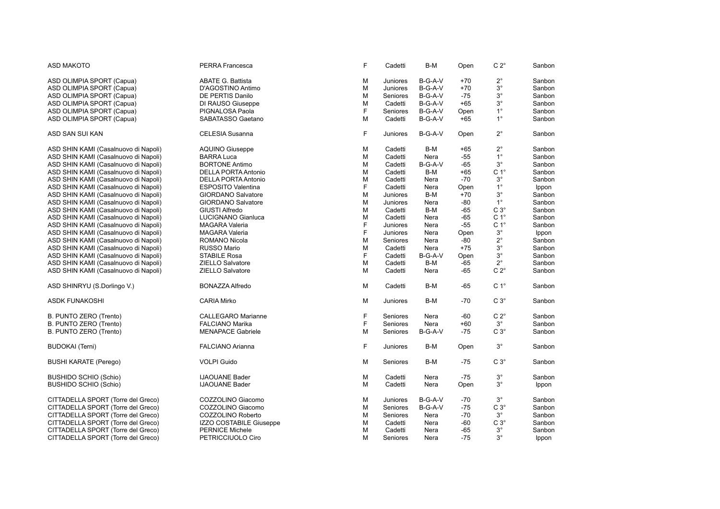| <b>ASD MAKOTO</b>                    | PERRA Francesca            | F | Cadetti  | B-M     | Open  | $C 2^{\circ}$    | Sanbon |
|--------------------------------------|----------------------------|---|----------|---------|-------|------------------|--------|
| ASD OLIMPIA SPORT (Capua)            | <b>ABATE G. Battista</b>   | М | Juniores | B-G-A-V | $+70$ | $2^{\circ}$      | Sanbon |
| ASD OLIMPIA SPORT (Capua)            | D'AGOSTINO Antimo          | M | Juniores | B-G-A-V | $+70$ | $3^\circ$        | Sanbon |
| ASD OLIMPIA SPORT (Capua)            | DE PERTIS Danilo           | M | Seniores | B-G-A-V | $-75$ | $3^\circ$        | Sanbon |
| ASD OLIMPIA SPORT (Capua)            | DI RAUSO Giuseppe          | M | Cadetti  | B-G-A-V | $+65$ | $3^\circ$        | Sanbon |
| ASD OLIMPIA SPORT (Capua)            | PIGNALOSA Paola            | F | Seniores | B-G-A-V | Open  | $1^{\circ}$      | Sanbon |
| ASD OLIMPIA SPORT (Capua)            | SABATASSO Gaetano          | M | Cadetti  | B-G-A-V | $+65$ | $1^{\circ}$      | Sanbon |
|                                      |                            |   |          |         |       |                  |        |
| ASD SAN SUI KAN                      | <b>CELESIA Susanna</b>     | F | Juniores | B-G-A-V | Open  | $2^{\circ}$      | Sanbon |
| ASD SHIN KAMI (Casalnuovo di Napoli) | <b>AQUINO Giuseppe</b>     | M | Cadetti  | B-M     | $+65$ | $2^{\circ}$      | Sanbon |
| ASD SHIN KAMI (Casalnuovo di Napoli) | <b>BARRA Luca</b>          | M | Cadetti  | Nera    | -55   | $1^{\circ}$      | Sanbon |
| ASD SHIN KAMI (Casalnuovo di Napoli) | <b>BORTONE Antimo</b>      | М | Cadetti  | B-G-A-V | $-65$ | $3^\circ$        | Sanbon |
| ASD SHIN KAMI (Casalnuovo di Napoli) | <b>DELLA PORTA Antonio</b> | M | Cadetti  | B-M     | $+65$ | C <sub>1</sub> ° | Sanbon |
| ASD SHIN KAMI (Casalnuovo di Napoli) | <b>DELLA PORTA Antonio</b> | M | Cadetti  | Nera    | $-70$ | 3°               | Sanbon |
| ASD SHIN KAMI (Casalnuovo di Napoli) | <b>ESPOSITO Valentina</b>  | F | Cadetti  | Nera    | Open  | $1^{\circ}$      | Ippon  |
| ASD SHIN KAMI (Casalnuovo di Napoli) | <b>GIORDANO Salvatore</b>  | M | Juniores | B-M     | $+70$ | $3^\circ$        | Sanbon |
| ASD SHIN KAMI (Casalnuovo di Napoli) | <b>GIORDANO Salvatore</b>  | M | Juniores | Nera    | $-80$ | $1^{\circ}$      | Sanbon |
| ASD SHIN KAMI (Casalnuovo di Napoli) | <b>GIUSTI Alfredo</b>      | M | Cadetti  | B-M     | $-65$ | $C3^\circ$       | Sanbon |
| ASD SHIN KAMI (Casalnuovo di Napoli) | LUCIGNANO Gianluca         | M | Cadetti  | Nera    | $-65$ | C <sub>1</sub> ° | Sanbon |
| ASD SHIN KAMI (Casalnuovo di Napoli) | <b>MAGARA Valeria</b>      | F | Juniores | Nera    | $-55$ | C <sub>1</sub> ° | Sanbon |
| ASD SHIN KAMI (Casalnuovo di Napoli) | <b>MAGARA Valeria</b>      | F | Juniores | Nera    | Open  | $3^{\circ}$      | Ippon  |
| ASD SHIN KAMI (Casalnuovo di Napoli) | ROMANO Nicola              | M | Seniores | Nera    | $-80$ | $2^{\circ}$      | Sanbon |
| ASD SHIN KAMI (Casalnuovo di Napoli) | RUSSO Mario                | М | Cadetti  | Nera    | $+75$ | $3^\circ$        | Sanbon |
| ASD SHIN KAMI (Casalnuovo di Napoli) | STABILE Rosa               | F | Cadetti  | B-G-A-V | Open  | $3^\circ$        | Sanbon |
| ASD SHIN KAMI (Casalnuovo di Napoli) | <b>ZIELLO Salvatore</b>    | M | Cadetti  | B-M     | $-65$ | $2^{\circ}$      | Sanbon |
| ASD SHIN KAMI (Casalnuovo di Napoli) | ZIELLO Salvatore           | М | Cadetti  | Nera    | -65   | $C 2^{\circ}$    | Sanbon |
| ASD SHINRYU (S.Dorlingo V.)          | <b>BONAZZA Alfredo</b>     | M | Cadetti  | B-M     | $-65$ | C <sub>1</sub> ° | Sanbon |
| ASDK FUNAKOSHI                       | <b>CARIA Mirko</b>         | М | Juniores | B-M     | $-70$ | $C3^\circ$       | Sanbon |
| B. PUNTO ZERO (Trento)               | <b>CALLEGARO Marianne</b>  | F | Seniores | Nera    | $-60$ | $C 2^\circ$      | Sanbon |
| B. PUNTO ZERO (Trento)               | <b>FALCIANO Marika</b>     | F | Seniores | Nera    | $+60$ | $3^{\circ}$      | Sanbon |
| B. PUNTO ZERO (Trento)               | <b>MENAPACE Gabriele</b>   | M | Seniores | B-G-A-V | $-75$ | C $3^\circ$      | Sanbon |
|                                      |                            |   |          |         |       |                  |        |
| <b>BUDOKAI</b> (Terni)               | FALCIANO Arianna           | F | Juniores | B-M     | Open  | $3^\circ$        | Sanbon |
| <b>BUSHI KARATE (Perego)</b>         | <b>VOLPI Guido</b>         | M | Seniores | B-M     | -75   | C $3^\circ$      | Sanbon |
| <b>BUSHIDO SCHIO (Schio)</b>         | <b>IJAOUANE Bader</b>      | М | Cadetti  | Nera    | $-75$ | $3^\circ$        | Sanbon |
| <b>BUSHIDO SCHIO (Schio)</b>         | <b>IJAOUANE Bader</b>      | M | Cadetti  | Nera    | Open  | $3^\circ$        | Ippon  |
|                                      |                            |   |          |         |       |                  |        |
| CITTADELLA SPORT (Torre del Greco)   | COZZOLINO Giacomo          | М | Juniores | B-G-A-V | $-70$ | $3^{\circ}$      | Sanbon |
| CITTADELLA SPORT (Torre del Greco)   | COZZOLINO Giacomo          | М | Seniores | B-G-A-V | $-75$ | $C3^\circ$       | Sanbon |
| CITTADELLA SPORT (Torre del Greco)   | COZZOLINO Roberto          | M | Seniores | Nera    | $-70$ | $3^{\circ}$      | Sanbon |
| CITTADELLA SPORT (Torre del Greco)   | IZZO COSTABILE Giuseppe    | M | Cadetti  | Nera    | $-60$ | $C3^\circ$       | Sanbon |
| CITTADELLA SPORT (Torre del Greco)   | <b>PERNICE Michele</b>     | M | Cadetti  | Nera    | $-65$ | $3^{\circ}$      | Sanbon |
| CITTADELLA SPORT (Torre del Greco)   | PETRICCIUOLO Ciro          | M | Seniores | Nera    | -75   | $3^{\circ}$      | Ippon  |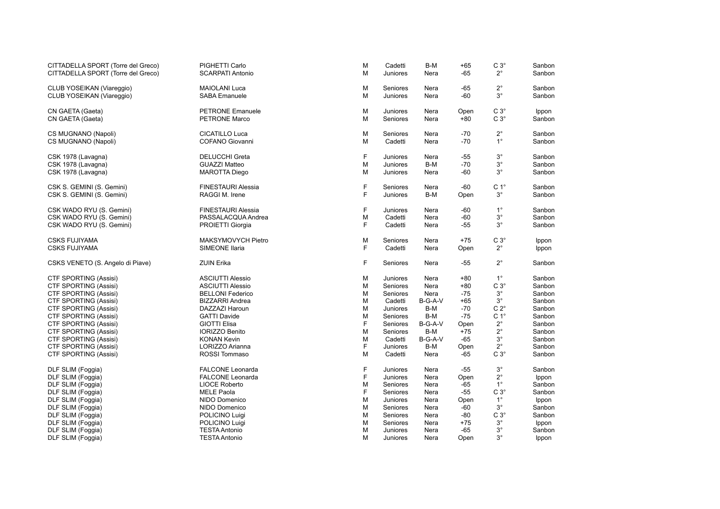| CITTADELLA SPORT (Torre del Greco)     | PIGHETTI Carlo            | M  | Cadetti         | B-M     | $+65$ | $C3^\circ$       | Sanbon |
|----------------------------------------|---------------------------|----|-----------------|---------|-------|------------------|--------|
| CITTADELLA SPORT (Torre del Greco)     | <b>SCARPATI Antonio</b>   | M  | Juniores        | Nera    | $-65$ | $2^{\circ}$      | Sanbon |
| CLUB YOSEIKAN (Viareggio)              | <b>MAIOLANI Luca</b>      | M  | Seniores        | Nera    | $-65$ | $2^{\circ}$      | Sanbon |
| CLUB YOSEIKAN (Viareggio)              | <b>SABA</b> Emanuele      | M  | Juniores        | Nera    | -60   | $3^{\circ}$      | Sanbon |
| CN GAETA (Gaeta)                       | <b>PETRONE Emanuele</b>   | M  | Juniores        | Nera    | Open  | $C3^\circ$       | Ippon  |
| CN GAETA (Gaeta)                       | <b>PETRONE Marco</b>      | M  | Seniores        | Nera    | $+80$ | $C3^\circ$       | Sanbon |
| CS MUGNANO (Napoli)                    | CICATILLO Luca            | M  | Seniores        | Nera    | $-70$ | $2^{\circ}$      | Sanbon |
| CS MUGNANO (Napoli)                    | COFANO Giovanni           | M  | Cadetti         | Nera    | $-70$ | $1^{\circ}$      | Sanbon |
| CSK 1978 (Lavagna)                     | <b>DELUCCHI Greta</b>     | F  | Juniores        | Nera    | -55   | $3^{\circ}$      | Sanbon |
| CSK 1978 (Lavagna)                     | <b>GUAZZI Matteo</b>      | M  | <b>Juniores</b> | B-M     | $-70$ | $3^{\circ}$      | Sanbon |
| CSK 1978 (Lavagna)                     | <b>MAROTTA Diego</b>      | M  | <b>Juniores</b> | Nera    | -60   | $3^{\circ}$      | Sanbon |
| CSK S. GEMINI (S. Gemini)              | <b>FINESTAURI Alessia</b> | F  | Seniores        | Nera    | $-60$ | C <sub>1</sub> ° | Sanbon |
| CSK S. GEMINI (S. Gemini)              | RAGGI M. Irene            | F. | <b>Juniores</b> | B-M     | Open  | $3^{\circ}$      | Sanbon |
| CSK WADO RYU (S. Gemini)               | <b>FINESTAURI Alessia</b> | F  | Juniores        | Nera    | -60   | $1^{\circ}$      | Sanbon |
| CSK WADO RYU (S. Gemini)               | PASSALACQUA Andrea        | M  | Cadetti         | Nera    | -60   | $3^{\circ}$      | Sanbon |
| CSK WADO RYU (S. Gemini)               | PROIETTI Giorgia          | F. | Cadetti         | Nera    | -55   | $3^{\circ}$      | Sanbon |
| <b>CSKS FUJIYAMA</b>                   | MAKSYMOVYCH Pietro        | M  | Seniores        | Nera    | $+75$ | $C3^\circ$       | Ippon  |
| <b>CSKS FUJIYAMA</b>                   | SIMEONE Ilaria            | F  | Cadetti         | Nera    | Open  | $2^{\circ}$      | Ippon  |
| CSKS VENETO (S. Angelo di Piave)       | <b>ZUIN Erika</b>         | F  | Seniores        | Nera    | $-55$ | $2^{\circ}$      | Sanbon |
| <b>CTF SPORTING (Assisi)</b>           | <b>ASCIUTTI Alessio</b>   | M  | <b>Juniores</b> | Nera    | $+80$ | $1^{\circ}$      | Sanbon |
| <b>CTF SPORTING (Assisi)</b>           | <b>ASCIUTTI Alessio</b>   | M  | Seniores        | Nera    | $+80$ | $C3^\circ$       | Sanbon |
| CTF SPORTING (Assisi)                  | <b>BELLONI Federico</b>   | M  | Seniores        | Nera    | $-75$ | $3^{\circ}$      | Sanbon |
| CTF SPORTING (Assisi)                  | <b>BIZZARRI Andrea</b>    | M  | Cadetti         | B-G-A-V | $+65$ | $3^{\circ}$      | Sanbon |
| CTF SPORTING (Assisi)                  | DAZZAZI Haroun            | M  | <b>Juniores</b> | B-M     | $-70$ | $C 2^{\circ}$    | Sanbon |
| CTF SPORTING (Assisi)                  | <b>GATTI Davide</b>       | M  | Seniores        | B-M     | $-75$ | C <sub>1</sub> ° | Sanbon |
| CTF SPORTING (Assisi)                  | <b>GIOTTI Elisa</b>       | F  | Seniores        | B-G-A-V | Open  | $2^{\circ}$      | Sanbon |
| CTF SPORTING (Assisi)                  | <b>IORIZZO Benito</b>     | M  | Seniores        | B-M     | $+75$ | $2^{\circ}$      | Sanbon |
| CTF SPORTING (Assisi)                  | <b>KONAN Kevin</b>        | M  | Cadetti         | B-G-A-V | -65   | $3^{\circ}$      | Sanbon |
| CTF SPORTING (Assisi)                  | LORIZZO Arianna           | F  | Juniores        | B-M     | Open  | $2^{\circ}$      | Sanbon |
| <b>CTF SPORTING (Assisi)</b>           | ROSSI Tommaso             | M  | Cadetti         | Nera    | -65   | $C3^\circ$       | Sanbon |
| DLF SLIM (Foggia)                      | <b>FALCONE Leonarda</b>   | F  | Juniores        | Nera    | $-55$ | $3^{\circ}$      | Sanbon |
| DLF SLIM (Foggia)                      | <b>FALCONE Leonarda</b>   | F  | <b>Juniores</b> | Nera    | Open  | $2^{\circ}$      | Ippon  |
| DLF SLIM (Foggia)                      | <b>LIOCE Roberto</b>      | M  | Seniores        | Nera    | $-65$ | $1^{\circ}$      | Sanbon |
| DLF SLIM (Foggia)                      | <b>MELE Paola</b>         | F  | Seniores        | Nera    | $-55$ | $C3^\circ$       | Sanbon |
| DLF SLIM (Foggia)                      | NIDO Domenico             | M  | Juniores        | Nera    | Open  | $1^{\circ}$      | Ippon  |
| DLF SLIM (Foggia)                      | NIDO Domenico             | M  | Seniores        | Nera    | $-60$ | $3^{\circ}$      | Sanbon |
| DLF SLIM (Foggia)<br>DLF SLIM (Foggia) | POLICINO Luigi            | M  | Seniores        | Nera    | $-80$ | $C3^\circ$       | Sanbon |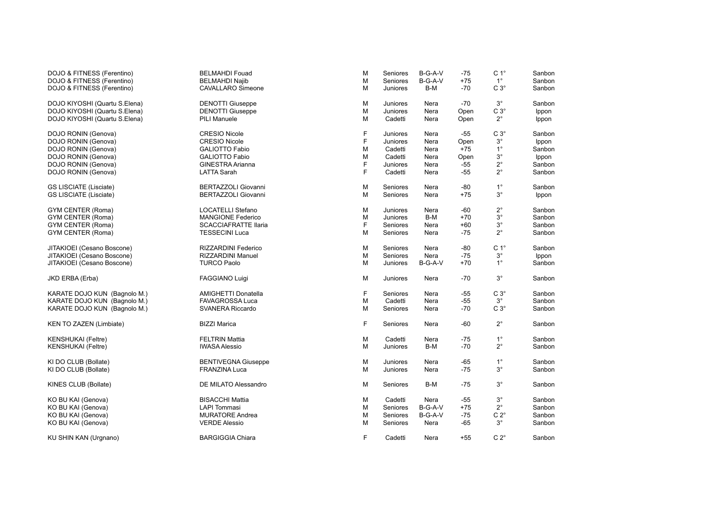| DOJO & FITNESS (Ferentino)    | <b>BELMAHDI Fouad</b>       | M | Seniores | B-G-A-V | $-75$ | C <sub>1</sub> ° | Sanbon       |
|-------------------------------|-----------------------------|---|----------|---------|-------|------------------|--------------|
| DOJO & FITNESS (Ferentino)    | <b>BELMAHDI Najib</b>       | M | Seniores | B-G-A-V | $+75$ | $1^{\circ}$      | Sanbon       |
| DOJO & FITNESS (Ferentino)    | <b>CAVALLARO Simeone</b>    | М | Juniores | B-M     | $-70$ | $C 3^\circ$      | Sanbon       |
| DOJO KIYOSHI (Quartu S.Elena) | <b>DENOTTI Giuseppe</b>     | М | Juniores | Nera    | $-70$ | $3^{\circ}$      | Sanbon       |
| DOJO KIYOSHI (Quartu S.Elena) | <b>DENOTTI Giuseppe</b>     | M | Juniores | Nera    | Open  | $C 3^\circ$      | <b>Ippon</b> |
| DOJO KIYOSHI (Quartu S.Elena) | <b>PILI Manuele</b>         | М | Cadetti  | Nera    | Open  | $2^{\circ}$      | <b>Ippon</b> |
| DOJO RONIN (Genova)           | <b>CRESIO Nicole</b>        | F | Juniores | Nera    | $-55$ | $C 3^\circ$      | Sanbon       |
| DOJO RONIN (Genova)           | <b>CRESIO Nicole</b>        | F | Juniores | Nera    | Open  | $3^\circ$        | <b>Ippon</b> |
| DOJO RONIN (Genova)           | <b>GALIOTTO Fabio</b>       | М | Cadetti  | Nera    | $+75$ | $1^{\circ}$      | Sanbon       |
| DOJO RONIN (Genova)           | <b>GALIOTTO Fabio</b>       | M | Cadetti  | Nera    | Open  | $3^\circ$        | Ippon        |
| DOJO RONIN (Genova)           | <b>GINESTRA Arianna</b>     | F | Juniores | Nera    | $-55$ | $2^{\circ}$      | Sanbon       |
| DOJO RONIN (Genova)           | <b>LATTA Sarah</b>          | F | Cadetti  | Nera    | -55   | $2^{\circ}$      | Sanbon       |
| <b>GS LISCIATE (Lisciate)</b> | <b>BERTAZZOLI Giovanni</b>  | м | Seniores | Nera    | -80   | $1^{\circ}$      | Sanbon       |
| <b>GS LISCIATE (Lisciate)</b> | <b>BERTAZZOLI Giovanni</b>  | M | Seniores | Nera    | $+75$ | $3^\circ$        | <b>Ippon</b> |
| <b>GYM CENTER (Roma)</b>      | <b>LOCATELLI Stefano</b>    | М | Juniores | Nera    | $-60$ | $2^{\circ}$      | Sanbon       |
| <b>GYM CENTER (Roma)</b>      | <b>MANGIONE Federico</b>    | M | Juniores | B-M     | $+70$ | $3^\circ$        | Sanbon       |
| <b>GYM CENTER (Roma)</b>      | <b>SCACCIAFRATTE Ilaria</b> | F | Seniores | Nera    | $+60$ | $3^{\circ}$      | Sanbon       |
| <b>GYM CENTER (Roma)</b>      | <b>TESSECINI Luca</b>       | М | Seniores | Nera    | $-75$ | $2^{\circ}$      | Sanbon       |
| JITAKIOEI (Cesano Boscone)    | <b>RIZZARDINI Federico</b>  | M | Seniores | Nera    | -80   | C <sub>1</sub> ° | Sanbon       |
| JITAKIOEI (Cesano Boscone)    | RIZZARDINI Manuel           | М | Seniores | Nera    | -75   | $3^{\circ}$      | Ippon        |
| JITAKIOEI (Cesano Boscone)    | <b>TURCO Paolo</b>          | M | Juniores | B-G-A-V | $+70$ | $1^{\circ}$      | Sanbon       |
| JKD ERBA (Erba)               | <b>FAGGIANO Luigi</b>       | М | Juniores | Nera    | -70   | $3^\circ$        | Sanbon       |
| KARATE DOJO KUN (Bagnolo M.)  | AMIGHETTI Donatella         | F | Seniores | Nera    | -55   | $C3^\circ$       | Sanbon       |
| KARATE DOJO KUN (Bagnolo M.)  | <b>FAVAGROSSA Luca</b>      | M | Cadetti  | Nera    | $-55$ | $3^{\circ}$      | Sanbon       |
| KARATE DOJO KUN (Bagnolo M.)  | <b>SVANERA Riccardo</b>     | М | Seniores | Nera    | $-70$ | $C3^\circ$       | Sanbon       |
| KEN TO ZAZEN (Limbiate)       | <b>BIZZI Marica</b>         | F | Seniores | Nera    | $-60$ | $2^{\circ}$      | Sanbon       |
| KENSHUKAI (Feltre)            | <b>FELTRIN Mattia</b>       | М | Cadetti  | Nera    | $-75$ | $1^{\circ}$      | Sanbon       |
| KENSHUKAI (Feltre)            | <b>IWASA Alessio</b>        | м | Juniores | B-M     | $-70$ | $2^{\circ}$      | Sanbon       |
| KI DO CLUB (Bollate)          | <b>BENTIVEGNA Giuseppe</b>  | М | Juniores | Nera    | $-65$ | $1^{\circ}$      | Sanbon       |
| KI DO CLUB (Bollate)          | <b>FRANZINA Luca</b>        | м | Juniores | Nera    | $-75$ | $3^\circ$        | Sanbon       |
| KINES CLUB (Bollate)          | DE MILATO Alessandro        | М | Seniores | B-M     | -75   | $3^{\circ}$      | Sanbon       |
| KO BU KAI (Genova)            | <b>BISACCHI Mattia</b>      | М | Cadetti  | Nera    | $-55$ | $3^\circ$        | Sanbon       |
| KO BU KAI (Genova)            | <b>LAPI Tommasi</b>         | м | Seniores | B-G-A-V | $+75$ | $2^{\circ}$      | Sanbon       |
| KO BU KAI (Genova)            | <b>MURATORE Andrea</b>      | М | Seniores | B-G-A-V | -75   | $C 2^{\circ}$    | Sanbon       |
| KO BU KAI (Genova)            | <b>VERDE Alessio</b>        | м | Seniores | Nera    | -65   | $3^{\circ}$      | Sanbon       |
| KU SHIN KAN (Urgnano)         | <b>BARGIGGIA Chiara</b>     | F | Cadetti  | Nera    | $+55$ | $C 2^{\circ}$    | Sanbon       |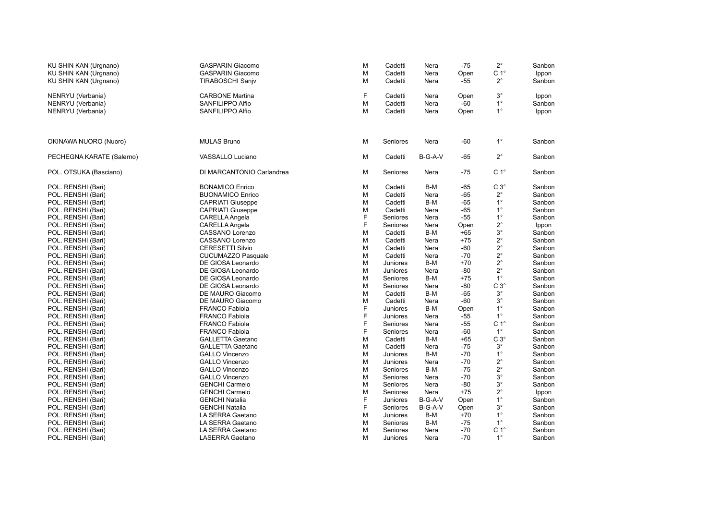| KU SHIN KAN (Urgnano)     | <b>GASPARIN Giacomo</b>   | M | Cadetti  | Nera      | $-75$ | $2^{\circ}$      | Sanbon |
|---------------------------|---------------------------|---|----------|-----------|-------|------------------|--------|
| KU SHIN KAN (Urgnano)     | <b>GASPARIN Giacomo</b>   | M | Cadetti  | Nera      | Open  | $C 1^{\circ}$    | Ippon  |
| KU SHIN KAN (Urgnano)     | <b>TIRABOSCHI Sanjv</b>   | M | Cadetti  | Nera      | -55   | $2^{\circ}$      | Sanbon |
|                           |                           |   |          |           |       |                  |        |
| NENRYU (Verbania)         | <b>CARBONE Martina</b>    | F | Cadetti  | Nera      | Open  | $3^{\circ}$      | Ippon  |
| NENRYU (Verbania)         | SANFILIPPO Alfio          | M | Cadetti  | Nera      | $-60$ | $1^{\circ}$      | Sanbon |
| NENRYU (Verbania)         | SANFILIPPO Alfio          | M | Cadetti  | Nera      | Open  | $1^{\circ}$      | Ippon  |
|                           |                           |   |          |           |       |                  |        |
|                           |                           |   |          |           |       |                  |        |
|                           |                           |   |          |           |       |                  |        |
| OKINAWA NUORO (Nuoro)     | <b>MULAS Bruno</b>        | M | Seniores | Nera      | -60   | $1^{\circ}$      | Sanbon |
|                           |                           |   |          |           |       |                  |        |
| PECHEGNA KARATE (Salerno) | VASSALLO Luciano          | M | Cadetti  | $B-G-A-V$ | $-65$ | $2^{\circ}$      | Sanbon |
|                           |                           |   |          |           |       |                  |        |
| POL. OTSUKA (Basciano)    | DI MARCANTONIO Carlandrea | M | Seniores | Nera      | -75   | C <sub>1</sub> ° | Sanbon |
|                           |                           |   |          |           |       |                  |        |
| POL. RENSHI (Bari)        | <b>BONAMICO Enrico</b>    | M | Cadetti  | B-M       | -65   | $C3^\circ$       | Sanbon |
| POL. RENSHI (Bari)        | <b>BUONAMICO Enrico</b>   | M | Cadetti  | Nera      | $-65$ | $2^{\circ}$      | Sanbon |
| POL. RENSHI (Bari)        | <b>CAPRIATI Giuseppe</b>  | M | Cadetti  | B-M       | $-65$ | $1^{\circ}$      | Sanbon |
| POL. RENSHI (Bari)        | <b>CAPRIATI Giuseppe</b>  | M | Cadetti  | Nera      | $-65$ | $1^{\circ}$      | Sanbon |
| POL. RENSHI (Bari)        | <b>CARELLA Angela</b>     | F | Seniores | Nera      | $-55$ | $1^{\circ}$      | Sanbon |
| POL. RENSHI (Bari)        | CARELLA Angela            | F | Seniores | Nera      | Open  | $2^{\circ}$      | Ippon  |
| POL. RENSHI (Bari)        | CASSANO Lorenzo           | M | Cadetti  | B-M       | $+65$ | $3^{\circ}$      | Sanbon |
| POL. RENSHI (Bari)        | CASSANO Lorenzo           | M | Cadetti  | Nera      | $+75$ | $2^{\circ}$      | Sanbon |
| POL. RENSHI (Bari)        | <b>CERESETTI Silvio</b>   | M | Cadetti  | Nera      | $-60$ | $2^{\circ}$      | Sanbon |
| POL. RENSHI (Bari)        | <b>CUCUMAZZO Pasquale</b> | M | Cadetti  | Nera      | $-70$ | $2^{\circ}$      | Sanbon |
| POL. RENSHI (Bari)        | DE GIOSA Leonardo         | M | Juniores | B-M       | $+70$ | $2^{\circ}$      | Sanbon |
| POL. RENSHI (Bari)        | DE GIOSA Leonardo         | M | Juniores | Nera      | $-80$ | $2^{\circ}$      | Sanbon |
| POL. RENSHI (Bari)        | DE GIOSA Leonardo         | M | Seniores | B-M       | $+75$ | $1^{\circ}$      | Sanbon |
| POL. RENSHI (Bari)        | DE GIOSA Leonardo         | M | Seniores | Nera      | $-80$ | $C3^\circ$       | Sanbon |
| POL. RENSHI (Bari)        | DE MAURO Giacomo          | M | Cadetti  | B-M       | $-65$ | $3^\circ$        | Sanbon |
| POL. RENSHI (Bari)        | DE MAURO Giacomo          | M | Cadetti  | Nera      | $-60$ | $3^\circ$        | Sanbon |
| POL. RENSHI (Bari)        | <b>FRANCO Fabiola</b>     | F | Juniores | B-M       | Open  | $1^{\circ}$      | Sanbon |
| POL. RENSHI (Bari)        | <b>FRANCO Fabiola</b>     | F | Juniores | Nera      | $-55$ | $1^{\circ}$      | Sanbon |
| POL. RENSHI (Bari)        | <b>FRANCO Fabiola</b>     | F | Seniores | Nera      | $-55$ | C <sub>1</sub> ° | Sanbon |
| POL. RENSHI (Bari)        | <b>FRANCO Fabiola</b>     | F | Seniores | Nera      | $-60$ | $1^{\circ}$      | Sanbon |
| POL. RENSHI (Bari)        | <b>GALLETTA Gaetano</b>   | M | Cadetti  | B-M       | $+65$ | $C3^\circ$       | Sanbon |
| POL. RENSHI (Bari)        | <b>GALLETTA Gaetano</b>   | M | Cadetti  | Nera      | $-75$ | $3^{\circ}$      | Sanbon |
| POL. RENSHI (Bari)        | <b>GALLO Vincenzo</b>     | M | Juniores | B-M       | $-70$ | $1^{\circ}$      | Sanbon |
| POL. RENSHI (Bari)        | <b>GALLO Vincenzo</b>     | M | Juniores | Nera      | $-70$ | $2^{\circ}$      | Sanbon |
| POL. RENSHI (Bari)        | <b>GALLO Vincenzo</b>     | M | Seniores | B-M       | $-75$ | $2^{\circ}$      | Sanbon |
| POL. RENSHI (Bari)        | <b>GALLO Vincenzo</b>     | M | Seniores | Nera      | $-70$ | $3^{\circ}$      | Sanbon |
| POL. RENSHI (Bari)        | <b>GENCHI Carmelo</b>     | M | Seniores | Nera      | $-80$ | $3^{\circ}$      | Sanbon |
| POL. RENSHI (Bari)        | <b>GENCHI Carmelo</b>     | M | Seniores | Nera      | $+75$ | $2^{\circ}$      | Ippon  |
| POL. RENSHI (Bari)        | <b>GENCHI Natalia</b>     | F | Juniores | B-G-A-V   | Open  | $1^{\circ}$      | Sanbon |
| POL. RENSHI (Bari)        | <b>GENCHI Natalia</b>     | F | Seniores | B-G-A-V   | Open  | $3^{\circ}$      | Sanbon |
| POL. RENSHI (Bari)        | LA SERRA Gaetano          | M | Juniores | B-M       | $+70$ | $1^{\circ}$      | Sanbon |
| POL. RENSHI (Bari)        | LA SERRA Gaetano          | M | Seniores | B-M       | $-75$ | $1^{\circ}$      | Sanbon |
| POL. RENSHI (Bari)        | LA SERRA Gaetano          | M | Seniores | Nera      | $-70$ | C <sub>1</sub> ° | Sanbon |
| POL. RENSHI (Bari)        | <b>LASERRA Gaetano</b>    | M | Juniores | Nera      | $-70$ | $1^{\circ}$      | Sanbon |
|                           |                           |   |          |           |       |                  |        |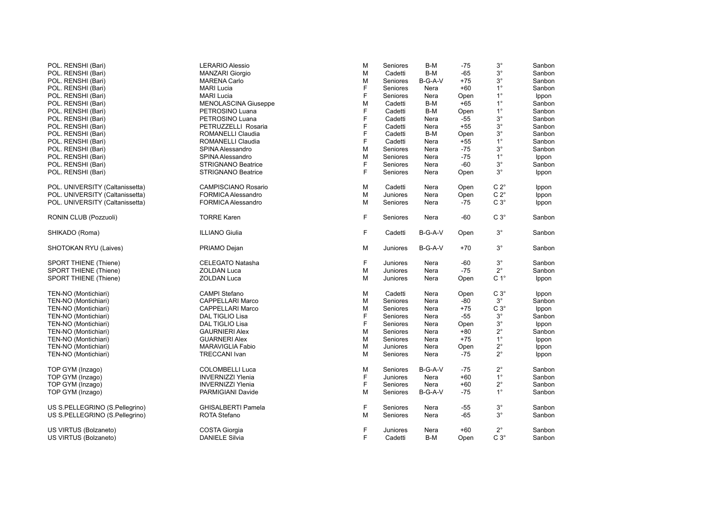| POL. RENSHI (Bari)              | <b>LERARIO Alessio</b>      | M | Seniores | B-M     | $-75$ | $3^\circ$     | Sanbon |
|---------------------------------|-----------------------------|---|----------|---------|-------|---------------|--------|
| POL. RENSHI (Bari)              | <b>MANZARI Giorgio</b>      | M | Cadetti  | B-M     | $-65$ | $3^\circ$     | Sanbon |
| POL. RENSHI (Bari)              | <b>MARENA Carlo</b>         | M | Seniores | B-G-A-V | $+75$ | $3^\circ$     | Sanbon |
| POL. RENSHI (Bari)              | <b>MARI Lucia</b>           | F | Seniores | Nera    | $+60$ | $1^{\circ}$   | Sanbon |
| POL. RENSHI (Bari)              | <b>MARI Lucia</b>           | F | Seniores | Nera    | Open  | $1^{\circ}$   | Ippon  |
| POL. RENSHI (Bari)              | <b>MENOLASCINA Giuseppe</b> | M | Cadetti  | B-M     | $+65$ | $1^{\circ}$   | Sanbon |
| POL. RENSHI (Bari)              | PETROSINO Luana             | F | Cadetti  | B-M     | Open  | $1^{\circ}$   | Sanbon |
| POL. RENSHI (Bari)              | PETROSINO Luana             | F | Cadetti  | Nera    | $-55$ | $3^\circ$     | Sanbon |
| POL. RENSHI (Bari)              | PETRUZZELLI Rosaria         | F | Cadetti  | Nera    | $+55$ | $3^{\circ}$   | Sanbon |
| POL. RENSHI (Bari)              | ROMANELLI Claudia           | F | Cadetti  | B-M     | Open  | $3^{\circ}$   | Sanbon |
| POL. RENSHI (Bari)              | <b>ROMANELLI Claudia</b>    | F | Cadetti  | Nera    | $+55$ | $1^{\circ}$   | Sanbon |
| POL. RENSHI (Bari)              | SPINA Alessandro            | M | Seniores | Nera    | $-75$ | $3^\circ$     | Sanbon |
| POL. RENSHI (Bari)              | SPINA Alessandro            | M | Seniores | Nera    | $-75$ | $1^{\circ}$   | Ippon  |
| POL. RENSHI (Bari)              | <b>STRIGNANO Beatrice</b>   | F | Seniores | Nera    | $-60$ | $3^\circ$     | Sanbon |
| POL. RENSHI (Bari)              | <b>STRIGNANO Beatrice</b>   | F | Seniores | Nera    |       | $3^\circ$     |        |
|                                 |                             |   |          |         | Open  |               | Ippon  |
| POL. UNIVERSITY (Caltanissetta) | <b>CAMPISCIANO Rosario</b>  | м | Cadetti  | Nera    | Open  | $C 2^{\circ}$ | Ippon  |
| POL. UNIVERSITY (Caltanissetta) | FORMICA Alessandro          | M | Juniores | Nera    | Open  | $C 2^{\circ}$ | Ippon  |
| POL. UNIVERSITY (Caltanissetta) | <b>FORMICA Alessandro</b>   | M | Seniores | Nera    | $-75$ | $C3^\circ$    | Ippon  |
| RONIN CLUB (Pozzuoli)           | <b>TORRE Karen</b>          | F | Seniores | Nera    | $-60$ | $C3^\circ$    | Sanbon |
| SHIKADO (Roma)                  | <b>ILLIANO Giulia</b>       | F | Cadetti  | B-G-A-V | Open  | $3^\circ$     | Sanbon |
| SHOTOKAN RYU (Laives)           | PRIAMO Dejan                | М | Juniores | B-G-A-V | $+70$ | $3^{\circ}$   | Sanbon |
| <b>SPORT THIENE (Thiene)</b>    | CELEGATO Natasha            | F | Juniores | Nera    | $-60$ | $3^{\circ}$   | Sanbon |
| <b>SPORT THIENE (Thiene)</b>    | <b>ZOLDAN Luca</b>          | M | Juniores | Nera    | $-75$ | $2^{\circ}$   | Sanbon |
| SPORT THIENE (Thiene)           | <b>ZOLDAN Luca</b>          | M | Juniores | Nera    | Open  | $C 1^{\circ}$ | Ippon  |
| TEN-NO (Montichiari)            | <b>CAMPI Stefano</b>        | M | Cadetti  | Nera    | Open  | $C3^\circ$    | Ippon  |
| TEN-NO (Montichiari)            | <b>CAPPELLARI Marco</b>     | M | Seniores | Nera    | -80   | $3^\circ$     | Sanbon |
| TEN-NO (Montichiari)            | <b>CAPPELLARI Marco</b>     | M | Seniores | Nera    | $+75$ | $C3^\circ$    | Ippon  |
| TEN-NO (Montichiari)            | DAL TIGLIO Lisa             | F | Seniores | Nera    | -55   | $3^\circ$     | Sanbon |
| TEN-NO (Montichiari)            | DAL TIGLIO Lisa             | F | Seniores | Nera    | Open  | $3^\circ$     | Ippon  |
| TEN-NO (Montichiari)            | <b>GAURNIERI Alex</b>       | M | Seniores | Nera    | $+80$ | $2^{\circ}$   | Sanbon |
| TEN-NO (Montichiari)            | <b>GUARNERI Alex</b>        | м | Seniores | Nera    | $+75$ | $1^{\circ}$   | Ippon  |
| TEN-NO (Montichiari)            | <b>MARAVIGLIA Fabio</b>     | M | Juniores | Nera    | Open  | $2^{\circ}$   | Ippon  |
| TEN-NO (Montichiari)            | <b>TRECCANI Ivan</b>        | M |          |         | -75   | $2^{\circ}$   |        |
|                                 |                             |   | Seniores | Nera    |       |               | Ippon  |
| TOP GYM (Inzago)                | <b>COLOMBELLI Luca</b>      | M | Seniores | B-G-A-V | $-75$ | $2^{\circ}$   | Sanbon |
| TOP GYM (Inzago)                | <b>INVERNIZZI Ylenia</b>    | F | Juniores | Nera    | $+60$ | $1^{\circ}$   | Sanbon |
| TOP GYM (Inzago)                | <b>INVERNIZZI Ylenia</b>    | F | Seniores | Nera    | $+60$ | $2^{\circ}$   | Sanbon |
| TOP GYM (Inzago)                | PARMIGIANI Davide           | м | Seniores | B-G-A-V | -75   | $1^{\circ}$   | Sanbon |
| US S.PELLEGRINO (S.Pellegrino)  | <b>GHISALBERTI Pamela</b>   | F | Seniores | Nera    | -55   | $3^{\circ}$   | Sanbon |
| US S.PELLEGRINO (S.Pellegrino)  | <b>ROTA Stefano</b>         | M | Seniores | Nera    | -65   | $3^{\circ}$   | Sanbon |
| US VIRTUS (Bolzaneto)           | <b>COSTA Giorgia</b>        | F | Juniores | Nera    | $+60$ | $2^{\circ}$   | Sanbon |
| US VIRTUS (Bolzaneto)           | <b>DANIELE Silvia</b>       | F | Cadetti  | B-M     | Open  | $C3^\circ$    | Sanbon |
|                                 |                             |   |          |         |       |               |        |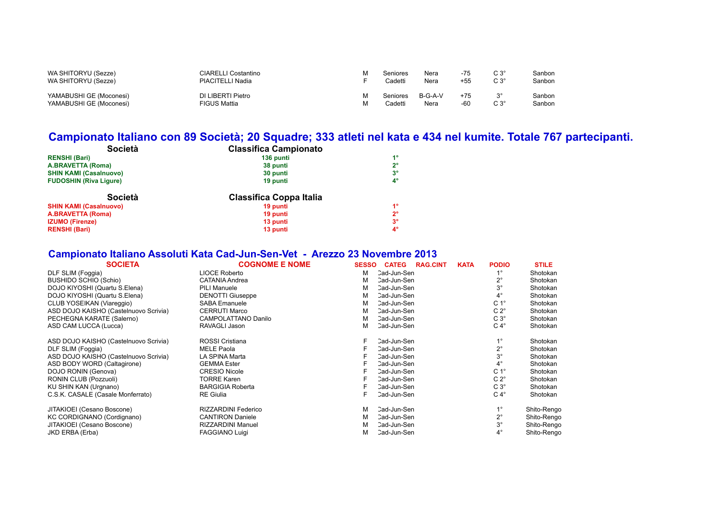| WA SHITORYU (Sezze)     | CIARELLI Costantino | Seniores | Nera      | $-75$ | $C3^{\circ}$   | Sanbon |
|-------------------------|---------------------|----------|-----------|-------|----------------|--------|
| WA SHITORYU (Sezze)     | PIACITELLI Nadia    | Cadetti  | Nera      | +55   | $C3^\circ$     | Sanbon |
| YAMABUSHI GE (Moconesi) | DI LIBERTI Pietro   | Seniores | $B-G-A-V$ | $+75$ | 2 <sup>c</sup> | Sanbon |
| YAMABUSHI GE (Moconesi) | FIGUS Mattia        | Cadetti  | Nera      | -60   | $C3^{\circ}$   | Sanbon |

### **Campionato Italiano con 89 Società; 20 Squadre; 333 atleti nel kata e 434 nel kumite. Totale 767 partecipanti.**

| Società                       | <b>Classifica Campionato</b>   |             |
|-------------------------------|--------------------------------|-------------|
| <b>RENSHI (Bari)</b>          | 136 punti                      | $1^{\circ}$ |
| <b>A.BRAVETTA (Roma)</b>      | 38 punti                       | $2^{\circ}$ |
| <b>SHIN KAMI (Casalnuovo)</b> | 30 punti                       | $3^{\circ}$ |
| <b>FUDOSHIN (Riva Ligure)</b> | 19 punti                       | $4^{\circ}$ |
| Società                       | <b>Classifica Coppa Italia</b> |             |
| <b>SHIN KAMI (Casalnuovo)</b> | 19 punti                       | $1^{\circ}$ |
| <b>A.BRAVETTA (Roma)</b>      | 19 punti                       | $2^{\circ}$ |
|                               |                                |             |
| <b>IZUMO (Firenze)</b>        | 13 punti                       | $3^{\circ}$ |

### **Campionato Italiano Assoluti Kata Cad-Jun-Sen-Vet - Arezzo 23 Novembre 2013**

| <b>SOCIETA</b>                        | <b>COGNOME E NOME</b>      | <b>SESSO</b> | <b>CATEG</b> | <b>RAG.CINT</b> | <b>KATA</b> | <b>PODIO</b>     | <b>STILE</b> |
|---------------------------------------|----------------------------|--------------|--------------|-----------------|-------------|------------------|--------------|
| DLF SLIM (Foggia)                     | <b>LIOCE Roberto</b>       | М            | Cad-Jun-Sen  |                 |             |                  | Shotokan     |
| <b>BUSHIDO SCHIO (Schio)</b>          | CATANIA Andrea             | м            | Cad-Jun-Sen  |                 |             | $2^{\circ}$      | Shotokan     |
| DOJO KIYOSHI (Quartu S.Elena)         | <b>PILI Manuele</b>        | м            | Cad-Jun-Sen  |                 |             | $3^{\circ}$      | Shotokan     |
| DOJO KIYOSHI (Quartu S.Elena)         | <b>DENOTTI Giuseppe</b>    | м            | Cad-Jun-Sen  |                 |             | $4^{\circ}$      | Shotokan     |
| CLUB YOSEIKAN (Viareggio)             | <b>SABA Emanuele</b>       | м            | Cad-Jun-Sen  |                 |             | C <sub>1</sub> ° | Shotokan     |
| ASD DOJO KAISHO (Castelnuovo Scrivia) | <b>CERRUTI Marco</b>       | М            | Cad-Jun-Sen  |                 |             | $C 2^{\circ}$    | Shotokan     |
| PECHEGNA KARATE (Salerno)             | <b>CAMPOLATTANO Danilo</b> | м            | Cad-Jun-Sen  |                 |             | $C3^\circ$       | Shotokan     |
| ASD CAM LUCCA (Lucca)                 | RAVAGLI Jason              | м            | Cad-Jun-Sen  |                 |             | $C 4^{\circ}$    | Shotokan     |
| ASD DOJO KAISHO (Castelnuovo Scrivia) | ROSSI Cristiana            |              | Cad-Jun-Sen  |                 |             | $1^{\circ}$      | Shotokan     |
| DLF SLIM (Foggia)                     | <b>MELE Paola</b>          |              | Cad-Jun-Sen  |                 |             | $2^{\circ}$      | Shotokan     |
| ASD DOJO KAISHO (Castelnuovo Scrivia) | LA SPINA Marta             |              | Cad-Jun-Sen  |                 |             | $3^{\circ}$      | Shotokan     |
| ASD BODY WORD (Caltagirone)           | <b>GEMMA Ester</b>         |              | Cad-Jun-Sen  |                 |             | $4^\circ$        | Shotokan     |
| DOJO RONIN (Genova)                   | <b>CRESIO Nicole</b>       |              | Cad-Jun-Sen  |                 |             | C <sub>1</sub> ° | Shotokan     |
| RONIN CLUB (Pozzuoli)                 | <b>TORRE Karen</b>         |              | Cad-Jun-Sen  |                 |             | $C 2^{\circ}$    | Shotokan     |
| KU SHIN KAN (Urgnano)                 | <b>BARGIGIA Roberta</b>    |              | Cad-Jun-Sen  |                 |             | $C3^\circ$       | Shotokan     |
| C.S.K. CASALE (Casale Monferrato)     | <b>RE</b> Giulia           |              | Cad-Jun-Sen  |                 |             | $C 4^{\circ}$    | Shotokan     |
| JITAKIOEI (Cesano Boscone)            | <b>RIZZARDINI Federico</b> | м            | Cad-Jun-Sen  |                 |             | $1^{\circ}$      | Shito-Rengo  |
| KC CORDIGNANO (Cordignano)            | <b>CANTIRON Daniele</b>    | м            | Cad-Jun-Sen  |                 |             | $2^{\circ}$      | Shito-Rengo  |
| JITAKIOEI (Cesano Boscone)            | <b>RIZZARDINI Manuel</b>   | м            | Cad-Jun-Sen  |                 |             | $3^{\circ}$      | Shito-Rengo  |
| JKD ERBA (Erba)                       | <b>FAGGIANO Luigi</b>      | м            | Cad-Jun-Sen  |                 |             | $4^{\circ}$      | Shito-Rengo  |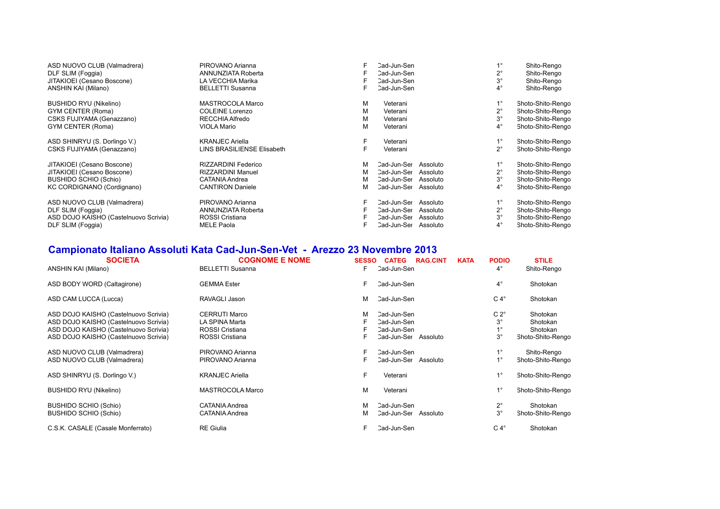| ASD NUOVO CLUB (Valmadrera)           | PIROVANO Arianna           | F | Cad-Jun-Sen          |          | $1^{\circ}$ | Shito-Rengo       |
|---------------------------------------|----------------------------|---|----------------------|----------|-------------|-------------------|
| DLF SLIM (Foggia)                     | ANNUNZIATA Roberta         |   | Cad-Jun-Sen          |          | $2^{\circ}$ | Shito-Rengo       |
| JITAKIOEI (Cesano Boscone)            | LA VECCHIA Marika          |   | Cad-Jun-Sen          |          | $3^\circ$   | Shito-Rengo       |
| ANSHIN KAI (Milano)                   | <b>BELLETTI Susanna</b>    | F | Cad-Jun-Sen          |          | $4^{\circ}$ | Shito-Rengo       |
| BUSHIDO RYU (Nikelino)                | MASTROCOLA Marco           | М | Veterani             |          | $1^{\circ}$ | Shoto-Shito-Rengo |
| GYM CENTER (Roma)                     | <b>COLEINE Lorenzo</b>     | M | Veterani             |          | $2^{\circ}$ | Shoto-Shito-Rengo |
| CSKS FUJIYAMA (Genazzano)             | RECCHIA Alfredo            | M | Veterani             |          | $3^{\circ}$ | Shoto-Shito-Rengo |
| GYM CENTER (Roma)                     | <b>VIOLA Mario</b>         | М | Veterani             |          | $4^{\circ}$ | Shoto-Shito-Rengo |
| ASD SHINRYU (S. Dorlingo V.)          | <b>KRANJEC Ariella</b>     |   | Veterani             |          |             | Shoto-Shito-Rengo |
| CSKS FUJIYAMA (Genazzano)             | LINS BRASILIENSE Elisabeth |   | Veterani             |          | $2^{\circ}$ | Shoto-Shito-Rengo |
| JITAKIOEI (Cesano Boscone)            | RIZZARDINI Federico        | м | Cad-Jun-Ser          | Assoluto |             | Shoto-Shito-Rengo |
| JITAKIOEI (Cesano Boscone)            | <b>RIZZARDINI Manuel</b>   | М | Cad-Jun-Ser          | Assoluto | $2^{\circ}$ | Shoto-Shito-Rengo |
| <b>BUSHIDO SCHIO (Schio)</b>          | CATANIA Andrea             | м | Cad-Jun-Ser          | Assoluto | $3^\circ$   | Shoto-Shito-Rengo |
| KC CORDIGNANO (Cordignano)            | <b>CANTIRON Daniele</b>    | м | Cad-Jun-Ser          | Assoluto | $4^{\circ}$ | Shoto-Shito-Rengo |
| ASD NUOVO CLUB (Valmadrera)           | PIROVANO Arianna           | F | Cad-Jun-Ser          | Assoluto | $1^{\circ}$ | Shoto-Shito-Rengo |
| DLF SLIM (Foggia)                     | ANNUNZIATA Roberta         |   | Cad-Jun-Ser          | Assoluto | $2^{\circ}$ | Shoto-Shito-Rengo |
| ASD DOJO KAISHO (Castelnuovo Scrivia) | ROSSI Cristiana            |   | Cad-Jun-Ser          | Assoluto | $3^\circ$   | Shoto-Shito-Rengo |
| DLF SLIM (Foggia)                     | <b>MELE Paola</b>          |   | Cad-Jun-Ser Assoluto |          | $4^{\circ}$ | Shoto-Shito-Rengo |

### **Campionato Italiano Assoluti Kata Cad-Jun-Sen-Vet - Arezzo 23 Novembre 2013**

| <b>SOCIETA</b><br>ANSHIN KAI (Milano) | <b>COGNOME E NOME</b><br><b>BELLETTI Susanna</b> | <b>SESSO</b><br>F | <b>CATEG</b><br>Cad-Jun-Sen | <b>RAG.CINT</b> | <b>KATA</b> | <b>PODIO</b><br>$4^{\circ}$ | <b>STILE</b><br>Shito-Rengo |
|---------------------------------------|--------------------------------------------------|-------------------|-----------------------------|-----------------|-------------|-----------------------------|-----------------------------|
| ASD BODY WORD (Caltagirone)           | <b>GEMMA Ester</b>                               | F                 | Cad-Jun-Sen                 |                 |             | $4^\circ$                   | Shotokan                    |
| ASD CAM LUCCA (Lucca)                 | RAVAGLI Jason                                    | М                 | Cad-Jun-Sen                 |                 |             | $C 4^\circ$                 | Shotokan                    |
| ASD DOJO KAISHO (Castelnuovo Scrivia) | <b>CERRUTI Marco</b>                             | M                 | Cad-Jun-Sen                 |                 |             | $C 2^\circ$                 | Shotokan                    |
| ASD DOJO KAISHO (Castelnuovo Scrivia) | LA SPINA Marta                                   |                   | Cad-Jun-Sen                 |                 |             | $3^{\circ}$                 | Shotokan                    |
| ASD DOJO KAISHO (Castelnuovo Scrivia) | ROSSI Cristiana                                  |                   | Cad-Jun-Sen                 |                 |             | $1^{\circ}$                 | Shotokan                    |
| ASD DOJO KAISHO (Castelnuovo Scrivia) | ROSSI Cristiana                                  |                   | Cad-Jun-Ser                 | Assoluto        |             | $3^{\circ}$                 | Shoto-Shito-Rengo           |
| ASD NUOVO CLUB (Valmadrera)           | PIROVANO Arianna                                 | F                 | Cad-Jun-Sen                 |                 |             | $1^{\circ}$                 | Shito-Rengo                 |
| ASD NUOVO CLUB (Valmadrera)           | PIROVANO Arianna                                 |                   | Cad-Jun-Ser                 | Assoluto        |             | $1^{\circ}$                 | Shoto-Shito-Rengo           |
| ASD SHINRYU (S. Dorlingo V.)          | <b>KRANJEC Ariella</b>                           | F                 | Veterani                    |                 |             | $1^{\circ}$                 | Shoto-Shito-Rengo           |
| <b>BUSHIDO RYU (Nikelino)</b>         | <b>MASTROCOLA Marco</b>                          | M                 | Veterani                    |                 |             | $1^{\circ}$                 | Shoto-Shito-Rengo           |
| <b>BUSHIDO SCHIO (Schio)</b>          | CATANIA Andrea                                   | м                 | Cad-Jun-Sen                 |                 |             | $2^{\circ}$                 | Shotokan                    |
| <b>BUSHIDO SCHIO (Schio)</b>          | CATANIA Andrea                                   | м                 | Cad-Jun-Ser                 | Assoluto        |             | $3^\circ$                   | Shoto-Shito-Rengo           |
| C.S.K. CASALE (Casale Monferrato)     | <b>RE</b> Giulia                                 | F                 | Cad-Jun-Sen                 |                 |             | $C 4^\circ$                 | Shotokan                    |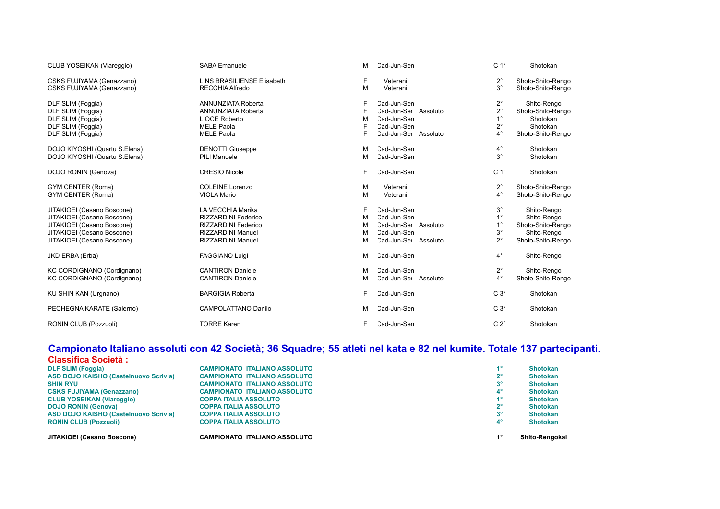| CLUB YOSEIKAN (Viareggio)     | <b>SABA Emanuele</b>              | M  | Cad-Jun-Sen          | C <sub>1</sub> ° | Shotokan          |
|-------------------------------|-----------------------------------|----|----------------------|------------------|-------------------|
| CSKS FUJIYAMA (Genazzano)     | <b>LINS BRASILIENSE Elisabeth</b> | F  | Veterani             | $2^{\circ}$      | Shoto-Shito-Rengo |
| CSKS FUJIYAMA (Genazzano)     | <b>RECCHIA Alfredo</b>            | M  | Veterani             | $3^{\circ}$      | Shoto-Shito-Rengo |
| DLF SLIM (Foggia)             | <b>ANNUNZIATA Roberta</b>         | F  | Cad-Jun-Sen          | $2^{\circ}$      | Shito-Rengo       |
| DLF SLIM (Foggia)             | <b>ANNUNZIATA Roberta</b>         |    | Cad-Jun-Ser Assoluto | $2^{\circ}$      | Shoto-Shito-Rengo |
| DLF SLIM (Foggia)             | <b>LIOCE Roberto</b>              | M  | Cad-Jun-Sen          | $1^{\circ}$      | Shotokan          |
| DLF SLIM (Foggia)             | <b>MELE Paola</b>                 |    | Cad-Jun-Sen          | $2^{\circ}$      | Shotokan          |
| DLF SLIM (Foggia)             | <b>MELE Paola</b>                 | F  | Cad-Jun-Ser Assoluto | $4^{\circ}$      | Shoto-Shito-Rengo |
| DOJO KIYOSHI (Quartu S.Elena) | <b>DENOTTI Giuseppe</b>           | М  | Cad-Jun-Sen          | $4^{\circ}$      | Shotokan          |
| DOJO KIYOSHI (Quartu S.Elena) | <b>PILI Manuele</b>               | M  | Cad-Jun-Sen          | $3^{\circ}$      | Shotokan          |
| DOJO RONIN (Genova)           | <b>CRESIO Nicole</b>              | F. | Cad-Jun-Sen          | C <sub>1</sub> ° | Shotokan          |
| GYM CENTER (Roma)             | <b>COLEINE Lorenzo</b>            | М  | Veterani             | $2^{\circ}$      | Shoto-Shito-Rengo |
| GYM CENTER (Roma)             | <b>VIOLA Mario</b>                | M  | Veterani             | $4^\circ$        | Shoto-Shito-Rengo |
| JITAKIOEI (Cesano Boscone)    | LA VECCHIA Marika                 | F  | Cad-Jun-Sen          | $3^{\circ}$      | Shito-Rengo       |
| JITAKIOEI (Cesano Boscone)    | <b>RIZZARDINI Federico</b>        | M  | Cad-Jun-Sen          | $1^{\circ}$      | Shito-Rengo       |
| JITAKIOEI (Cesano Boscone)    | <b>RIZZARDINI Federico</b>        | M  | Cad-Jun-Ser Assoluto | $1^{\circ}$      | Shoto-Shito-Rengo |
| JITAKIOEI (Cesano Boscone)    | <b>RIZZARDINI Manuel</b>          | M  | Cad-Jun-Sen          | $3^{\circ}$      | Shito-Rengo       |
| JITAKIOEI (Cesano Boscone)    | <b>RIZZARDINI Manuel</b>          | M  | Cad-Jun-Ser Assoluto | $2^{\circ}$      | Shoto-Shito-Rengo |
| JKD ERBA (Erba)               | <b>FAGGIANO Luigi</b>             | M  | Cad-Jun-Sen          | $4^{\circ}$      | Shito-Rengo       |
| KC CORDIGNANO (Cordignano)    | <b>CANTIRON Daniele</b>           | M  | Cad-Jun-Sen          | $2^{\circ}$      | Shito-Rengo       |
| KC CORDIGNANO (Cordignano)    | <b>CANTIRON Daniele</b>           | м  | Cad-Jun-Ser Assoluto | $4^{\circ}$      | Shoto-Shito-Rengo |
| KU SHIN KAN (Urgnano)         | <b>BARGIGIA Roberta</b>           | F. | Cad-Jun-Sen          | $C3^\circ$       | Shotokan          |
| PECHEGNA KARATE (Salerno)     | <b>CAMPOLATTANO Danilo</b>        | M  | Cad-Jun-Sen          | $C3^\circ$       | Shotokan          |
| RONIN CLUB (Pozzuoli)         | <b>TORRE Karen</b>                | F  | Cad-Jun-Sen          | $C 2^{\circ}$    | Shotokan          |

#### **Campionato Italiano assoluti con 42 Società; 36 Squadre; 55 atleti nel kata e 82 nel kumite. Totale 137 partecipanti.**

| JITAKIOEI (Cesano Boscone)                   | <b>CAMPIONATO ITALIANO ASSOLUTO</b> | 40          | Shito-Rengokai  |
|----------------------------------------------|-------------------------------------|-------------|-----------------|
| <b>RONIN CLUB (Pozzuoli)</b>                 | <b>COPPA ITALIA ASSOLUTO</b>        | $4^{\circ}$ | <b>Shotokan</b> |
| <b>ASD DOJO KAISHO (Castelnuovo Scrivia)</b> | <b>COPPA ITALIA ASSOLUTO</b>        | $3^{\circ}$ | <b>Shotokan</b> |
| <b>DOJO RONIN (Genova)</b>                   | <b>COPPA ITALIA ASSOLUTO</b>        | 2°          | <b>Shotokan</b> |
| <b>CLUB YOSEIKAN (Viareggio)</b>             | <b>COPPA ITALIA ASSOLUTO</b>        | 40          | <b>Shotokan</b> |
| <b>CSKS FUJIYAMA (Genazzano)</b>             | <b>CAMPIONATO ITALIANO ASSOLUTO</b> | $4^{\circ}$ | <b>Shotokan</b> |
| <b>SHIN RYU</b>                              | <b>CAMPIONATO ITALIANO ASSOLUTO</b> | 3°          | <b>Shotokan</b> |
| <b>ASD DOJO KAISHO (Castelnuovo Scrivia)</b> | <b>CAMPIONATO ITALIANO ASSOLUTO</b> | 2°          | <b>Shotokan</b> |
| <b>DLF SLIM (Foggia)</b>                     | <b>CAMPIONATO ITALIANO ASSOLUTO</b> | 40          | <b>Shotokan</b> |
| <b>Classifica Società:</b>                   |                                     |             |                 |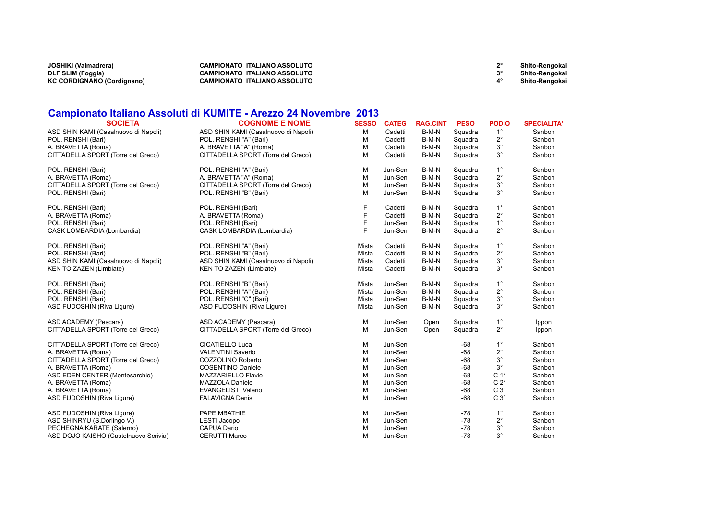| JOSHIKI (Valmadrera)       | <b>CAMPIONATO ITALIANO ASSOLUTO</b> | <b>Shito-Rengokai</b> |
|----------------------------|-------------------------------------|-----------------------|
| DLF SLIM (Foggia)          | <b>CAMPIONATO ITALIANO ASSOLUTO</b> | Shito-Rengokai        |
| KC CORDIGNANO (Cordignano) | CAMPIONATO ITALIANO ASSOLUTO        | Shito-Rengokai        |

#### **Campionato Italiano Assoluti di KUMITE - Arezzo 24 Novembre 2013**

| <b>SOCIETA</b>                        | <b>COGNOME E NOME</b>                | <b>SESSO</b> | <b>CATEG</b> | <b>RAG.CINT</b> | <b>PESO</b> | <b>PODIO</b>     | <b>SPECIALITA'</b> |
|---------------------------------------|--------------------------------------|--------------|--------------|-----------------|-------------|------------------|--------------------|
| ASD SHIN KAMI (Casalnuovo di Napoli)  | ASD SHIN KAMI (Casalnuovo di Napoli) | M            | Cadetti      | B-M-N           | Squadra     | $1^{\circ}$      | Sanbon             |
| POL. RENSHI (Bari)                    | POL. RENSHI "A" (Bari)               | M            | Cadetti      | B-M-N           | Squadra     | $2^{\circ}$      | Sanbon             |
| A. BRAVETTA (Roma)                    | A. BRAVETTA "A" (Roma)               | M            | Cadetti      | B-M-N           | Squadra     | $3^\circ$        | Sanbon             |
| CITTADELLA SPORT (Torre del Greco)    | CITTADELLA SPORT (Torre del Greco)   | M            | Cadetti      | B-M-N           | Squadra     | $3^{\circ}$      | Sanbon             |
| POL. RENSHI (Bari)                    | POL. RENSHI "A" (Bari)               | M            | Jun-Sen      | B-M-N           | Squadra     | $1^{\circ}$      | Sanbon             |
| A. BRAVETTA (Roma)                    | A. BRAVETTA "A" (Roma)               | M            | Jun-Sen      | B-M-N           | Squadra     | $2^{\circ}$      | Sanbon             |
| CITTADELLA SPORT (Torre del Greco)    | CITTADELLA SPORT (Torre del Greco)   | M            | Jun-Sen      | B-M-N           | Squadra     | $3^\circ$        | Sanbon             |
| POL. RENSHI (Bari)                    | POL. RENSHI "B" (Bari)               | M            | Jun-Sen      | B-M-N           | Squadra     | $3^{\circ}$      | Sanbon             |
| POL. RENSHI (Bari)                    | POL. RENSHI (Bari)                   | F            | Cadetti      | B-M-N           | Squadra     | $1^{\circ}$      | Sanbon             |
| A. BRAVETTA (Roma)                    | A. BRAVETTA (Roma)                   | F            | Cadetti      | B-M-N           | Squadra     | $2^{\circ}$      | Sanbon             |
| POL. RENSHI (Bari)                    | POL. RENSHI (Bari)                   | F            | Jun-Sen      | B-M-N           | Squadra     | $1^{\circ}$      | Sanbon             |
| CASK LOMBARDIA (Lombardia)            | CASK LOMBARDIA (Lombardia)           | F            | Jun-Sen      | B-M-N           | Squadra     | $2^{\circ}$      | Sanbon             |
| POL. RENSHI (Bari)                    | POL. RENSHI "A" (Bari)               | Mista        | Cadetti      | B-M-N           | Squadra     | $1^{\circ}$      | Sanbon             |
| POL. RENSHI (Bari)                    | POL. RENSHI "B" (Bari)               | Mista        | Cadetti      | B-M-N           | Squadra     | $2^{\circ}$      | Sanbon             |
| ASD SHIN KAMI (Casalnuovo di Napoli)  | ASD SHIN KAMI (Casalnuovo di Napoli) | Mista        | Cadetti      | B-M-N           | Squadra     | $3^\circ$        | Sanbon             |
| <b>KEN TO ZAZEN (Limbiate)</b>        | KEN TO ZAZEN (Limbiate)              | Mista        | Cadetti      | B-M-N           | Squadra     | $3^{\circ}$      | Sanbon             |
| POL. RENSHI (Bari)                    | POL. RENSHI "B" (Bari)               | Mista        | Jun-Sen      | B-M-N           | Squadra     | $1^{\circ}$      | Sanbon             |
| POL. RENSHI (Bari)                    | POL. RENSHI "A" (Bari)               | Mista        | Jun-Sen      | B-M-N           | Squadra     | $2^{\circ}$      | Sanbon             |
| POL. RENSHI (Bari)                    | POL. RENSHI "C" (Bari)               | Mista        | Jun-Sen      | B-M-N           | Squadra     | $3^{\circ}$      | Sanbon             |
| ASD FUDOSHIN (Riva Ligure)            | ASD FUDOSHIN (Riva Ligure)           | Mista        | Jun-Sen      | B-M-N           | Squadra     | $3^{\circ}$      | Sanbon             |
| ASD ACADEMY (Pescara)                 | ASD ACADEMY (Pescara)                | M            | Jun-Sen      | Open            | Squadra     | $1^{\circ}$      | Ippon              |
| CITTADELLA SPORT (Torre del Greco)    | CITTADELLA SPORT (Torre del Greco)   | M            | Jun-Sen      | Open            | Squadra     | $2^{\circ}$      | Ippon              |
| CITTADELLA SPORT (Torre del Greco)    | <b>CICATIELLO Luca</b>               | M            | Jun-Sen      |                 | $-68$       | $1^{\circ}$      | Sanbon             |
| A. BRAVETTA (Roma)                    | <b>VALENTINI Saverio</b>             | M            | Jun-Sen      |                 | $-68$       | $2^{\circ}$      | Sanbon             |
| CITTADELLA SPORT (Torre del Greco)    | COZZOLINO Roberto                    | M            | Jun-Sen      |                 | $-68$       | $3^\circ$        | Sanbon             |
| A. BRAVETTA (Roma)                    | <b>COSENTINO Daniele</b>             | M            | Jun-Sen      |                 | $-68$       | $3^{\circ}$      | Sanbon             |
| ASD EDEN CENTER (Montesarchio)        | MAZZARIELLO Flavio                   | M            | Jun-Sen      |                 | -68         | C <sub>1</sub> ° | Sanbon             |
| A. BRAVETTA (Roma)                    | <b>MAZZOLA Daniele</b>               | M            | Jun-Sen      |                 | $-68$       | $C 2^{\circ}$    | Sanbon             |
| A. BRAVETTA (Roma)                    | <b>EVANGELISTI Valerio</b>           | M            | Jun-Sen      |                 | $-68$       | $C3^\circ$       | Sanbon             |
| <b>ASD FUDOSHIN (Riva Liqure)</b>     | <b>FALAVIGNA Denis</b>               | M            | Jun-Sen      |                 | $-68$       | $C 3^\circ$      | Sanbon             |
| ASD FUDOSHIN (Riva Ligure)            | PAPE MBATHIE                         | M            | Jun-Sen      |                 | $-78$       | $1^{\circ}$      | Sanbon             |
| ASD SHINRYU (S.Dorlingo V.)           | LESTI Jacopo                         | M            | Jun-Sen      |                 | $-78$       | $2^{\circ}$      | Sanbon             |
| PECHEGNA KARATE (Salerno)             | <b>CAPUA Dario</b>                   | M            | Jun-Sen      |                 | $-78$       | $3^\circ$        | Sanbon             |
| ASD DOJO KAISHO (Castelnuovo Scrivia) | <b>CERUTTI Marco</b>                 | M            | Jun-Sen      |                 | $-78$       | $3^\circ$        | Sanbon             |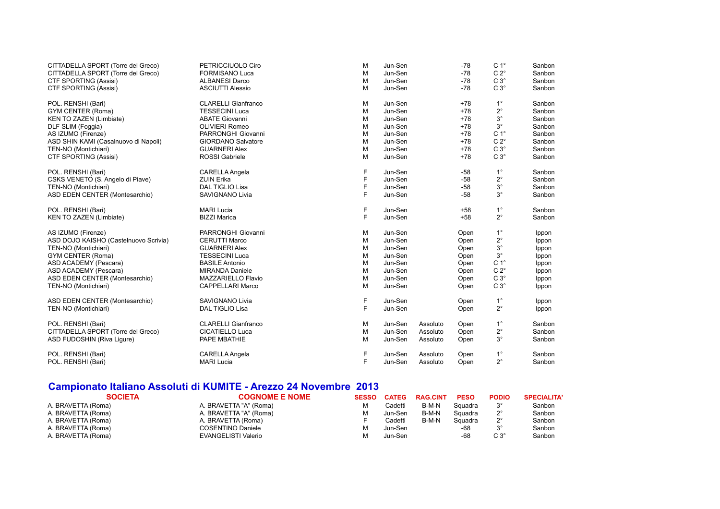| CITTADELLA SPORT (Torre del Greco)    | PETRICCIUOLO Ciro          | M | Jun-Sen |          | $-78$ | C <sub>1</sub> ° | Sanbon |
|---------------------------------------|----------------------------|---|---------|----------|-------|------------------|--------|
| CITTADELLA SPORT (Torre del Greco)    | <b>FORMISANO Luca</b>      | M | Jun-Sen |          | $-78$ | $C 2^\circ$      | Sanbon |
| <b>CTF SPORTING (Assisi)</b>          | <b>ALBANESI Darco</b>      | M | Jun-Sen |          | $-78$ | $C 3^\circ$      | Sanbon |
| CTF SPORTING (Assisi)                 | <b>ASCIUTTI Alessio</b>    | M | Jun-Sen |          | $-78$ | $C 3^\circ$      | Sanbon |
| POL. RENSHI (Bari)                    | <b>CLARELLI Gianfranco</b> | M | Jun-Sen |          | $+78$ | $1^{\circ}$      | Sanbon |
| <b>GYM CENTER (Roma)</b>              | <b>TESSECINI Luca</b>      | M | Jun-Sen |          | $+78$ | $2^{\circ}$      | Sanbon |
| KEN TO ZAZEN (Limbiate)               | <b>ABATE Giovanni</b>      | M | Jun-Sen |          | $+78$ | $3^{\circ}$      | Sanbon |
| DLF SLIM (Foggia)                     | <b>OLIVIERI Romeo</b>      | M | Jun-Sen |          | $+78$ | $3^{\circ}$      | Sanbon |
| AS IZUMO (Firenze)                    | PARRONGHI Giovanni         | M | Jun-Sen |          | $+78$ | $C 1^\circ$      | Sanbon |
| ASD SHIN KAMI (Casalnuovo di Napoli)  | <b>GIORDANO Salvatore</b>  | M | Jun-Sen |          | $+78$ | $C 2^\circ$      | Sanbon |
| TEN-NO (Montichiari)                  | <b>GUARNERI Alex</b>       | M | Jun-Sen |          | $+78$ | $C 3^\circ$      | Sanbon |
| <b>CTF SPORTING (Assisi)</b>          | <b>ROSSI</b> Gabriele      | M | Jun-Sen |          | $+78$ | $C 3^\circ$      | Sanbon |
| POL. RENSHI (Bari)                    | CARELLA Angela             | F | Jun-Sen |          | $-58$ | $1^{\circ}$      | Sanbon |
| CSKS VENETO (S. Angelo di Piave)      | <b>ZUIN Erika</b>          | F | Jun-Sen |          | $-58$ | $2^{\circ}$      | Sanbon |
| TEN-NO (Montichiari)                  | <b>DAL TIGLIO Lisa</b>     | F | Jun-Sen |          | $-58$ | $3^{\circ}$      | Sanbon |
| ASD EDEN CENTER (Montesarchio)        | SAVIGNANO Livia            | F | Jun-Sen |          | $-58$ | $3^{\circ}$      | Sanbon |
| POL. RENSHI (Bari)                    | <b>MARI Lucia</b>          | F | Jun-Sen |          | $+58$ | $1^{\circ}$      | Sanbon |
| KEN TO ZAZEN (Limbiate)               | <b>BIZZI Marica</b>        | F | Jun-Sen |          | $+58$ | $2^{\circ}$      | Sanbon |
| AS IZUMO (Firenze)                    | PARRONGHI Giovanni         | M | Jun-Sen |          | Open  | $1^{\circ}$      | Ippon  |
| ASD DOJO KAISHO (Castelnuovo Scrivia) | <b>CERUTTI Marco</b>       | M | Jun-Sen |          | Open  | $2^{\circ}$      | Ippon  |
| TEN-NO (Montichiari)                  | <b>GUARNERI Alex</b>       | M | Jun-Sen |          | Open  | $3^{\circ}$      | Ippon  |
| <b>GYM CENTER (Roma)</b>              | <b>TESSECINI Luca</b>      | M | Jun-Sen |          | Open  | $3^\circ$        | Ippon  |
| ASD ACADEMY (Pescara)                 | <b>BASILE Antonio</b>      | M | Jun-Sen |          | Open  | $C 1^\circ$      | Ippon  |
| ASD ACADEMY (Pescara)                 | <b>MIRANDA Daniele</b>     | M | Jun-Sen |          | Open  | $C 2^{\circ}$    | Ippon  |
| ASD EDEN CENTER (Montesarchio)        | MAZZARIELLO Flavio         | M | Jun-Sen |          | Open  | $C3^\circ$       | Ippon  |
| TEN-NO (Montichiari)                  | <b>CAPPELLARI Marco</b>    | M | Jun-Sen |          | Open  | $C3^\circ$       | Ippon  |
| ASD EDEN CENTER (Montesarchio)        | <b>SAVIGNANO Livia</b>     | F | Jun-Sen |          | Open  | $1^{\circ}$      | Ippon  |
| TEN-NO (Montichiari)                  | DAL TIGLIO Lisa            | F | Jun-Sen |          | Open  | $2^{\circ}$      | Ippon  |
| POL. RENSHI (Bari)                    | <b>CLARELLI Gianfranco</b> | M | Jun-Sen | Assoluto | Open  | $1^{\circ}$      | Sanbon |
| CITTADELLA SPORT (Torre del Greco)    | <b>CICATIELLO Luca</b>     | M | Jun-Sen | Assoluto | Open  | $2^{\circ}$      | Sanbon |
| ASD FUDOSHIN (Riva Ligure)            | PAPE MBATHIE               | M | Jun-Sen | Assoluto | Open  | $3^{\circ}$      | Sanbon |
| POL. RENSHI (Bari)                    | <b>CARELLA Angela</b>      | F | Jun-Sen | Assoluto | Open  | $1^{\circ}$      | Sanbon |
| POL. RENSHI (Bari)                    | <b>MARI Lucia</b>          | F | Jun-Sen | Assoluto | Open  | $2^{\circ}$      | Sanbon |

## **Campionato Italiano Assoluti di KUMITE - Arezzo 24 Novembre 2013**

| <b>SOCIETA</b>     | <b>COGNOME E NOME</b>  | <b>SESSO</b> | <b>CATEG</b> | <b>RAG.CINT</b> | <b>PESO</b> | <b>PODIO</b>  | <b>SPECIALITA</b> |
|--------------------|------------------------|--------------|--------------|-----------------|-------------|---------------|-------------------|
| A. BRAVETTA (Roma) | A. BRAVETTA "A" (Roma) | М            | Cadetti      | B-M-N           | Squadra     | $3^{\circ}$   | Sanbon            |
| A. BRAVETTA (Roma) | A. BRAVETTA "A" (Roma) | M            | Jun-Sen      | B-M-N           | Squadra     | $2^{\circ}$   | Sanbon            |
| A. BRAVETTA (Roma) | A. BRAVETTA (Roma)     |              | Cadetti      | B-M-N           | Squadra     | າ<br><u>.</u> | Sanbon            |
| A. BRAVETTA (Roma) | COSENTINO Daniele      | М            | Jun-Sen      |                 | -68         | $2^{\circ}$   | Sanbon            |
| A. BRAVETTA (Roma) | EVANGELISTI Valerio    | М            | Jun-Sen      |                 | -68         | $C3^\circ$    | Sanbon            |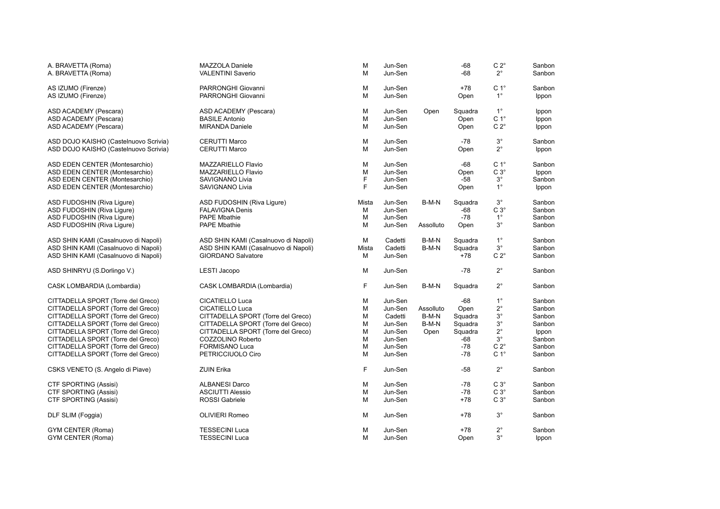| A. BRAVETTA (Roma)<br>A. BRAVETTA (Roma) | <b>MAZZOLA Daniele</b><br><b>VALENTINI Saverio</b> | M<br>M | Jun-Sen<br>Jun-Sen |           | $-68$<br>-68 | C 2 $^{\circ}$<br>$2^{\circ}$ | Sanbon<br>Sanbon |
|------------------------------------------|----------------------------------------------------|--------|--------------------|-----------|--------------|-------------------------------|------------------|
| AS IZUMO (Firenze)                       | PARRONGHI Giovanni                                 | M      | Jun-Sen            |           | +78          | C <sub>1</sub> °              | Sanbon           |
| AS IZUMO (Firenze)                       | PARRONGHI Giovanni                                 | M      | Jun-Sen            |           | Open         | $1^{\circ}$                   | Ippon            |
| ASD ACADEMY (Pescara)                    | ASD ACADEMY (Pescara)                              | M      | Jun-Sen            | Open      | Squadra      | $1^{\circ}$                   | Ippon            |
| ASD ACADEMY (Pescara)                    | <b>BASILE Antonio</b>                              | M      | Jun-Sen            |           | Open         | C <sub>1</sub> °              | Ippon            |
| ASD ACADEMY (Pescara)                    | <b>MIRANDA Daniele</b>                             | M      | Jun-Sen            |           | Open         | $C 2^\circ$                   | Ippon            |
| ASD DOJO KAISHO (Castelnuovo Scrivia)    | <b>CERUTTI Marco</b>                               | M      | Jun-Sen            |           | $-78$        | $3^{\circ}$                   | Sanbon           |
| ASD DOJO KAISHO (Castelnuovo Scrivia)    | CERUTTI Marco                                      | M      | Jun-Sen            |           | Open         | $2^{\circ}$                   | Ippon            |
| ASD EDEN CENTER (Montesarchio)           | MAZZARIELLO Flavio                                 | M      | Jun-Sen            |           | $-68$        | C <sub>1</sub> °              | Sanbon           |
| ASD EDEN CENTER (Montesarchio)           | MAZZARIELLO Flavio                                 | M      | Jun-Sen            |           | Open         | $C3^\circ$                    | Ippon            |
| ASD EDEN CENTER (Montesarchio)           | SAVIGNANO Livia                                    | F      | Jun-Sen            |           | $-58$        | $3^{\circ}$                   | Sanbon           |
| ASD EDEN CENTER (Montesarchio)           | <b>SAVIGNANO Livia</b>                             | F      | Jun-Sen            |           | Open         | $1^{\circ}$                   | Ippon            |
| ASD FUDOSHIN (Riva Ligure)               | ASD FUDOSHIN (Riva Ligure)                         | Mista  | Jun-Sen            | B-M-N     | Squadra      | $3^{\circ}$                   | Sanbon           |
| ASD FUDOSHIN (Riva Ligure)               | <b>FALAVIGNA Denis</b>                             | M      | Jun-Sen            |           | $-68$        | $C3^\circ$                    | Sanbon           |
| ASD FUDOSHIN (Riva Liqure)               | <b>PAPE Mbathie</b>                                | M      | Jun-Sen            |           | $-78$        | $1^{\circ}$                   | Sanbon           |
| ASD FUDOSHIN (Riva Ligure)               | <b>PAPE Mbathie</b>                                | M      | Jun-Sen            | Assolluto | Open         | $3^{\circ}$                   | Sanbon           |
| ASD SHIN KAMI (Casalnuovo di Napoli)     | ASD SHIN KAMI (Casalnuovo di Napoli)               | M      | Cadetti            | B-M-N     | Squadra      | $1^{\circ}$                   | Sanbon           |
| ASD SHIN KAMI (Casalnuovo di Napoli)     | ASD SHIN KAMI (Casalnuovo di Napoli)               | Mista  | Cadetti            | B-M-N     | Squadra      | $3^{\circ}$                   | Sanbon           |
| ASD SHIN KAMI (Casalnuovo di Napoli)     | <b>GIORDANO Salvatore</b>                          | M      | Jun-Sen            |           | $+78$        | $C 2^{\circ}$                 | Sanbon           |
| ASD SHINRYU (S.Dorlingo V.)              | <b>LESTI Jacopo</b>                                | M      | Jun-Sen            |           | $-78$        | $2^{\circ}$                   | Sanbon           |
| CASK LOMBARDIA (Lombardia)               | CASK LOMBARDIA (Lombardia)                         | F      | Jun-Sen            | B-M-N     | Squadra      | $2^{\circ}$                   | Sanbon           |
| CITTADELLA SPORT (Torre del Greco)       | <b>CICATIELLO Luca</b>                             | M      | Jun-Sen            |           | $-68$        | $1^{\circ}$                   | Sanbon           |
| CITTADELLA SPORT (Torre del Greco)       | <b>CICATIELLO Luca</b>                             | M      | Jun-Sen            | Assolluto | Open         | $2^{\circ}$                   | Sanbon           |
| CITTADELLA SPORT (Torre del Greco)       | CITTADELLA SPORT (Torre del Greco)                 | M      | Cadetti            | B-M-N     | Squadra      | $3^{\circ}$                   | Sanbon           |
| CITTADELLA SPORT (Torre del Greco)       | CITTADELLA SPORT (Torre del Greco)                 | M      | Jun-Sen            | B-M-N     | Squadra      | $3^{\circ}$                   | Sanbon           |
| CITTADELLA SPORT (Torre del Greco)       | CITTADELLA SPORT (Torre del Greco)                 | M      | Jun-Sen            | Open      | Squadra      | $2^{\circ}$                   | Ippon            |
| CITTADELLA SPORT (Torre del Greco)       | COZZOLINO Roberto                                  | M      | Jun-Sen            |           | $-68$        | $3^{\circ}$                   | Sanbon           |
| CITTADELLA SPORT (Torre del Greco)       | <b>FORMISANO Luca</b>                              | M      | Jun-Sen            |           | $-78$        | $C 2^{\circ}$                 | Sanbon           |
| CITTADELLA SPORT (Torre del Greco)       | PETRICCIUOLO Ciro                                  | M      | Jun-Sen            |           | $-78$        | C <sub>1</sub> °              | Sanbon           |
| CSKS VENETO (S. Angelo di Piave)         | <b>ZUIN Erika</b>                                  | F      | Jun-Sen            |           | $-58$        | $2^{\circ}$                   | Sanbon           |
| <b>CTF SPORTING (Assisi)</b>             | <b>ALBANESI Darco</b>                              | M      | Jun-Sen            |           | $-78$        | $C3^\circ$                    | Sanbon           |
| <b>CTF SPORTING (Assisi)</b>             | <b>ASCIUTTI Alessio</b>                            | M      | Jun-Sen            |           | $-78$        | $C3^\circ$                    | Sanbon           |
| <b>CTF SPORTING (Assisi)</b>             | <b>ROSSI</b> Gabriele                              | M      | Jun-Sen            |           | $+78$        | $C 3^\circ$                   | Sanbon           |
| DLF SLIM (Foggia)                        | <b>OLIVIERI Romeo</b>                              | M      | Jun-Sen            |           | $+78$        | $3^{\circ}$                   | Sanbon           |
| <b>GYM CENTER (Roma)</b>                 | <b>TESSECINI Luca</b>                              | M      | Jun-Sen            |           | $+78$        | $2^{\circ}$                   | Sanbon           |
| GYM CENTER (Roma)                        | <b>TESSECINI Luca</b>                              | M      | Jun-Sen            |           | Open         | $3^{\circ}$                   | Ippon            |